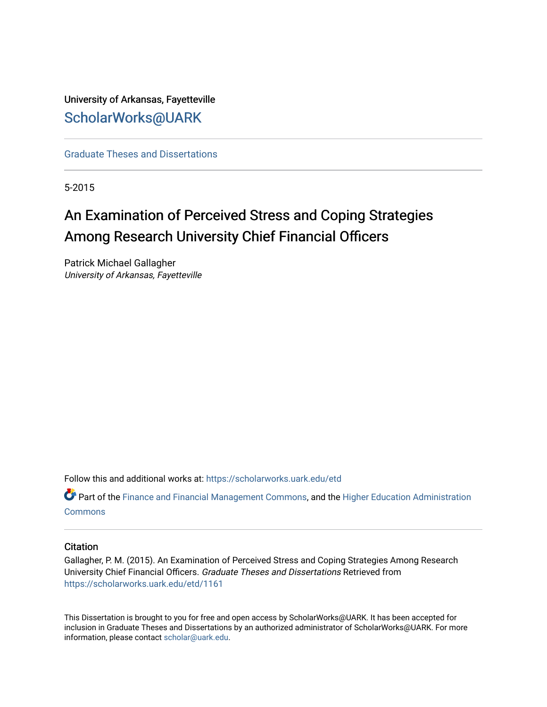# University of Arkansas, Fayetteville [ScholarWorks@UARK](https://scholarworks.uark.edu/)

[Graduate Theses and Dissertations](https://scholarworks.uark.edu/etd) 

5-2015

# An Examination of Perceived Stress and Coping Strategies Among Research University Chief Financial Officers

Patrick Michael Gallagher University of Arkansas, Fayetteville

Follow this and additional works at: [https://scholarworks.uark.edu/etd](https://scholarworks.uark.edu/etd?utm_source=scholarworks.uark.edu%2Fetd%2F1161&utm_medium=PDF&utm_campaign=PDFCoverPages)

Part of the [Finance and Financial Management Commons,](http://network.bepress.com/hgg/discipline/631?utm_source=scholarworks.uark.edu%2Fetd%2F1161&utm_medium=PDF&utm_campaign=PDFCoverPages) and the [Higher Education Administration](http://network.bepress.com/hgg/discipline/791?utm_source=scholarworks.uark.edu%2Fetd%2F1161&utm_medium=PDF&utm_campaign=PDFCoverPages)  **[Commons](http://network.bepress.com/hgg/discipline/791?utm_source=scholarworks.uark.edu%2Fetd%2F1161&utm_medium=PDF&utm_campaign=PDFCoverPages)** 

# **Citation**

Gallagher, P. M. (2015). An Examination of Perceived Stress and Coping Strategies Among Research University Chief Financial Officers. Graduate Theses and Dissertations Retrieved from [https://scholarworks.uark.edu/etd/1161](https://scholarworks.uark.edu/etd/1161?utm_source=scholarworks.uark.edu%2Fetd%2F1161&utm_medium=PDF&utm_campaign=PDFCoverPages)

This Dissertation is brought to you for free and open access by ScholarWorks@UARK. It has been accepted for inclusion in Graduate Theses and Dissertations by an authorized administrator of ScholarWorks@UARK. For more information, please contact [scholar@uark.edu.](mailto:scholar@uark.edu)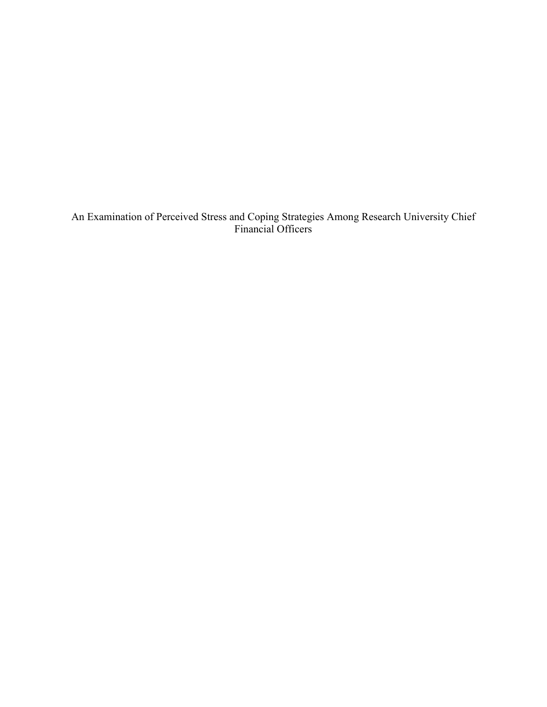An Examination of Perceived Stress and Coping Strategies Among Research University Chief Financial Officers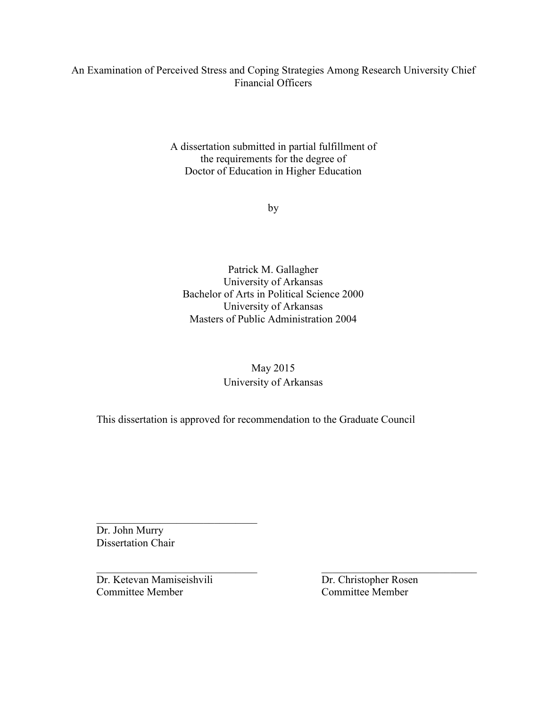# An Examination of Perceived Stress and Coping Strategies Among Research University Chief Financial Officers

A dissertation submitted in partial fulfillment of the requirements for the degree of Doctor of Education in Higher Education

by

Patrick M. Gallagher University of Arkansas Bachelor of Arts in Political Science 2000 University of Arkansas Masters of Public Administration 2004

# May 2015 University of Arkansas

This dissertation is approved for recommendation to the Graduate Council

 Dr. John Murry Dissertation Chair

 $\mathcal{L}_\text{max} = \frac{1}{2} \sum_{i=1}^{n} \frac{1}{2} \sum_{i=1}^{n} \frac{1}{2} \sum_{i=1}^{n} \frac{1}{2} \sum_{i=1}^{n} \frac{1}{2} \sum_{i=1}^{n} \frac{1}{2} \sum_{i=1}^{n} \frac{1}{2} \sum_{i=1}^{n} \frac{1}{2} \sum_{i=1}^{n} \frac{1}{2} \sum_{i=1}^{n} \frac{1}{2} \sum_{i=1}^{n} \frac{1}{2} \sum_{i=1}^{n} \frac{1}{2} \sum_{i=1}^{n} \frac{1$ Dr. Ketevan Mamiseishvili Dr. Christopher Rosen Committee Member Committee Member

\_\_\_\_\_\_\_\_\_\_\_\_\_\_\_\_\_\_\_\_\_\_\_\_\_\_\_\_\_\_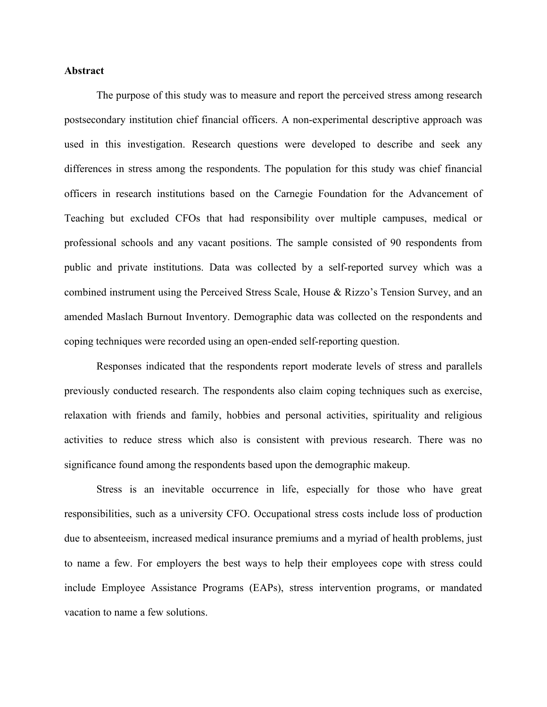# **Abstract**

 The purpose of this study was to measure and report the perceived stress among research postsecondary institution chief financial officers. A non-experimental descriptive approach was used in this investigation. Research questions were developed to describe and seek any differences in stress among the respondents. The population for this study was chief financial officers in research institutions based on the Carnegie Foundation for the Advancement of Teaching but excluded CFOs that had responsibility over multiple campuses, medical or professional schools and any vacant positions. The sample consisted of 90 respondents from public and private institutions. Data was collected by a self-reported survey which was a combined instrument using the Perceived Stress Scale, House & Rizzo's Tension Survey, and an amended Maslach Burnout Inventory. Demographic data was collected on the respondents and coping techniques were recorded using an open-ended self-reporting question.

Responses indicated that the respondents report moderate levels of stress and parallels previously conducted research. The respondents also claim coping techniques such as exercise, relaxation with friends and family, hobbies and personal activities, spirituality and religious activities to reduce stress which also is consistent with previous research. There was no significance found among the respondents based upon the demographic makeup.

Stress is an inevitable occurrence in life, especially for those who have great responsibilities, such as a university CFO. Occupational stress costs include loss of production due to absenteeism, increased medical insurance premiums and a myriad of health problems, just to name a few. For employers the best ways to help their employees cope with stress could include Employee Assistance Programs (EAPs), stress intervention programs, or mandated vacation to name a few solutions.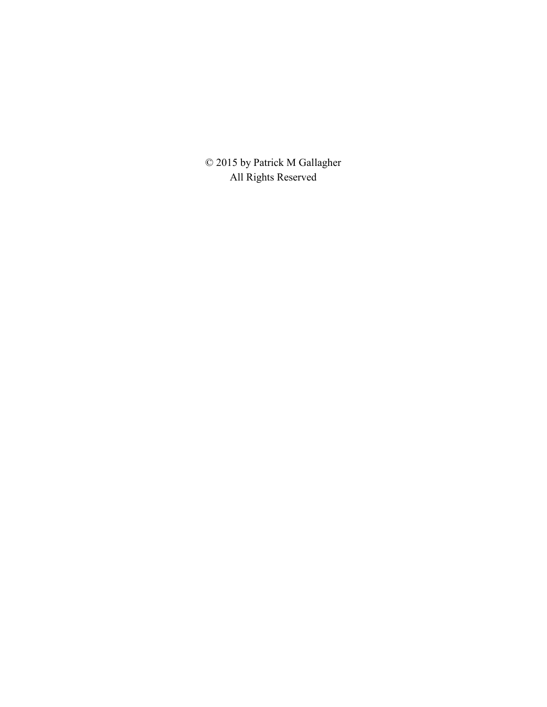© 2015 by Patrick M Gallagher All Rights Reserved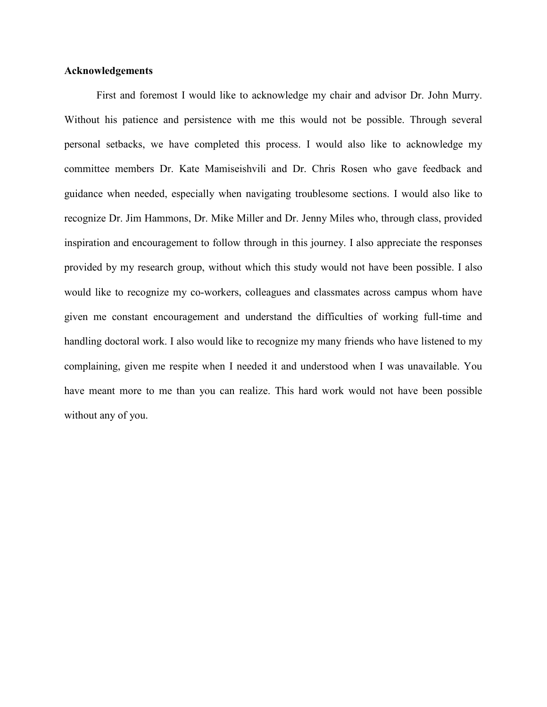# **Acknowledgements**

First and foremost I would like to acknowledge my chair and advisor Dr. John Murry. Without his patience and persistence with me this would not be possible. Through several personal setbacks, we have completed this process. I would also like to acknowledge my committee members Dr. Kate Mamiseishvili and Dr. Chris Rosen who gave feedback and guidance when needed, especially when navigating troublesome sections. I would also like to recognize Dr. Jim Hammons, Dr. Mike Miller and Dr. Jenny Miles who, through class, provided inspiration and encouragement to follow through in this journey. I also appreciate the responses provided by my research group, without which this study would not have been possible. I also would like to recognize my co-workers, colleagues and classmates across campus whom have given me constant encouragement and understand the difficulties of working full-time and handling doctoral work. I also would like to recognize my many friends who have listened to my complaining, given me respite when I needed it and understood when I was unavailable. You have meant more to me than you can realize. This hard work would not have been possible without any of you.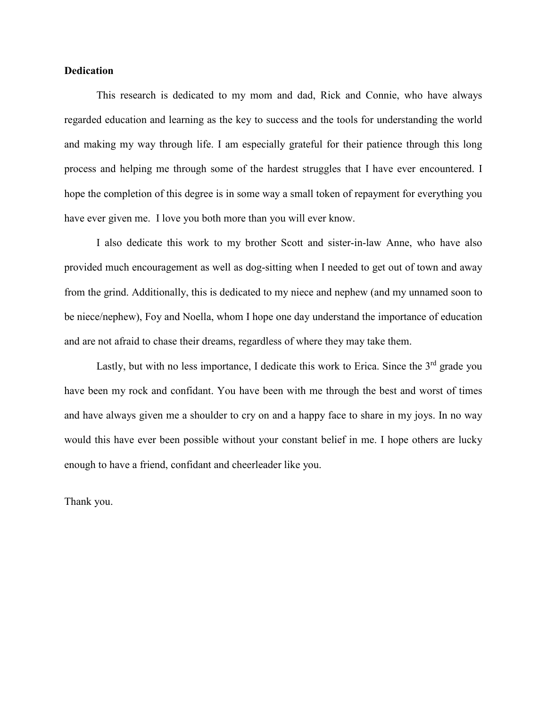# **Dedication**

This research is dedicated to my mom and dad, Rick and Connie, who have always regarded education and learning as the key to success and the tools for understanding the world and making my way through life. I am especially grateful for their patience through this long process and helping me through some of the hardest struggles that I have ever encountered. I hope the completion of this degree is in some way a small token of repayment for everything you have ever given me. I love you both more than you will ever know.

 I also dedicate this work to my brother Scott and sister-in-law Anne, who have also provided much encouragement as well as dog-sitting when I needed to get out of town and away from the grind. Additionally, this is dedicated to my niece and nephew (and my unnamed soon to be niece/nephew), Foy and Noella, whom I hope one day understand the importance of education and are not afraid to chase their dreams, regardless of where they may take them.

Lastly, but with no less importance, I dedicate this work to Erica. Since the  $3<sup>rd</sup>$  grade you have been my rock and confidant. You have been with me through the best and worst of times and have always given me a shoulder to cry on and a happy face to share in my joys. In no way would this have ever been possible without your constant belief in me. I hope others are lucky enough to have a friend, confidant and cheerleader like you.

Thank you.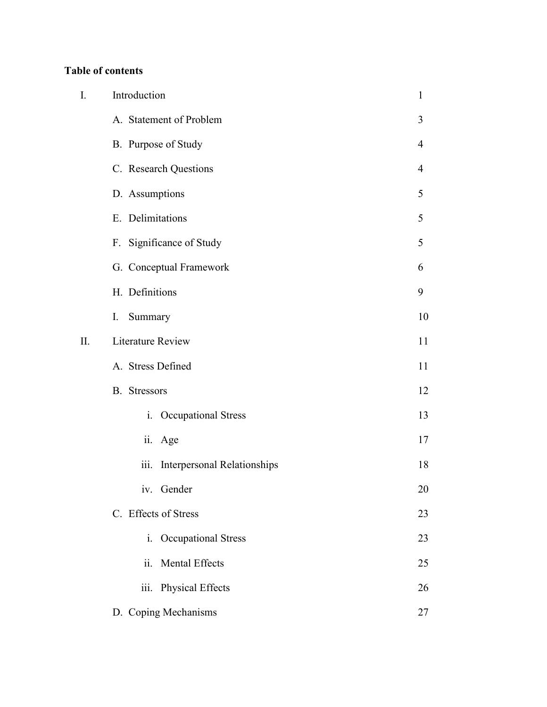# **Table of contents**

| I. | Introduction                               | $\mathbf{1}$ |
|----|--------------------------------------------|--------------|
|    | A. Statement of Problem                    | 3            |
|    | B. Purpose of Study                        | 4            |
|    | C. Research Questions                      | 4            |
|    | D. Assumptions                             | 5            |
|    | E. Delimitations                           | 5            |
|    | F. Significance of Study                   | 5            |
|    | G. Conceptual Framework                    | 6            |
|    | H. Definitions                             | 9            |
|    | Summary<br>I.                              | 10           |
| Π. | <b>Literature Review</b>                   | 11           |
|    | A. Stress Defined                          | 11           |
|    | <b>B.</b> Stressors                        | 12           |
|    | Occupational Stress<br>$i_{-}$             | 13           |
|    | ii. Age                                    | 17           |
|    | iii.<br><b>Interpersonal Relationships</b> | 18           |
|    | iv.<br>Gender                              | 20           |
|    | C. Effects of Stress                       | 23           |
|    | Occupational Stress<br>$\mathbf{i}$ .      | 23           |
|    | ii.<br><b>Mental Effects</b>               | 25           |
|    | iii.<br>Physical Effects                   | 26           |
|    | D. Coping Mechanisms                       | 27           |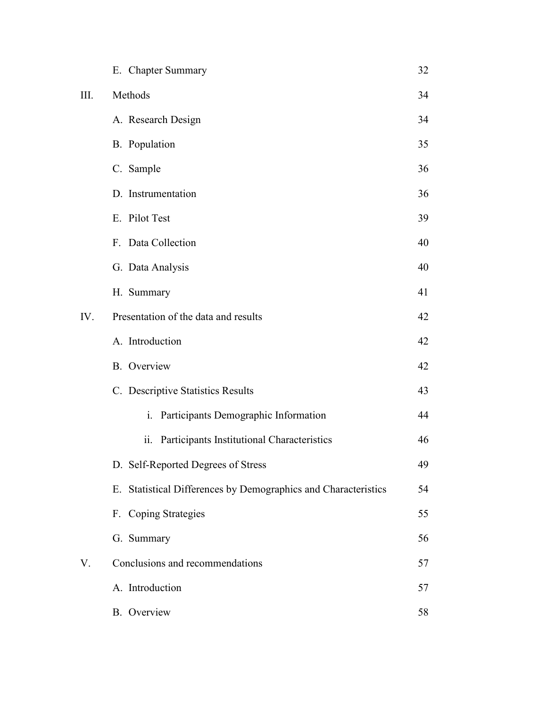|      | E. Chapter Summary                                             | 32 |
|------|----------------------------------------------------------------|----|
| III. | Methods                                                        | 34 |
|      | A. Research Design                                             | 34 |
|      | <b>B.</b> Population                                           | 35 |
|      | C. Sample                                                      | 36 |
|      | D. Instrumentation                                             | 36 |
|      | E. Pilot Test                                                  | 39 |
|      | F. Data Collection                                             | 40 |
|      | G. Data Analysis                                               | 40 |
|      | H. Summary                                                     | 41 |
| IV.  | Presentation of the data and results                           | 42 |
|      | A. Introduction                                                | 42 |
|      | <b>B.</b> Overview                                             | 42 |
|      | C. Descriptive Statistics Results                              | 43 |
|      | i. Participants Demographic Information                        | 44 |
|      | ii.<br>Participants Institutional Characteristics              | 46 |
|      | D. Self-Reported Degrees of Stress                             | 49 |
|      | E. Statistical Differences by Demographics and Characteristics | 54 |
|      | F. Coping Strategies                                           | 55 |
|      | G. Summary                                                     | 56 |
| V.   | Conclusions and recommendations                                | 57 |
|      | A. Introduction                                                | 57 |
|      | <b>B.</b> Overview                                             | 58 |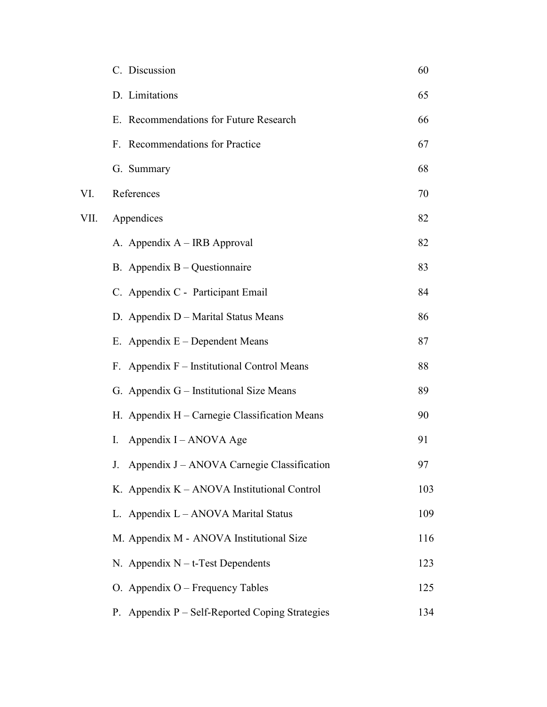|      | C. Discussion                                   | 60  |
|------|-------------------------------------------------|-----|
|      | D. Limitations                                  | 65  |
|      | E. Recommendations for Future Research          | 66  |
|      | F. Recommendations for Practice                 | 67  |
|      | G. Summary                                      | 68  |
| VI.  | References                                      | 70  |
| VII. | Appendices                                      | 82  |
|      | A. Appendix A – IRB Approval                    | 82  |
|      | B. Appendix $B - Q$ uestion naire               | 83  |
|      | C. Appendix C - Participant Email               | 84  |
|      | D. Appendix D – Marital Status Means            | 86  |
|      | E. Appendix E - Dependent Means                 | 87  |
|      | Appendix F – Institutional Control Means<br>F.  | 88  |
|      | G. Appendix G – Institutional Size Means        | 89  |
|      | H. Appendix H – Carnegie Classification Means   | 90  |
|      | Appendix I – ANOVA Age<br>$\rm{I}$ .            | 91  |
|      | J. Appendix J – ANOVA Carnegie Classification   | 97  |
|      | K. Appendix $K - ANOVA$ Institutional Control   | 103 |
|      | L. Appendix L - ANOVA Marital Status            | 109 |
|      | M. Appendix M - ANOVA Institutional Size        | 116 |
|      | N. Appendix $N - t$ -Test Dependents            | 123 |
|      | O. Appendix $O$ – Frequency Tables              | 125 |
|      | P. Appendix P – Self-Reported Coping Strategies | 134 |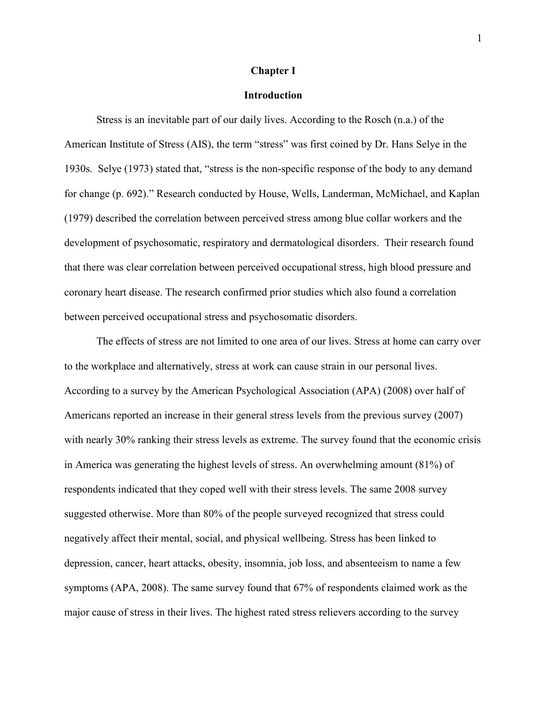#### **Chapter I**

# **Introduction**

 Stress is an inevitable part of our daily lives. According to the Rosch (n.a.) of the American Institute of Stress (AIS), the term "stress" was first coined by Dr. Hans Selye in the 1930s. Selye (1973) stated that, "stress is the non-specific response of the body to any demand for change (p. 692)." Research conducted by House, Wells, Landerman, McMichael, and Kaplan (1979) described the correlation between perceived stress among blue collar workers and the development of psychosomatic, respiratory and dermatological disorders. Their research found that there was clear correlation between perceived occupational stress, high blood pressure and coronary heart disease. The research confirmed prior studies which also found a correlation between perceived occupational stress and psychosomatic disorders.

The effects of stress are not limited to one area of our lives. Stress at home can carry over to the workplace and alternatively, stress at work can cause strain in our personal lives. According to a survey by the American Psychological Association (APA) (2008) over half of Americans reported an increase in their general stress levels from the previous survey (2007) with nearly 30% ranking their stress levels as extreme. The survey found that the economic crisis in America was generating the highest levels of stress. An overwhelming amount (81%) of respondents indicated that they coped well with their stress levels. The same 2008 survey suggested otherwise. More than 80% of the people surveyed recognized that stress could negatively affect their mental, social, and physical wellbeing. Stress has been linked to depression, cancer, heart attacks, obesity, insomnia, job loss, and absenteeism to name a few symptoms (APA, 2008). The same survey found that 67% of respondents claimed work as the major cause of stress in their lives. The highest rated stress relievers according to the survey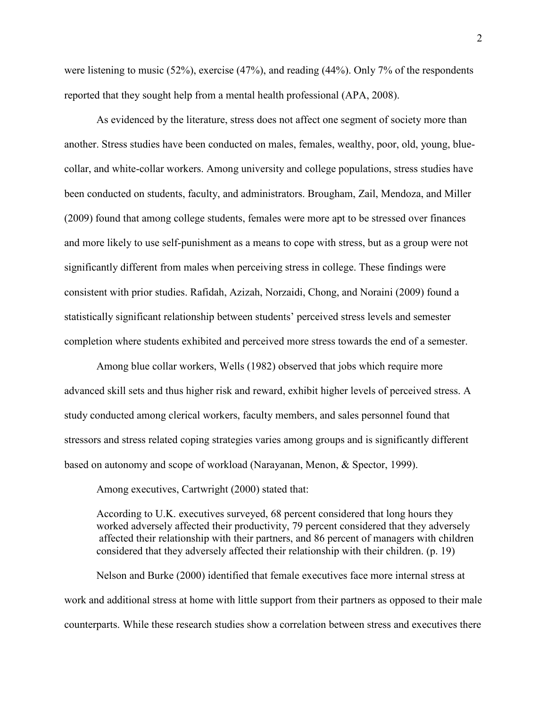were listening to music (52%), exercise (47%), and reading (44%). Only 7% of the respondents reported that they sought help from a mental health professional (APA, 2008).

 As evidenced by the literature, stress does not affect one segment of society more than another. Stress studies have been conducted on males, females, wealthy, poor, old, young, bluecollar, and white-collar workers. Among university and college populations, stress studies have been conducted on students, faculty, and administrators. Brougham, Zail, Mendoza, and Miller (2009) found that among college students, females were more apt to be stressed over finances and more likely to use self-punishment as a means to cope with stress, but as a group were not significantly different from males when perceiving stress in college. These findings were consistent with prior studies. Rafidah, Azizah, Norzaidi, Chong, and Noraini (2009) found a statistically significant relationship between students' perceived stress levels and semester completion where students exhibited and perceived more stress towards the end of a semester.

Among blue collar workers, Wells (1982) observed that jobs which require more advanced skill sets and thus higher risk and reward, exhibit higher levels of perceived stress. A study conducted among clerical workers, faculty members, and sales personnel found that stressors and stress related coping strategies varies among groups and is significantly different based on autonomy and scope of workload (Narayanan, Menon, & Spector, 1999).

Among executives, Cartwright (2000) stated that:

According to U.K. executives surveyed, 68 percent considered that long hours they worked adversely affected their productivity, 79 percent considered that they adversely affected their relationship with their partners, and 86 percent of managers with children considered that they adversely affected their relationship with their children. (p. 19)

Nelson and Burke (2000) identified that female executives face more internal stress at work and additional stress at home with little support from their partners as opposed to their male counterparts. While these research studies show a correlation between stress and executives there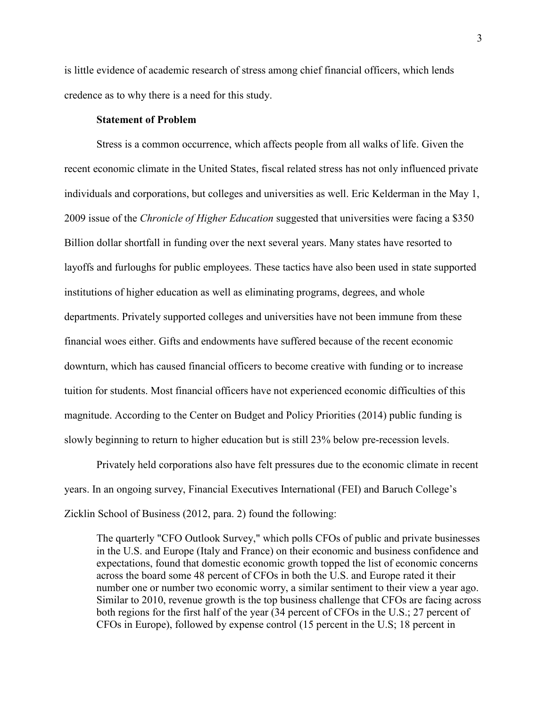is little evidence of academic research of stress among chief financial officers, which lends credence as to why there is a need for this study.

# **Statement of Problem**

Stress is a common occurrence, which affects people from all walks of life. Given the recent economic climate in the United States, fiscal related stress has not only influenced private individuals and corporations, but colleges and universities as well. Eric Kelderman in the May 1, 2009 issue of the *Chronicle of Higher Education* suggested that universities were facing a \$350 Billion dollar shortfall in funding over the next several years. Many states have resorted to layoffs and furloughs for public employees. These tactics have also been used in state supported institutions of higher education as well as eliminating programs, degrees, and whole departments. Privately supported colleges and universities have not been immune from these financial woes either. Gifts and endowments have suffered because of the recent economic downturn, which has caused financial officers to become creative with funding or to increase tuition for students. Most financial officers have not experienced economic difficulties of this magnitude. According to the Center on Budget and Policy Priorities (2014) public funding is slowly beginning to return to higher education but is still 23% below pre-recession levels.

Privately held corporations also have felt pressures due to the economic climate in recent years. In an ongoing survey, Financial Executives International (FEI) and Baruch College's Zicklin School of Business (2012, para. 2) found the following:

The quarterly "CFO Outlook Survey," which polls CFOs of public and private businesses in the U.S. and Europe (Italy and France) on their economic and business confidence and expectations, found that domestic economic growth topped the list of economic concerns across the board some 48 percent of CFOs in both the U.S. and Europe rated it their number one or number two economic worry, a similar sentiment to their view a year ago. Similar to 2010, revenue growth is the top business challenge that CFOs are facing across both regions for the first half of the year (34 percent of CFOs in the U.S.; 27 percent of CFOs in Europe), followed by expense control (15 percent in the U.S; 18 percent in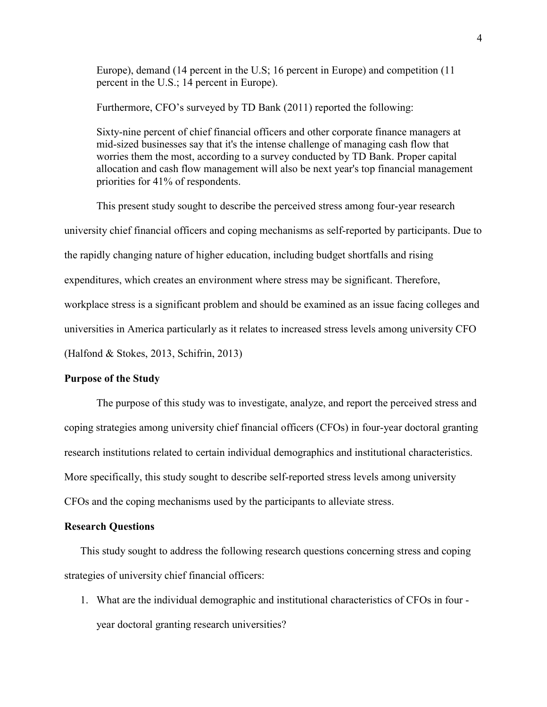Europe), demand (14 percent in the U.S; 16 percent in Europe) and competition (11 percent in the U.S.; 14 percent in Europe).

Furthermore, CFO's surveyed by TD Bank (2011) reported the following:

 Sixty-nine percent of chief financial officers and other corporate finance managers at mid-sized businesses say that it's the intense challenge of managing cash flow that worries them the most, according to a survey conducted by TD Bank. Proper capital allocation and cash flow management will also be next year's top financial management priorities for 41% of respondents.

This present study sought to describe the perceived stress among four-year research university chief financial officers and coping mechanisms as self-reported by participants. Due to the rapidly changing nature of higher education, including budget shortfalls and rising expenditures, which creates an environment where stress may be significant. Therefore, workplace stress is a significant problem and should be examined as an issue facing colleges and universities in America particularly as it relates to increased stress levels among university CFO (Halfond & Stokes, 2013, Schifrin, 2013)

#### **Purpose of the Study**

 The purpose of this study was to investigate, analyze, and report the perceived stress and coping strategies among university chief financial officers (CFOs) in four-year doctoral granting research institutions related to certain individual demographics and institutional characteristics. More specifically, this study sought to describe self-reported stress levels among university CFOs and the coping mechanisms used by the participants to alleviate stress.

#### **Research Questions**

This study sought to address the following research questions concerning stress and coping strategies of university chief financial officers:

1. What are the individual demographic and institutional characteristics of CFOs in four year doctoral granting research universities?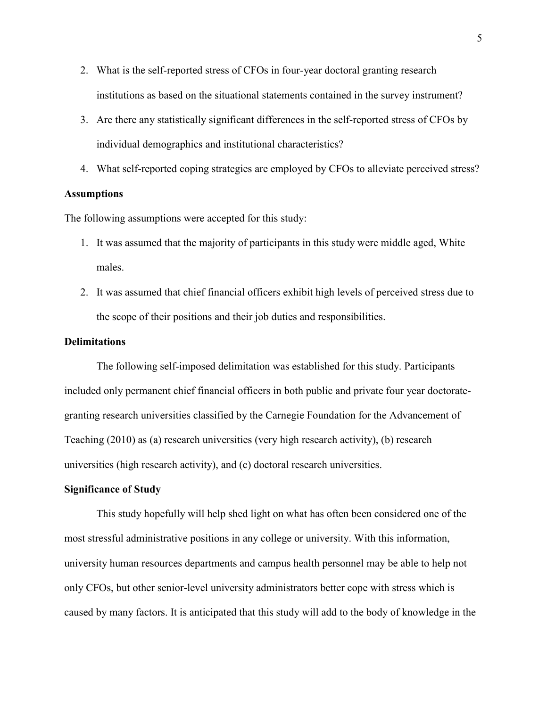- 2. What is the self-reported stress of CFOs in four-year doctoral granting research institutions as based on the situational statements contained in the survey instrument?
- 3. Are there any statistically significant differences in the self-reported stress of CFOs by individual demographics and institutional characteristics?
- 4. What self-reported coping strategies are employed by CFOs to alleviate perceived stress?

# **Assumptions**

The following assumptions were accepted for this study:

- 1. It was assumed that the majority of participants in this study were middle aged, White males.
- 2. It was assumed that chief financial officers exhibit high levels of perceived stress due to the scope of their positions and their job duties and responsibilities.

#### **Delimitations**

The following self-imposed delimitation was established for this study. Participants included only permanent chief financial officers in both public and private four year doctorategranting research universities classified by the Carnegie Foundation for the Advancement of Teaching (2010) as (a) research universities (very high research activity), (b) research universities (high research activity), and (c) doctoral research universities.

# **Significance of Study**

 This study hopefully will help shed light on what has often been considered one of the most stressful administrative positions in any college or university. With this information, university human resources departments and campus health personnel may be able to help not only CFOs, but other senior-level university administrators better cope with stress which is caused by many factors. It is anticipated that this study will add to the body of knowledge in the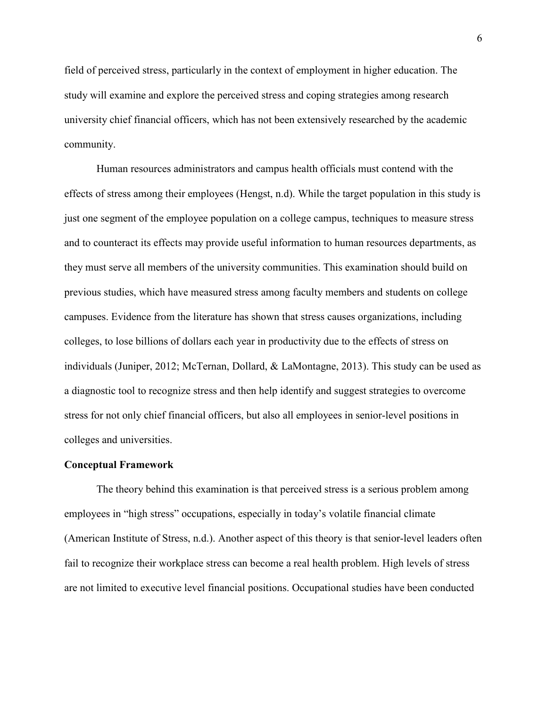field of perceived stress, particularly in the context of employment in higher education. The study will examine and explore the perceived stress and coping strategies among research university chief financial officers, which has not been extensively researched by the academic community.

 Human resources administrators and campus health officials must contend with the effects of stress among their employees (Hengst, n.d). While the target population in this study is just one segment of the employee population on a college campus, techniques to measure stress and to counteract its effects may provide useful information to human resources departments, as they must serve all members of the university communities. This examination should build on previous studies, which have measured stress among faculty members and students on college campuses. Evidence from the literature has shown that stress causes organizations, including colleges, to lose billions of dollars each year in productivity due to the effects of stress on individuals (Juniper, 2012; McTernan, Dollard, & LaMontagne, 2013). This study can be used as a diagnostic tool to recognize stress and then help identify and suggest strategies to overcome stress for not only chief financial officers, but also all employees in senior-level positions in colleges and universities.

#### **Conceptual Framework**

The theory behind this examination is that perceived stress is a serious problem among employees in "high stress" occupations, especially in today's volatile financial climate (American Institute of Stress, n.d.). Another aspect of this theory is that senior-level leaders often fail to recognize their workplace stress can become a real health problem. High levels of stress are not limited to executive level financial positions. Occupational studies have been conducted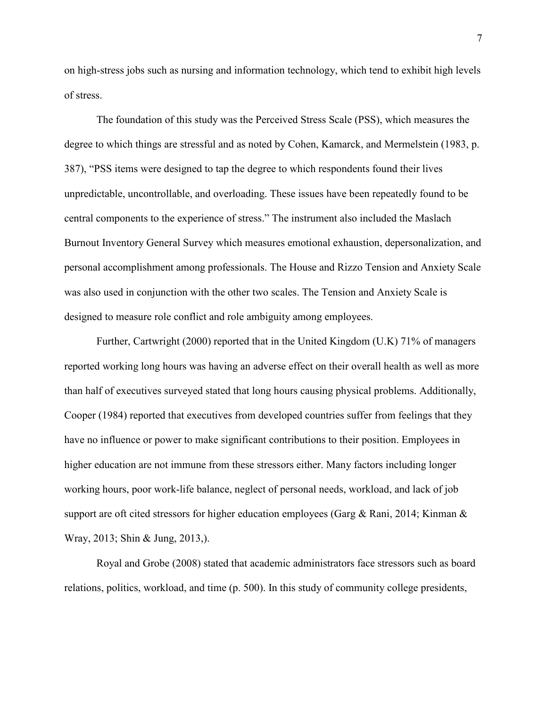on high-stress jobs such as nursing and information technology, which tend to exhibit high levels of stress.

The foundation of this study was the Perceived Stress Scale (PSS), which measures the degree to which things are stressful and as noted by Cohen, Kamarck, and Mermelstein (1983, p. 387), "PSS items were designed to tap the degree to which respondents found their lives unpredictable, uncontrollable, and overloading. These issues have been repeatedly found to be central components to the experience of stress." The instrument also included the Maslach Burnout Inventory General Survey which measures emotional exhaustion, depersonalization, and personal accomplishment among professionals. The House and Rizzo Tension and Anxiety Scale was also used in conjunction with the other two scales. The Tension and Anxiety Scale is designed to measure role conflict and role ambiguity among employees.

Further, Cartwright (2000) reported that in the United Kingdom (U.K) 71% of managers reported working long hours was having an adverse effect on their overall health as well as more than half of executives surveyed stated that long hours causing physical problems. Additionally, Cooper (1984) reported that executives from developed countries suffer from feelings that they have no influence or power to make significant contributions to their position. Employees in higher education are not immune from these stressors either. Many factors including longer working hours, poor work-life balance, neglect of personal needs, workload, and lack of job support are oft cited stressors for higher education employees (Garg & Rani, 2014; Kinman & Wray, 2013; Shin & Jung, 2013,).

Royal and Grobe (2008) stated that academic administrators face stressors such as board relations, politics, workload, and time (p. 500). In this study of community college presidents,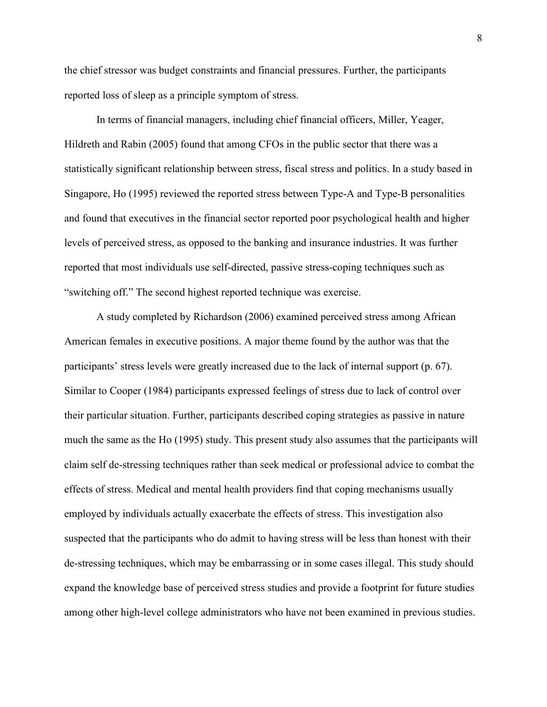the chief stressor was budget constraints and financial pressures. Further, the participants reported loss of sleep as a principle symptom of stress.

In terms of financial managers, including chief financial officers, Miller, Yeager, Hildreth and Rabin (2005) found that among CFOs in the public sector that there was a statistically significant relationship between stress, fiscal stress and politics. In a study based in Singapore, Ho (1995) reviewed the reported stress between Type-A and Type-B personalities and found that executives in the financial sector reported poor psychological health and higher levels of perceived stress, as opposed to the banking and insurance industries. It was further reported that most individuals use self-directed, passive stress-coping techniques such as "switching off." The second highest reported technique was exercise.

A study completed by Richardson (2006) examined perceived stress among African American females in executive positions. A major theme found by the author was that the participants' stress levels were greatly increased due to the lack of internal support (p. 67). Similar to Cooper (1984) participants expressed feelings of stress due to lack of control over their particular situation. Further, participants described coping strategies as passive in nature much the same as the Ho (1995) study. This present study also assumes that the participants will claim self de-stressing techniques rather than seek medical or professional advice to combat the effects of stress. Medical and mental health providers find that coping mechanisms usually employed by individuals actually exacerbate the effects of stress. This investigation also suspected that the participants who do admit to having stress will be less than honest with their de-stressing techniques, which may be embarrassing or in some cases illegal. This study should expand the knowledge base of perceived stress studies and provide a footprint for future studies among other high-level college administrators who have not been examined in previous studies.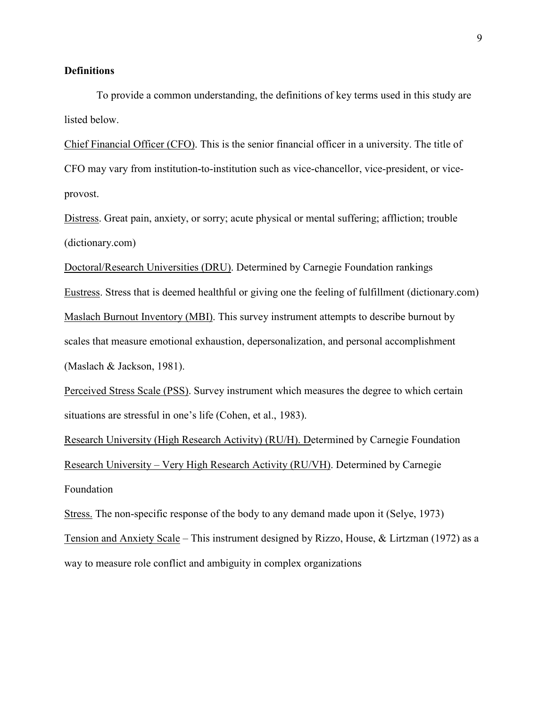#### **Definitions**

 To provide a common understanding, the definitions of key terms used in this study are listed below.

Chief Financial Officer (CFO). This is the senior financial officer in a university. The title of CFO may vary from institution-to-institution such as vice-chancellor, vice-president, or viceprovost.

Distress. Great pain, anxiety, or sorry; acute physical or mental suffering; affliction; trouble (dictionary.com)

Doctoral/Research Universities (DRU). Determined by Carnegie Foundation rankings Eustress. Stress that is deemed healthful or giving one the feeling of fulfillment (dictionary.com) Maslach Burnout Inventory (MBI). This survey instrument attempts to describe burnout by scales that measure emotional exhaustion, depersonalization, and personal accomplishment (Maslach & Jackson, 1981).

Perceived Stress Scale (PSS). Survey instrument which measures the degree to which certain situations are stressful in one's life (Cohen, et al., 1983).

Research University (High Research Activity) (RU/H). Determined by Carnegie Foundation Research University – Very High Research Activity (RU/VH). Determined by Carnegie Foundation

Stress. The non-specific response of the body to any demand made upon it (Selye, 1973) Tension and Anxiety Scale – This instrument designed by Rizzo, House, & Lirtzman (1972) as a way to measure role conflict and ambiguity in complex organizations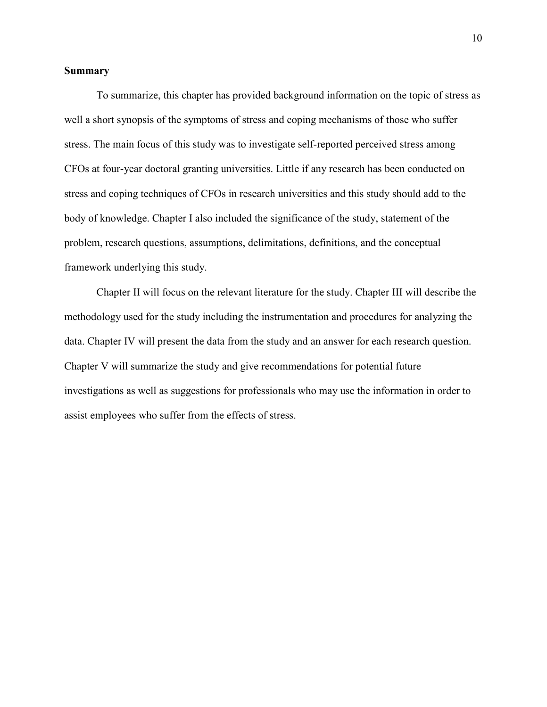# **Summary**

 To summarize, this chapter has provided background information on the topic of stress as well a short synopsis of the symptoms of stress and coping mechanisms of those who suffer stress. The main focus of this study was to investigate self-reported perceived stress among CFOs at four-year doctoral granting universities. Little if any research has been conducted on stress and coping techniques of CFOs in research universities and this study should add to the body of knowledge. Chapter I also included the significance of the study, statement of the problem, research questions, assumptions, delimitations, definitions, and the conceptual framework underlying this study.

Chapter II will focus on the relevant literature for the study. Chapter III will describe the methodology used for the study including the instrumentation and procedures for analyzing the data. Chapter IV will present the data from the study and an answer for each research question. Chapter V will summarize the study and give recommendations for potential future investigations as well as suggestions for professionals who may use the information in order to assist employees who suffer from the effects of stress.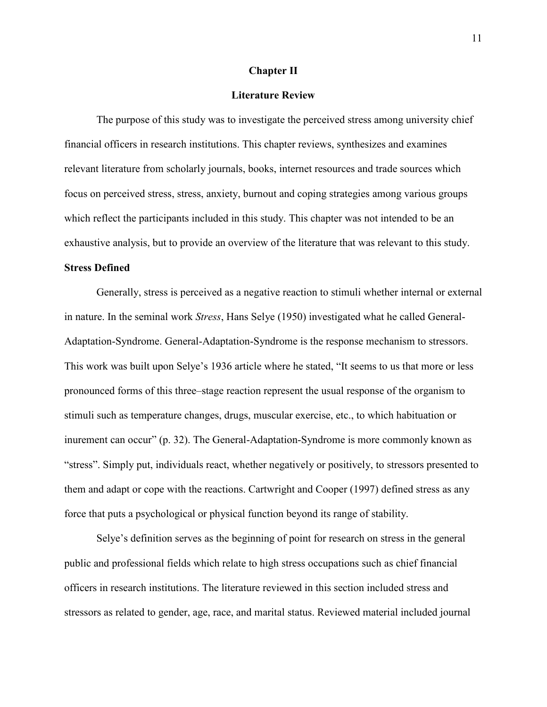#### **Chapter II**

# **Literature Review**

The purpose of this study was to investigate the perceived stress among university chief financial officers in research institutions. This chapter reviews, synthesizes and examines relevant literature from scholarly journals, books, internet resources and trade sources which focus on perceived stress, stress, anxiety, burnout and coping strategies among various groups which reflect the participants included in this study. This chapter was not intended to be an exhaustive analysis, but to provide an overview of the literature that was relevant to this study.

# **Stress Defined**

 Generally, stress is perceived as a negative reaction to stimuli whether internal or external in nature. In the seminal work *Stress*, Hans Selye (1950) investigated what he called General-Adaptation-Syndrome. General-Adaptation-Syndrome is the response mechanism to stressors. This work was built upon Selye's 1936 article where he stated, "It seems to us that more or less pronounced forms of this three–stage reaction represent the usual response of the organism to stimuli such as temperature changes, drugs, muscular exercise, etc., to which habituation or inurement can occur" (p. 32). The General-Adaptation-Syndrome is more commonly known as "stress". Simply put, individuals react, whether negatively or positively, to stressors presented to them and adapt or cope with the reactions. Cartwright and Cooper (1997) defined stress as any force that puts a psychological or physical function beyond its range of stability.

 Selye's definition serves as the beginning of point for research on stress in the general public and professional fields which relate to high stress occupations such as chief financial officers in research institutions. The literature reviewed in this section included stress and stressors as related to gender, age, race, and marital status. Reviewed material included journal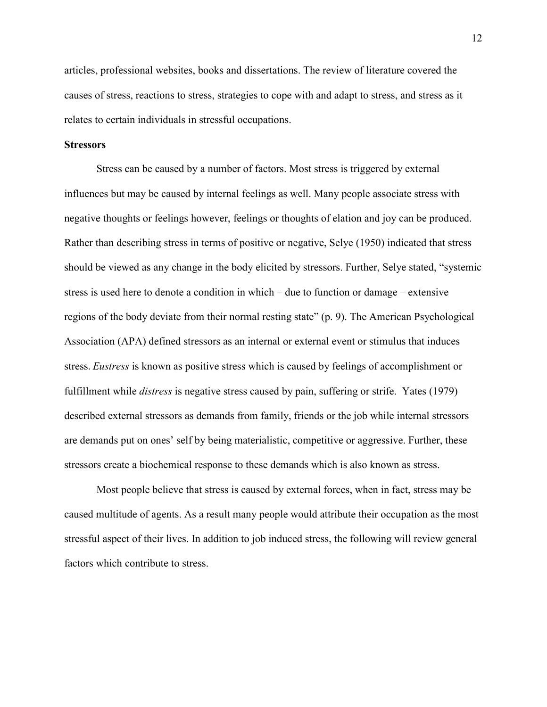articles, professional websites, books and dissertations. The review of literature covered the causes of stress, reactions to stress, strategies to cope with and adapt to stress, and stress as it relates to certain individuals in stressful occupations.

# **Stressors**

Stress can be caused by a number of factors. Most stress is triggered by external influences but may be caused by internal feelings as well. Many people associate stress with negative thoughts or feelings however, feelings or thoughts of elation and joy can be produced. Rather than describing stress in terms of positive or negative, Selye (1950) indicated that stress should be viewed as any change in the body elicited by stressors. Further, Selye stated, "systemic stress is used here to denote a condition in which – due to function or damage – extensive regions of the body deviate from their normal resting state" (p. 9). The American Psychological Association (APA) defined stressors as an internal or external event or stimulus that induces stress. *Eustress* is known as positive stress which is caused by feelings of accomplishment or fulfillment while *distress* is negative stress caused by pain, suffering or strife. Yates (1979) described external stressors as demands from family, friends or the job while internal stressors are demands put on ones' self by being materialistic, competitive or aggressive. Further, these stressors create a biochemical response to these demands which is also known as stress.

Most people believe that stress is caused by external forces, when in fact, stress may be caused multitude of agents. As a result many people would attribute their occupation as the most stressful aspect of their lives. In addition to job induced stress, the following will review general factors which contribute to stress.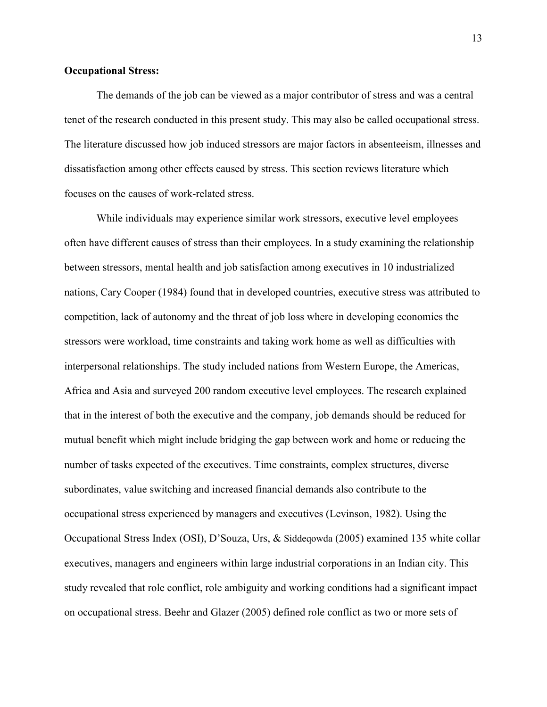# **Occupational Stress:**

The demands of the job can be viewed as a major contributor of stress and was a central tenet of the research conducted in this present study. This may also be called occupational stress. The literature discussed how job induced stressors are major factors in absenteeism, illnesses and dissatisfaction among other effects caused by stress. This section reviews literature which focuses on the causes of work-related stress.

 While individuals may experience similar work stressors, executive level employees often have different causes of stress than their employees. In a study examining the relationship between stressors, mental health and job satisfaction among executives in 10 industrialized nations, Cary Cooper (1984) found that in developed countries, executive stress was attributed to competition, lack of autonomy and the threat of job loss where in developing economies the stressors were workload, time constraints and taking work home as well as difficulties with interpersonal relationships. The study included nations from Western Europe, the Americas, Africa and Asia and surveyed 200 random executive level employees. The research explained that in the interest of both the executive and the company, job demands should be reduced for mutual benefit which might include bridging the gap between work and home or reducing the number of tasks expected of the executives. Time constraints, complex structures, diverse subordinates, value switching and increased financial demands also contribute to the occupational stress experienced by managers and executives (Levinson, 1982). Using the Occupational Stress Index (OSI), D'Souza, Urs, & Siddeqowda (2005) examined 135 white collar executives, managers and engineers within large industrial corporations in an Indian city. This study revealed that role conflict, role ambiguity and working conditions had a significant impact on occupational stress. Beehr and Glazer (2005) defined role conflict as two or more sets of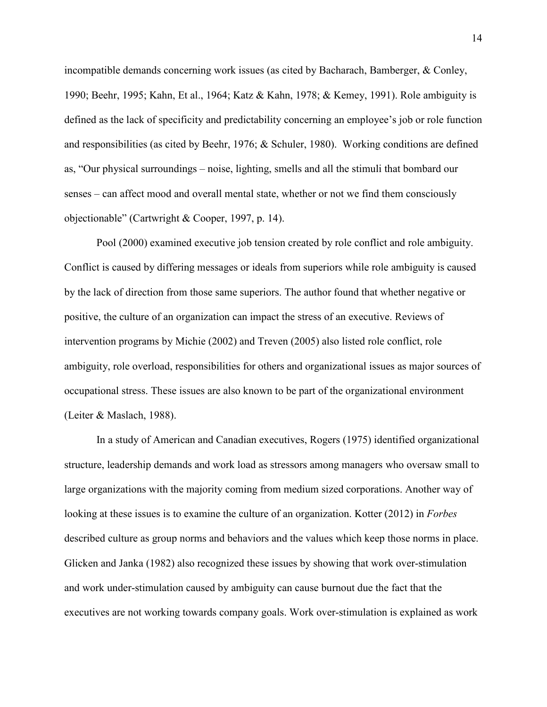incompatible demands concerning work issues (as cited by Bacharach, Bamberger, & Conley, 1990; Beehr, 1995; Kahn, Et al., 1964; Katz & Kahn, 1978; & Kemey, 1991). Role ambiguity is defined as the lack of specificity and predictability concerning an employee's job or role function and responsibilities (as cited by Beehr, 1976; & Schuler, 1980). Working conditions are defined as, "Our physical surroundings – noise, lighting, smells and all the stimuli that bombard our senses – can affect mood and overall mental state, whether or not we find them consciously objectionable" (Cartwright & Cooper, 1997, p. 14).

 Pool (2000) examined executive job tension created by role conflict and role ambiguity. Conflict is caused by differing messages or ideals from superiors while role ambiguity is caused by the lack of direction from those same superiors. The author found that whether negative or positive, the culture of an organization can impact the stress of an executive. Reviews of intervention programs by Michie (2002) and Treven (2005) also listed role conflict, role ambiguity, role overload, responsibilities for others and organizational issues as major sources of occupational stress. These issues are also known to be part of the organizational environment (Leiter & Maslach, 1988).

In a study of American and Canadian executives, Rogers (1975) identified organizational structure, leadership demands and work load as stressors among managers who oversaw small to large organizations with the majority coming from medium sized corporations. Another way of looking at these issues is to examine the culture of an organization. Kotter (2012) in *Forbes* described culture as group norms and behaviors and the values which keep those norms in place. Glicken and Janka (1982) also recognized these issues by showing that work over-stimulation and work under-stimulation caused by ambiguity can cause burnout due the fact that the executives are not working towards company goals. Work over-stimulation is explained as work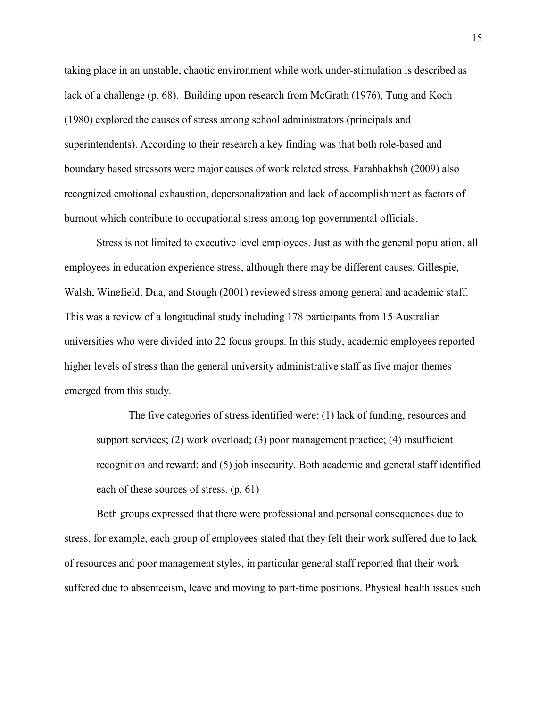taking place in an unstable, chaotic environment while work under-stimulation is described as lack of a challenge (p. 68). Building upon research from McGrath (1976), Tung and Koch (1980) explored the causes of stress among school administrators (principals and superintendents). According to their research a key finding was that both role-based and boundary based stressors were major causes of work related stress. Farahbakhsh (2009) also recognized emotional exhaustion, depersonalization and lack of accomplishment as factors of burnout which contribute to occupational stress among top governmental officials.

 Stress is not limited to executive level employees. Just as with the general population, all employees in education experience stress, although there may be different causes. Gillespie, Walsh, Winefield, Dua, and Stough (2001) reviewed stress among general and academic staff. This was a review of a longitudinal study including 178 participants from 15 Australian universities who were divided into 22 focus groups. In this study, academic employees reported higher levels of stress than the general university administrative staff as five major themes emerged from this study.

The five categories of stress identified were: (1) lack of funding, resources and support services; (2) work overload; (3) poor management practice; (4) insufficient recognition and reward; and (5) job insecurity. Both academic and general staff identified each of these sources of stress. (p. 61)

Both groups expressed that there were professional and personal consequences due to stress, for example, each group of employees stated that they felt their work suffered due to lack of resources and poor management styles, in particular general staff reported that their work suffered due to absenteeism, leave and moving to part-time positions. Physical health issues such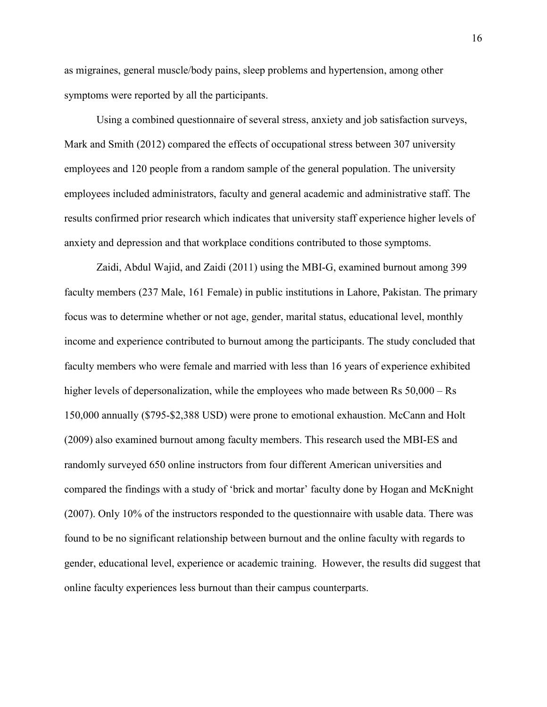as migraines, general muscle/body pains, sleep problems and hypertension, among other symptoms were reported by all the participants.

 Using a combined questionnaire of several stress, anxiety and job satisfaction surveys, Mark and Smith (2012) compared the effects of occupational stress between 307 university employees and 120 people from a random sample of the general population. The university employees included administrators, faculty and general academic and administrative staff. The results confirmed prior research which indicates that university staff experience higher levels of anxiety and depression and that workplace conditions contributed to those symptoms.

 Zaidi, Abdul Wajid, and Zaidi (2011) using the MBI-G, examined burnout among 399 faculty members (237 Male, 161 Female) in public institutions in Lahore, Pakistan. The primary focus was to determine whether or not age, gender, marital status, educational level, monthly income and experience contributed to burnout among the participants. The study concluded that faculty members who were female and married with less than 16 years of experience exhibited higher levels of depersonalization, while the employees who made between Rs  $50,000 -$ Rs 150,000 annually (\$795-\$2,388 USD) were prone to emotional exhaustion. McCann and Holt (2009) also examined burnout among faculty members. This research used the MBI-ES and randomly surveyed 650 online instructors from four different American universities and compared the findings with a study of 'brick and mortar' faculty done by Hogan and McKnight (2007). Only 10% of the instructors responded to the questionnaire with usable data. There was found to be no significant relationship between burnout and the online faculty with regards to gender, educational level, experience or academic training. However, the results did suggest that online faculty experiences less burnout than their campus counterparts.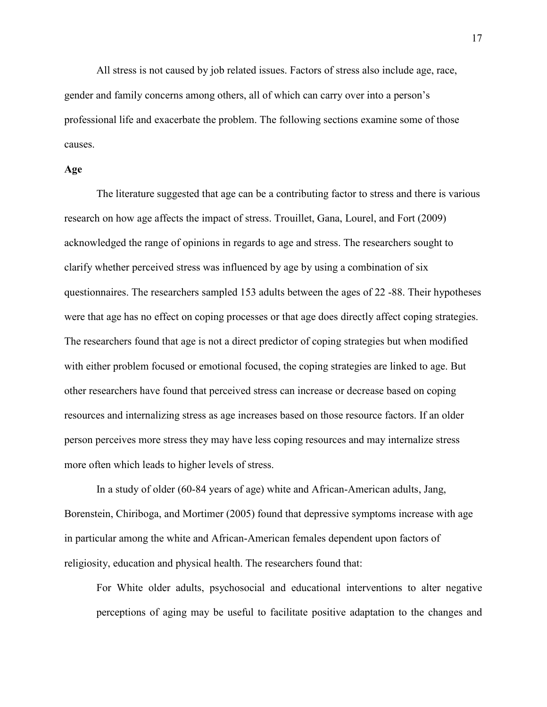All stress is not caused by job related issues. Factors of stress also include age, race, gender and family concerns among others, all of which can carry over into a person's professional life and exacerbate the problem. The following sections examine some of those causes.

#### **Age**

The literature suggested that age can be a contributing factor to stress and there is various research on how age affects the impact of stress. Trouillet, Gana, Lourel, and Fort (2009) acknowledged the range of opinions in regards to age and stress. The researchers sought to clarify whether perceived stress was influenced by age by using a combination of six questionnaires. The researchers sampled 153 adults between the ages of 22 -88. Their hypotheses were that age has no effect on coping processes or that age does directly affect coping strategies. The researchers found that age is not a direct predictor of coping strategies but when modified with either problem focused or emotional focused, the coping strategies are linked to age. But other researchers have found that perceived stress can increase or decrease based on coping resources and internalizing stress as age increases based on those resource factors. If an older person perceives more stress they may have less coping resources and may internalize stress more often which leads to higher levels of stress.

In a study of older (60-84 years of age) white and African-American adults, Jang, Borenstein, Chiriboga, and Mortimer (2005) found that depressive symptoms increase with age in particular among the white and African-American females dependent upon factors of religiosity, education and physical health. The researchers found that:

For White older adults, psychosocial and educational interventions to alter negative perceptions of aging may be useful to facilitate positive adaptation to the changes and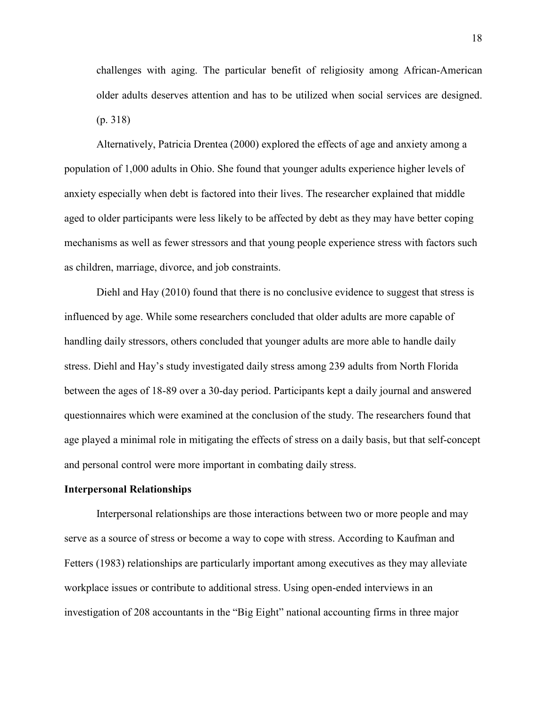challenges with aging. The particular benefit of religiosity among African-American older adults deserves attention and has to be utilized when social services are designed. (p. 318)

Alternatively, Patricia Drentea (2000) explored the effects of age and anxiety among a population of 1,000 adults in Ohio. She found that younger adults experience higher levels of anxiety especially when debt is factored into their lives. The researcher explained that middle aged to older participants were less likely to be affected by debt as they may have better coping mechanisms as well as fewer stressors and that young people experience stress with factors such as children, marriage, divorce, and job constraints.

Diehl and Hay (2010) found that there is no conclusive evidence to suggest that stress is influenced by age. While some researchers concluded that older adults are more capable of handling daily stressors, others concluded that younger adults are more able to handle daily stress. Diehl and Hay's study investigated daily stress among 239 adults from North Florida between the ages of 18-89 over a 30-day period. Participants kept a daily journal and answered questionnaires which were examined at the conclusion of the study. The researchers found that age played a minimal role in mitigating the effects of stress on a daily basis, but that self-concept and personal control were more important in combating daily stress.

#### **Interpersonal Relationships**

Interpersonal relationships are those interactions between two or more people and may serve as a source of stress or become a way to cope with stress. According to Kaufman and Fetters (1983) relationships are particularly important among executives as they may alleviate workplace issues or contribute to additional stress. Using open-ended interviews in an investigation of 208 accountants in the "Big Eight" national accounting firms in three major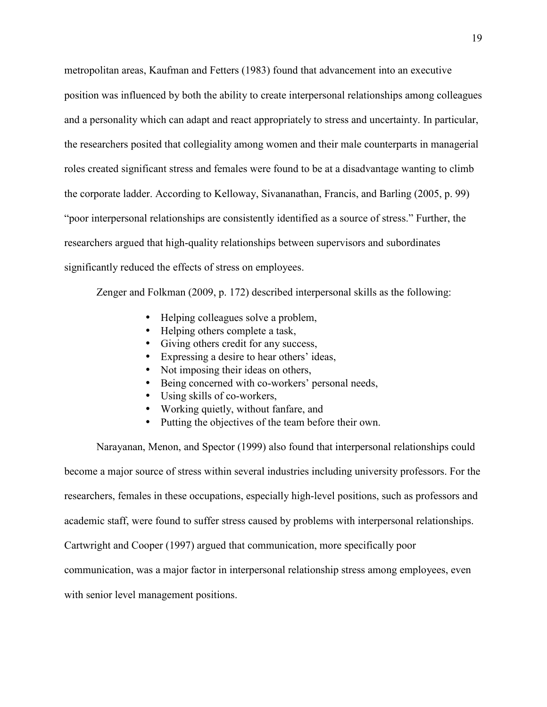metropolitan areas, Kaufman and Fetters (1983) found that advancement into an executive position was influenced by both the ability to create interpersonal relationships among colleagues and a personality which can adapt and react appropriately to stress and uncertainty. In particular, the researchers posited that collegiality among women and their male counterparts in managerial roles created significant stress and females were found to be at a disadvantage wanting to climb the corporate ladder. According to Kelloway, Sivananathan, Francis, and Barling (2005, p. 99) "poor interpersonal relationships are consistently identified as a source of stress." Further, the researchers argued that high-quality relationships between supervisors and subordinates significantly reduced the effects of stress on employees.

Zenger and Folkman (2009, p. 172) described interpersonal skills as the following:

- Helping colleagues solve a problem,
- Helping others complete a task,
- Giving others credit for any success,
- Expressing a desire to hear others' ideas,
- Not imposing their ideas on others,
- Being concerned with co-workers' personal needs,
- Using skills of co-workers,
- Working quietly, without fanfare, and
- Putting the objectives of the team before their own.

Narayanan, Menon, and Spector (1999) also found that interpersonal relationships could become a major source of stress within several industries including university professors. For the researchers, females in these occupations, especially high-level positions, such as professors and academic staff, were found to suffer stress caused by problems with interpersonal relationships. Cartwright and Cooper (1997) argued that communication, more specifically poor communication, was a major factor in interpersonal relationship stress among employees, even with senior level management positions.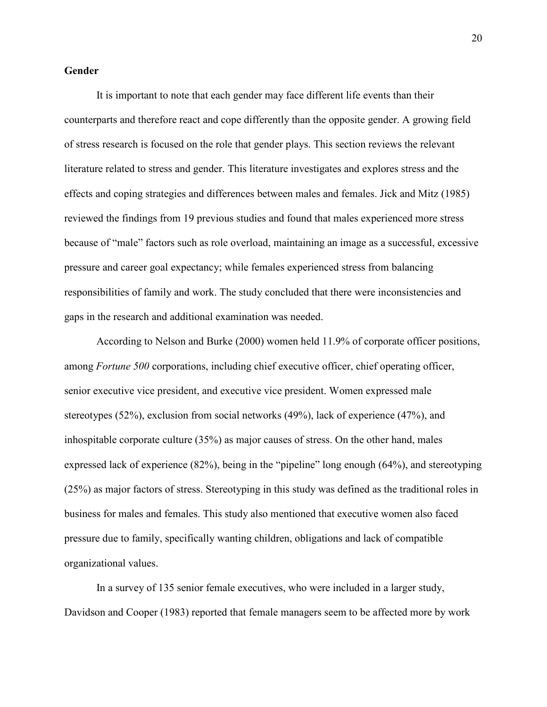# **Gender**

It is important to note that each gender may face different life events than their counterparts and therefore react and cope differently than the opposite gender. A growing field of stress research is focused on the role that gender plays. This section reviews the relevant literature related to stress and gender. This literature investigates and explores stress and the effects and coping strategies and differences between males and females. Jick and Mitz (1985) reviewed the findings from 19 previous studies and found that males experienced more stress because of "male" factors such as role overload, maintaining an image as a successful, excessive pressure and career goal expectancy; while females experienced stress from balancing responsibilities of family and work. The study concluded that there were inconsistencies and gaps in the research and additional examination was needed.

According to Nelson and Burke (2000) women held 11.9% of corporate officer positions, among *Fortune 500* corporations, including chief executive officer, chief operating officer, senior executive vice president, and executive vice president. Women expressed male stereotypes (52%), exclusion from social networks (49%), lack of experience (47%), and inhospitable corporate culture (35%) as major causes of stress. On the other hand, males expressed lack of experience (82%), being in the "pipeline" long enough (64%), and stereotyping (25%) as major factors of stress. Stereotyping in this study was defined as the traditional roles in business for males and females. This study also mentioned that executive women also faced pressure due to family, specifically wanting children, obligations and lack of compatible organizational values.

In a survey of 135 senior female executives, who were included in a larger study, Davidson and Cooper (1983) reported that female managers seem to be affected more by work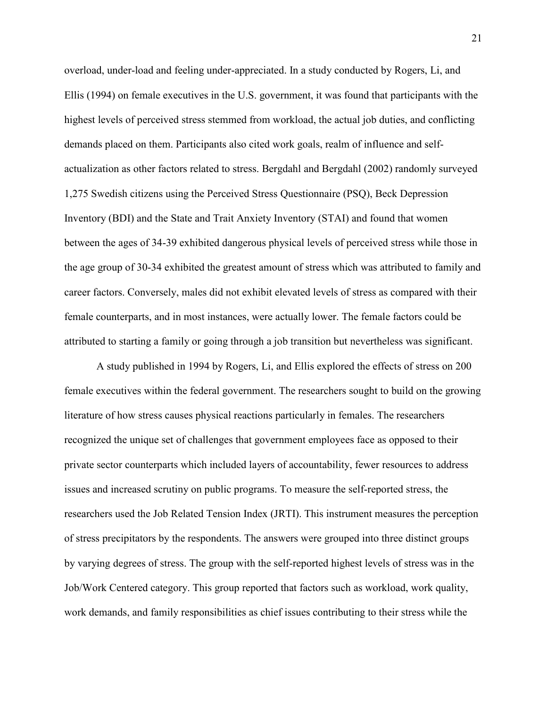overload, under-load and feeling under-appreciated. In a study conducted by Rogers, Li, and Ellis (1994) on female executives in the U.S. government, it was found that participants with the highest levels of perceived stress stemmed from workload, the actual job duties, and conflicting demands placed on them. Participants also cited work goals, realm of influence and selfactualization as other factors related to stress. Bergdahl and Bergdahl (2002) randomly surveyed 1,275 Swedish citizens using the Perceived Stress Questionnaire (PSQ), Beck Depression Inventory (BDI) and the State and Trait Anxiety Inventory (STAI) and found that women between the ages of 34-39 exhibited dangerous physical levels of perceived stress while those in the age group of 30-34 exhibited the greatest amount of stress which was attributed to family and career factors. Conversely, males did not exhibit elevated levels of stress as compared with their female counterparts, and in most instances, were actually lower. The female factors could be attributed to starting a family or going through a job transition but nevertheless was significant.

 A study published in 1994 by Rogers, Li, and Ellis explored the effects of stress on 200 female executives within the federal government. The researchers sought to build on the growing literature of how stress causes physical reactions particularly in females. The researchers recognized the unique set of challenges that government employees face as opposed to their private sector counterparts which included layers of accountability, fewer resources to address issues and increased scrutiny on public programs. To measure the self-reported stress, the researchers used the Job Related Tension Index (JRTI). This instrument measures the perception of stress precipitators by the respondents. The answers were grouped into three distinct groups by varying degrees of stress. The group with the self-reported highest levels of stress was in the Job/Work Centered category. This group reported that factors such as workload, work quality, work demands, and family responsibilities as chief issues contributing to their stress while the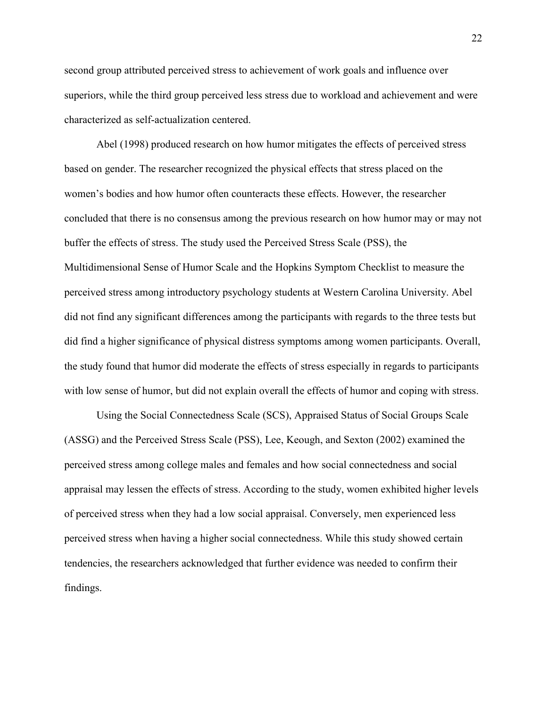second group attributed perceived stress to achievement of work goals and influence over superiors, while the third group perceived less stress due to workload and achievement and were characterized as self-actualization centered.

 Abel (1998) produced research on how humor mitigates the effects of perceived stress based on gender. The researcher recognized the physical effects that stress placed on the women's bodies and how humor often counteracts these effects. However, the researcher concluded that there is no consensus among the previous research on how humor may or may not buffer the effects of stress. The study used the Perceived Stress Scale (PSS), the Multidimensional Sense of Humor Scale and the Hopkins Symptom Checklist to measure the perceived stress among introductory psychology students at Western Carolina University. Abel did not find any significant differences among the participants with regards to the three tests but did find a higher significance of physical distress symptoms among women participants. Overall, the study found that humor did moderate the effects of stress especially in regards to participants with low sense of humor, but did not explain overall the effects of humor and coping with stress.

 Using the Social Connectedness Scale (SCS), Appraised Status of Social Groups Scale (ASSG) and the Perceived Stress Scale (PSS), Lee, Keough, and Sexton (2002) examined the perceived stress among college males and females and how social connectedness and social appraisal may lessen the effects of stress. According to the study, women exhibited higher levels of perceived stress when they had a low social appraisal. Conversely, men experienced less perceived stress when having a higher social connectedness. While this study showed certain tendencies, the researchers acknowledged that further evidence was needed to confirm their findings.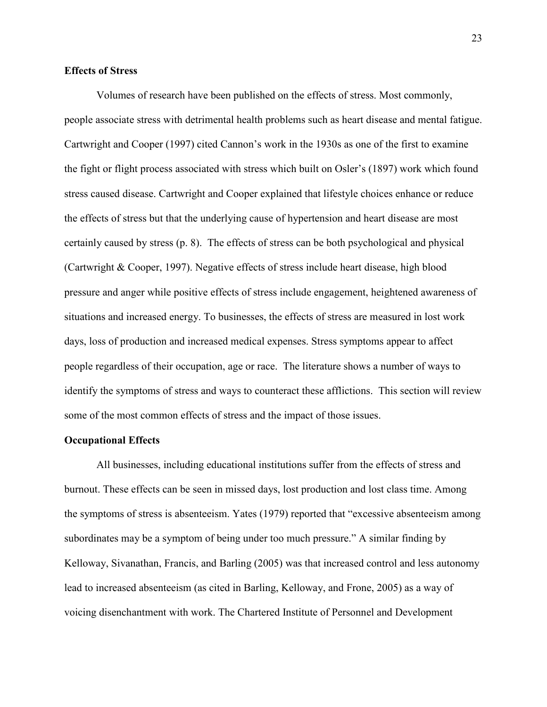# **Effects of Stress**

Volumes of research have been published on the effects of stress. Most commonly, people associate stress with detrimental health problems such as heart disease and mental fatigue. Cartwright and Cooper (1997) cited Cannon's work in the 1930s as one of the first to examine the fight or flight process associated with stress which built on Osler's (1897) work which found stress caused disease. Cartwright and Cooper explained that lifestyle choices enhance or reduce the effects of stress but that the underlying cause of hypertension and heart disease are most certainly caused by stress (p. 8). The effects of stress can be both psychological and physical (Cartwright & Cooper, 1997). Negative effects of stress include heart disease, high blood pressure and anger while positive effects of stress include engagement, heightened awareness of situations and increased energy. To businesses, the effects of stress are measured in lost work days, loss of production and increased medical expenses. Stress symptoms appear to affect people regardless of their occupation, age or race. The literature shows a number of ways to identify the symptoms of stress and ways to counteract these afflictions. This section will review some of the most common effects of stress and the impact of those issues.

#### **Occupational Effects**

All businesses, including educational institutions suffer from the effects of stress and burnout. These effects can be seen in missed days, lost production and lost class time. Among the symptoms of stress is absenteeism. Yates (1979) reported that "excessive absenteeism among subordinates may be a symptom of being under too much pressure." A similar finding by Kelloway, Sivanathan, Francis, and Barling (2005) was that increased control and less autonomy lead to increased absenteeism (as cited in Barling, Kelloway, and Frone, 2005) as a way of voicing disenchantment with work. The Chartered Institute of Personnel and Development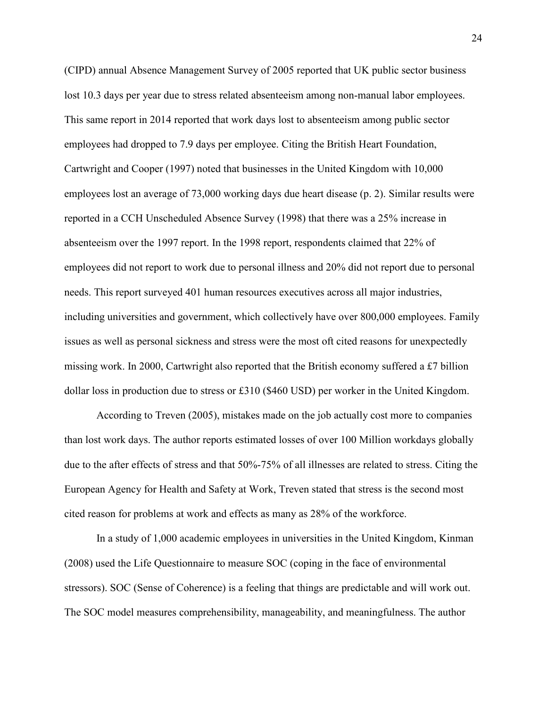(CIPD) annual Absence Management Survey of 2005 reported that UK public sector business lost 10.3 days per year due to stress related absenteeism among non-manual labor employees. This same report in 2014 reported that work days lost to absenteeism among public sector employees had dropped to 7.9 days per employee. Citing the British Heart Foundation, Cartwright and Cooper (1997) noted that businesses in the United Kingdom with 10,000 employees lost an average of 73,000 working days due heart disease (p. 2). Similar results were reported in a CCH Unscheduled Absence Survey (1998) that there was a 25% increase in absenteeism over the 1997 report. In the 1998 report, respondents claimed that 22% of employees did not report to work due to personal illness and 20% did not report due to personal needs. This report surveyed 401 human resources executives across all major industries, including universities and government, which collectively have over 800,000 employees. Family issues as well as personal sickness and stress were the most oft cited reasons for unexpectedly missing work. In 2000, Cartwright also reported that the British economy suffered a £7 billion dollar loss in production due to stress or £310 (\$460 USD) per worker in the United Kingdom.

According to Treven (2005), mistakes made on the job actually cost more to companies than lost work days. The author reports estimated losses of over 100 Million workdays globally due to the after effects of stress and that 50%-75% of all illnesses are related to stress. Citing the European Agency for Health and Safety at Work, Treven stated that stress is the second most cited reason for problems at work and effects as many as 28% of the workforce.

 In a study of 1,000 academic employees in universities in the United Kingdom, Kinman (2008) used the Life Questionnaire to measure SOC (coping in the face of environmental stressors). SOC (Sense of Coherence) is a feeling that things are predictable and will work out. The SOC model measures comprehensibility, manageability, and meaningfulness. The author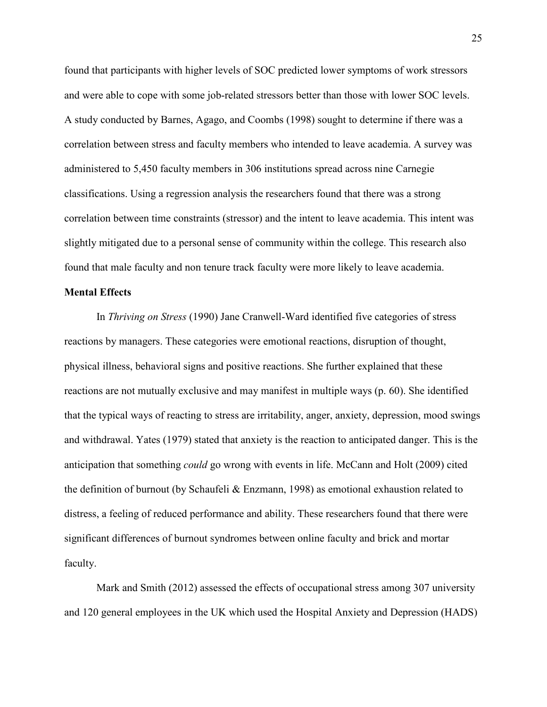found that participants with higher levels of SOC predicted lower symptoms of work stressors and were able to cope with some job-related stressors better than those with lower SOC levels. A study conducted by Barnes, Agago, and Coombs (1998) sought to determine if there was a correlation between stress and faculty members who intended to leave academia. A survey was administered to 5,450 faculty members in 306 institutions spread across nine Carnegie classifications. Using a regression analysis the researchers found that there was a strong correlation between time constraints (stressor) and the intent to leave academia. This intent was slightly mitigated due to a personal sense of community within the college. This research also found that male faculty and non tenure track faculty were more likely to leave academia.

# **Mental Effects**

In *Thriving on Stress* (1990) Jane Cranwell-Ward identified five categories of stress reactions by managers. These categories were emotional reactions, disruption of thought, physical illness, behavioral signs and positive reactions. She further explained that these reactions are not mutually exclusive and may manifest in multiple ways (p. 60). She identified that the typical ways of reacting to stress are irritability, anger, anxiety, depression, mood swings and withdrawal. Yates (1979) stated that anxiety is the reaction to anticipated danger. This is the anticipation that something *could* go wrong with events in life. McCann and Holt (2009) cited the definition of burnout (by Schaufeli & Enzmann, 1998) as emotional exhaustion related to distress, a feeling of reduced performance and ability. These researchers found that there were significant differences of burnout syndromes between online faculty and brick and mortar faculty.

 Mark and Smith (2012) assessed the effects of occupational stress among 307 university and 120 general employees in the UK which used the Hospital Anxiety and Depression (HADS)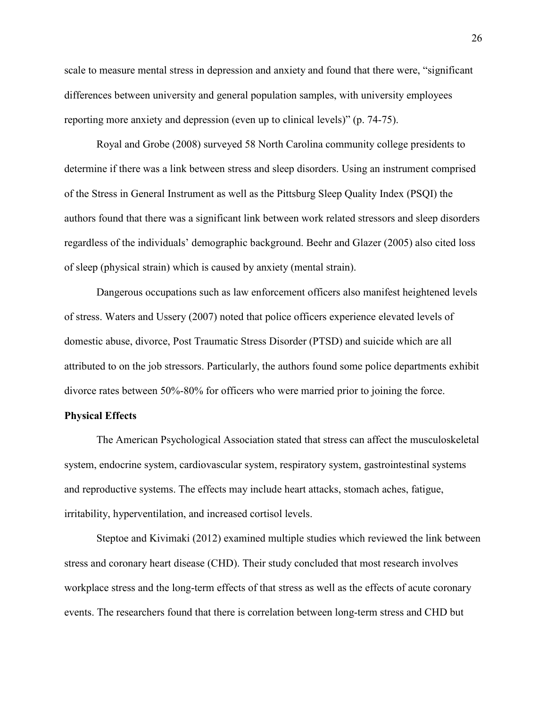scale to measure mental stress in depression and anxiety and found that there were, "significant differences between university and general population samples, with university employees reporting more anxiety and depression (even up to clinical levels)" (p. 74-75).

 Royal and Grobe (2008) surveyed 58 North Carolina community college presidents to determine if there was a link between stress and sleep disorders. Using an instrument comprised of the Stress in General Instrument as well as the Pittsburg Sleep Quality Index (PSQI) the authors found that there was a significant link between work related stressors and sleep disorders regardless of the individuals' demographic background. Beehr and Glazer (2005) also cited loss of sleep (physical strain) which is caused by anxiety (mental strain).

 Dangerous occupations such as law enforcement officers also manifest heightened levels of stress. Waters and Ussery (2007) noted that police officers experience elevated levels of domestic abuse, divorce, Post Traumatic Stress Disorder (PTSD) and suicide which are all attributed to on the job stressors. Particularly, the authors found some police departments exhibit divorce rates between 50%-80% for officers who were married prior to joining the force.

# **Physical Effects**

 The American Psychological Association stated that stress can affect the musculoskeletal system, endocrine system, cardiovascular system, respiratory system, gastrointestinal systems and reproductive systems. The effects may include heart attacks, stomach aches, fatigue, irritability, hyperventilation, and increased cortisol levels.

 Steptoe and Kivimaki (2012) examined multiple studies which reviewed the link between stress and coronary heart disease (CHD). Their study concluded that most research involves workplace stress and the long-term effects of that stress as well as the effects of acute coronary events. The researchers found that there is correlation between long-term stress and CHD but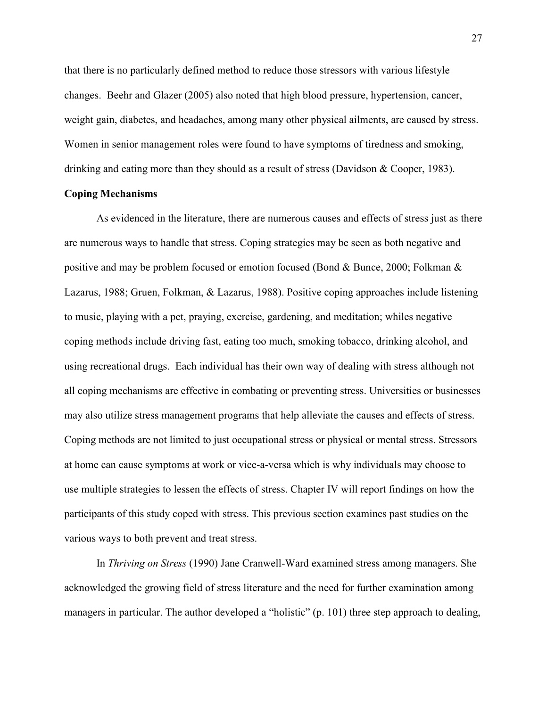that there is no particularly defined method to reduce those stressors with various lifestyle changes. Beehr and Glazer (2005) also noted that high blood pressure, hypertension, cancer, weight gain, diabetes, and headaches, among many other physical ailments, are caused by stress. Women in senior management roles were found to have symptoms of tiredness and smoking, drinking and eating more than they should as a result of stress (Davidson & Cooper, 1983).

# **Coping Mechanisms**

 As evidenced in the literature, there are numerous causes and effects of stress just as there are numerous ways to handle that stress. Coping strategies may be seen as both negative and positive and may be problem focused or emotion focused (Bond & Bunce, 2000; Folkman & Lazarus, 1988; Gruen, Folkman, & Lazarus, 1988). Positive coping approaches include listening to music, playing with a pet, praying, exercise, gardening, and meditation; whiles negative coping methods include driving fast, eating too much, smoking tobacco, drinking alcohol, and using recreational drugs. Each individual has their own way of dealing with stress although not all coping mechanisms are effective in combating or preventing stress. Universities or businesses may also utilize stress management programs that help alleviate the causes and effects of stress. Coping methods are not limited to just occupational stress or physical or mental stress. Stressors at home can cause symptoms at work or vice-a-versa which is why individuals may choose to use multiple strategies to lessen the effects of stress. Chapter IV will report findings on how the participants of this study coped with stress. This previous section examines past studies on the various ways to both prevent and treat stress.

 In *Thriving on Stress* (1990) Jane Cranwell-Ward examined stress among managers. She acknowledged the growing field of stress literature and the need for further examination among managers in particular. The author developed a "holistic" (p. 101) three step approach to dealing,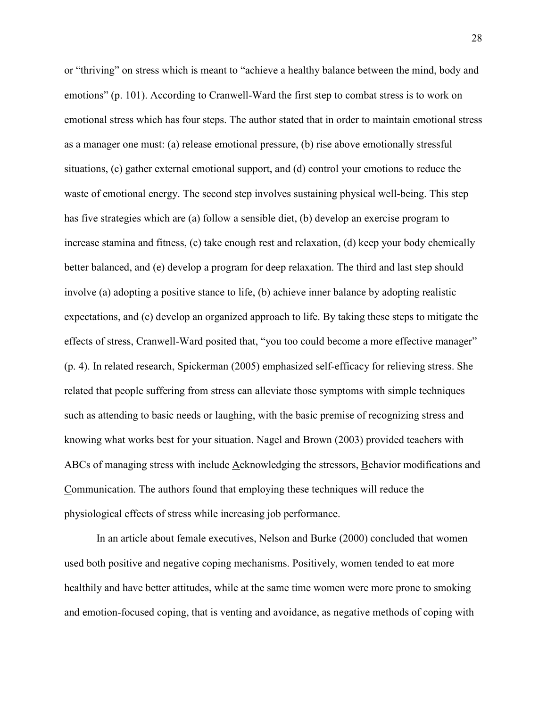or "thriving" on stress which is meant to "achieve a healthy balance between the mind, body and emotions" (p. 101). According to Cranwell-Ward the first step to combat stress is to work on emotional stress which has four steps. The author stated that in order to maintain emotional stress as a manager one must: (a) release emotional pressure, (b) rise above emotionally stressful situations, (c) gather external emotional support, and (d) control your emotions to reduce the waste of emotional energy. The second step involves sustaining physical well-being. This step has five strategies which are (a) follow a sensible diet, (b) develop an exercise program to increase stamina and fitness, (c) take enough rest and relaxation, (d) keep your body chemically better balanced, and (e) develop a program for deep relaxation. The third and last step should involve (a) adopting a positive stance to life, (b) achieve inner balance by adopting realistic expectations, and (c) develop an organized approach to life. By taking these steps to mitigate the effects of stress, Cranwell-Ward posited that, "you too could become a more effective manager" (p. 4). In related research, Spickerman (2005) emphasized self-efficacy for relieving stress. She related that people suffering from stress can alleviate those symptoms with simple techniques such as attending to basic needs or laughing, with the basic premise of recognizing stress and knowing what works best for your situation. Nagel and Brown (2003) provided teachers with ABCs of managing stress with include Acknowledging the stressors, Behavior modifications and Communication. The authors found that employing these techniques will reduce the physiological effects of stress while increasing job performance.

 In an article about female executives, Nelson and Burke (2000) concluded that women used both positive and negative coping mechanisms. Positively, women tended to eat more healthily and have better attitudes, while at the same time women were more prone to smoking and emotion-focused coping, that is venting and avoidance, as negative methods of coping with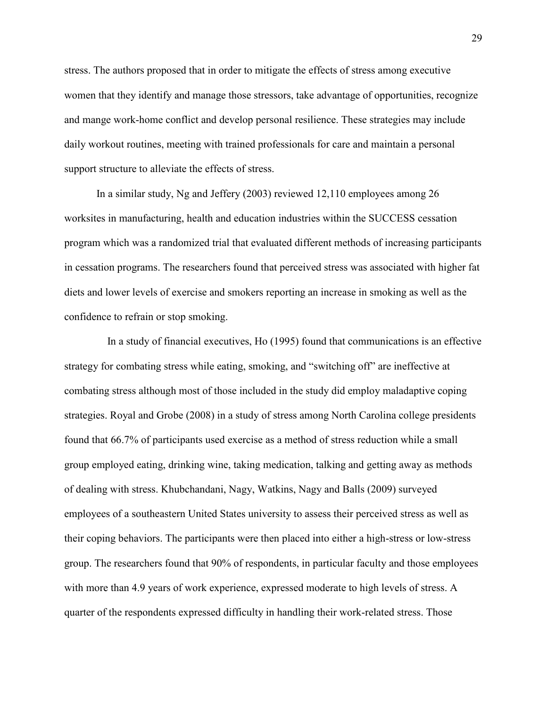stress. The authors proposed that in order to mitigate the effects of stress among executive women that they identify and manage those stressors, take advantage of opportunities, recognize and mange work-home conflict and develop personal resilience. These strategies may include daily workout routines, meeting with trained professionals for care and maintain a personal support structure to alleviate the effects of stress.

 In a similar study, Ng and Jeffery (2003) reviewed 12,110 employees among 26 worksites in manufacturing, health and education industries within the SUCCESS cessation program which was a randomized trial that evaluated different methods of increasing participants in cessation programs. The researchers found that perceived stress was associated with higher fat diets and lower levels of exercise and smokers reporting an increase in smoking as well as the confidence to refrain or stop smoking.

 In a study of financial executives, Ho (1995) found that communications is an effective strategy for combating stress while eating, smoking, and "switching off" are ineffective at combating stress although most of those included in the study did employ maladaptive coping strategies. Royal and Grobe (2008) in a study of stress among North Carolina college presidents found that 66.7% of participants used exercise as a method of stress reduction while a small group employed eating, drinking wine, taking medication, talking and getting away as methods of dealing with stress. Khubchandani, Nagy, Watkins, Nagy and Balls (2009) surveyed employees of a southeastern United States university to assess their perceived stress as well as their coping behaviors. The participants were then placed into either a high-stress or low-stress group. The researchers found that 90% of respondents, in particular faculty and those employees with more than 4.9 years of work experience, expressed moderate to high levels of stress. A quarter of the respondents expressed difficulty in handling their work-related stress. Those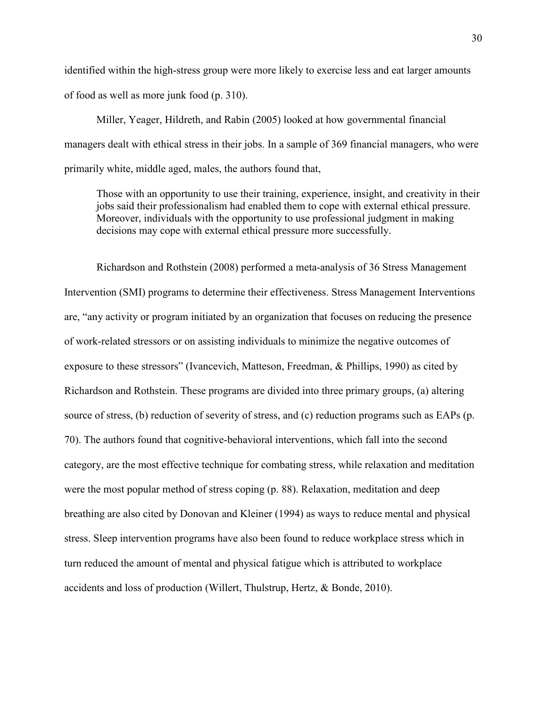identified within the high-stress group were more likely to exercise less and eat larger amounts of food as well as more junk food (p. 310).

 Miller, Yeager, Hildreth, and Rabin (2005) looked at how governmental financial managers dealt with ethical stress in their jobs. In a sample of 369 financial managers, who were primarily white, middle aged, males, the authors found that,

Those with an opportunity to use their training, experience, insight, and creativity in their jobs said their professionalism had enabled them to cope with external ethical pressure. Moreover, individuals with the opportunity to use professional judgment in making decisions may cope with external ethical pressure more successfully.

Richardson and Rothstein (2008) performed a meta-analysis of 36 Stress Management Intervention (SMI) programs to determine their effectiveness. Stress Management Interventions are, "any activity or program initiated by an organization that focuses on reducing the presence of work-related stressors or on assisting individuals to minimize the negative outcomes of exposure to these stressors" (Ivancevich, Matteson, Freedman, & Phillips, 1990) as cited by Richardson and Rothstein. These programs are divided into three primary groups, (a) altering source of stress, (b) reduction of severity of stress, and (c) reduction programs such as EAPs (p. 70). The authors found that cognitive-behavioral interventions, which fall into the second category, are the most effective technique for combating stress, while relaxation and meditation were the most popular method of stress coping (p. 88). Relaxation, meditation and deep breathing are also cited by Donovan and Kleiner (1994) as ways to reduce mental and physical stress. Sleep intervention programs have also been found to reduce workplace stress which in turn reduced the amount of mental and physical fatigue which is attributed to workplace accidents and loss of production (Willert, Thulstrup, Hertz, & Bonde, 2010).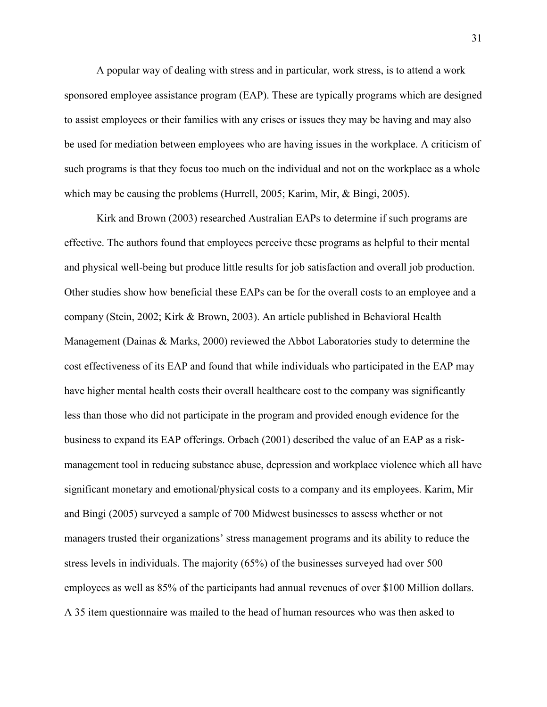A popular way of dealing with stress and in particular, work stress, is to attend a work sponsored employee assistance program (EAP). These are typically programs which are designed to assist employees or their families with any crises or issues they may be having and may also be used for mediation between employees who are having issues in the workplace. A criticism of such programs is that they focus too much on the individual and not on the workplace as a whole which may be causing the problems (Hurrell, 2005; Karim, Mir, & Bingi, 2005).

Kirk and Brown (2003) researched Australian EAPs to determine if such programs are effective. The authors found that employees perceive these programs as helpful to their mental and physical well-being but produce little results for job satisfaction and overall job production. Other studies show how beneficial these EAPs can be for the overall costs to an employee and a company (Stein, 2002; Kirk & Brown, 2003). An article published in Behavioral Health Management (Dainas & Marks, 2000) reviewed the Abbot Laboratories study to determine the cost effectiveness of its EAP and found that while individuals who participated in the EAP may have higher mental health costs their overall healthcare cost to the company was significantly less than those who did not participate in the program and provided enough evidence for the business to expand its EAP offerings. Orbach (2001) described the value of an EAP as a riskmanagement tool in reducing substance abuse, depression and workplace violence which all have significant monetary and emotional/physical costs to a company and its employees. Karim, Mir and Bingi (2005) surveyed a sample of 700 Midwest businesses to assess whether or not managers trusted their organizations' stress management programs and its ability to reduce the stress levels in individuals. The majority (65%) of the businesses surveyed had over 500 employees as well as 85% of the participants had annual revenues of over \$100 Million dollars. A 35 item questionnaire was mailed to the head of human resources who was then asked to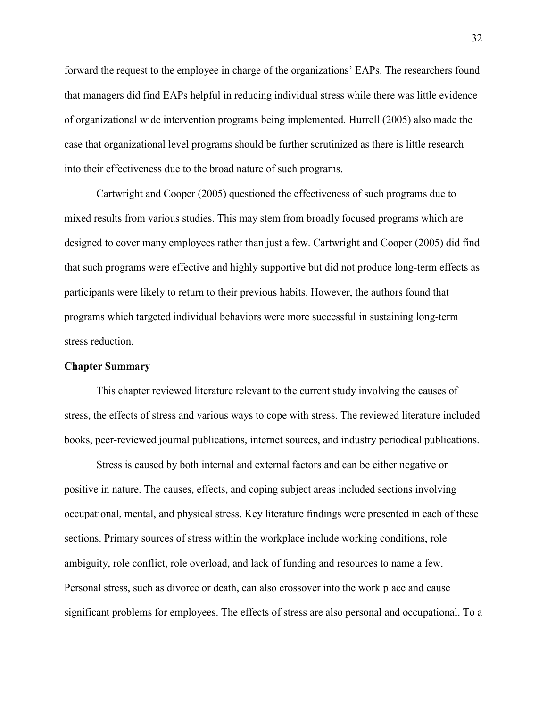forward the request to the employee in charge of the organizations' EAPs. The researchers found that managers did find EAPs helpful in reducing individual stress while there was little evidence of organizational wide intervention programs being implemented. Hurrell (2005) also made the case that organizational level programs should be further scrutinized as there is little research into their effectiveness due to the broad nature of such programs.

Cartwright and Cooper (2005) questioned the effectiveness of such programs due to mixed results from various studies. This may stem from broadly focused programs which are designed to cover many employees rather than just a few. Cartwright and Cooper (2005) did find that such programs were effective and highly supportive but did not produce long-term effects as participants were likely to return to their previous habits. However, the authors found that programs which targeted individual behaviors were more successful in sustaining long-term stress reduction.

# **Chapter Summary**

This chapter reviewed literature relevant to the current study involving the causes of stress, the effects of stress and various ways to cope with stress. The reviewed literature included books, peer-reviewed journal publications, internet sources, and industry periodical publications.

Stress is caused by both internal and external factors and can be either negative or positive in nature. The causes, effects, and coping subject areas included sections involving occupational, mental, and physical stress. Key literature findings were presented in each of these sections. Primary sources of stress within the workplace include working conditions, role ambiguity, role conflict, role overload, and lack of funding and resources to name a few. Personal stress, such as divorce or death, can also crossover into the work place and cause significant problems for employees. The effects of stress are also personal and occupational. To a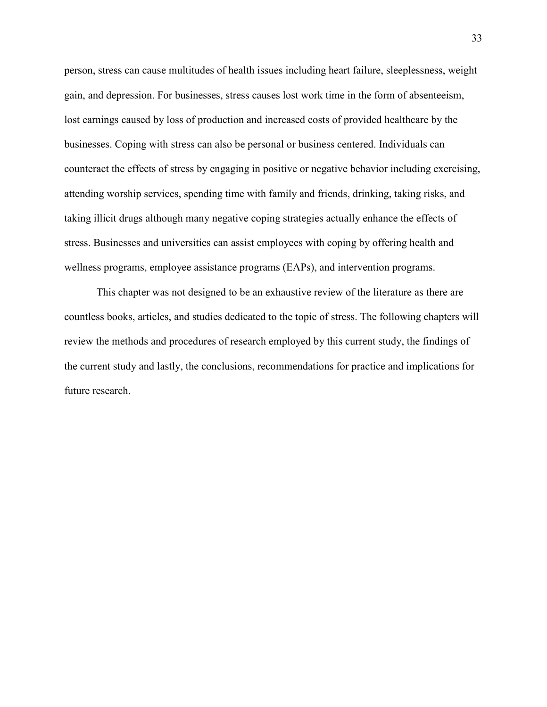person, stress can cause multitudes of health issues including heart failure, sleeplessness, weight gain, and depression. For businesses, stress causes lost work time in the form of absenteeism, lost earnings caused by loss of production and increased costs of provided healthcare by the businesses. Coping with stress can also be personal or business centered. Individuals can counteract the effects of stress by engaging in positive or negative behavior including exercising, attending worship services, spending time with family and friends, drinking, taking risks, and taking illicit drugs although many negative coping strategies actually enhance the effects of stress. Businesses and universities can assist employees with coping by offering health and wellness programs, employee assistance programs (EAPs), and intervention programs.

This chapter was not designed to be an exhaustive review of the literature as there are countless books, articles, and studies dedicated to the topic of stress. The following chapters will review the methods and procedures of research employed by this current study, the findings of the current study and lastly, the conclusions, recommendations for practice and implications for future research.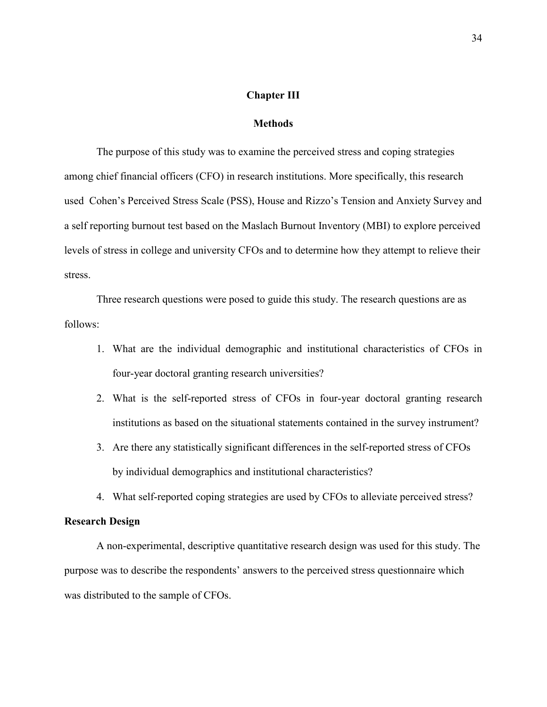#### **Chapter III**

# **Methods**

 The purpose of this study was to examine the perceived stress and coping strategies among chief financial officers (CFO) in research institutions. More specifically, this research used Cohen's Perceived Stress Scale (PSS), House and Rizzo's Tension and Anxiety Survey and a self reporting burnout test based on the Maslach Burnout Inventory (MBI) to explore perceived levels of stress in college and university CFOs and to determine how they attempt to relieve their stress.

 Three research questions were posed to guide this study. The research questions are as follows:

- 1. What are the individual demographic and institutional characteristics of CFOs in four-year doctoral granting research universities?
- 2. What is the self-reported stress of CFOs in four-year doctoral granting research institutions as based on the situational statements contained in the survey instrument?
- 3. Are there any statistically significant differences in the self-reported stress of CFOs by individual demographics and institutional characteristics?
- 4. What self-reported coping strategies are used by CFOs to alleviate perceived stress?

# **Research Design**

 A non-experimental, descriptive quantitative research design was used for this study. The purpose was to describe the respondents' answers to the perceived stress questionnaire which was distributed to the sample of CFOs.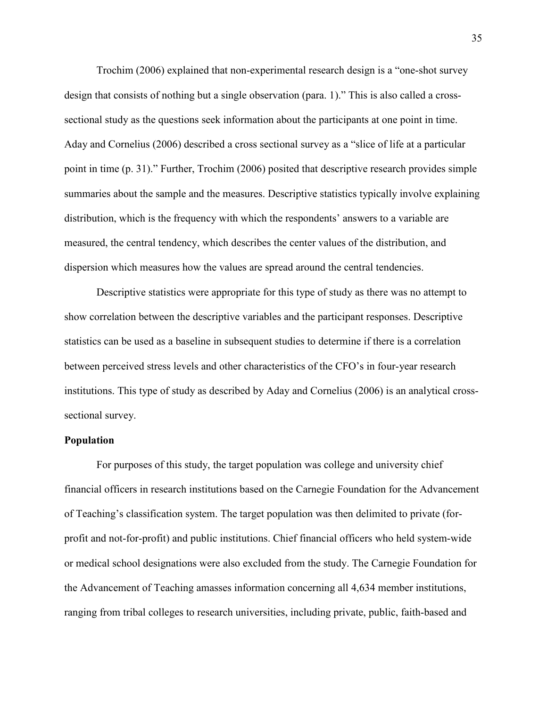Trochim (2006) explained that non-experimental research design is a "one-shot survey design that consists of nothing but a single observation (para. 1)." This is also called a crosssectional study as the questions seek information about the participants at one point in time. Aday and Cornelius (2006) described a cross sectional survey as a "slice of life at a particular point in time (p. 31)." Further, Trochim (2006) posited that descriptive research provides simple summaries about the sample and the measures. Descriptive statistics typically involve explaining distribution, which is the frequency with which the respondents' answers to a variable are measured, the central tendency, which describes the center values of the distribution, and dispersion which measures how the values are spread around the central tendencies.

 Descriptive statistics were appropriate for this type of study as there was no attempt to show correlation between the descriptive variables and the participant responses. Descriptive statistics can be used as a baseline in subsequent studies to determine if there is a correlation between perceived stress levels and other characteristics of the CFO's in four-year research institutions. This type of study as described by Aday and Cornelius (2006) is an analytical crosssectional survey.

#### **Population**

For purposes of this study, the target population was college and university chief financial officers in research institutions based on the Carnegie Foundation for the Advancement of Teaching's classification system. The target population was then delimited to private (forprofit and not-for-profit) and public institutions. Chief financial officers who held system-wide or medical school designations were also excluded from the study. The Carnegie Foundation for the Advancement of Teaching amasses information concerning all 4,634 member institutions, ranging from tribal colleges to research universities, including private, public, faith-based and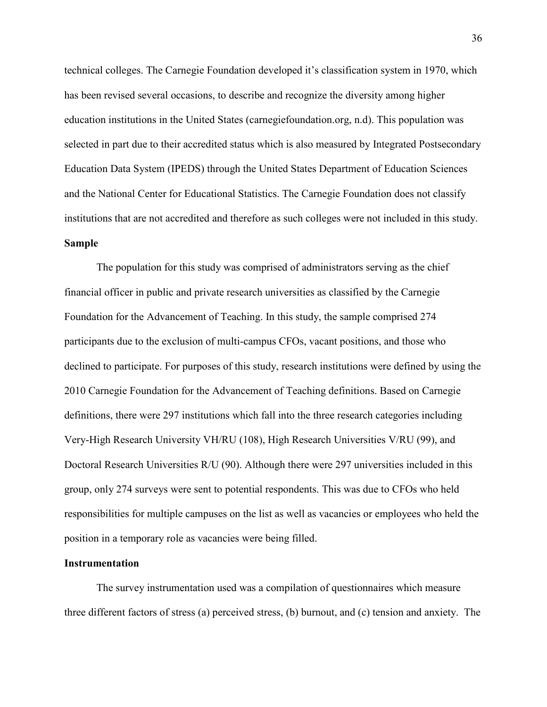technical colleges. The Carnegie Foundation developed it's classification system in 1970, which has been revised several occasions, to describe and recognize the diversity among higher education institutions in the United States (carnegiefoundation.org, n.d). This population was selected in part due to their accredited status which is also measured by Integrated Postsecondary Education Data System (IPEDS) through the United States Department of Education Sciences and the National Center for Educational Statistics. The Carnegie Foundation does not classify institutions that are not accredited and therefore as such colleges were not included in this study. **Sample** 

 The population for this study was comprised of administrators serving as the chief financial officer in public and private research universities as classified by the Carnegie Foundation for the Advancement of Teaching. In this study, the sample comprised 274 participants due to the exclusion of multi-campus CFOs, vacant positions, and those who declined to participate. For purposes of this study, research institutions were defined by using the 2010 Carnegie Foundation for the Advancement of Teaching definitions. Based on Carnegie definitions, there were 297 institutions which fall into the three research categories including Very-High Research University VH/RU (108), High Research Universities V/RU (99), and Doctoral Research Universities R/U (90). Although there were 297 universities included in this group, only 274 surveys were sent to potential respondents. This was due to CFOs who held responsibilities for multiple campuses on the list as well as vacancies or employees who held the position in a temporary role as vacancies were being filled.

#### **Instrumentation**

 The survey instrumentation used was a compilation of questionnaires which measure three different factors of stress (a) perceived stress, (b) burnout, and (c) tension and anxiety. The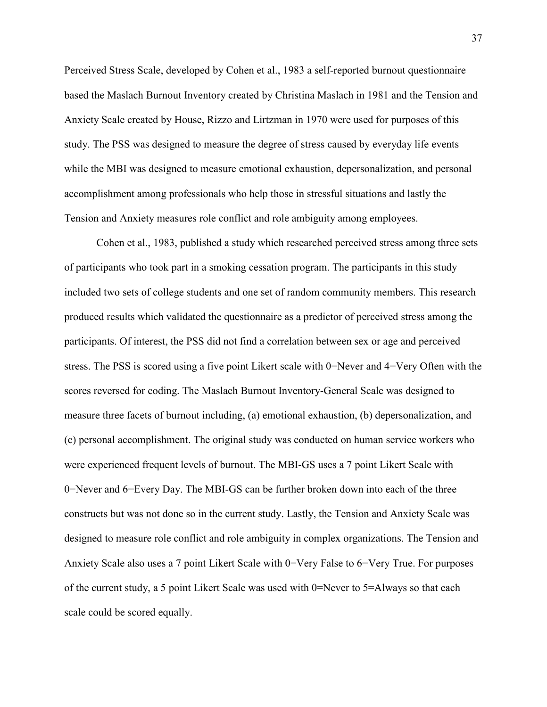Perceived Stress Scale, developed by Cohen et al., 1983 a self-reported burnout questionnaire based the Maslach Burnout Inventory created by Christina Maslach in 1981 and the Tension and Anxiety Scale created by House, Rizzo and Lirtzman in 1970 were used for purposes of this study. The PSS was designed to measure the degree of stress caused by everyday life events while the MBI was designed to measure emotional exhaustion, depersonalization, and personal accomplishment among professionals who help those in stressful situations and lastly the Tension and Anxiety measures role conflict and role ambiguity among employees.

Cohen et al., 1983, published a study which researched perceived stress among three sets of participants who took part in a smoking cessation program. The participants in this study included two sets of college students and one set of random community members. This research produced results which validated the questionnaire as a predictor of perceived stress among the participants. Of interest, the PSS did not find a correlation between sex or age and perceived stress. The PSS is scored using a five point Likert scale with 0=Never and 4=Very Often with the scores reversed for coding. The Maslach Burnout Inventory-General Scale was designed to measure three facets of burnout including, (a) emotional exhaustion, (b) depersonalization, and (c) personal accomplishment. The original study was conducted on human service workers who were experienced frequent levels of burnout. The MBI-GS uses a 7 point Likert Scale with 0=Never and 6=Every Day. The MBI-GS can be further broken down into each of the three constructs but was not done so in the current study. Lastly, the Tension and Anxiety Scale was designed to measure role conflict and role ambiguity in complex organizations. The Tension and Anxiety Scale also uses a 7 point Likert Scale with 0=Very False to 6=Very True. For purposes of the current study, a 5 point Likert Scale was used with 0=Never to 5=Always so that each scale could be scored equally.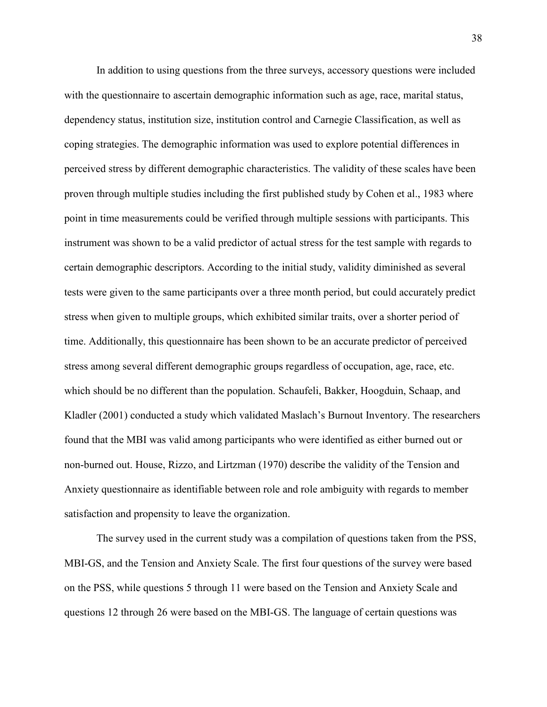In addition to using questions from the three surveys, accessory questions were included with the questionnaire to ascertain demographic information such as age, race, marital status, dependency status, institution size, institution control and Carnegie Classification, as well as coping strategies. The demographic information was used to explore potential differences in perceived stress by different demographic characteristics. The validity of these scales have been proven through multiple studies including the first published study by Cohen et al., 1983 where point in time measurements could be verified through multiple sessions with participants. This instrument was shown to be a valid predictor of actual stress for the test sample with regards to certain demographic descriptors. According to the initial study, validity diminished as several tests were given to the same participants over a three month period, but could accurately predict stress when given to multiple groups, which exhibited similar traits, over a shorter period of time. Additionally, this questionnaire has been shown to be an accurate predictor of perceived stress among several different demographic groups regardless of occupation, age, race, etc. which should be no different than the population. Schaufeli, Bakker, Hoogduin, Schaap, and Kladler (2001) conducted a study which validated Maslach's Burnout Inventory. The researchers found that the MBI was valid among participants who were identified as either burned out or non-burned out. House, Rizzo, and Lirtzman (1970) describe the validity of the Tension and Anxiety questionnaire as identifiable between role and role ambiguity with regards to member satisfaction and propensity to leave the organization.

The survey used in the current study was a compilation of questions taken from the PSS, MBI-GS, and the Tension and Anxiety Scale. The first four questions of the survey were based on the PSS, while questions 5 through 11 were based on the Tension and Anxiety Scale and questions 12 through 26 were based on the MBI-GS. The language of certain questions was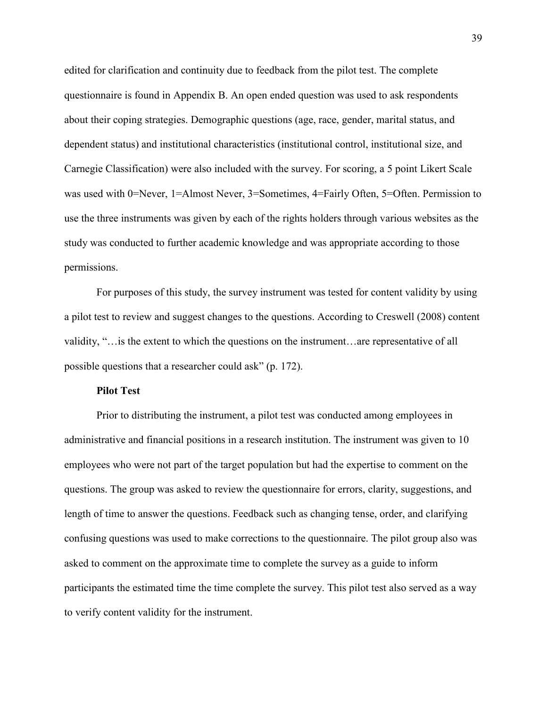edited for clarification and continuity due to feedback from the pilot test. The complete questionnaire is found in Appendix B. An open ended question was used to ask respondents about their coping strategies. Demographic questions (age, race, gender, marital status, and dependent status) and institutional characteristics (institutional control, institutional size, and Carnegie Classification) were also included with the survey. For scoring, a 5 point Likert Scale was used with 0=Never, 1=Almost Never, 3=Sometimes, 4=Fairly Often, 5=Often. Permission to use the three instruments was given by each of the rights holders through various websites as the study was conducted to further academic knowledge and was appropriate according to those permissions.

For purposes of this study, the survey instrument was tested for content validity by using a pilot test to review and suggest changes to the questions. According to Creswell (2008) content validity, "…is the extent to which the questions on the instrument…are representative of all possible questions that a researcher could ask" (p. 172).

# **Pilot Test**

 Prior to distributing the instrument, a pilot test was conducted among employees in administrative and financial positions in a research institution. The instrument was given to 10 employees who were not part of the target population but had the expertise to comment on the questions. The group was asked to review the questionnaire for errors, clarity, suggestions, and length of time to answer the questions. Feedback such as changing tense, order, and clarifying confusing questions was used to make corrections to the questionnaire. The pilot group also was asked to comment on the approximate time to complete the survey as a guide to inform participants the estimated time the time complete the survey. This pilot test also served as a way to verify content validity for the instrument.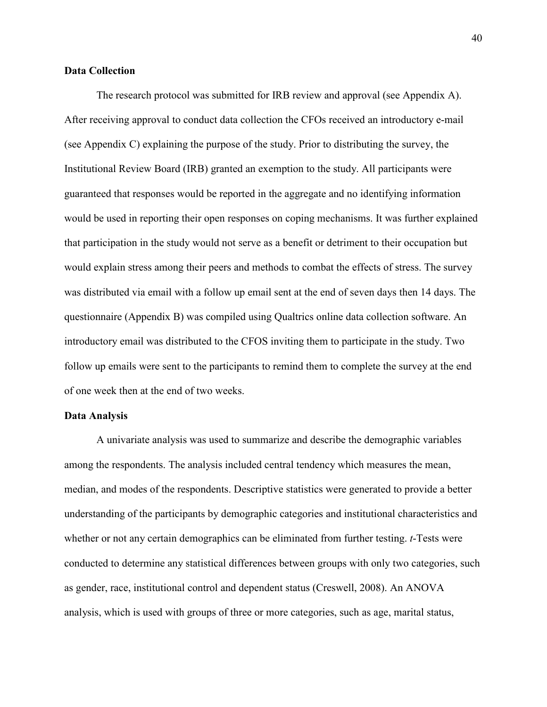#### **Data Collection**

 The research protocol was submitted for IRB review and approval (see Appendix A). After receiving approval to conduct data collection the CFOs received an introductory e-mail (see Appendix C) explaining the purpose of the study. Prior to distributing the survey, the Institutional Review Board (IRB) granted an exemption to the study. All participants were guaranteed that responses would be reported in the aggregate and no identifying information would be used in reporting their open responses on coping mechanisms. It was further explained that participation in the study would not serve as a benefit or detriment to their occupation but would explain stress among their peers and methods to combat the effects of stress. The survey was distributed via email with a follow up email sent at the end of seven days then 14 days. The questionnaire (Appendix B) was compiled using Qualtrics online data collection software. An introductory email was distributed to the CFOS inviting them to participate in the study. Two follow up emails were sent to the participants to remind them to complete the survey at the end of one week then at the end of two weeks.

#### **Data Analysis**

 A univariate analysis was used to summarize and describe the demographic variables among the respondents. The analysis included central tendency which measures the mean, median, and modes of the respondents. Descriptive statistics were generated to provide a better understanding of the participants by demographic categories and institutional characteristics and whether or not any certain demographics can be eliminated from further testing. *t*-Tests were conducted to determine any statistical differences between groups with only two categories, such as gender, race, institutional control and dependent status (Creswell, 2008). An ANOVA analysis, which is used with groups of three or more categories, such as age, marital status,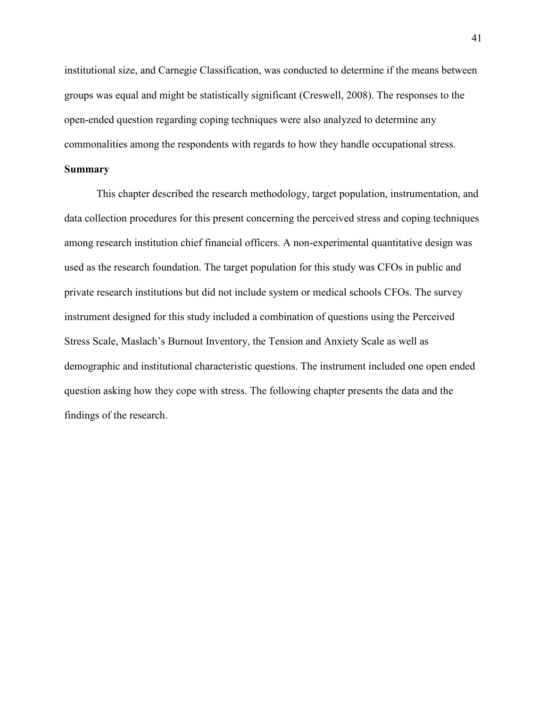institutional size, and Carnegie Classification, was conducted to determine if the means between groups was equal and might be statistically significant (Creswell, 2008). The responses to the open-ended question regarding coping techniques were also analyzed to determine any commonalities among the respondents with regards to how they handle occupational stress.

# **Summary**

 This chapter described the research methodology, target population, instrumentation, and data collection procedures for this present concerning the perceived stress and coping techniques among research institution chief financial officers. A non-experimental quantitative design was used as the research foundation. The target population for this study was CFOs in public and private research institutions but did not include system or medical schools CFOs. The survey instrument designed for this study included a combination of questions using the Perceived Stress Scale, Maslach's Burnout Inventory, the Tension and Anxiety Scale as well as demographic and institutional characteristic questions. The instrument included one open ended question asking how they cope with stress. The following chapter presents the data and the findings of the research.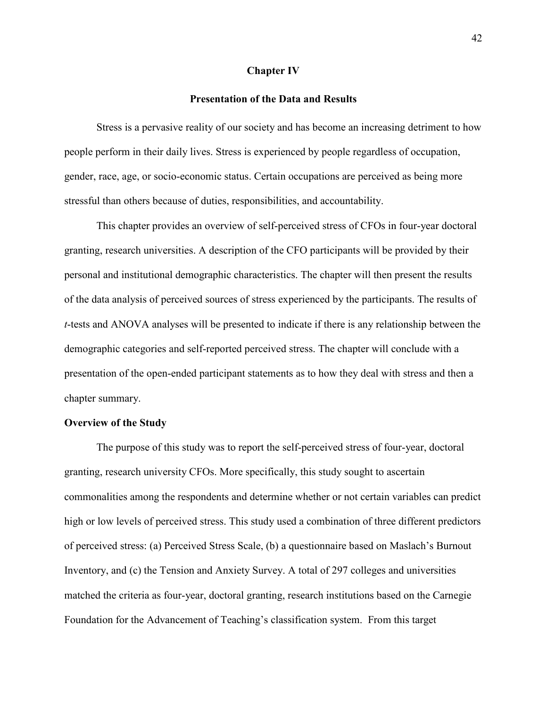#### **Chapter IV**

# **Presentation of the Data and Results**

 Stress is a pervasive reality of our society and has become an increasing detriment to how people perform in their daily lives. Stress is experienced by people regardless of occupation, gender, race, age, or socio-economic status. Certain occupations are perceived as being more stressful than others because of duties, responsibilities, and accountability.

 This chapter provides an overview of self-perceived stress of CFOs in four-year doctoral granting, research universities. A description of the CFO participants will be provided by their personal and institutional demographic characteristics. The chapter will then present the results of the data analysis of perceived sources of stress experienced by the participants. The results of *t*-tests and ANOVA analyses will be presented to indicate if there is any relationship between the demographic categories and self-reported perceived stress. The chapter will conclude with a presentation of the open-ended participant statements as to how they deal with stress and then a chapter summary.

# **Overview of the Study**

The purpose of this study was to report the self-perceived stress of four-year, doctoral granting, research university CFOs. More specifically, this study sought to ascertain commonalities among the respondents and determine whether or not certain variables can predict high or low levels of perceived stress. This study used a combination of three different predictors of perceived stress: (a) Perceived Stress Scale, (b) a questionnaire based on Maslach's Burnout Inventory, and (c) the Tension and Anxiety Survey. A total of 297 colleges and universities matched the criteria as four-year, doctoral granting, research institutions based on the Carnegie Foundation for the Advancement of Teaching's classification system. From this target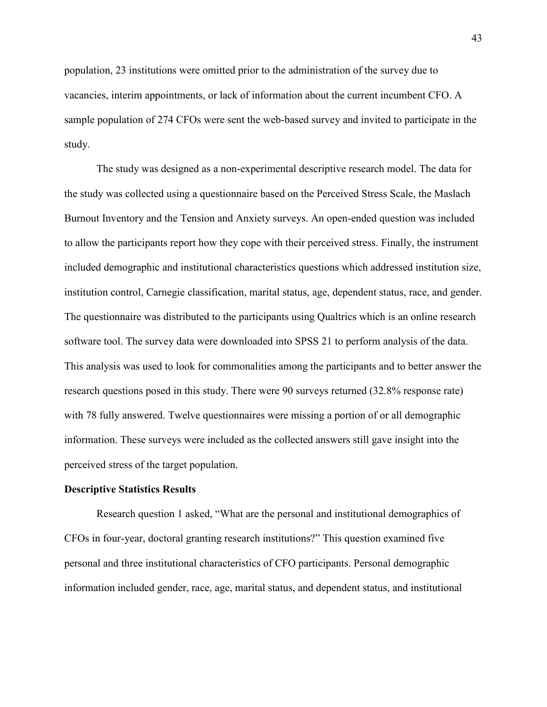population, 23 institutions were omitted prior to the administration of the survey due to vacancies, interim appointments, or lack of information about the current incumbent CFO. A sample population of 274 CFOs were sent the web-based survey and invited to participate in the study.

 The study was designed as a non-experimental descriptive research model. The data for the study was collected using a questionnaire based on the Perceived Stress Scale, the Maslach Burnout Inventory and the Tension and Anxiety surveys. An open-ended question was included to allow the participants report how they cope with their perceived stress. Finally, the instrument included demographic and institutional characteristics questions which addressed institution size, institution control, Carnegie classification, marital status, age, dependent status, race, and gender. The questionnaire was distributed to the participants using Qualtrics which is an online research software tool. The survey data were downloaded into SPSS 21 to perform analysis of the data. This analysis was used to look for commonalities among the participants and to better answer the research questions posed in this study. There were 90 surveys returned (32.8% response rate) with 78 fully answered. Twelve questionnaires were missing a portion of or all demographic information. These surveys were included as the collected answers still gave insight into the perceived stress of the target population.

#### **Descriptive Statistics Results**

Research question 1 asked, "What are the personal and institutional demographics of CFOs in four-year, doctoral granting research institutions?" This question examined five personal and three institutional characteristics of CFO participants. Personal demographic information included gender, race, age, marital status, and dependent status, and institutional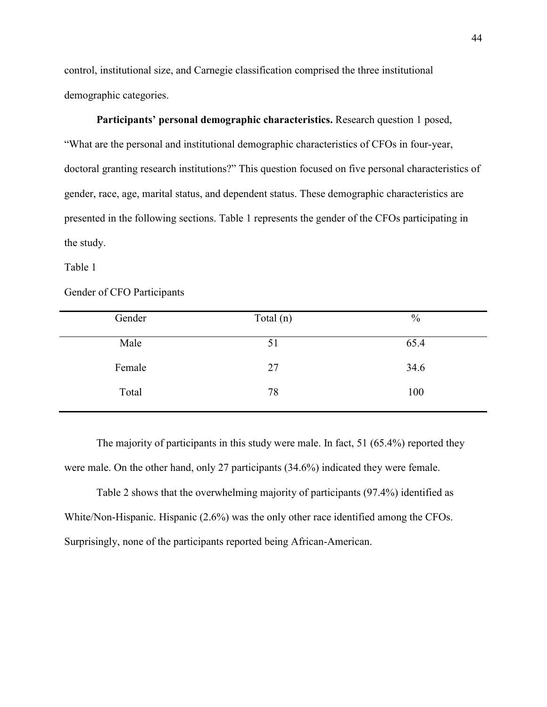control, institutional size, and Carnegie classification comprised the three institutional demographic categories.

**Participants' personal demographic characteristics.** Research question 1 posed, "What are the personal and institutional demographic characteristics of CFOs in four-year, doctoral granting research institutions?" This question focused on five personal characteristics of gender, race, age, marital status, and dependent status. These demographic characteristics are presented in the following sections. Table 1 represents the gender of the CFOs participating in the study.

Table 1

# Gender of CFO Participants

| Gender | Total $(n)$ | $\frac{0}{0}$ |
|--------|-------------|---------------|
|        |             |               |
| Male   | 51          | 65.4          |
|        |             |               |
| Female | 27          | 34.6          |
| Total  | 78          | 100           |
|        |             |               |

The majority of participants in this study were male. In fact, 51 (65.4%) reported they were male. On the other hand, only 27 participants (34.6%) indicated they were female.

Table 2 shows that the overwhelming majority of participants (97.4%) identified as White/Non-Hispanic. Hispanic (2.6%) was the only other race identified among the CFOs. Surprisingly, none of the participants reported being African-American.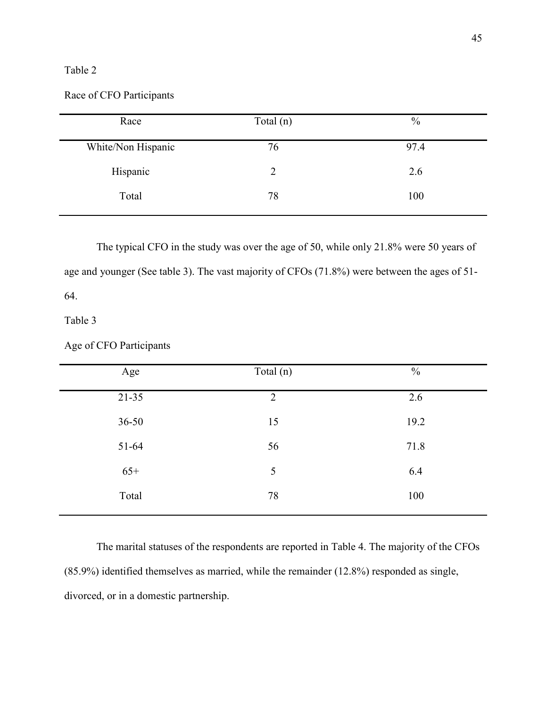# Table 2

Race of CFO Participants

| Race               | Total $(n)$ | $\frac{0}{0}$ |
|--------------------|-------------|---------------|
| White/Non Hispanic | 76          | 97.4          |
| Hispanic           | 2           | 2.6           |
| Total              | 78          | 100           |

The typical CFO in the study was over the age of 50, while only 21.8% were 50 years of age and younger (See table 3). The vast majority of CFOs (71.8%) were between the ages of 51- 64.

Table 3

# Age of CFO Participants

| Age       | Total (n)      | $\frac{0}{0}$ |  |
|-----------|----------------|---------------|--|
| $21 - 35$ | $\overline{2}$ | 2.6           |  |
| $36 - 50$ | 15             | 19.2          |  |
| 51-64     | 56             | 71.8          |  |
| $65+$     | 5              | 6.4           |  |
| Total     | 78             | 100           |  |
|           |                |               |  |

The marital statuses of the respondents are reported in Table 4. The majority of the CFOs (85.9%) identified themselves as married, while the remainder (12.8%) responded as single, divorced, or in a domestic partnership.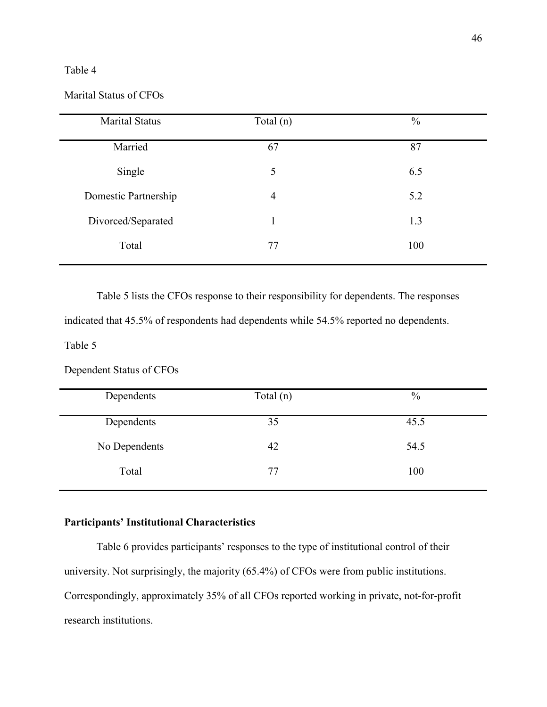# Table 4

# Marital Status of CFOs

| <b>Marital Status</b> | Total $(n)$    | $\frac{0}{0}$ |
|-----------------------|----------------|---------------|
| Married               | 67             | 87            |
| Single                | 5              | 6.5           |
| Domestic Partnership  | $\overline{4}$ | 5.2           |
| Divorced/Separated    | 1              | 1.3           |
| Total                 | 77             | 100           |

Table 5 lists the CFOs response to their responsibility for dependents. The responses

indicated that 45.5% of respondents had dependents while 54.5% reported no dependents.

Table 5

Dependent Status of CFOs

| Dependents    | Total $(n)$ | $\frac{0}{0}$ |
|---------------|-------------|---------------|
| Dependents    | 35          | 45.5          |
| No Dependents | 42          | 54.5          |
| Total         | 77          | 100           |

# **Participants' Institutional Characteristics**

Table 6 provides participants' responses to the type of institutional control of their university. Not surprisingly, the majority (65.4%) of CFOs were from public institutions. Correspondingly, approximately 35% of all CFOs reported working in private, not-for-profit research institutions.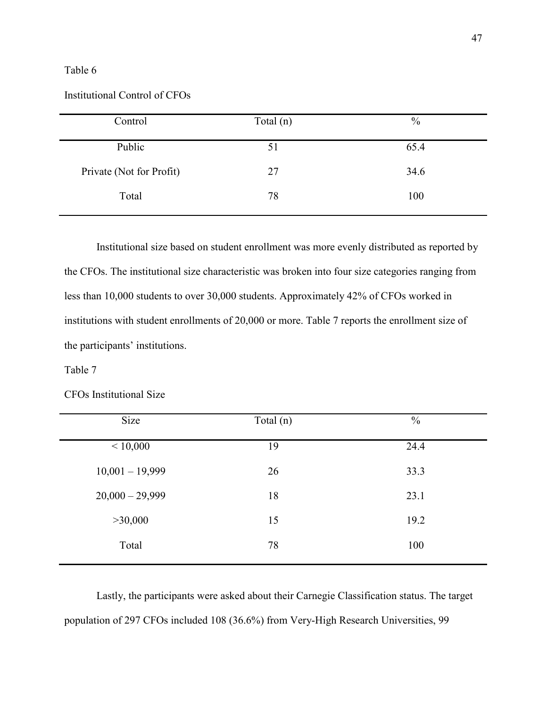# Table 6

# Institutional Control of CFOs

| Control                  | Total $(n)$ | $\frac{0}{0}$ |
|--------------------------|-------------|---------------|
| Public                   | 51          | 65.4          |
| Private (Not for Profit) | 27          | 34.6          |
| Total                    | 78          | 100           |

Institutional size based on student enrollment was more evenly distributed as reported by the CFOs. The institutional size characteristic was broken into four size categories ranging from less than 10,000 students to over 30,000 students. Approximately 42% of CFOs worked in institutions with student enrollments of 20,000 or more. Table 7 reports the enrollment size of the participants' institutions.

# Table 7

# CFOs Institutional Size

| Size              | Total $(n)$ | $\frac{0}{0}$ |
|-------------------|-------------|---------------|
| < 10,000          | 19          | 24.4          |
| $10,001 - 19,999$ | 26          | 33.3          |
| $20,000 - 29,999$ | 18          | 23.1          |
| >30,000           | 15          | 19.2          |
| Total             | 78          | 100           |

Lastly, the participants were asked about their Carnegie Classification status. The target population of 297 CFOs included 108 (36.6%) from Very-High Research Universities, 99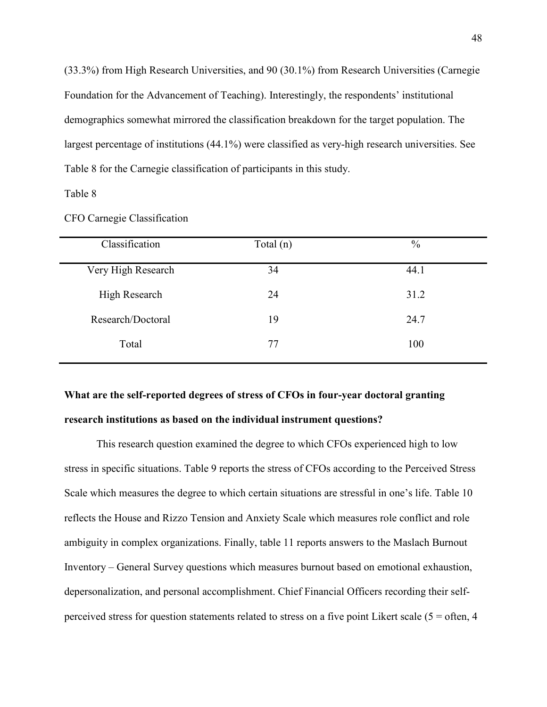(33.3%) from High Research Universities, and 90 (30.1%) from Research Universities (Carnegie Foundation for the Advancement of Teaching). Interestingly, the respondents' institutional demographics somewhat mirrored the classification breakdown for the target population. The largest percentage of institutions (44.1%) were classified as very-high research universities. See Table 8 for the Carnegie classification of participants in this study.

Table 8

| Classification     | Total $(n)$ | $\%$ |
|--------------------|-------------|------|
| Very High Research | 34          | 44.1 |
| High Research      | 24          | 31.2 |
| Research/Doctoral  | 19          | 24.7 |
| Total              | 77          | 100  |
|                    |             |      |

CFO Carnegie Classification

# **What are the self-reported degrees of stress of CFOs in four-year doctoral granting**

# **research institutions as based on the individual instrument questions?**

This research question examined the degree to which CFOs experienced high to low stress in specific situations. Table 9 reports the stress of CFOs according to the Perceived Stress Scale which measures the degree to which certain situations are stressful in one's life. Table 10 reflects the House and Rizzo Tension and Anxiety Scale which measures role conflict and role ambiguity in complex organizations. Finally, table 11 reports answers to the Maslach Burnout Inventory – General Survey questions which measures burnout based on emotional exhaustion, depersonalization, and personal accomplishment. Chief Financial Officers recording their selfperceived stress for question statements related to stress on a five point Likert scale ( $5 =$  often,  $4$ )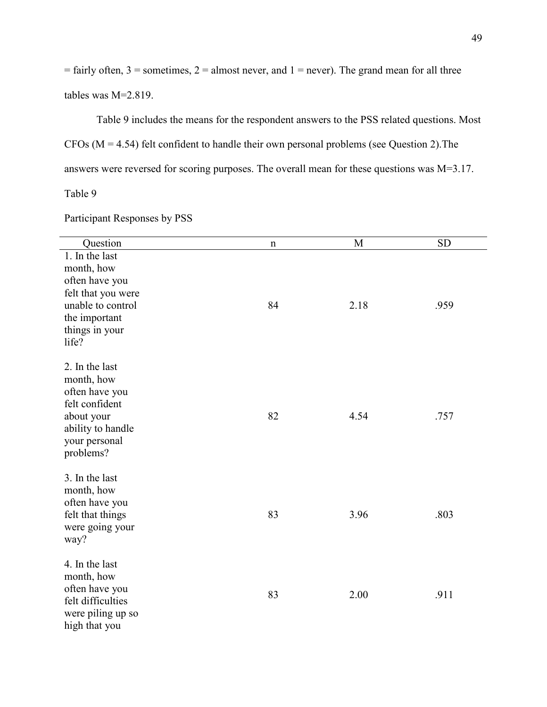$=$  fairly often, 3 = sometimes, 2 = almost never, and 1 = never). The grand mean for all three tables was M=2.819.

Table 9 includes the means for the respondent answers to the PSS related questions. Most CFOs (M = 4.54) felt confident to handle their own personal problems (see Question 2).The answers were reversed for scoring purposes. The overall mean for these questions was M=3.17.

Table 9

Participant Responses by PSS

| Question                                                                                                                              | n  | M    | <b>SD</b> |
|---------------------------------------------------------------------------------------------------------------------------------------|----|------|-----------|
| 1. In the last<br>month, how<br>often have you<br>felt that you were<br>unable to control<br>the important<br>things in your<br>life? | 84 | 2.18 | .959      |
| 2. In the last<br>month, how<br>often have you<br>felt confident<br>about your<br>ability to handle<br>your personal<br>problems?     | 82 | 4.54 | .757      |
| 3. In the last<br>month, how<br>often have you<br>felt that things<br>were going your<br>way?                                         | 83 | 3.96 | .803      |
| 4. In the last<br>month, how<br>often have you<br>felt difficulties<br>were piling up so<br>high that you                             | 83 | 2.00 | .911      |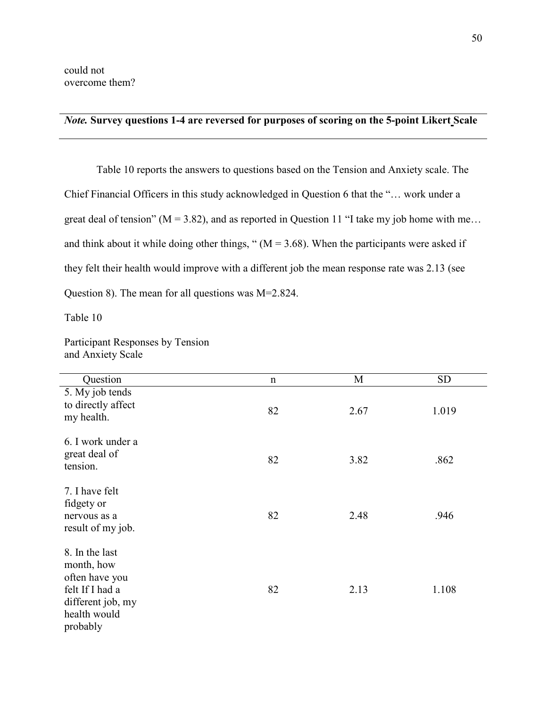# *Note.* **Survey questions 1-4 are reversed for purposes of scoring on the 5-point Likert Scale**

Table 10 reports the answers to questions based on the Tension and Anxiety scale. The Chief Financial Officers in this study acknowledged in Question 6 that the "… work under a great deal of tension" ( $M = 3.82$ ), and as reported in Question 11 "I take my job home with me... and think about it while doing other things, " $(M = 3.68)$ . When the participants were asked if they felt their health would improve with a different job the mean response rate was 2.13 (see Question 8). The mean for all questions was M=2.824.

Table 10

Participant Responses by Tension and Anxiety Scale

| Question                                                                                                           | $\mathbf n$ | M    | <b>SD</b> |
|--------------------------------------------------------------------------------------------------------------------|-------------|------|-----------|
| 5. My job tends<br>to directly affect<br>my health.                                                                | 82          | 2.67 | 1.019     |
| 6. I work under a<br>great deal of<br>tension.                                                                     | 82          | 3.82 | .862      |
| 7. I have felt<br>fidgety or<br>nervous as a<br>result of my job.                                                  | 82          | 2.48 | .946      |
| 8. In the last<br>month, how<br>often have you<br>felt If I had a<br>different job, my<br>health would<br>probably | 82          | 2.13 | 1.108     |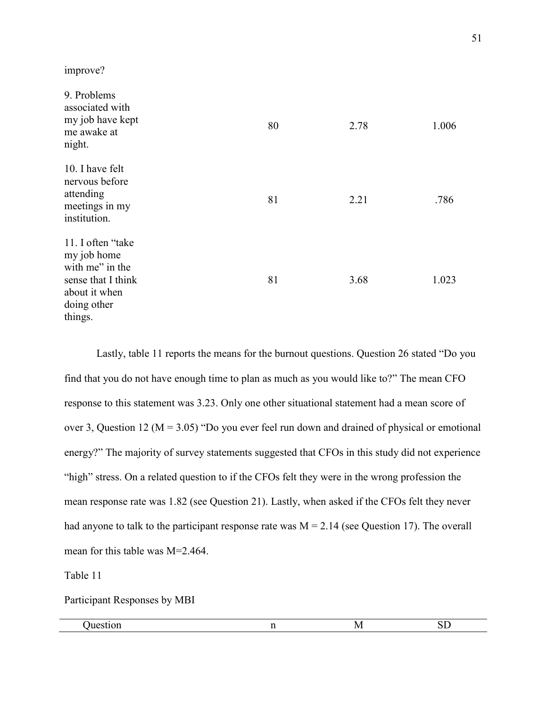improve?

| 9. Problems<br>associated with<br>my job have kept<br>me awake at<br>night.                                           | 80 | 2.78 | 1.006 |
|-----------------------------------------------------------------------------------------------------------------------|----|------|-------|
| 10. I have felt<br>nervous before<br>attending<br>meetings in my<br>institution.                                      | 81 | 2.21 | .786  |
| 11. I often "take"<br>my job home<br>with me" in the<br>sense that I think<br>about it when<br>doing other<br>things. | 81 | 3.68 | 1.023 |

Lastly, table 11 reports the means for the burnout questions. Question 26 stated "Do you find that you do not have enough time to plan as much as you would like to?" The mean CFO response to this statement was 3.23. Only one other situational statement had a mean score of over 3, Question 12 ( $M = 3.05$ ) "Do you ever feel run down and drained of physical or emotional energy?" The majority of survey statements suggested that CFOs in this study did not experience "high" stress. On a related question to if the CFOs felt they were in the wrong profession the mean response rate was 1.82 (see Question 21). Lastly, when asked if the CFOs felt they never had anyone to talk to the participant response rate was  $M = 2.14$  (see Question 17). The overall mean for this table was M=2.464.

Table 11

Participant Responses by MBI

| '/V<br>JV. |
|------------|
|            |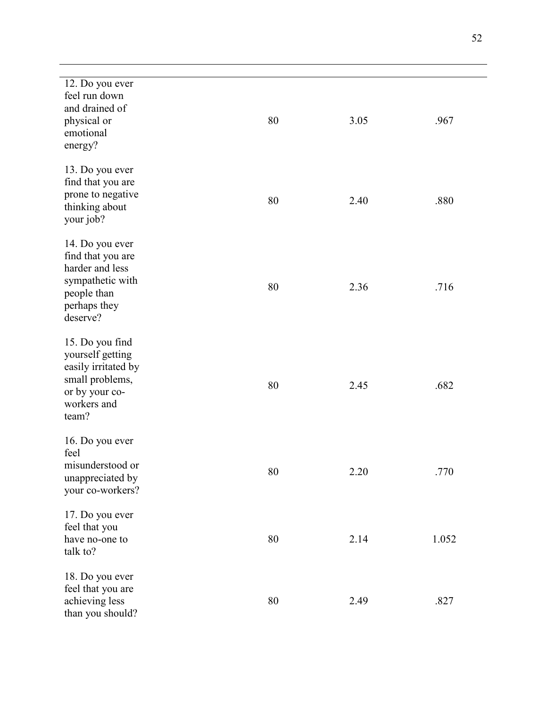| 12. Do you ever<br>feel run down<br>and drained of<br>physical or<br>emotional<br>energy?                               | 80 | 3.05 | .967  |
|-------------------------------------------------------------------------------------------------------------------------|----|------|-------|
| 13. Do you ever<br>find that you are<br>prone to negative<br>thinking about<br>your job?                                | 80 | 2.40 | .880  |
| 14. Do you ever<br>find that you are<br>harder and less<br>sympathetic with<br>people than<br>perhaps they<br>deserve?  | 80 | 2.36 | .716  |
| 15. Do you find<br>yourself getting<br>easily irritated by<br>small problems,<br>or by your co-<br>workers and<br>team? | 80 | 2.45 | .682  |
| 16. Do you ever<br>feel<br>misunderstood or<br>unappreciated by<br>your co-workers?                                     | 80 | 2.20 | .770  |
| 17. Do you ever<br>feel that you<br>have no-one to<br>talk to?                                                          | 80 | 2.14 | 1.052 |
| 18. Do you ever<br>feel that you are<br>achieving less<br>than you should?                                              | 80 | 2.49 | .827  |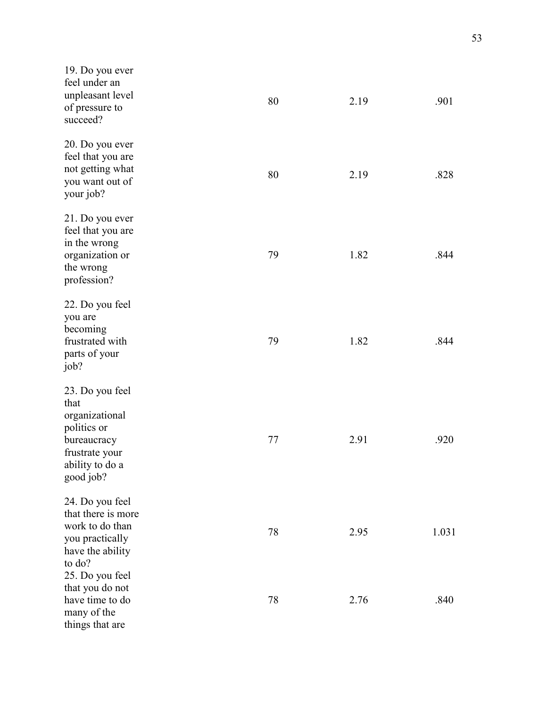| 19. Do you ever<br>feel under an<br>unpleasant level<br>of pressure to<br>succeed?                                        | 80 | 2.19 | .901  |
|---------------------------------------------------------------------------------------------------------------------------|----|------|-------|
| 20. Do you ever<br>feel that you are<br>not getting what<br>you want out of<br>your job?                                  | 80 | 2.19 | .828  |
| 21. Do you ever<br>feel that you are<br>in the wrong<br>organization or<br>the wrong<br>profession?                       | 79 | 1.82 | .844  |
| 22. Do you feel<br>you are<br>becoming<br>frustrated with<br>parts of your<br>job?                                        | 79 | 1.82 | .844  |
| 23. Do you feel<br>that<br>organizational<br>politics or<br>bureaucracy<br>frustrate your<br>ability to do a<br>good job? | 77 | 2.91 | .920  |
| 24. Do you feel<br>that there is more<br>work to do than<br>you practically<br>have the ability                           | 78 | 2.95 | 1.031 |
| to do?<br>25. Do you feel<br>that you do not<br>have time to do<br>many of the<br>things that are                         | 78 | 2.76 | .840  |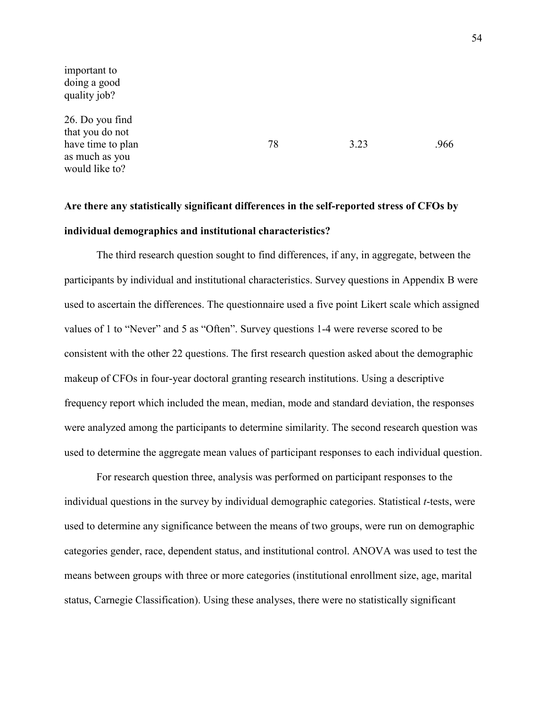important to doing a good quality job?

26. Do you find that you do not have time to plan as much as you would like to?

78 3.23 .966

# **Are there any statistically significant differences in the self-reported stress of CFOs by individual demographics and institutional characteristics?**

The third research question sought to find differences, if any, in aggregate, between the participants by individual and institutional characteristics. Survey questions in Appendix B were used to ascertain the differences. The questionnaire used a five point Likert scale which assigned values of 1 to "Never" and 5 as "Often". Survey questions 1-4 were reverse scored to be consistent with the other 22 questions. The first research question asked about the demographic makeup of CFOs in four-year doctoral granting research institutions. Using a descriptive frequency report which included the mean, median, mode and standard deviation, the responses were analyzed among the participants to determine similarity. The second research question was used to determine the aggregate mean values of participant responses to each individual question.

 For research question three, analysis was performed on participant responses to the individual questions in the survey by individual demographic categories. Statistical *t*-tests, were used to determine any significance between the means of two groups, were run on demographic categories gender, race, dependent status, and institutional control. ANOVA was used to test the means between groups with three or more categories (institutional enrollment size, age, marital status, Carnegie Classification). Using these analyses, there were no statistically significant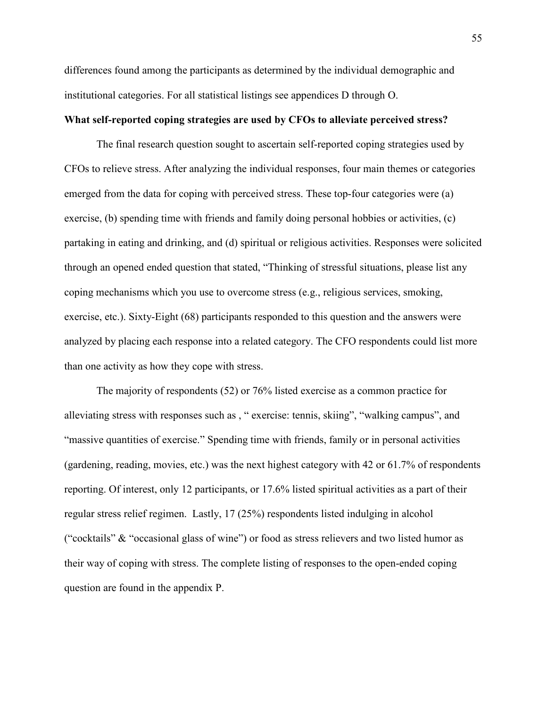differences found among the participants as determined by the individual demographic and institutional categories. For all statistical listings see appendices D through O.

# **What self-reported coping strategies are used by CFOs to alleviate perceived stress?**

 The final research question sought to ascertain self-reported coping strategies used by CFOs to relieve stress. After analyzing the individual responses, four main themes or categories emerged from the data for coping with perceived stress. These top-four categories were (a) exercise, (b) spending time with friends and family doing personal hobbies or activities, (c) partaking in eating and drinking, and (d) spiritual or religious activities. Responses were solicited through an opened ended question that stated, "Thinking of stressful situations, please list any coping mechanisms which you use to overcome stress (e.g., religious services, smoking, exercise, etc.). Sixty-Eight (68) participants responded to this question and the answers were analyzed by placing each response into a related category. The CFO respondents could list more than one activity as how they cope with stress.

The majority of respondents (52) or 76% listed exercise as a common practice for alleviating stress with responses such as , " exercise: tennis, skiing", "walking campus", and "massive quantities of exercise." Spending time with friends, family or in personal activities (gardening, reading, movies, etc.) was the next highest category with 42 or 61.7% of respondents reporting. Of interest, only 12 participants, or 17.6% listed spiritual activities as a part of their regular stress relief regimen. Lastly, 17 (25%) respondents listed indulging in alcohol ("cocktails" & "occasional glass of wine") or food as stress relievers and two listed humor as their way of coping with stress. The complete listing of responses to the open-ended coping question are found in the appendix P.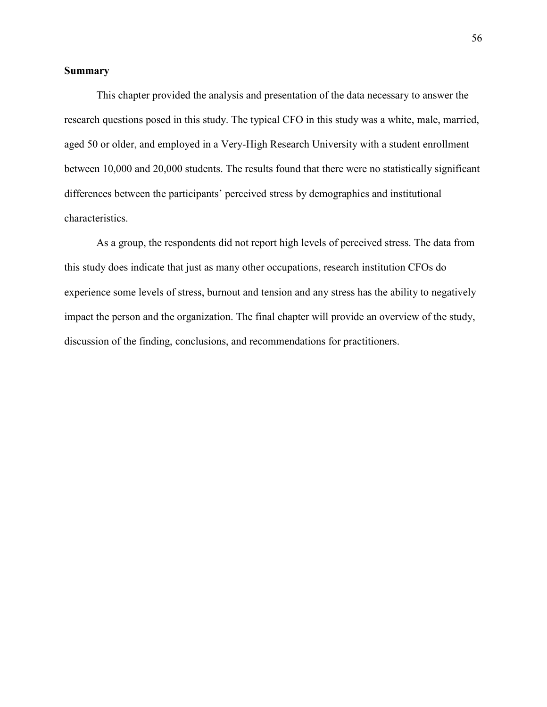## **Summary**

This chapter provided the analysis and presentation of the data necessary to answer the research questions posed in this study. The typical CFO in this study was a white, male, married, aged 50 or older, and employed in a Very-High Research University with a student enrollment between 10,000 and 20,000 students. The results found that there were no statistically significant differences between the participants' perceived stress by demographics and institutional characteristics.

As a group, the respondents did not report high levels of perceived stress. The data from this study does indicate that just as many other occupations, research institution CFOs do experience some levels of stress, burnout and tension and any stress has the ability to negatively impact the person and the organization. The final chapter will provide an overview of the study, discussion of the finding, conclusions, and recommendations for practitioners.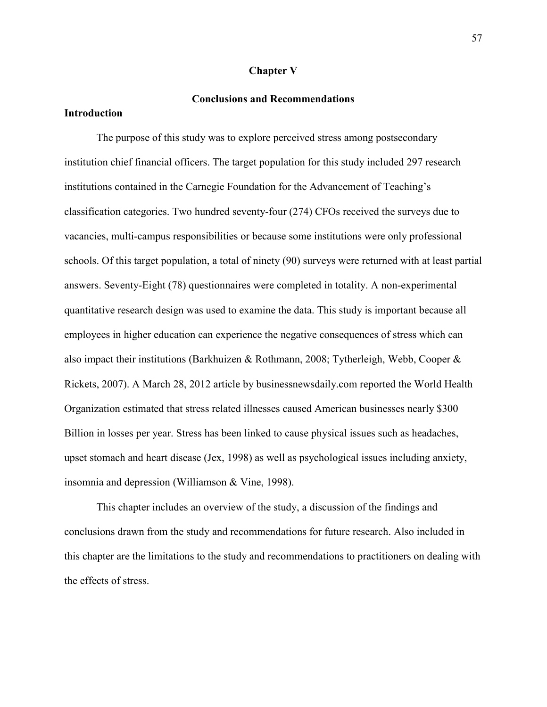#### **Chapter V**

# **Conclusions and Recommendations**

# **Introduction**

 The purpose of this study was to explore perceived stress among postsecondary institution chief financial officers. The target population for this study included 297 research institutions contained in the Carnegie Foundation for the Advancement of Teaching's classification categories. Two hundred seventy-four (274) CFOs received the surveys due to vacancies, multi-campus responsibilities or because some institutions were only professional schools. Of this target population, a total of ninety (90) surveys were returned with at least partial answers. Seventy-Eight (78) questionnaires were completed in totality. A non-experimental quantitative research design was used to examine the data. This study is important because all employees in higher education can experience the negative consequences of stress which can also impact their institutions (Barkhuizen & Rothmann, 2008; Tytherleigh, Webb, Cooper & Rickets, 2007). A March 28, 2012 article by businessnewsdaily.com reported the World Health Organization estimated that stress related illnesses caused American businesses nearly \$300 Billion in losses per year. Stress has been linked to cause physical issues such as headaches, upset stomach and heart disease (Jex, 1998) as well as psychological issues including anxiety, insomnia and depression (Williamson & Vine, 1998).

 This chapter includes an overview of the study, a discussion of the findings and conclusions drawn from the study and recommendations for future research. Also included in this chapter are the limitations to the study and recommendations to practitioners on dealing with the effects of stress.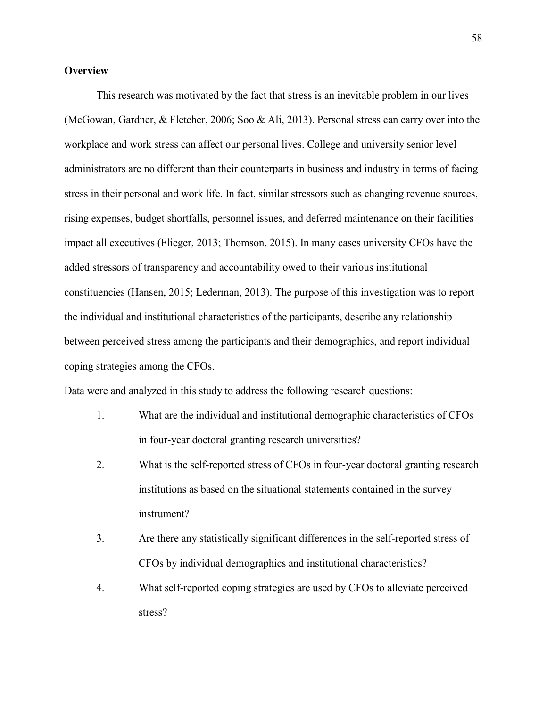# **Overview**

 This research was motivated by the fact that stress is an inevitable problem in our lives (McGowan, Gardner, & Fletcher, 2006; Soo & Ali, 2013). Personal stress can carry over into the workplace and work stress can affect our personal lives. College and university senior level administrators are no different than their counterparts in business and industry in terms of facing stress in their personal and work life. In fact, similar stressors such as changing revenue sources, rising expenses, budget shortfalls, personnel issues, and deferred maintenance on their facilities impact all executives (Flieger, 2013; Thomson, 2015). In many cases university CFOs have the added stressors of transparency and accountability owed to their various institutional constituencies (Hansen, 2015; Lederman, 2013). The purpose of this investigation was to report the individual and institutional characteristics of the participants, describe any relationship between perceived stress among the participants and their demographics, and report individual coping strategies among the CFOs.

Data were and analyzed in this study to address the following research questions:

- 1. What are the individual and institutional demographic characteristics of CFOs in four-year doctoral granting research universities?
- 2. What is the self-reported stress of CFOs in four-year doctoral granting research institutions as based on the situational statements contained in the survey instrument?
- 3. Are there any statistically significant differences in the self-reported stress of CFOs by individual demographics and institutional characteristics?
- 4. What self-reported coping strategies are used by CFOs to alleviate perceived stress?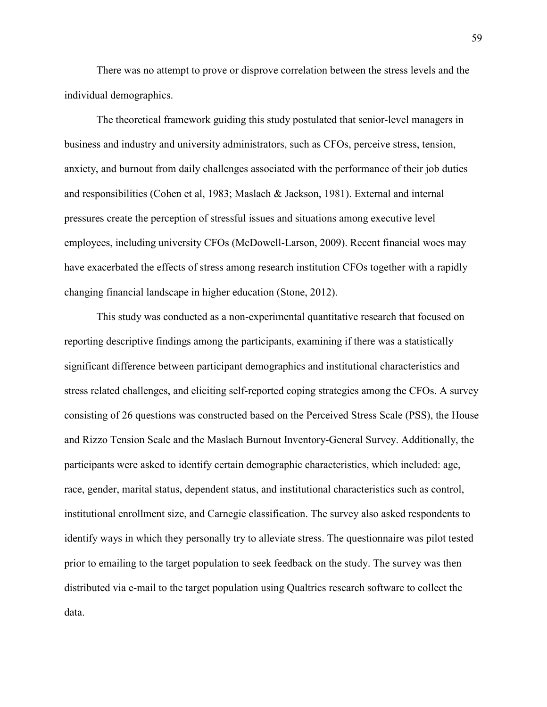There was no attempt to prove or disprove correlation between the stress levels and the individual demographics.

The theoretical framework guiding this study postulated that senior-level managers in business and industry and university administrators, such as CFOs, perceive stress, tension, anxiety, and burnout from daily challenges associated with the performance of their job duties and responsibilities (Cohen et al, 1983; Maslach & Jackson, 1981). External and internal pressures create the perception of stressful issues and situations among executive level employees, including university CFOs (McDowell-Larson, 2009). Recent financial woes may have exacerbated the effects of stress among research institution CFOs together with a rapidly changing financial landscape in higher education (Stone, 2012).

This study was conducted as a non-experimental quantitative research that focused on reporting descriptive findings among the participants, examining if there was a statistically significant difference between participant demographics and institutional characteristics and stress related challenges, and eliciting self-reported coping strategies among the CFOs. A survey consisting of 26 questions was constructed based on the Perceived Stress Scale (PSS), the House and Rizzo Tension Scale and the Maslach Burnout Inventory-General Survey. Additionally, the participants were asked to identify certain demographic characteristics, which included: age, race, gender, marital status, dependent status, and institutional characteristics such as control, institutional enrollment size, and Carnegie classification. The survey also asked respondents to identify ways in which they personally try to alleviate stress. The questionnaire was pilot tested prior to emailing to the target population to seek feedback on the study. The survey was then distributed via e-mail to the target population using Qualtrics research software to collect the data.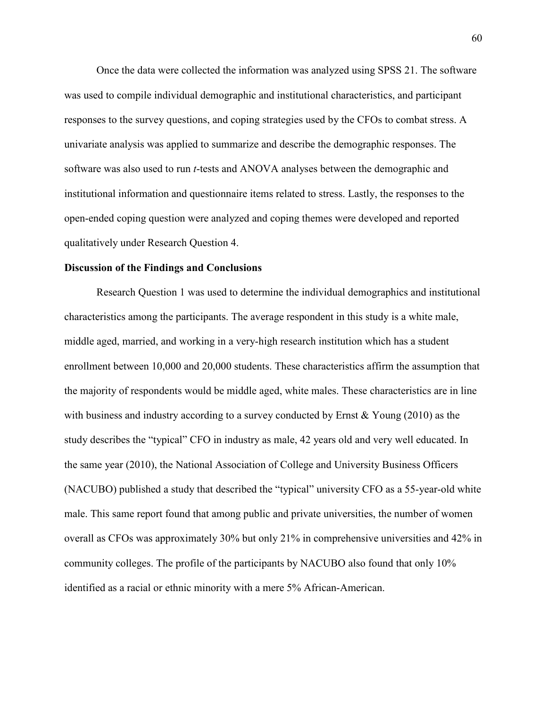Once the data were collected the information was analyzed using SPSS 21. The software was used to compile individual demographic and institutional characteristics, and participant responses to the survey questions, and coping strategies used by the CFOs to combat stress. A univariate analysis was applied to summarize and describe the demographic responses. The software was also used to run *t*-tests and ANOVA analyses between the demographic and institutional information and questionnaire items related to stress. Lastly, the responses to the open-ended coping question were analyzed and coping themes were developed and reported qualitatively under Research Question 4.

#### **Discussion of the Findings and Conclusions**

 Research Question 1 was used to determine the individual demographics and institutional characteristics among the participants. The average respondent in this study is a white male, middle aged, married, and working in a very-high research institution which has a student enrollment between 10,000 and 20,000 students. These characteristics affirm the assumption that the majority of respondents would be middle aged, white males. These characteristics are in line with business and industry according to a survey conducted by Ernst  $\&$  Young (2010) as the study describes the "typical" CFO in industry as male, 42 years old and very well educated. In the same year (2010), the National Association of College and University Business Officers (NACUBO) published a study that described the "typical" university CFO as a 55-year-old white male. This same report found that among public and private universities, the number of women overall as CFOs was approximately 30% but only 21% in comprehensive universities and 42% in community colleges. The profile of the participants by NACUBO also found that only 10% identified as a racial or ethnic minority with a mere 5% African-American.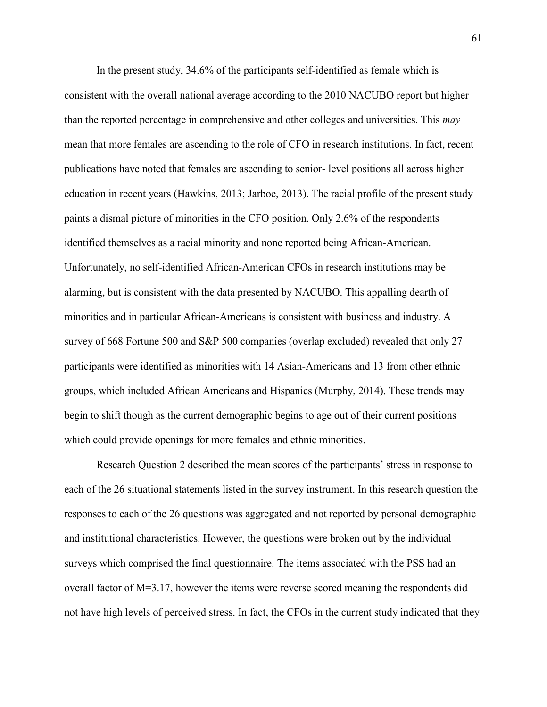In the present study, 34.6% of the participants self-identified as female which is consistent with the overall national average according to the 2010 NACUBO report but higher than the reported percentage in comprehensive and other colleges and universities. This *may* mean that more females are ascending to the role of CFO in research institutions. In fact, recent publications have noted that females are ascending to senior- level positions all across higher education in recent years (Hawkins, 2013; Jarboe, 2013). The racial profile of the present study paints a dismal picture of minorities in the CFO position. Only 2.6% of the respondents identified themselves as a racial minority and none reported being African-American. Unfortunately, no self-identified African-American CFOs in research institutions may be alarming, but is consistent with the data presented by NACUBO. This appalling dearth of minorities and in particular African-Americans is consistent with business and industry. A survey of 668 Fortune 500 and S&P 500 companies (overlap excluded) revealed that only 27 participants were identified as minorities with 14 Asian-Americans and 13 from other ethnic groups, which included African Americans and Hispanics (Murphy, 2014). These trends may begin to shift though as the current demographic begins to age out of their current positions which could provide openings for more females and ethnic minorities.

Research Question 2 described the mean scores of the participants' stress in response to each of the 26 situational statements listed in the survey instrument. In this research question the responses to each of the 26 questions was aggregated and not reported by personal demographic and institutional characteristics. However, the questions were broken out by the individual surveys which comprised the final questionnaire. The items associated with the PSS had an overall factor of M=3.17, however the items were reverse scored meaning the respondents did not have high levels of perceived stress. In fact, the CFOs in the current study indicated that they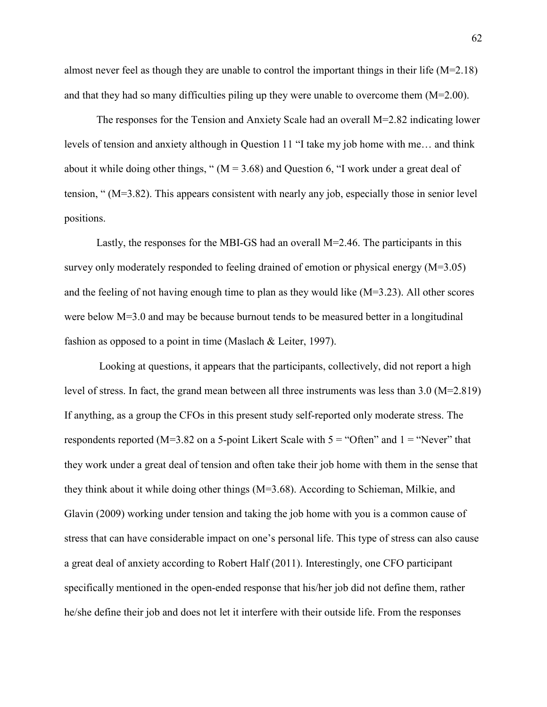almost never feel as though they are unable to control the important things in their life  $(M=2.18)$ and that they had so many difficulties piling up they were unable to overcome them (M=2.00).

The responses for the Tension and Anxiety Scale had an overall M=2.82 indicating lower levels of tension and anxiety although in Question 11 "I take my job home with me… and think about it while doing other things, "  $(M = 3.68)$  and Question 6, "I work under a great deal of tension, " (M=3.82). This appears consistent with nearly any job, especially those in senior level positions.

Lastly, the responses for the MBI-GS had an overall  $M=2.46$ . The participants in this survey only moderately responded to feeling drained of emotion or physical energy (M=3.05) and the feeling of not having enough time to plan as they would like (M=3.23). All other scores were below M=3.0 and may be because burnout tends to be measured better in a longitudinal fashion as opposed to a point in time (Maslach & Leiter, 1997).

 Looking at questions, it appears that the participants, collectively, did not report a high level of stress. In fact, the grand mean between all three instruments was less than 3.0 (M=2.819) If anything, as a group the CFOs in this present study self-reported only moderate stress. The respondents reported (M=3.82 on a 5-point Likert Scale with  $5 =$  "Often" and  $1 =$  "Never" that they work under a great deal of tension and often take their job home with them in the sense that they think about it while doing other things (M=3.68). According to Schieman, Milkie, and Glavin (2009) working under tension and taking the job home with you is a common cause of stress that can have considerable impact on one's personal life. This type of stress can also cause a great deal of anxiety according to Robert Half (2011). Interestingly, one CFO participant specifically mentioned in the open-ended response that his/her job did not define them, rather he/she define their job and does not let it interfere with their outside life. From the responses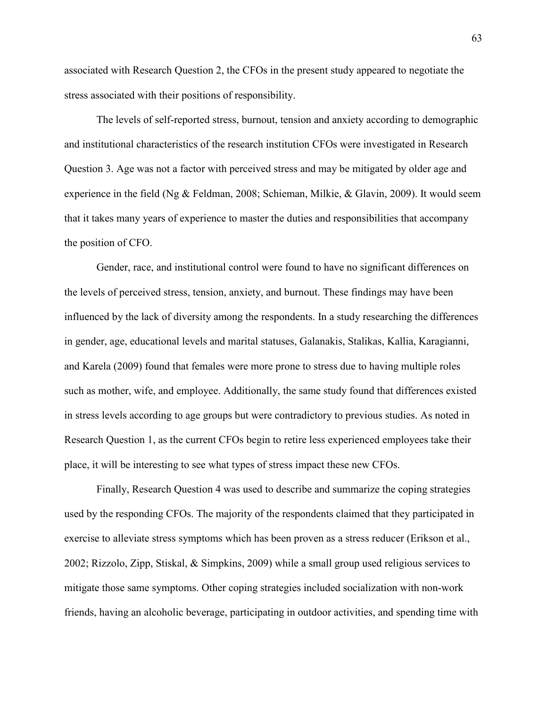associated with Research Question 2, the CFOs in the present study appeared to negotiate the stress associated with their positions of responsibility.

The levels of self-reported stress, burnout, tension and anxiety according to demographic and institutional characteristics of the research institution CFOs were investigated in Research Question 3. Age was not a factor with perceived stress and may be mitigated by older age and experience in the field (Ng & Feldman, 2008; Schieman, Milkie, & Glavin, 2009). It would seem that it takes many years of experience to master the duties and responsibilities that accompany the position of CFO.

Gender, race, and institutional control were found to have no significant differences on the levels of perceived stress, tension, anxiety, and burnout. These findings may have been influenced by the lack of diversity among the respondents. In a study researching the differences in gender, age, educational levels and marital statuses, Galanakis, Stalikas, Kallia, Karagianni, and Karela (2009) found that females were more prone to stress due to having multiple roles such as mother, wife, and employee. Additionally, the same study found that differences existed in stress levels according to age groups but were contradictory to previous studies. As noted in Research Question 1, as the current CFOs begin to retire less experienced employees take their place, it will be interesting to see what types of stress impact these new CFOs.

Finally, Research Question 4 was used to describe and summarize the coping strategies used by the responding CFOs. The majority of the respondents claimed that they participated in exercise to alleviate stress symptoms which has been proven as a stress reducer (Erikson et al., 2002; Rizzolo, Zipp, Stiskal, & Simpkins, 2009) while a small group used religious services to mitigate those same symptoms. Other coping strategies included socialization with non-work friends, having an alcoholic beverage, participating in outdoor activities, and spending time with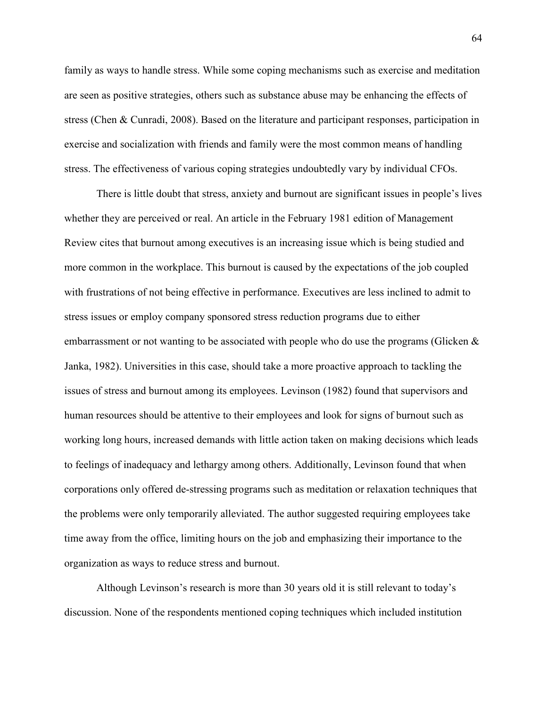family as ways to handle stress. While some coping mechanisms such as exercise and meditation are seen as positive strategies, others such as substance abuse may be enhancing the effects of stress (Chen & Cunradi, 2008). Based on the literature and participant responses, participation in exercise and socialization with friends and family were the most common means of handling stress. The effectiveness of various coping strategies undoubtedly vary by individual CFOs.

There is little doubt that stress, anxiety and burnout are significant issues in people's lives whether they are perceived or real. An article in the February 1981 edition of Management Review cites that burnout among executives is an increasing issue which is being studied and more common in the workplace. This burnout is caused by the expectations of the job coupled with frustrations of not being effective in performance. Executives are less inclined to admit to stress issues or employ company sponsored stress reduction programs due to either embarrassment or not wanting to be associated with people who do use the programs (Glicken  $\&$ Janka, 1982). Universities in this case, should take a more proactive approach to tackling the issues of stress and burnout among its employees. Levinson (1982) found that supervisors and human resources should be attentive to their employees and look for signs of burnout such as working long hours, increased demands with little action taken on making decisions which leads to feelings of inadequacy and lethargy among others. Additionally, Levinson found that when corporations only offered de-stressing programs such as meditation or relaxation techniques that the problems were only temporarily alleviated. The author suggested requiring employees take time away from the office, limiting hours on the job and emphasizing their importance to the organization as ways to reduce stress and burnout.

 Although Levinson's research is more than 30 years old it is still relevant to today's discussion. None of the respondents mentioned coping techniques which included institution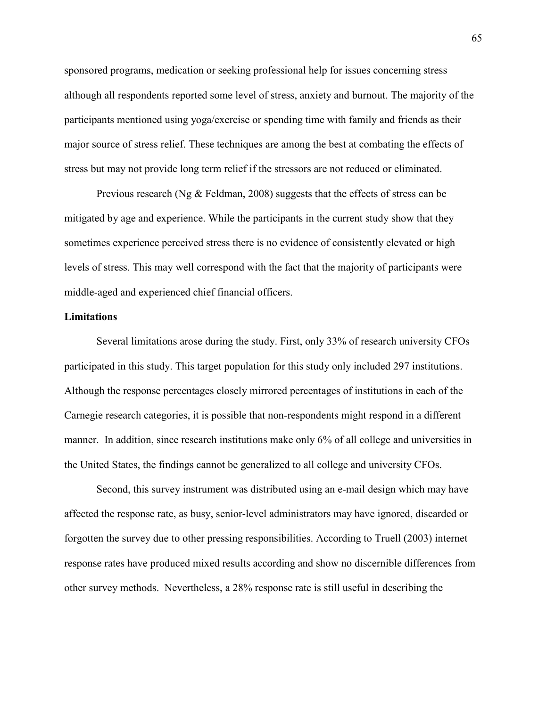sponsored programs, medication or seeking professional help for issues concerning stress although all respondents reported some level of stress, anxiety and burnout. The majority of the participants mentioned using yoga/exercise or spending time with family and friends as their major source of stress relief. These techniques are among the best at combating the effects of stress but may not provide long term relief if the stressors are not reduced or eliminated.

Previous research (Ng & Feldman, 2008) suggests that the effects of stress can be mitigated by age and experience. While the participants in the current study show that they sometimes experience perceived stress there is no evidence of consistently elevated or high levels of stress. This may well correspond with the fact that the majority of participants were middle-aged and experienced chief financial officers.

#### **Limitations**

 Several limitations arose during the study. First, only 33% of research university CFOs participated in this study. This target population for this study only included 297 institutions. Although the response percentages closely mirrored percentages of institutions in each of the Carnegie research categories, it is possible that non-respondents might respond in a different manner. In addition, since research institutions make only 6% of all college and universities in the United States, the findings cannot be generalized to all college and university CFOs.

 Second, this survey instrument was distributed using an e-mail design which may have affected the response rate, as busy, senior-level administrators may have ignored, discarded or forgotten the survey due to other pressing responsibilities. According to Truell (2003) internet response rates have produced mixed results according and show no discernible differences from other survey methods. Nevertheless, a 28% response rate is still useful in describing the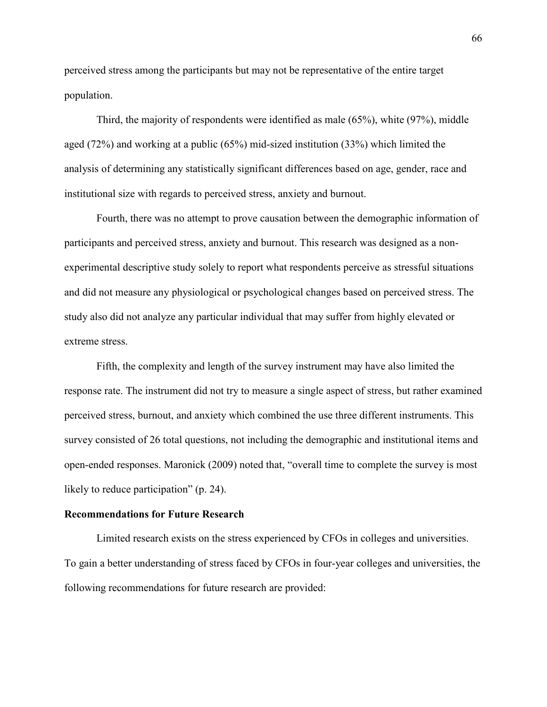perceived stress among the participants but may not be representative of the entire target population.

 Third, the majority of respondents were identified as male (65%), white (97%), middle aged (72%) and working at a public (65%) mid-sized institution (33%) which limited the analysis of determining any statistically significant differences based on age, gender, race and institutional size with regards to perceived stress, anxiety and burnout.

 Fourth, there was no attempt to prove causation between the demographic information of participants and perceived stress, anxiety and burnout. This research was designed as a nonexperimental descriptive study solely to report what respondents perceive as stressful situations and did not measure any physiological or psychological changes based on perceived stress. The study also did not analyze any particular individual that may suffer from highly elevated or extreme stress.

 Fifth, the complexity and length of the survey instrument may have also limited the response rate. The instrument did not try to measure a single aspect of stress, but rather examined perceived stress, burnout, and anxiety which combined the use three different instruments. This survey consisted of 26 total questions, not including the demographic and institutional items and open-ended responses. Maronick (2009) noted that, "overall time to complete the survey is most likely to reduce participation" (p. 24).

#### **Recommendations for Future Research**

 Limited research exists on the stress experienced by CFOs in colleges and universities. To gain a better understanding of stress faced by CFOs in four-year colleges and universities, the following recommendations for future research are provided: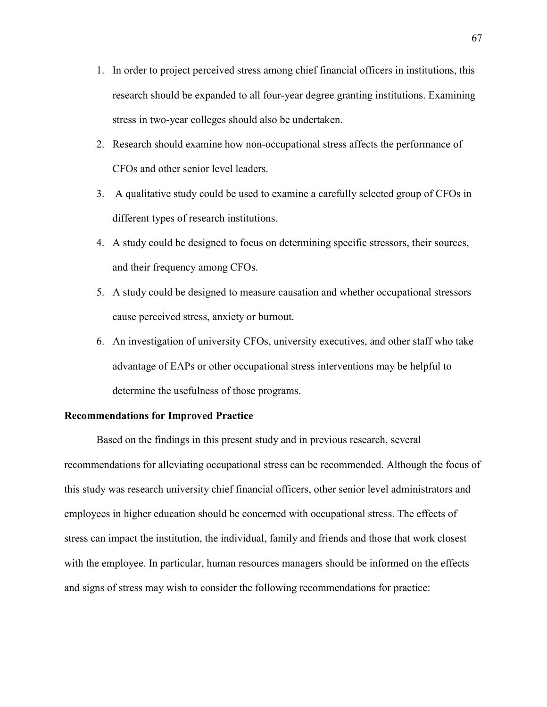- 1. In order to project perceived stress among chief financial officers in institutions, this research should be expanded to all four-year degree granting institutions. Examining stress in two-year colleges should also be undertaken.
- 2. Research should examine how non-occupational stress affects the performance of CFOs and other senior level leaders.
- 3. A qualitative study could be used to examine a carefully selected group of CFOs in different types of research institutions.
- 4. A study could be designed to focus on determining specific stressors, their sources, and their frequency among CFOs.
- 5. A study could be designed to measure causation and whether occupational stressors cause perceived stress, anxiety or burnout.
- 6. An investigation of university CFOs, university executives, and other staff who take advantage of EAPs or other occupational stress interventions may be helpful to determine the usefulness of those programs.

#### **Recommendations for Improved Practice**

 Based on the findings in this present study and in previous research, several recommendations for alleviating occupational stress can be recommended. Although the focus of this study was research university chief financial officers, other senior level administrators and employees in higher education should be concerned with occupational stress. The effects of stress can impact the institution, the individual, family and friends and those that work closest with the employee. In particular, human resources managers should be informed on the effects and signs of stress may wish to consider the following recommendations for practice: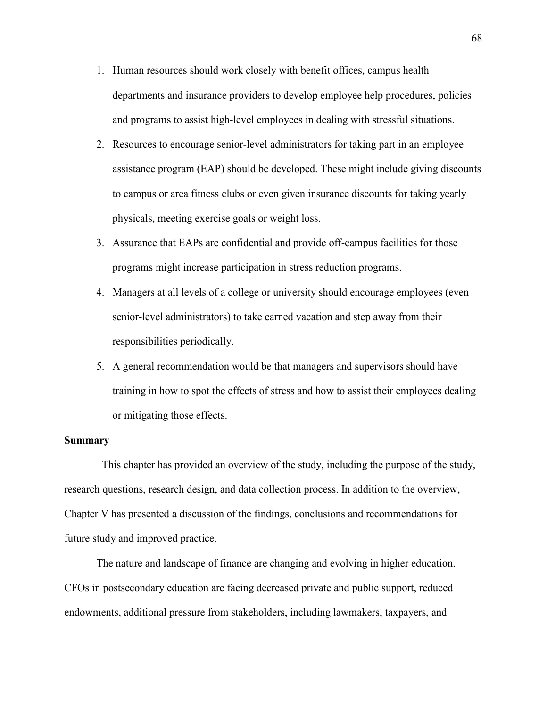- 1. Human resources should work closely with benefit offices, campus health departments and insurance providers to develop employee help procedures, policies and programs to assist high-level employees in dealing with stressful situations.
- 2. Resources to encourage senior-level administrators for taking part in an employee assistance program (EAP) should be developed. These might include giving discounts to campus or area fitness clubs or even given insurance discounts for taking yearly physicals, meeting exercise goals or weight loss.
- 3. Assurance that EAPs are confidential and provide off-campus facilities for those programs might increase participation in stress reduction programs.
- 4. Managers at all levels of a college or university should encourage employees (even senior-level administrators) to take earned vacation and step away from their responsibilities periodically.
- 5. A general recommendation would be that managers and supervisors should have training in how to spot the effects of stress and how to assist their employees dealing or mitigating those effects.

#### **Summary**

 This chapter has provided an overview of the study, including the purpose of the study, research questions, research design, and data collection process. In addition to the overview, Chapter V has presented a discussion of the findings, conclusions and recommendations for future study and improved practice.

The nature and landscape of finance are changing and evolving in higher education. CFOs in postsecondary education are facing decreased private and public support, reduced endowments, additional pressure from stakeholders, including lawmakers, taxpayers, and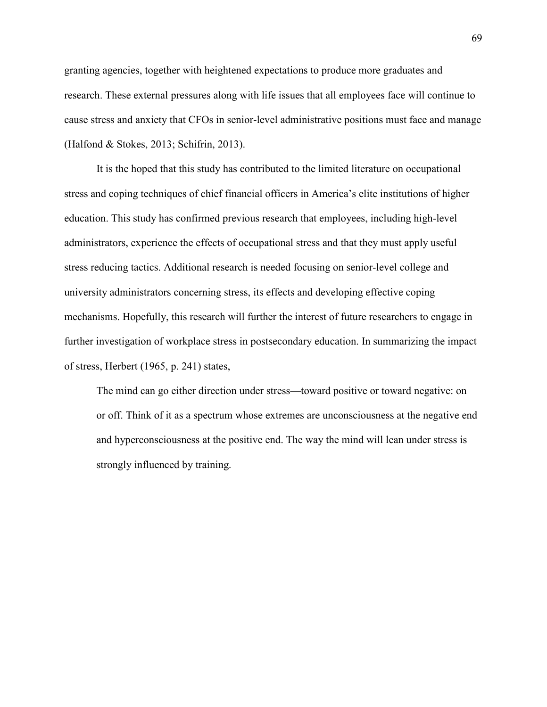granting agencies, together with heightened expectations to produce more graduates and research. These external pressures along with life issues that all employees face will continue to cause stress and anxiety that CFOs in senior-level administrative positions must face and manage (Halfond & Stokes, 2013; Schifrin, 2013).

It is the hoped that this study has contributed to the limited literature on occupational stress and coping techniques of chief financial officers in America's elite institutions of higher education. This study has confirmed previous research that employees, including high-level administrators, experience the effects of occupational stress and that they must apply useful stress reducing tactics. Additional research is needed focusing on senior-level college and university administrators concerning stress, its effects and developing effective coping mechanisms. Hopefully, this research will further the interest of future researchers to engage in further investigation of workplace stress in postsecondary education. In summarizing the impact of stress, Herbert (1965, p. 241) states,

The mind can go either direction under stress—toward positive or toward negative: on or off. Think of it as a spectrum whose extremes are unconsciousness at the negative end and hyperconsciousness at the positive end. The way the mind will lean under stress is strongly influenced by training.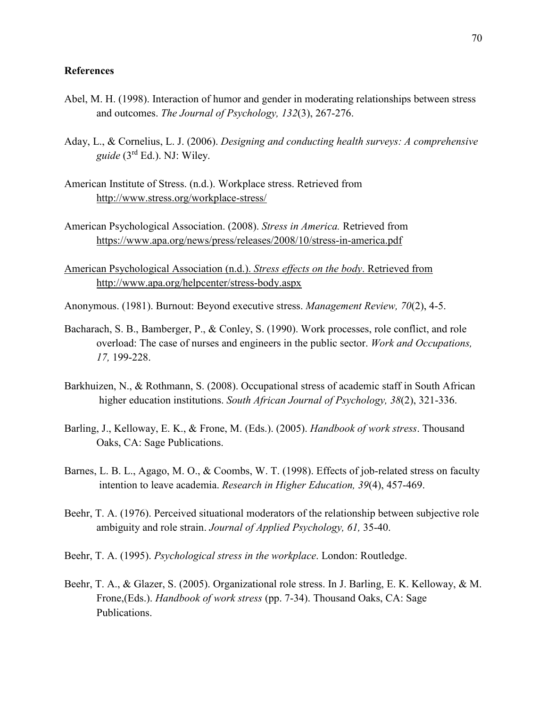#### **References**

- Abel, M. H. (1998). Interaction of humor and gender in moderating relationships between stress and outcomes. *The Journal of Psychology, 132*(3), 267-276.
- Aday, L., & Cornelius, L. J. (2006). *Designing and conducting health surveys: A comprehensive guide* (3rd Ed.). NJ: Wiley.
- American Institute of Stress. (n.d.). Workplace stress. Retrieved from http://www.stress.org/workplace-stress/
- American Psychological Association. (2008). *Stress in America.* Retrieved from https://www.apa.org/news/press/releases/2008/10/stress-in-america.pdf
- American Psychological Association (n.d.). *Stress effects on the body*. Retrieved from http://www.apa.org/helpcenter/stress-body.aspx
- Anonymous. (1981). Burnout: Beyond executive stress. *Management Review, 70*(2), 4-5.
- Bacharach, S. B., Bamberger, P., & Conley, S. (1990). Work processes, role conflict, and role overload: The case of nurses and engineers in the public sector. *Work and Occupations, 17,* 199-228.
- Barkhuizen, N., & Rothmann, S. (2008). Occupational stress of academic staff in South African higher education institutions. *South African Journal of Psychology, 38*(2), 321-336.
- Barling, J., Kelloway, E. K., & Frone, M. (Eds.). (2005). *Handbook of work stress*. Thousand Oaks, CA: Sage Publications.
- Barnes, L. B. L., Agago, M. O., & Coombs, W. T. (1998). Effects of job-related stress on faculty intention to leave academia. *Research in Higher Education, 39*(4), 457-469.
- Beehr, T. A. (1976). Perceived situational moderators of the relationship between subjective role ambiguity and role strain. *Journal of Applied Psychology, 61,* 35-40.
- Beehr, T. A. (1995). *Psychological stress in the workplace*. London: Routledge.
- Beehr, T. A., & Glazer, S. (2005). Organizational role stress. In J. Barling, E. K. Kelloway, & M. Frone,(Eds.). *Handbook of work stress* (pp. 7-34). Thousand Oaks, CA: Sage Publications.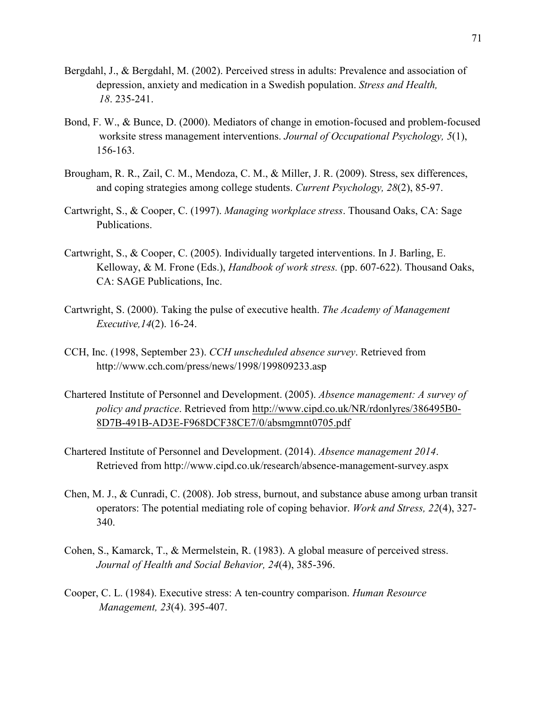- Bergdahl, J., & Bergdahl, M. (2002). Perceived stress in adults: Prevalence and association of depression, anxiety and medication in a Swedish population. *Stress and Health, 18*. 235-241.
- Bond, F. W., & Bunce, D. (2000). Mediators of change in emotion-focused and problem-focused worksite stress management interventions. *Journal of Occupational Psychology, 5*(1), 156-163.
- Brougham, R. R., Zail, C. M., Mendoza, C. M., & Miller, J. R. (2009). Stress, sex differences, and coping strategies among college students. *Current Psychology, 28*(2), 85-97.
- Cartwright, S., & Cooper, C. (1997). *Managing workplace stress*. Thousand Oaks, CA: Sage Publications.
- Cartwright, S., & Cooper, C. (2005). Individually targeted interventions. In J. Barling, E. Kelloway, & M. Frone (Eds.), *Handbook of work stress.* (pp. 607-622). Thousand Oaks, CA: SAGE Publications, Inc.
- Cartwright, S. (2000). Taking the pulse of executive health. *The Academy of Management Executive,14*(2). 16-24.
- CCH, Inc. (1998, September 23). *CCH unscheduled absence survey*. Retrieved from http://www.cch.com/press/news/1998/199809233.asp
- Chartered Institute of Personnel and Development. (2005). *Absence management: A survey of policy and practice*. Retrieved from http://www.cipd.co.uk/NR/rdonlyres/386495B0- 8D7B-491B-AD3E-F968DCF38CE7/0/absmgmnt0705.pdf
- Chartered Institute of Personnel and Development. (2014). *Absence management 2014*. Retrieved from http://www.cipd.co.uk/research/absence-management-survey.aspx
- Chen, M. J., & Cunradi, C. (2008). Job stress, burnout, and substance abuse among urban transit operators: The potential mediating role of coping behavior. *Work and Stress, 22*(4), 327- 340.
- Cohen, S., Kamarck, T., & Mermelstein, R. (1983). A global measure of perceived stress. *Journal of Health and Social Behavior, 24*(4), 385-396.
- Cooper, C. L. (1984). Executive stress: A ten-country comparison. *Human Resource Management, 23*(4). 395-407.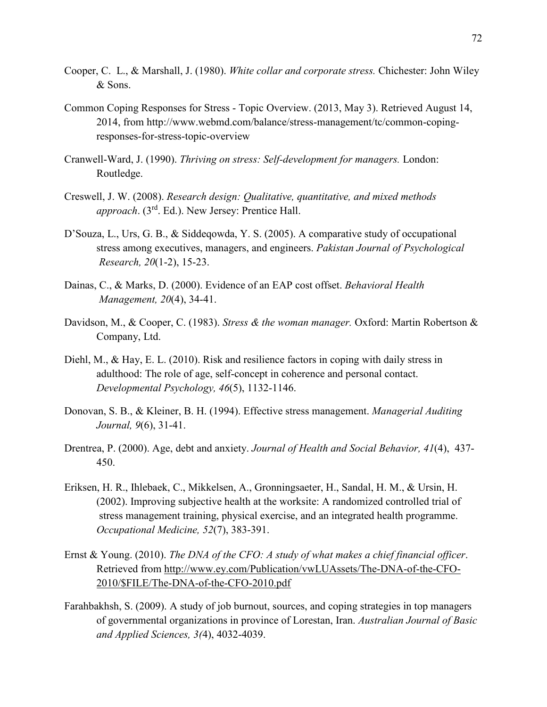- Cooper, C. L., & Marshall, J. (1980). *White collar and corporate stress.* Chichester: John Wiley & Sons.
- Common Coping Responses for Stress Topic Overview. (2013, May 3). Retrieved August 14, 2014, from http://www.webmd.com/balance/stress-management/tc/common-copingresponses-for-stress-topic-overview
- Cranwell-Ward, J. (1990). *Thriving on stress: Self-development for managers.* London: Routledge.
- Creswell, J. W. (2008). *Research design: Qualitative, quantitative, and mixed methods approach*. (3rd. Ed.). New Jersey: Prentice Hall.
- D'Souza, L., Urs, G. B., & Siddeqowda, Y. S. (2005). A comparative study of occupational stress among executives, managers, and engineers. *Pakistan Journal of Psychological Research, 20*(1-2), 15-23.
- Dainas, C., & Marks, D. (2000). Evidence of an EAP cost offset. *Behavioral Health Management, 20*(4), 34-41.
- Davidson, M., & Cooper, C. (1983). *Stress & the woman manager.* Oxford: Martin Robertson & Company, Ltd.
- Diehl, M., & Hay, E. L. (2010). Risk and resilience factors in coping with daily stress in adulthood: The role of age, self-concept in coherence and personal contact. *Developmental Psychology, 46*(5), 1132-1146.
- Donovan, S. B., & Kleiner, B. H. (1994). Effective stress management. *Managerial Auditing Journal, 9*(6), 31-41.
- Drentrea, P. (2000). Age, debt and anxiety. *Journal of Health and Social Behavior, 41*(4), 437- 450.
- Eriksen, H. R., Ihlebaek, C., Mikkelsen, A., Gronningsaeter, H., Sandal, H. M., & Ursin, H. (2002). Improving subjective health at the worksite: A randomized controlled trial of stress management training, physical exercise, and an integrated health programme. *Occupational Medicine, 52*(7), 383-391.
- Ernst & Young. (2010). *The DNA of the CFO: A study of what makes a chief financial officer*. Retrieved from http://www.ey.com/Publication/vwLUAssets/The-DNA-of-the-CFO- 2010/\$FILE/The-DNA-of-the-CFO-2010.pdf
- Farahbakhsh, S. (2009). A study of job burnout, sources, and coping strategies in top managers of governmental organizations in province of Lorestan, Iran. *Australian Journal of Basic and Applied Sciences, 3(*4), 4032-4039.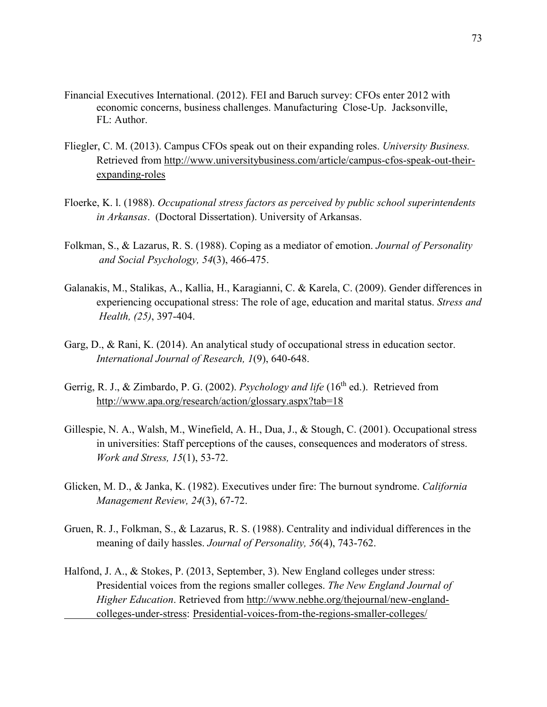- Financial Executives International. (2012). FEI and Baruch survey: CFOs enter 2012 with economic concerns, business challenges. Manufacturing Close-Up. Jacksonville, FL: Author.
- Fliegler, C. M. (2013). Campus CFOs speak out on their expanding roles. *University Business.*  Retrieved from http://www.universitybusiness.com/article/campus-cfos-speak-out-their expanding-roles
- Floerke, K. l. (1988). *Occupational stress factors as perceived by public school superintendents in Arkansas*. (Doctoral Dissertation). University of Arkansas.
- Folkman, S., & Lazarus, R. S. (1988). Coping as a mediator of emotion. *Journal of Personality and Social Psychology, 54*(3), 466-475.
- Galanakis, M., Stalikas, A., Kallia, H., Karagianni, C. & Karela, C. (2009). Gender differences in experiencing occupational stress: The role of age, education and marital status. *Stress and Health, (25)*, 397-404.
- Garg, D., & Rani, K. (2014). An analytical study of occupational stress in education sector. *International Journal of Research, 1*(9), 640-648.
- Gerrig, R. J., & Zimbardo, P. G. (2002). *Psychology and life* (16<sup>th</sup> ed.). Retrieved from http://www.apa.org/research/action/glossary.aspx?tab=18
- Gillespie, N. A., Walsh, M., Winefield, A. H., Dua, J., & Stough, C. (2001). Occupational stress in universities: Staff perceptions of the causes, consequences and moderators of stress. *Work and Stress, 15*(1), 53-72.
- Glicken, M. D., & Janka, K. (1982). Executives under fire: The burnout syndrome. *California Management Review, 24*(3), 67-72.
- Gruen, R. J., Folkman, S., & Lazarus, R. S. (1988). Centrality and individual differences in the meaning of daily hassles. *Journal of Personality, 56*(4), 743-762.
- Halfond, J. A., & Stokes, P. (2013, September, 3). New England colleges under stress: Presidential voices from the regions smaller colleges. *The New England Journal of Higher Education*. Retrieved from http://www.nebhe.org/thejournal/new-england colleges-under-stress: Presidential-voices-from-the-regions-smaller-colleges/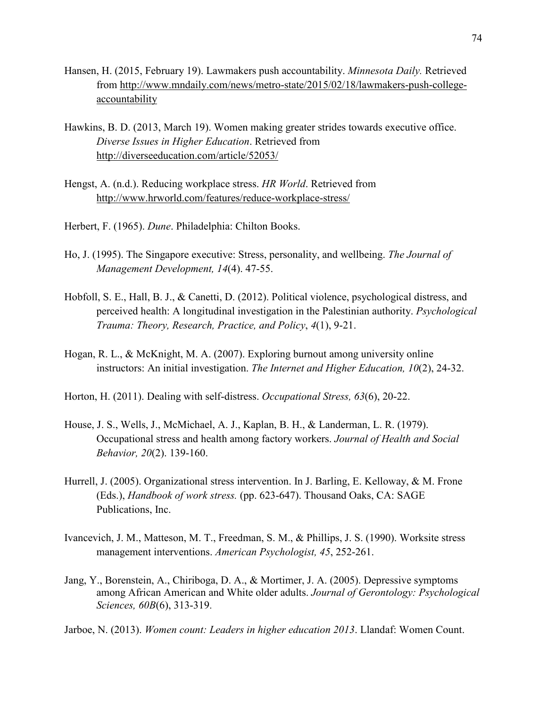- Hansen, H. (2015, February 19). Lawmakers push accountability. *Minnesota Daily.* Retrieved from http://www.mndaily.com/news/metro-state/2015/02/18/lawmakers-push-college accountability
- Hawkins, B. D. (2013, March 19). Women making greater strides towards executive office. *Diverse Issues in Higher Education*. Retrieved from http://diverseeducation.com/article/52053/
- Hengst, A. (n.d.). Reducing workplace stress. *HR World*. Retrieved from http://www.hrworld.com/features/reduce-workplace-stress/
- Herbert, F. (1965). *Dune*. Philadelphia: Chilton Books.
- Ho, J. (1995). The Singapore executive: Stress, personality, and wellbeing. *The Journal of Management Development, 14*(4). 47-55.
- Hobfoll, S. E., Hall, B. J., & Canetti, D. (2012). Political violence, psychological distress, and perceived health: A longitudinal investigation in the Palestinian authority. *Psychological Trauma: Theory, Research, Practice, and Policy*, *4*(1), 9-21.
- Hogan, R. L., & McKnight, M. A. (2007). Exploring burnout among university online instructors: An initial investigation. *The Internet and Higher Education, 10*(2), 24-32.
- Horton, H. (2011). Dealing with self-distress. *Occupational Stress, 63*(6), 20-22.
- House, J. S., Wells, J., McMichael, A. J., Kaplan, B. H., & Landerman, L. R. (1979). Occupational stress and health among factory workers. *Journal of Health and Social Behavior, 20*(2). 139-160.
- Hurrell, J. (2005). Organizational stress intervention. In J. Barling, E. Kelloway, & M. Frone (Eds.), *Handbook of work stress.* (pp. 623-647). Thousand Oaks, CA: SAGE Publications, Inc.
- Ivancevich, J. M., Matteson, M. T., Freedman, S. M., & Phillips, J. S. (1990). Worksite stress management interventions. *American Psychologist, 45*, 252-261.
- Jang, Y., Borenstein, A., Chiriboga, D. A., & Mortimer, J. A. (2005). Depressive symptoms among African American and White older adults. *Journal of Gerontology: Psychological Sciences, 60B*(6), 313-319.
- Jarboe, N. (2013). *Women count: Leaders in higher education 2013*. Llandaf: Women Count.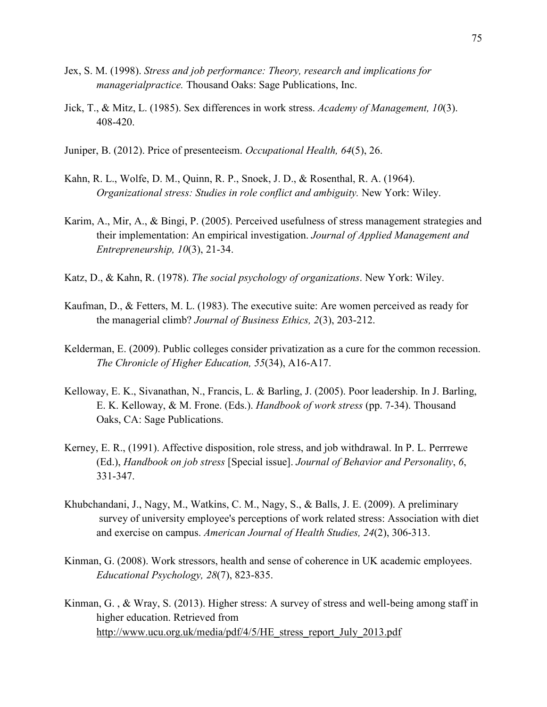- Jex, S. M. (1998). *Stress and job performance: Theory, research and implications for managerialpractice.* Thousand Oaks: Sage Publications, Inc.
- Jick, T., & Mitz, L. (1985). Sex differences in work stress. *Academy of Management, 10*(3). 408-420.
- Juniper, B. (2012). Price of presenteeism. *Occupational Health, 64*(5), 26.
- Kahn, R. L., Wolfe, D. M., Quinn, R. P., Snoek, J. D., & Rosenthal, R. A. (1964). *Organizational stress: Studies in role conflict and ambiguity.* New York: Wiley.
- Karim, A., Mir, A., & Bingi, P. (2005). Perceived usefulness of stress management strategies and their implementation: An empirical investigation. *Journal of Applied Management and Entrepreneurship, 10*(3), 21-34.
- Katz, D., & Kahn, R. (1978). *The social psychology of organizations*. New York: Wiley.
- Kaufman, D., & Fetters, M. L. (1983). The executive suite: Are women perceived as ready for the managerial climb? *Journal of Business Ethics, 2*(3), 203-212.
- Kelderman, E. (2009). Public colleges consider privatization as a cure for the common recession.  *The Chronicle of Higher Education, 55*(34), A16-A17.
- Kelloway, E. K., Sivanathan, N., Francis, L. & Barling, J. (2005). Poor leadership. In J. Barling, E. K. Kelloway, & M. Frone. (Eds.). *Handbook of work stress* (pp. 7-34). Thousand Oaks, CA: Sage Publications.
- Kerney, E. R., (1991). Affective disposition, role stress, and job withdrawal. In P. L. Perrrewe (Ed.), *Handbook on job stress* [Special issue]. *Journal of Behavior and Personality*, *6*, 331-347.
- Khubchandani, J., Nagy, M., Watkins, C. M., Nagy, S., & Balls, J. E. (2009). A preliminary survey of university employee's perceptions of work related stress: Association with diet and exercise on campus. *American Journal of Health Studies, 24*(2), 306-313.
- Kinman, G. (2008). Work stressors, health and sense of coherence in UK academic employees. *Educational Psychology, 28*(7), 823-835.
- Kinman, G. , & Wray, S. (2013). Higher stress: A survey of stress and well-being among staff in higher education. Retrieved from http://www.ucu.org.uk/media/pdf/4/5/HE\_stress\_report\_July\_2013.pdf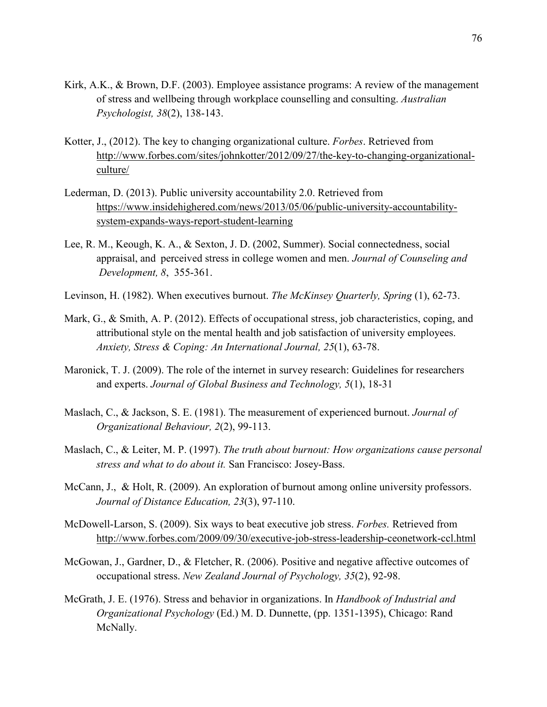- Kirk, A.K., & Brown, D.F. (2003). Employee assistance programs: A review of the management of stress and wellbeing through workplace counselling and consulting. *Australian Psychologist, 38*(2), 138-143.
- Kotter, J., (2012). The key to changing organizational culture. *Forbes*. Retrieved from http://www.forbes.com/sites/johnkotter/2012/09/27/the-key-to-changing-organizational culture/
- Lederman, D. (2013). Public university accountability 2.0. Retrieved from https://www.insidehighered.com/news/2013/05/06/public-university-accountability system-expands-ways-report-student-learning
- Lee, R. M., Keough, K. A., & Sexton, J. D. (2002, Summer). Social connectedness, social appraisal, and perceived stress in college women and men. *Journal of Counseling and Development, 8*, 355-361.
- Levinson, H. (1982). When executives burnout. *The McKinsey Quarterly, Spring* (1), 62-73.
- Mark, G., & Smith, A. P. (2012). Effects of occupational stress, job characteristics, coping, and attributional style on the mental health and job satisfaction of university employees. *Anxiety, Stress & Coping: An International Journal, 25*(1), 63-78.
- Maronick, T. J. (2009). The role of the internet in survey research: Guidelines for researchers and experts. *Journal of Global Business and Technology, 5*(1), 18-31
- Maslach, C., & Jackson, S. E. (1981). The measurement of experienced burnout. *Journal of Organizational Behaviour, 2*(2), 99-113.
- Maslach, C., & Leiter, M. P. (1997). *The truth about burnout: How organizations cause personal stress and what to do about it.* San Francisco: Josey-Bass.
- McCann, J., & Holt, R. (2009). An exploration of burnout among online university professors. *Journal of Distance Education, 23*(3), 97-110.
- McDowell-Larson, S. (2009). Six ways to beat executive job stress. *Forbes.* Retrieved from http://www.forbes.com/2009/09/30/executive-job-stress-leadership-ceonetwork-ccl.html
- McGowan, J., Gardner, D., & Fletcher, R. (2006). Positive and negative affective outcomes of occupational stress. *New Zealand Journal of Psychology, 35*(2), 92-98.
- McGrath, J. E. (1976). Stress and behavior in organizations. In *Handbook of Industrial and Organizational Psychology* (Ed.) M. D. Dunnette, (pp. 1351-1395), Chicago: Rand McNally.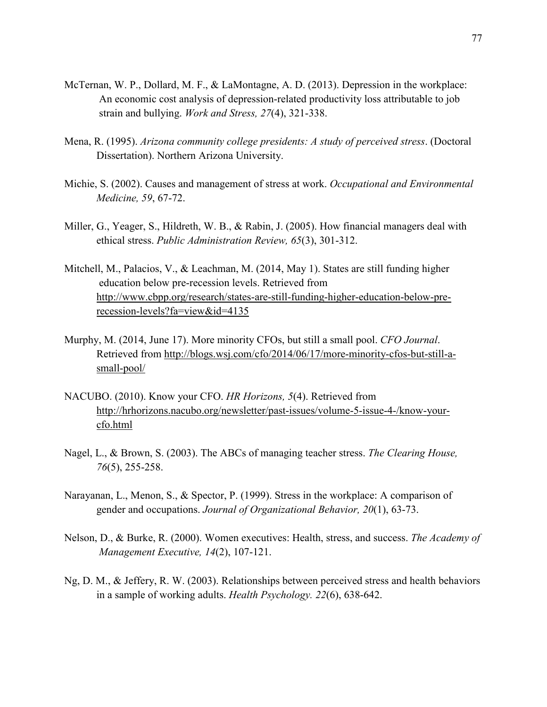- McTernan, W. P., Dollard, M. F., & LaMontagne, A. D. (2013). Depression in the workplace: An economic cost analysis of depression-related productivity loss attributable to job strain and bullying. *Work and Stress, 27*(4), 321-338.
- Mena, R. (1995). *Arizona community college presidents: A study of perceived stress*. (Doctoral Dissertation). Northern Arizona University.
- Michie, S. (2002). Causes and management of stress at work. *Occupational and Environmental Medicine, 59*, 67-72.
- Miller, G., Yeager, S., Hildreth, W. B., & Rabin, J. (2005). How financial managers deal with ethical stress. *Public Administration Review, 65*(3), 301-312.
- Mitchell, M., Palacios, V., & Leachman, M. (2014, May 1). States are still funding higher education below pre-recession levels. Retrieved from http://www.cbpp.org/research/states-are-still-funding-higher-education-below-pre recession-levels?fa=view&id=4135
- Murphy, M. (2014, June 17). More minority CFOs, but still a small pool. *CFO Journal*. Retrieved from http://blogs.wsj.com/cfo/2014/06/17/more-minority-cfos-but-still-a small-pool/
- NACUBO. (2010). Know your CFO. *HR Horizons, 5*(4). Retrieved from http://hrhorizons.nacubo.org/newsletter/past-issues/volume-5-issue-4-/know-your cfo.html
- Nagel, L., & Brown, S. (2003). The ABCs of managing teacher stress. *The Clearing House, 76*(5), 255-258.
- Narayanan, L., Menon, S., & Spector, P. (1999). Stress in the workplace: A comparison of gender and occupations. *Journal of Organizational Behavior, 20*(1), 63-73.
- Nelson, D., & Burke, R. (2000). Women executives: Health, stress, and success. *The Academy of Management Executive, 14*(2), 107-121.
- Ng, D. M., & Jeffery, R. W. (2003). Relationships between perceived stress and health behaviors in a sample of working adults. *Health Psychology. 22*(6), 638-642.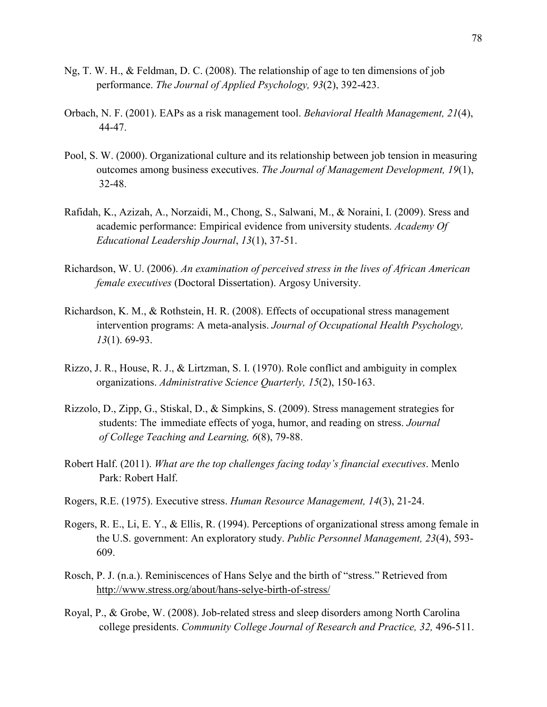- Ng, T. W. H., & Feldman, D. C. (2008). The relationship of age to ten dimensions of job performance. *The Journal of Applied Psychology, 93*(2), 392-423.
- Orbach, N. F. (2001). EAPs as a risk management tool. *Behavioral Health Management, 21*(4), 44-47.
- Pool, S. W. (2000). Organizational culture and its relationship between job tension in measuring outcomes among business executives. *The Journal of Management Development, 19*(1), 32-48.
- Rafidah, K., Azizah, A., Norzaidi, M., Chong, S., Salwani, M., & Noraini, I. (2009). Sress and academic performance: Empirical evidence from university students. *Academy Of Educational Leadership Journal*, *13*(1), 37-51.
- Richardson, W. U. (2006). *An examination of perceived stress in the lives of African American female executives* (Doctoral Dissertation). Argosy University.
- Richardson, K. M., & Rothstein, H. R. (2008). Effects of occupational stress management intervention programs: A meta-analysis. *Journal of Occupational Health Psychology, 13*(1). 69-93.
- Rizzo, J. R., House, R. J., & Lirtzman, S. I. (1970). Role conflict and ambiguity in complex organizations. *Administrative Science Quarterly, 15*(2), 150-163.
- Rizzolo, D., Zipp, G., Stiskal, D., & Simpkins, S. (2009). Stress management strategies for students: The immediate effects of yoga, humor, and reading on stress. *Journal of College Teaching and Learning, 6*(8), 79-88.
- Robert Half. (2011). *What are the top challenges facing today's financial executives*. Menlo Park: Robert Half.
- Rogers, R.E. (1975). Executive stress. *Human Resource Management, 14*(3), 21-24.
- Rogers, R. E., Li, E. Y., & Ellis, R. (1994). Perceptions of organizational stress among female in the U.S. government: An exploratory study. *Public Personnel Management, 23*(4), 593- 609.
- Rosch, P. J. (n.a.). Reminiscences of Hans Selye and the birth of "stress." Retrieved from http://www.stress.org/about/hans-selye-birth-of-stress/
- Royal, P., & Grobe, W. (2008). Job-related stress and sleep disorders among North Carolina college presidents. *Community College Journal of Research and Practice, 32,* 496-511.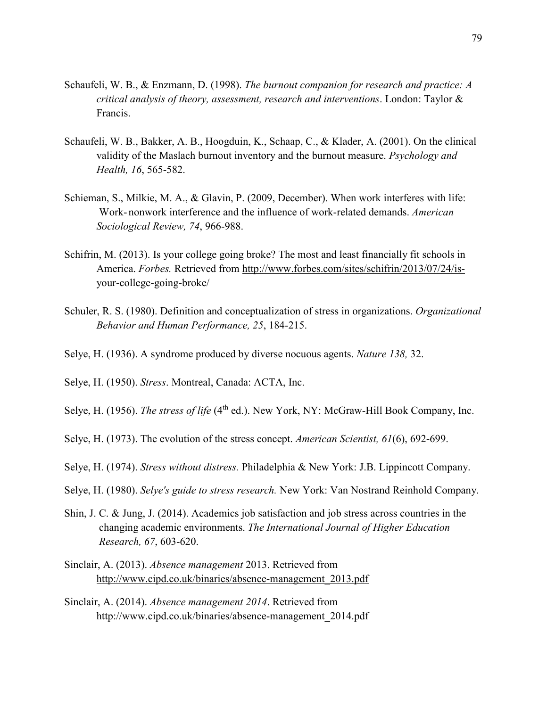- Schaufeli, W. B., & Enzmann, D. (1998). *The burnout companion for research and practice: A critical analysis of theory, assessment, research and interventions*. London: Taylor & Francis.
- Schaufeli, W. B., Bakker, A. B., Hoogduin, K., Schaap, C., & Klader, A. (2001). On the clinical validity of the Maslach burnout inventory and the burnout measure. *Psychology and Health, 16*, 565-582.
- Schieman, S., Milkie, M. A., & Glavin, P. (2009, December). When work interferes with life: Work- nonwork interference and the influence of work-related demands. *American Sociological Review, 74*, 966-988.
- Schifrin, M. (2013). Is your college going broke? The most and least financially fit schools in America. *Forbes.* Retrieved from http://www.forbes.com/sites/schifrin/2013/07/24/is your-college-going-broke/
- Schuler, R. S. (1980). Definition and conceptualization of stress in organizations. *Organizational Behavior and Human Performance, 25*, 184-215.
- Selye, H. (1936). A syndrome produced by diverse nocuous agents. *Nature 138,* 32.
- Selye, H. (1950). *Stress*. Montreal, Canada: ACTA, Inc.
- Selye, H. (1956). *The stress of life* (4<sup>th</sup> ed.). New York, NY: McGraw-Hill Book Company, Inc.
- Selye, H. (1973). The evolution of the stress concept. *American Scientist, 61*(6), 692-699.
- Selye, H. (1974). *Stress without distress.* Philadelphia & New York: J.B. Lippincott Company.
- Selye, H. (1980). *Selye's guide to stress research.* New York: Van Nostrand Reinhold Company.
- Shin, J. C. & Jung, J. (2014). Academics job satisfaction and job stress across countries in the changing academic environments. *The International Journal of Higher Education Research, 67*, 603-620.
- Sinclair, A. (2013). *Absence management* 2013. Retrieved from http://www.cipd.co.uk/binaries/absence-management\_2013.pdf
- Sinclair, A. (2014). *Absence management 2014*. Retrieved from http://www.cipd.co.uk/binaries/absence-management\_2014.pdf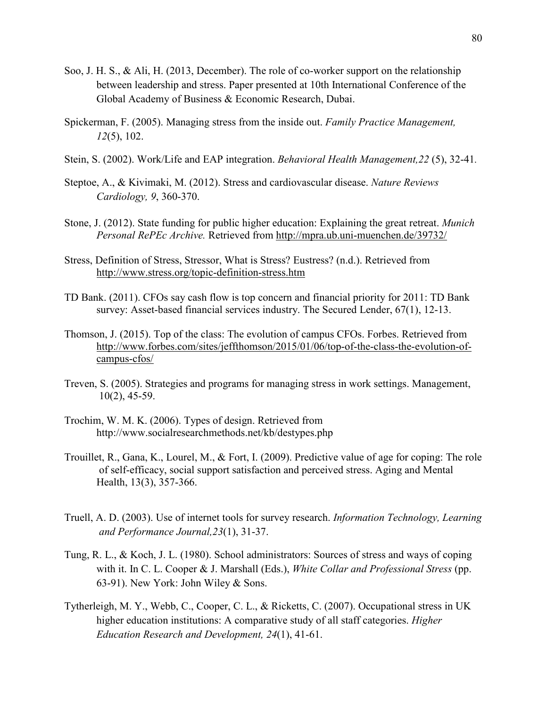- Soo, J. H. S., & Ali, H. (2013, December). The role of co-worker support on the relationship between leadership and stress. Paper presented at 10th International Conference of the Global Academy of Business & Economic Research, Dubai.
- Spickerman, F. (2005). Managing stress from the inside out. *Family Practice Management, 12*(5), 102.
- Stein, S. (2002). Work/Life and EAP integration. *Behavioral Health Management,22* (5), 32-41*.*
- Steptoe, A., & Kivimaki, M. (2012). Stress and cardiovascular disease. *Nature Reviews Cardiology, 9*, 360-370.
- Stone, J. (2012). State funding for public higher education: Explaining the great retreat. *Munich Personal RePEc Archive.* Retrieved from http://mpra.ub.uni-muenchen.de/39732/
- Stress, Definition of Stress, Stressor, What is Stress? Eustress? (n.d.). Retrieved from http://www.stress.org/topic-definition-stress.htm
- TD Bank. (2011). CFOs say cash flow is top concern and financial priority for 2011: TD Bank survey: Asset-based financial services industry. The Secured Lender, 67(1), 12-13.
- Thomson, J. (2015). Top of the class: The evolution of campus CFOs. Forbes. Retrieved from http://www.forbes.com/sites/jeffthomson/2015/01/06/top-of-the-class-the-evolution-of campus-cfos/
- Treven, S. (2005). Strategies and programs for managing stress in work settings. Management, 10(2), 45-59.
- Trochim, W. M. K. (2006). Types of design. Retrieved from http://www.socialresearchmethods.net/kb/destypes.php
- Trouillet, R., Gana, K., Lourel, M., & Fort, I. (2009). Predictive value of age for coping: The role of self-efficacy, social support satisfaction and perceived stress. Aging and Mental Health, 13(3), 357-366.
- Truell, A. D. (2003). Use of internet tools for survey research. *Information Technology, Learning and Performance Journal,23*(1), 31-37.
- Tung, R. L., & Koch, J. L. (1980). School administrators: Sources of stress and ways of coping with it. In C. L. Cooper & J. Marshall (Eds.), *White Collar and Professional Stress* (pp. 63-91). New York: John Wiley & Sons.
- Tytherleigh, M. Y., Webb, C., Cooper, C. L., & Ricketts, C. (2007). Occupational stress in UK higher education institutions: A comparative study of all staff categories. *Higher Education Research and Development, 24*(1), 41-61.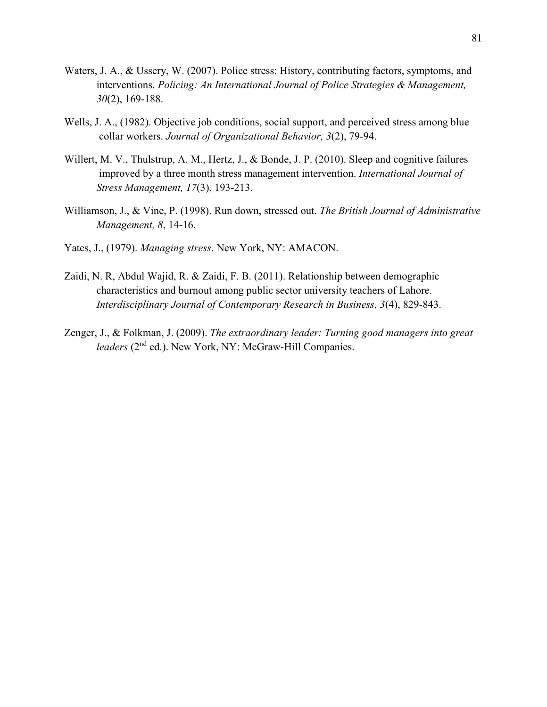- Waters, J. A., & Ussery, W. (2007). Police stress: History, contributing factors, symptoms, and interventions. *Policing: An International Journal of Police Strategies & Management, 30*(2), 169-188.
- Wells, J. A., (1982). Objective job conditions, social support, and perceived stress among blue collar workers. *Journal of Organizational Behavior, 3*(2), 79-94.
- Willert, M. V., Thulstrup, A. M., Hertz, J., & Bonde, J. P. (2010). Sleep and cognitive failures improved by a three month stress management intervention. *International Journal of Stress Management, 17*(3), 193-213.
- Williamson, J., & Vine, P. (1998). Run down, stressed out. *The British Journal of Administrative Management, 8*, 14-16.
- Yates, J., (1979). *Managing stress*. New York, NY: AMACON.
- Zaidi, N. R, Abdul Wajid, R. & Zaidi, F. B. (2011). Relationship between demographic characteristics and burnout among public sector university teachers of Lahore. *Interdisciplinary Journal of Contemporary Research in Business, 3*(4), 829-843.
- Zenger, J., & Folkman, J. (2009). *The extraordinary leader: Turning good managers into great leaders* (2<sup>nd</sup> ed.). New York, NY: McGraw-Hill Companies.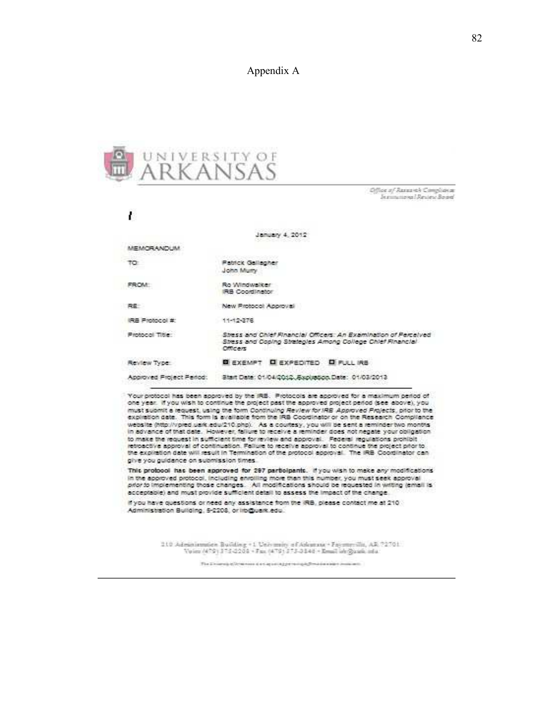### Appendix A



Office of Research Compliance Jeanne nova i Review Board

ı January 4, 2012 MEMORANDUM. **Patrick Gallegher** TO: John Muny FROM: Ro Windwalker IRB Coordinator RE New Protocol Approval IRB Protocol #: 11-12-276 Protocol Title: Stress and Chief Financial Officers: An Examination of Perceived Stress and Coping Strategies Among College Chief Financial Officers Review Type: **EXEMPT EXPEDITED EFULLIRE** Start Date: 01/04/2012 .Explostop.Date: 01/03/2013 Approved Project Period:

Your protocol has been approved by the IRE. Protocols are approved for a maximum period of one year. If you wish to continue the project past the approved project period (see above), you must submit a request, using the form Continuing Review for IRB Approved Projects, prior to the explicition date. This form is available from the IRB Coordinator or on the Research Compliance website (http://vpied.uark.edu/210.php). As a courtesy, you will be sent a reminder two months in advance of that date. However, failure to receive a reminder does not negate your obligation to make the request in sufficient time for review and approval. Federal regulations prohibit retroactive approval of continuation. Failure to receive approval to continue the project prior to the explisition date will result in Termination of the protocol approval. The IRB Coordinator can give you guidance on submission times.

This protocol has been approved for 297 participants. If you wish to make any modifications in the approved protocol, including enrolling more than this number, you must seek approval prior to implementing those changes. All modifications should be requested in writing (email is acceptable) and must provide sufficient detail to assess the impact of the change.

If you have questions or need any assistance from the IRB, please contact me at 210 Administration Building, 5-2208, or iroguark edu.

210 Administration Building +1 University of Advances + Fayster ville, AR 72701.<br>Voice (479) 373-2208 + Fex (479) 373-3848 + Email ish@assk.cda

The Division of Divisions discussed appendix physicial extent contains to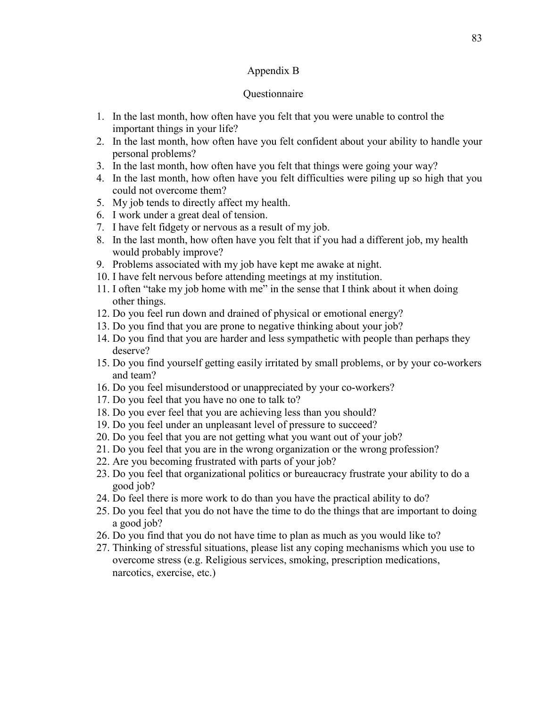### Appendix B

#### Questionnaire

- 1. In the last month, how often have you felt that you were unable to control the important things in your life?
- 2. In the last month, how often have you felt confident about your ability to handle your personal problems?
- 3. In the last month, how often have you felt that things were going your way?
- 4. In the last month, how often have you felt difficulties were piling up so high that you could not overcome them?
- 5. My job tends to directly affect my health.
- 6. I work under a great deal of tension.
- 7. I have felt fidgety or nervous as a result of my job.
- 8. In the last month, how often have you felt that if you had a different job, my health would probably improve?
- 9. Problems associated with my job have kept me awake at night.
- 10. I have felt nervous before attending meetings at my institution.
- 11. I often "take my job home with me" in the sense that I think about it when doing other things.
- 12. Do you feel run down and drained of physical or emotional energy?
- 13. Do you find that you are prone to negative thinking about your job?
- 14. Do you find that you are harder and less sympathetic with people than perhaps they deserve?
- 15. Do you find yourself getting easily irritated by small problems, or by your co-workers and team?
- 16. Do you feel misunderstood or unappreciated by your co-workers?
- 17. Do you feel that you have no one to talk to?
- 18. Do you ever feel that you are achieving less than you should?
- 19. Do you feel under an unpleasant level of pressure to succeed?
- 20. Do you feel that you are not getting what you want out of your job?
- 21. Do you feel that you are in the wrong organization or the wrong profession?
- 22. Are you becoming frustrated with parts of your job?
- 23. Do you feel that organizational politics or bureaucracy frustrate your ability to do a good job?
- 24. Do feel there is more work to do than you have the practical ability to do?
- 25. Do you feel that you do not have the time to do the things that are important to doing a good job?
- 26. Do you find that you do not have time to plan as much as you would like to?
- 27. Thinking of stressful situations, please list any coping mechanisms which you use to overcome stress (e.g. Religious services, smoking, prescription medications, narcotics, exercise, etc.)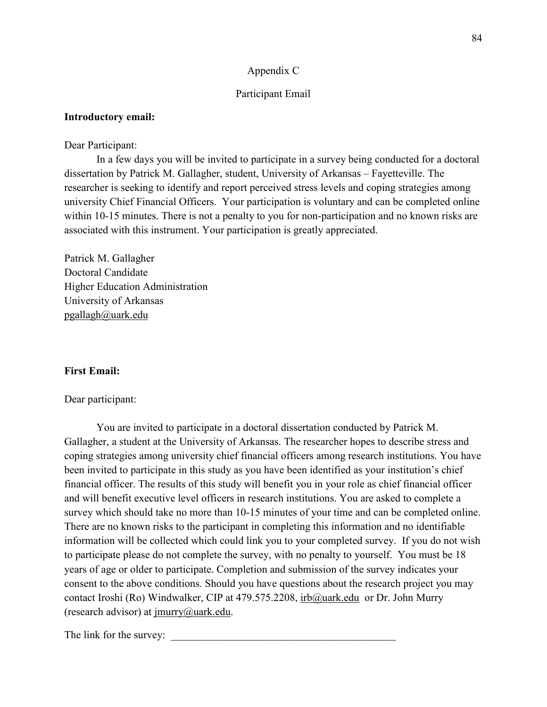### Appendix C

### Participant Email

### **Introductory email:**

#### Dear Participant:

 In a few days you will be invited to participate in a survey being conducted for a doctoral dissertation by Patrick M. Gallagher, student, University of Arkansas – Fayetteville. The researcher is seeking to identify and report perceived stress levels and coping strategies among university Chief Financial Officers. Your participation is voluntary and can be completed online within 10-15 minutes. There is not a penalty to you for non-participation and no known risks are associated with this instrument. Your participation is greatly appreciated.

Patrick M. Gallagher Doctoral Candidate Higher Education Administration University of Arkansas pgallagh@uark.edu

### **First Email:**

#### Dear participant:

 You are invited to participate in a doctoral dissertation conducted by Patrick M. Gallagher, a student at the University of Arkansas. The researcher hopes to describe stress and coping strategies among university chief financial officers among research institutions. You have been invited to participate in this study as you have been identified as your institution's chief financial officer. The results of this study will benefit you in your role as chief financial officer and will benefit executive level officers in research institutions. You are asked to complete a survey which should take no more than 10-15 minutes of your time and can be completed online. There are no known risks to the participant in completing this information and no identifiable information will be collected which could link you to your completed survey. If you do not wish to participate please do not complete the survey, with no penalty to yourself. You must be 18 years of age or older to participate. Completion and submission of the survey indicates your consent to the above conditions. Should you have questions about the research project you may contact Iroshi (Ro) Windwalker, CIP at 479.575.2208, irb@uark.edu or Dr. John Murry (research advisor) at jmurry@uark.edu.

The link for the survey: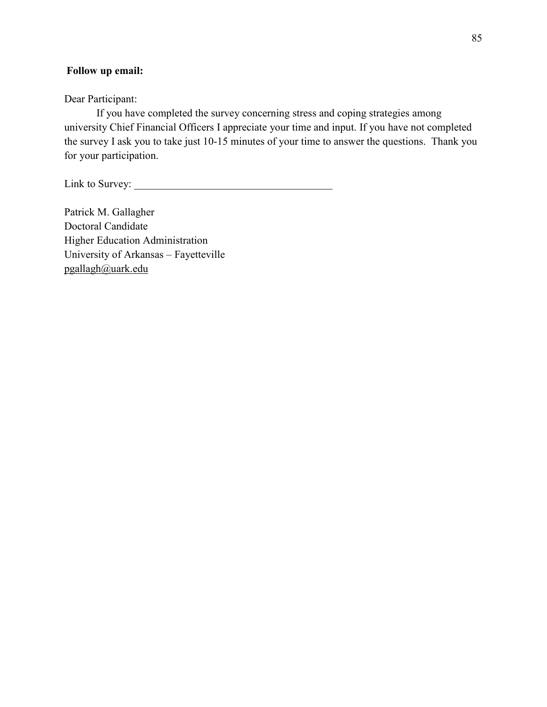### **Follow up email:**

Dear Participant:

 If you have completed the survey concerning stress and coping strategies among university Chief Financial Officers I appreciate your time and input. If you have not completed the survey I ask you to take just 10-15 minutes of your time to answer the questions. Thank you for your participation.

Link to Survey:

Patrick M. Gallagher Doctoral Candidate Higher Education Administration University of Arkansas – Fayetteville pgallagh@uark.edu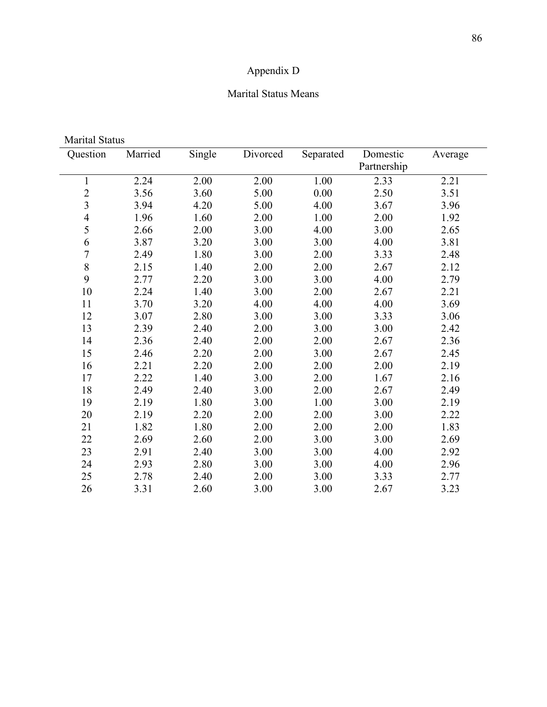# Appendix D

### Marital Status Means

| Question                | Married | Single | Divorced | Separated | Domestic    | Average |
|-------------------------|---------|--------|----------|-----------|-------------|---------|
|                         |         |        |          |           | Partnership |         |
| $\mathbf{1}$            | 2.24    | 2.00   | 2.00     | 1.00      | 2.33        | 2.21    |
| $\overline{c}$          | 3.56    | 3.60   | 5.00     | 0.00      | 2.50        | 3.51    |
| $\overline{\mathbf{3}}$ | 3.94    | 4.20   | 5.00     | 4.00      | 3.67        | 3.96    |
| $\overline{4}$          | 1.96    | 1.60   | 2.00     | 1.00      | 2.00        | 1.92    |
| 5                       | 2.66    | 2.00   | 3.00     | 4.00      | 3.00        | 2.65    |
| 6                       | 3.87    | 3.20   | 3.00     | 3.00      | 4.00        | 3.81    |
| $\overline{7}$          | 2.49    | 1.80   | 3.00     | 2.00      | 3.33        | 2.48    |
| $\,$ $\,$               | 2.15    | 1.40   | 2.00     | 2.00      | 2.67        | 2.12    |
| 9                       | 2.77    | 2.20   | 3.00     | 3.00      | 4.00        | 2.79    |
| 10                      | 2.24    | 1.40   | 3.00     | 2.00      | 2.67        | 2.21    |
| 11                      | 3.70    | 3.20   | 4.00     | 4.00      | 4.00        | 3.69    |
| 12                      | 3.07    | 2.80   | 3.00     | 3.00      | 3.33        | 3.06    |
| 13                      | 2.39    | 2.40   | 2.00     | 3.00      | 3.00        | 2.42    |
| 14                      | 2.36    | 2.40   | 2.00     | 2.00      | 2.67        | 2.36    |
| 15                      | 2.46    | 2.20   | 2.00     | 3.00      | 2.67        | 2.45    |
| 16                      | 2.21    | 2.20   | 2.00     | 2.00      | 2.00        | 2.19    |
| 17                      | 2.22    | 1.40   | 3.00     | 2.00      | 1.67        | 2.16    |
| 18                      | 2.49    | 2.40   | 3.00     | 2.00      | 2.67        | 2.49    |
| 19                      | 2.19    | 1.80   | 3.00     | 1.00      | 3.00        | 2.19    |
| 20                      | 2.19    | 2.20   | 2.00     | 2.00      | 3.00        | 2.22    |
| 21                      | 1.82    | 1.80   | 2.00     | 2.00      | 2.00        | 1.83    |
| 22                      | 2.69    | 2.60   | 2.00     | 3.00      | 3.00        | 2.69    |
| 23                      | 2.91    | 2.40   | 3.00     | 3.00      | 4.00        | 2.92    |
| 24                      | 2.93    | 2.80   | 3.00     | 3.00      | 4.00        | 2.96    |
| 25                      | 2.78    | 2.40   | 2.00     | 3.00      | 3.33        | 2.77    |
| 26                      | 3.31    | 2.60   | 3.00     | 3.00      | 2.67        | 3.23    |

Marital Status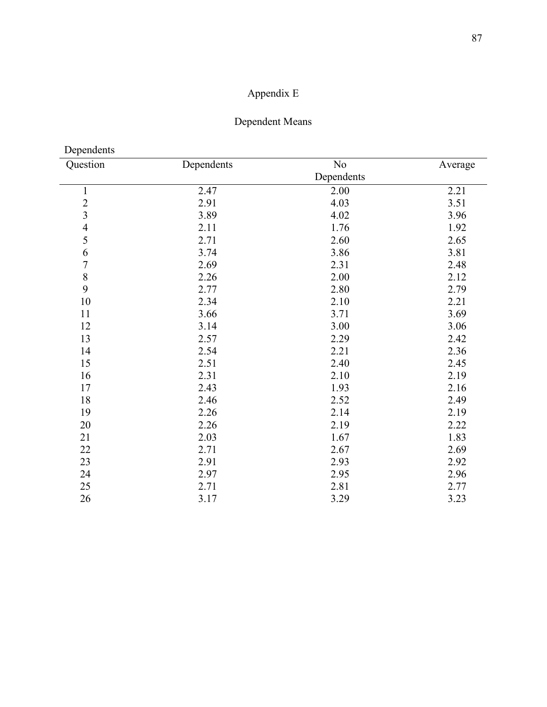# Appendix E

# Dependent Means

Dependents

| Question                 | Dependents | No         | Average |
|--------------------------|------------|------------|---------|
|                          |            | Dependents |         |
| $\mathbf{1}$             | 2.47       | 2.00       | 2.21    |
|                          | 2.91       | 4.03       | 3.51    |
| $\frac{2}{3}$            | 3.89       | 4.02       | 3.96    |
| $\overline{\mathcal{L}}$ | 2.11       | 1.76       | 1.92    |
| 5                        | 2.71       | 2.60       | 2.65    |
| 6                        | 3.74       | 3.86       | 3.81    |
| $\overline{7}$           | 2.69       | 2.31       | 2.48    |
| 8                        | 2.26       | 2.00       | 2.12    |
| 9                        | 2.77       | 2.80       | 2.79    |
| 10                       | 2.34       | 2.10       | 2.21    |
| 11                       | 3.66       | 3.71       | 3.69    |
| 12                       | 3.14       | 3.00       | 3.06    |
| 13                       | 2.57       | 2.29       | 2.42    |
| 14                       | 2.54       | 2.21       | 2.36    |
| 15                       | 2.51       | 2.40       | 2.45    |
| 16                       | 2.31       | 2.10       | 2.19    |
| 17                       | 2.43       | 1.93       | 2.16    |
| 18                       | 2.46       | 2.52       | 2.49    |
| 19                       | 2.26       | 2.14       | 2.19    |
| 20                       | 2.26       | 2.19       | 2.22    |
| 21                       | 2.03       | 1.67       | 1.83    |
| 22                       | 2.71       | 2.67       | 2.69    |
| 23                       | 2.91       | 2.93       | 2.92    |
| 24                       | 2.97       | 2.95       | 2.96    |
| 25                       | 2.71       | 2.81       | 2.77    |
| 26                       | 3.17       | 3.29       | 3.23    |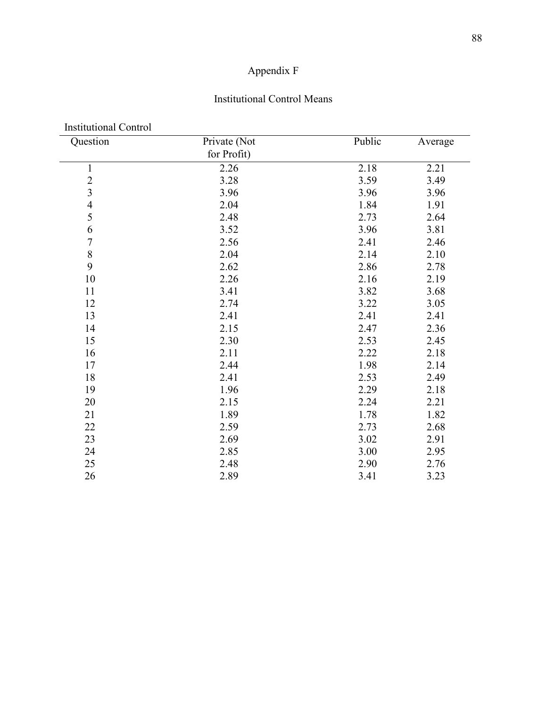# Appendix F

### Institutional Control Means

| <b>Institutional Control</b><br>Question   | Private (Not | Public | Average |
|--------------------------------------------|--------------|--------|---------|
|                                            | for Profit)  |        |         |
|                                            | 2.26         | 2.18   |         |
| $\mathbf{1}$                               |              |        | 2.21    |
| $\begin{array}{c} 2 \\ 3 \\ 4 \end{array}$ | 3.28         | 3.59   | 3.49    |
|                                            | 3.96         | 3.96   | 3.96    |
|                                            | 2.04         | 1.84   | 1.91    |
| 5                                          | 2.48         | 2.73   | 2.64    |
| 6                                          | 3.52         | 3.96   | 3.81    |
| $\overline{7}$                             | 2.56         | 2.41   | 2.46    |
| 8                                          | 2.04         | 2.14   | 2.10    |
| 9                                          | 2.62         | 2.86   | 2.78    |
| 10                                         | 2.26         | 2.16   | 2.19    |
| 11                                         | 3.41         | 3.82   | 3.68    |
| 12                                         | 2.74         | 3.22   | 3.05    |
| 13                                         | 2.41         | 2.41   | 2.41    |
| 14                                         | 2.15         | 2.47   | 2.36    |
| 15                                         | 2.30         | 2.53   | 2.45    |
| 16                                         | 2.11         | 2.22   | 2.18    |
| 17                                         | 2.44         | 1.98   | 2.14    |
| 18                                         | 2.41         | 2.53   | 2.49    |
| 19                                         | 1.96         | 2.29   | 2.18    |
| 20                                         | 2.15         | 2.24   | 2.21    |
| 21                                         | 1.89         | 1.78   | 1.82    |
| 22                                         | 2.59         | 2.73   | 2.68    |
| 23                                         | 2.69         | 3.02   | 2.91    |
| 24                                         | 2.85         | 3.00   | 2.95    |
| 25                                         | 2.48         | 2.90   | 2.76    |
| 26                                         | 2.89         | 3.41   | 3.23    |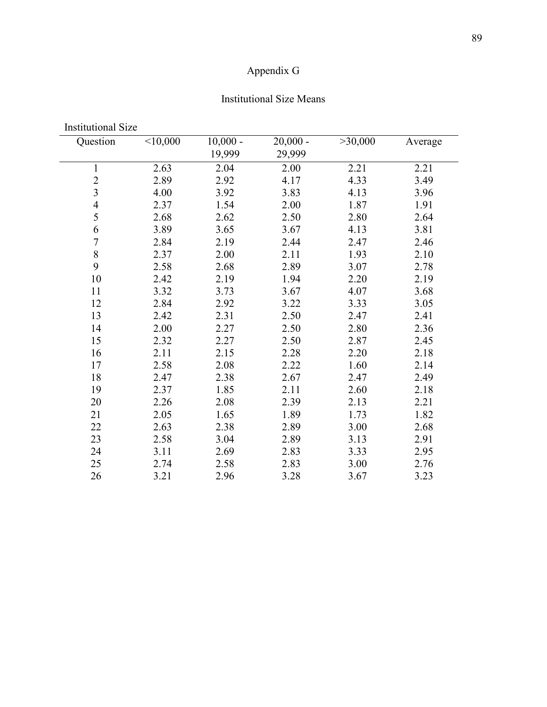# Appendix G

### Institutional Size Means

| <b>Institutional Size</b> |          |                      |                      |         |         |
|---------------------------|----------|----------------------|----------------------|---------|---------|
| Question                  | < 10,000 | $10,000 -$<br>19,999 | $20,000 -$<br>29,999 | >30,000 | Average |
| $\mathbf{1}$              | 2.63     | 2.04                 | 2.00                 | 2.21    | 2.21    |
| $\overline{c}$            | 2.89     | 2.92                 | 4.17                 | 4.33    | 3.49    |
| $\overline{3}$            | 4.00     | 3.92                 | 3.83                 | 4.13    | 3.96    |
| $\overline{4}$            | 2.37     | 1.54                 | 2.00                 | 1.87    | 1.91    |
| 5                         | 2.68     | 2.62                 | 2.50                 | 2.80    | 2.64    |
| 6                         | 3.89     | 3.65                 | 3.67                 | 4.13    | 3.81    |
| $\overline{7}$            | 2.84     | 2.19                 | 2.44                 | 2.47    | 2.46    |
| 8                         | 2.37     | 2.00                 | 2.11                 | 1.93    | 2.10    |
| 9                         | 2.58     | 2.68                 | 2.89                 | 3.07    | 2.78    |
| 10                        | 2.42     | 2.19                 | 1.94                 | 2.20    | 2.19    |
| 11                        | 3.32     | 3.73                 | 3.67                 | 4.07    | 3.68    |
| 12                        | 2.84     | 2.92                 | 3.22                 | 3.33    | 3.05    |
| 13                        | 2.42     | 2.31                 | 2.50                 | 2.47    | 2.41    |
| 14                        | 2.00     | 2.27                 | 2.50                 | 2.80    | 2.36    |
| 15                        | 2.32     | 2.27                 | 2.50                 | 2.87    | 2.45    |
| 16                        | 2.11     | 2.15                 | 2.28                 | 2.20    | 2.18    |
| 17                        | 2.58     | 2.08                 | 2.22                 | 1.60    | 2.14    |
| 18                        | 2.47     | 2.38                 | 2.67                 | 2.47    | 2.49    |
| 19                        | 2.37     | 1.85                 | 2.11                 | 2.60    | 2.18    |
| 20                        | 2.26     | 2.08                 | 2.39                 | 2.13    | 2.21    |
| 21                        | 2.05     | 1.65                 | 1.89                 | 1.73    | 1.82    |
| 22                        | 2.63     | 2.38                 | 2.89                 | 3.00    | 2.68    |
| 23                        | 2.58     | 3.04                 | 2.89                 | 3.13    | 2.91    |
| 24                        | 3.11     | 2.69                 | 2.83                 | 3.33    | 2.95    |
| 25                        | 2.74     | 2.58                 | 2.83                 | 3.00    | 2.76    |
| 26                        | 3.21     | 2.96                 | 3.28                 | 3.67    | 3.23    |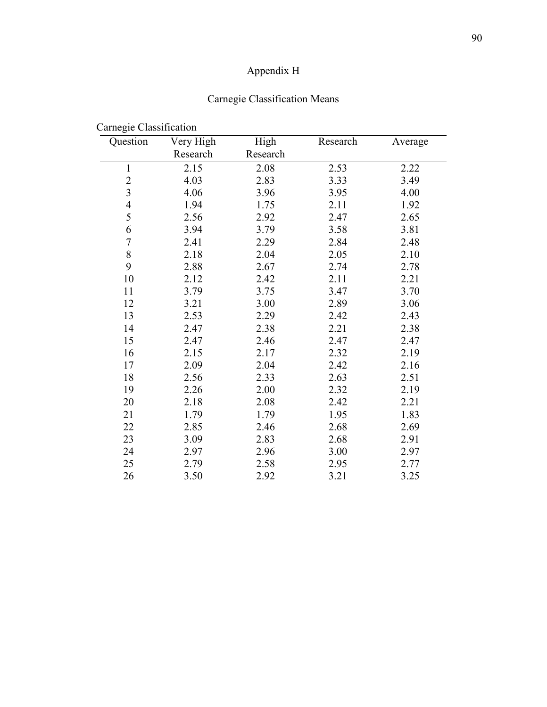# Appendix H

## Carnegie Classification Means

| Question                | Very High | High     | Research | Average |
|-------------------------|-----------|----------|----------|---------|
|                         | Research  | Research |          |         |
| 1                       | 2.15      | 2.08     | 2.53     | 2.22    |
| $\overline{2}$          | 4.03      | 2.83     | 3.33     | 3.49    |
| $\overline{\mathbf{3}}$ | 4.06      | 3.96     | 3.95     | 4.00    |
| $\overline{4}$          | 1.94      | 1.75     | 2.11     | 1.92    |
| 5                       | 2.56      | 2.92     | 2.47     | 2.65    |
| 6                       | 3.94      | 3.79     | 3.58     | 3.81    |
| $\overline{7}$          | 2.41      | 2.29     | 2.84     | 2.48    |
| 8                       | 2.18      | 2.04     | 2.05     | 2.10    |
| 9                       | 2.88      | 2.67     | 2.74     | 2.78    |
| 10                      | 2.12      | 2.42     | 2.11     | 2.21    |
| 11                      | 3.79      | 3.75     | 3.47     | 3.70    |
| 12                      | 3.21      | 3.00     | 2.89     | 3.06    |
| 13                      | 2.53      | 2.29     | 2.42     | 2.43    |
| 14                      | 2.47      | 2.38     | 2.21     | 2.38    |
| 15                      | 2.47      | 2.46     | 2.47     | 2.47    |
| 16                      | 2.15      | 2.17     | 2.32     | 2.19    |
| 17                      | 2.09      | 2.04     | 2.42     | 2.16    |
| 18                      | 2.56      | 2.33     | 2.63     | 2.51    |
| 19                      | 2.26      | 2.00     | 2.32     | 2.19    |
| 20                      | 2.18      | 2.08     | 2.42     | 2.21    |
| 21                      | 1.79      | 1.79     | 1.95     | 1.83    |
| 22                      | 2.85      | 2.46     | 2.68     | 2.69    |
| 23                      | 3.09      | 2.83     | 2.68     | 2.91    |
| 24                      | 2.97      | 2.96     | 3.00     | 2.97    |
| 25                      | 2.79      | 2.58     | 2.95     | 2.77    |
| 26                      | 3.50      | 2.92     | 3.21     | 3.25    |

## Carnegie Classification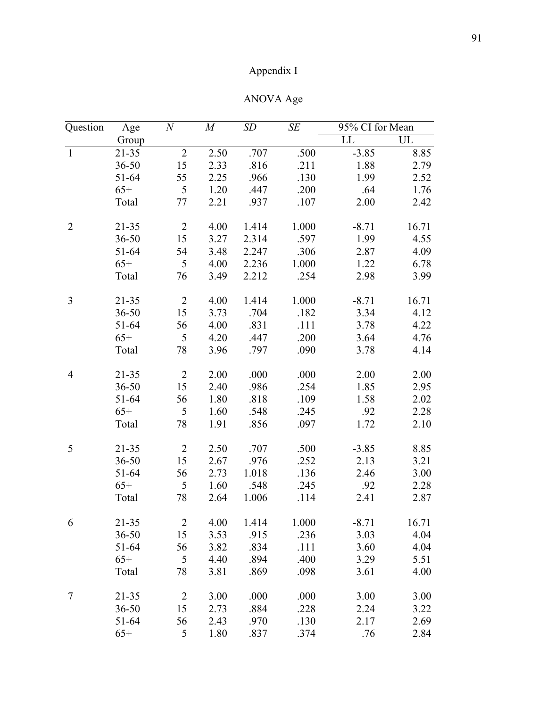# Appendix I

|                |                  | ANOVA Age |       |                 |               |
|----------------|------------------|-----------|-------|-----------------|---------------|
| $\,N$          | $\boldsymbol{M}$ | SD        | SE    | 95% CI for Mean |               |
|                |                  |           |       | LL              | UL            |
| $\overline{2}$ | 2.50             | .707      | .500  | $-3.85$         | Ş             |
| 15             | 2.33             | .816      | .211  | 1.88            |               |
| 55             | 2.25             | .966      | .130  | 1.99            | $\frac{2}{2}$ |
| 5              | 1.20             | .447      | .200  | .64             | $\mathbf{l}$  |
| 77             | 2.21             | .937      | .107  | 2.00            | $\tilde{ }$   |
| $\overline{2}$ | 4.00             | 1.414     | 1.000 | $-8.71$         | 16            |
| 15             | 3.27             | 2.314     | .597  | 1.99            | $\angle$      |
| 54             | 3.48             | 2.247     | .306  | 2.87            | $\angle$      |
| ς              | 4 OO             | 2 236     | _000  | 1 າາ            | ŀ             |

Question

| Question                | Age       | $\boldsymbol{N}$ | $\boldsymbol{M}$ | <b>SD</b> | SE    | 95% CI for Mean |       |
|-------------------------|-----------|------------------|------------------|-----------|-------|-----------------|-------|
|                         | Group     |                  |                  |           |       | LL              | UL    |
| $\mathbf{1}$            | 21-35     | $\overline{2}$   | 2.50             | .707      | .500  | $-3.85$         | 8.85  |
|                         | $36 - 50$ | 15               | 2.33             | .816      | .211  | 1.88            | 2.79  |
|                         | 51-64     | 55               | 2.25             | .966      | .130  | 1.99            | 2.52  |
|                         | $65+$     | 5                | 1.20             | .447      | .200  | .64             | 1.76  |
|                         | Total     | 77               | 2.21             | .937      | .107  | 2.00            | 2.42  |
| $\overline{2}$          | $21 - 35$ | $\overline{2}$   | 4.00             | 1.414     | 1.000 | $-8.71$         | 16.71 |
|                         | $36 - 50$ | 15               | 3.27             | 2.314     | .597  | 1.99            | 4.55  |
|                         | 51-64     | 54               | 3.48             | 2.247     | .306  | 2.87            | 4.09  |
|                         | $65+$     | 5                | 4.00             | 2.236     | 1.000 | 1.22            | 6.78  |
|                         | Total     | 76               | 3.49             | 2.212     | .254  | 2.98            | 3.99  |
| $\overline{\mathbf{3}}$ | $21 - 35$ | $\overline{2}$   | 4.00             | 1.414     | 1.000 | $-8.71$         | 16.71 |
|                         | $36 - 50$ | 15               | 3.73             | .704      | .182  | 3.34            | 4.12  |
|                         | 51-64     | 56               | 4.00             | .831      | .111  | 3.78            | 4.22  |
|                         | $65+$     | 5                | 4.20             | .447      | .200  | 3.64            | 4.76  |
|                         | Total     | 78               | 3.96             | .797      | .090  | 3.78            | 4.14  |
| $\overline{4}$          | $21 - 35$ | $\overline{2}$   | 2.00             | .000      | .000  | 2.00            | 2.00  |
|                         | $36 - 50$ | 15               | 2.40             | .986      | .254  | 1.85            | 2.95  |
|                         | 51-64     | 56               | 1.80             | .818      | .109  | 1.58            | 2.02  |
|                         | $65+$     | 5                | 1.60             | .548      | .245  | .92             | 2.28  |
|                         | Total     | 78               | 1.91             | .856      | .097  | 1.72            | 2.10  |
| 5                       | $21 - 35$ | $\overline{2}$   | 2.50             | .707      | .500  | $-3.85$         | 8.85  |
|                         | $36 - 50$ | 15               | 2.67             | .976      | .252  | 2.13            | 3.21  |
|                         | 51-64     | 56               | 2.73             | 1.018     | .136  | 2.46            | 3.00  |
|                         | $65+$     | 5                | 1.60             | .548      | .245  | .92             | 2.28  |
|                         | Total     | 78               | 2.64             | 1.006     | .114  | 2.41            | 2.87  |
| 6                       | 21-35     | $\overline{2}$   | 4.00             | 1.414     | 1.000 | $-8.71$         | 16.71 |
|                         | $36 - 50$ | 15               | 3.53             | .915      | .236  | 3.03            | 4.04  |
|                         | 51-64     | 56               | 3.82             | .834      | .111  | 3.60            | 4.04  |
|                         | $65+$     | 5                | 4.40             | .894      | .400  | 3.29            | 5.51  |
|                         | Total     | 78               | 3.81             | .869      | .098  | 3.61            | 4.00  |
| 7                       | 21-35     | $\overline{2}$   | 3.00             | .000      | .000  | 3.00            | 3.00  |
|                         | $36 - 50$ | 15               | 2.73             | .884      | .228  | 2.24            | 3.22  |
|                         | 51-64     | 56               | 2.43             | .970      | .130  | 2.17            | 2.69  |
|                         | $65+$     | 5                | 1.80             | .837      | .374  | .76             | 2.84  |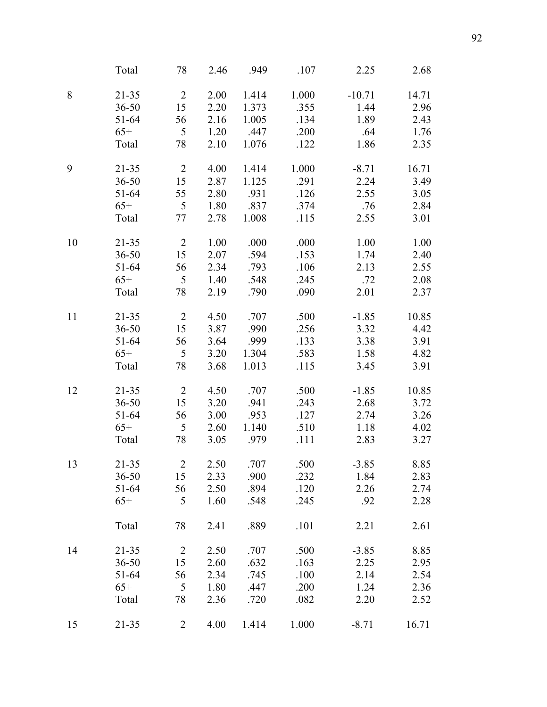|    | Total     | 78             | 2.46 | .949  | .107  | 2.25     | 2.68  |
|----|-----------|----------------|------|-------|-------|----------|-------|
| 8  | $21 - 35$ | $\overline{2}$ | 2.00 | 1.414 | 1.000 | $-10.71$ | 14.71 |
|    | $36 - 50$ | 15             | 2.20 | 1.373 | .355  | 1.44     | 2.96  |
|    | 51-64     | 56             | 2.16 | 1.005 | .134  | 1.89     | 2.43  |
|    | $65+$     | 5              | 1.20 | .447  | .200  | .64      | 1.76  |
|    | Total     | 78             | 2.10 | 1.076 | .122  | 1.86     | 2.35  |
| 9  | $21 - 35$ | $\overline{2}$ | 4.00 | 1.414 | 1.000 | $-8.71$  | 16.71 |
|    | $36 - 50$ | 15             | 2.87 | 1.125 | .291  | 2.24     | 3.49  |
|    | 51-64     | 55             | 2.80 | .931  | .126  | 2.55     | 3.05  |
|    | $65+$     | 5              | 1.80 | .837  | .374  | .76      | 2.84  |
|    | Total     | 77             | 2.78 | 1.008 | .115  | 2.55     | 3.01  |
| 10 | $21 - 35$ | $\overline{2}$ | 1.00 | .000  | .000  | 1.00     | 1.00  |
|    | $36 - 50$ | 15             | 2.07 | .594  | .153  | 1.74     | 2.40  |
|    | 51-64     | 56             | 2.34 | .793  | .106  | 2.13     | 2.55  |
|    | $65+$     | 5              | 1.40 | .548  | .245  | .72      | 2.08  |
|    | Total     | 78             | 2.19 | .790  | .090  | 2.01     | 2.37  |
| 11 | $21 - 35$ | $\overline{2}$ | 4.50 | .707  | .500  | $-1.85$  | 10.85 |
|    | $36 - 50$ | 15             | 3.87 | .990  | .256  | 3.32     | 4.42  |
|    | 51-64     | 56             | 3.64 | .999  | .133  | 3.38     | 3.91  |
|    | $65+$     | 5              | 3.20 | 1.304 | .583  | 1.58     | 4.82  |
|    | Total     | 78             | 3.68 | 1.013 | .115  | 3.45     | 3.91  |
| 12 | $21 - 35$ | $\overline{2}$ | 4.50 | .707  | .500  | $-1.85$  | 10.85 |
|    | $36 - 50$ | 15             | 3.20 | .941  | .243  | 2.68     | 3.72  |
|    | 51-64     | 56             | 3.00 | .953  | .127  | 2.74     | 3.26  |
|    | $65+$     | 5              | 2.60 | 1.140 | .510  | 1.18     | 4.02  |
|    | Total     | 78             | 3.05 | .979  | .111  | 2.83     | 3.27  |
| 13 | $21 - 35$ | $\overline{2}$ | 2.50 | .707  | .500  | $-3.85$  | 8.85  |
|    | $36 - 50$ | 15             | 2.33 | .900  | .232  | 1.84     | 2.83  |
|    | 51-64     | 56             | 2.50 | .894  | .120  | 2.26     | 2.74  |
|    | $65+$     | 5              | 1.60 | .548  | .245  | .92      | 2.28  |
|    | Total     | 78             | 2.41 | .889  | .101  | 2.21     | 2.61  |
| 14 | 21-35     | $\overline{2}$ | 2.50 | .707  | .500  | $-3.85$  | 8.85  |
|    | $36 - 50$ | 15             | 2.60 | .632  | .163  | 2.25     | 2.95  |
|    | 51-64     | 56             | 2.34 | .745  | .100  | 2.14     | 2.54  |
|    | $65+$     | 5              | 1.80 | .447  | .200  | 1.24     | 2.36  |
|    | Total     | 78             | 2.36 | .720  | .082  | 2.20     | 2.52  |
| 15 | $21 - 35$ | $\overline{2}$ | 4.00 | 1.414 | 1.000 | $-8.71$  | 16.71 |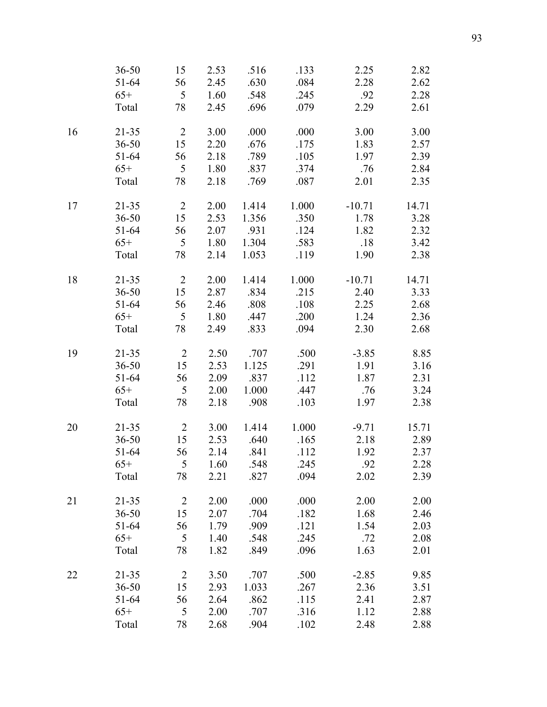|    | $36 - 50$ | 15              | 2.53 | .516        | .133  | 2.25     | 2.82  |
|----|-----------|-----------------|------|-------------|-------|----------|-------|
|    | $51-64$   | 56              | 2.45 | .630        | .084  | 2.28     | 2.62  |
|    | $65+$     | $\overline{5}$  | 1.60 | .548        | .245  | .92      | 2.28  |
|    | Total     | 78              | 2.45 | .696        | .079  | 2.29     | 2.61  |
| 16 | $21 - 35$ | $\overline{2}$  | 3.00 | .000        | .000  | 3.00     | 3.00  |
|    | $36 - 50$ | 15              | 2.20 | .676        | .175  | 1.83     | 2.57  |
|    | 51-64     | 56              | 2.18 | .789        | .105  | 1.97     | 2.39  |
|    | $65+$     | 5               | 1.80 | .837        | .374  | .76      | 2.84  |
|    | Total     | 78              | 2.18 | .769        | .087  | 2.01     | 2.35  |
| 17 | $21 - 35$ | $\overline{2}$  | 2.00 | 1.414       | 1.000 | $-10.71$ | 14.71 |
|    | $36 - 50$ | 15              | 2.53 | 1.356       | .350  | 1.78     | 3.28  |
|    | $51-64$   | 56              | 2.07 | .931        | .124  | 1.82     | 2.32  |
|    | $65+$     | 5               | 1.80 | 1.304       | .583  | .18      | 3.42  |
|    | Total     | 78              | 2.14 | 1.053       | .119  | 1.90     | 2.38  |
| 18 | $21 - 35$ | $\overline{2}$  | 2.00 | 1.414       | 1.000 | $-10.71$ | 14.71 |
|    | $36 - 50$ | 15              | 2.87 | .834        | .215  | 2.40     | 3.33  |
|    | $51 - 64$ | 56              | 2.46 | .808        | .108  | 2.25     | 2.68  |
|    | $65+$     | 5               | 1.80 | .447        | .200  | 1.24     | 2.36  |
|    | Total     | 78              | 2.49 | .833        | .094  | 2.30     | 2.68  |
| 19 | $21 - 35$ | $\overline{2}$  | 2.50 | .707        | .500  | $-3.85$  | 8.85  |
|    | $36 - 50$ | 15              | 2.53 | 1.125       | .291  | 1.91     | 3.16  |
|    | $51 - 64$ | 56              | 2.09 | .837        | .112  | 1.87     | 2.31  |
|    | $65+$     | $5\overline{)}$ | 2.00 | 1.000       | .447  | .76      | 3.24  |
|    | Total     | 78              | 2.18 | .908        | .103  | 1.97     | 2.38  |
| 20 | $21 - 35$ | 2               | 3.00 | 1.414       | 1.000 | $-9.71$  | 15.71 |
|    | $36 - 50$ | 15              | 2.53 | .640        | .165  | 2.18     | 2.89  |
|    | 51-64     | 56              | 2.14 | .841        | .112  | 1.92     | 2.37  |
|    | $65+$     |                 |      | 5 1.60 .548 | .245  | .92      | 2.28  |
|    | Total     | 78              | 2.21 | .827        | .094  | 2.02     | 2.39  |
| 21 | $21 - 35$ | $\overline{2}$  | 2.00 | .000        | .000  | 2.00     | 2.00  |
|    | $36 - 50$ | 15              | 2.07 | .704        | .182  | 1.68     | 2.46  |
|    | 51-64     | 56              | 1.79 | .909        | .121  | 1.54     | 2.03  |
|    | $65+$     | 5               | 1.40 | .548        | .245  | .72      | 2.08  |
|    | Total     | 78              | 1.82 | .849        | .096  | 1.63     | 2.01  |
| 22 | $21 - 35$ | $\overline{2}$  | 3.50 | .707        | .500  | $-2.85$  | 9.85  |
|    | $36 - 50$ | 15              | 2.93 | 1.033       | .267  | 2.36     | 3.51  |
|    | 51-64     | 56              | 2.64 | .862        | .115  | 2.41     | 2.87  |
|    | $65+$     | 5               | 2.00 | .707        | .316  | 1.12     | 2.88  |
|    | Total     | 78              | 2.68 | .904        | .102  | 2.48     | 2.88  |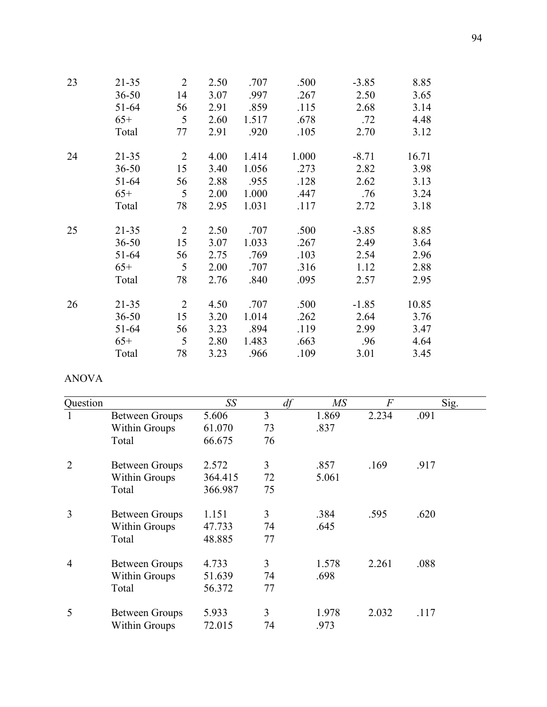| 23 | $21 - 35$ | $\overline{2}$ | 2.50 | .707  | .500  | $-3.85$ | 8.85  |
|----|-----------|----------------|------|-------|-------|---------|-------|
|    | $36 - 50$ | 14             | 3.07 | .997  | .267  | 2.50    | 3.65  |
|    | 51-64     | 56             | 2.91 | .859  | .115  | 2.68    | 3.14  |
|    | $65+$     | 5              | 2.60 | 1.517 | .678  | .72     | 4.48  |
|    | Total     | 77             | 2.91 | .920  | .105  | 2.70    | 3.12  |
| 24 | $21 - 35$ | $\overline{2}$ | 4.00 | 1.414 | 1.000 | $-8.71$ | 16.71 |
|    | $36 - 50$ | 15             | 3.40 | 1.056 | .273  | 2.82    | 3.98  |
|    | 51-64     | 56             | 2.88 | .955  | .128  | 2.62    | 3.13  |
|    | $65+$     | 5              | 2.00 | 1.000 | .447  | .76     | 3.24  |
|    | Total     | 78             | 2.95 | 1.031 | .117  | 2.72    | 3.18  |
| 25 | $21 - 35$ | $\overline{2}$ | 2.50 | .707  | .500  | $-3.85$ | 8.85  |
|    | $36 - 50$ | 15             | 3.07 | 1.033 | .267  | 2.49    | 3.64  |
|    | 51-64     | 56             | 2.75 | .769  | .103  | 2.54    | 2.96  |
|    | $65+$     | 5              | 2.00 | .707  | .316  | 1.12    | 2.88  |
|    | Total     | 78             | 2.76 | .840  | .095  | 2.57    | 2.95  |
| 26 | $21 - 35$ | $\overline{2}$ | 4.50 | .707  | .500  | $-1.85$ | 10.85 |
|    | $36 - 50$ | 15             | 3.20 | 1.014 | .262  | 2.64    | 3.76  |
|    | 51-64     | 56             | 3.23 | .894  | .119  | 2.99    | 3.47  |
|    | $65+$     | 5              | 2.80 | 1.483 | .663  | .96     | 4.64  |
|    | Total     | 78             | 3.23 | .966  | .109  | 3.01    | 3.45  |

### ANOVA

| Question       |                       | SS      | df             | $M\!S$ | $\overline{F}$ | Sig. |
|----------------|-----------------------|---------|----------------|--------|----------------|------|
| 1              | <b>Between Groups</b> | 5.606   | $\overline{3}$ | 1.869  | 2.234          | .091 |
|                | <b>Within Groups</b>  | 61.070  | 73             | .837   |                |      |
|                | Total                 | 66.675  | 76             |        |                |      |
| $\overline{2}$ | <b>Between Groups</b> | 2.572   | 3              | .857   | .169           | .917 |
|                | Within Groups         | 364.415 | 72             | 5.061  |                |      |
|                | Total                 | 366.987 | 75             |        |                |      |
| 3              | Between Groups        | 1.151   | 3              | .384   | .595           | .620 |
|                | Within Groups         | 47.733  | 74             | .645   |                |      |
|                | Total                 | 48.885  | 77             |        |                |      |
| $\overline{4}$ | <b>Between Groups</b> | 4.733   | 3              | 1.578  | 2.261          | .088 |
|                | Within Groups         | 51.639  | 74             | .698   |                |      |
|                | Total                 | 56.372  | 77             |        |                |      |
| 5              | <b>Between Groups</b> | 5.933   | 3              | 1.978  | 2.032          | .117 |
|                | <b>Within Groups</b>  | 72.015  | 74             | .973   |                |      |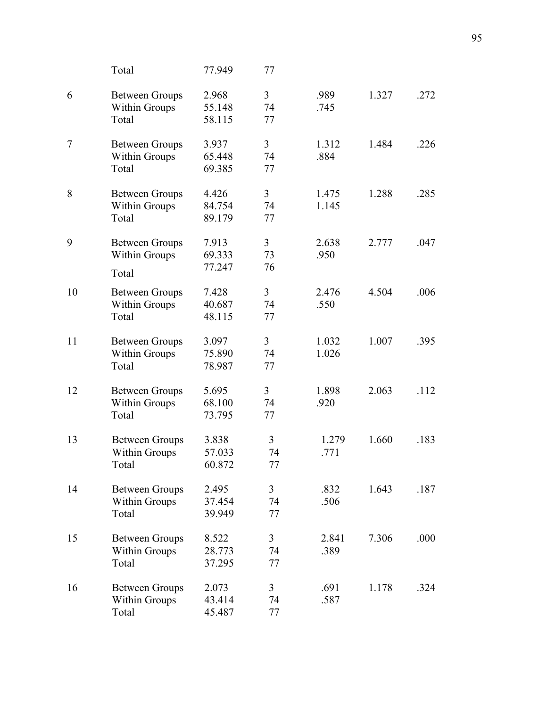|        | Total                                                  | 77.949                    | 77                         |                |       |      |
|--------|--------------------------------------------------------|---------------------------|----------------------------|----------------|-------|------|
| 6      | <b>Between Groups</b><br>Within Groups<br>Total        | 2.968<br>55.148<br>58.115 | $\overline{3}$<br>74<br>77 | .989<br>.745   | 1.327 | .272 |
| $\tau$ | <b>Between Groups</b><br>Within Groups<br>Total        | 3.937<br>65.448<br>69.385 | 3<br>74<br>77              | 1.312<br>.884  | 1.484 | .226 |
| 8      | <b>Between Groups</b><br><b>Within Groups</b><br>Total | 4.426<br>84.754<br>89.179 | 3<br>74<br>77              | 1.475<br>1.145 | 1.288 | .285 |
| 9      | <b>Between Groups</b><br>Within Groups<br>Total        | 7.913<br>69.333<br>77.247 | 3<br>73<br>76              | 2.638<br>.950  | 2.777 | .047 |
| 10     | <b>Between Groups</b><br>Within Groups<br>Total        | 7.428<br>40.687<br>48.115 | 3<br>74<br>77              | 2.476<br>.550  | 4.504 | .006 |
| 11     | <b>Between Groups</b><br>Within Groups<br>Total        | 3.097<br>75.890<br>78.987 | 3<br>74<br>77              | 1.032<br>1.026 | 1.007 | .395 |
| 12     | <b>Between Groups</b><br>Within Groups<br>Total        | 5.695<br>68.100<br>73.795 | 3<br>74<br>77              | 1.898<br>.920  | 2.063 | .112 |
| 13     | <b>Between Groups</b><br>Within Groups<br>Total        | 3.838<br>57.033<br>60.872 | 3<br>74<br>77              | 1.279<br>.771  | 1.660 | .183 |
| 14     | <b>Between Groups</b><br>Within Groups<br>Total        | 2.495<br>37.454<br>39.949 | 3<br>74<br>77              | .832<br>.506   | 1.643 | .187 |
| 15     | <b>Between Groups</b><br>Within Groups<br>Total        | 8.522<br>28.773<br>37.295 | 3<br>74<br>77              | 2.841<br>.389  | 7.306 | .000 |
| 16     | <b>Between Groups</b><br>Within Groups<br>Total        | 2.073<br>43.414<br>45.487 | $\overline{3}$<br>74<br>77 | .691<br>.587   | 1.178 | .324 |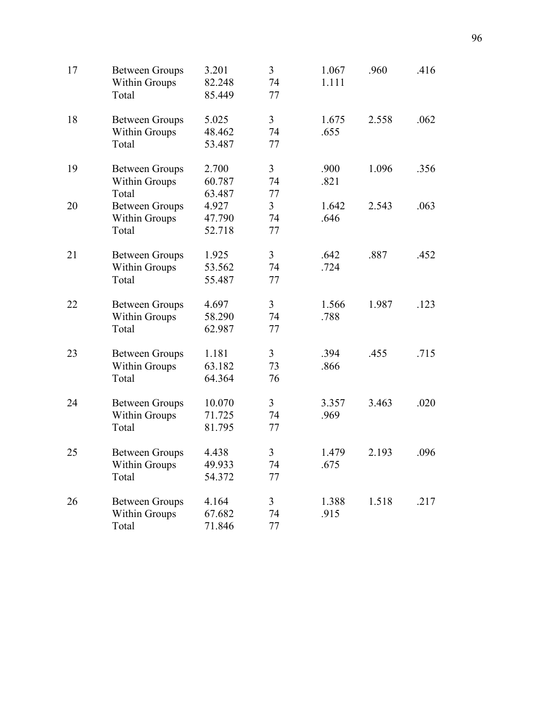| 17 | <b>Between Groups</b><br><b>Within Groups</b><br>Total | 3.201<br>82.248<br>85.449  | $\overline{3}$<br>74<br>77 | 1.067<br>1.111 | .960  | .416 |
|----|--------------------------------------------------------|----------------------------|----------------------------|----------------|-------|------|
| 18 | <b>Between Groups</b><br>Within Groups<br>Total        | 5.025<br>48.462<br>53.487  | $\overline{3}$<br>74<br>77 | 1.675<br>.655  | 2.558 | .062 |
| 19 | <b>Between Groups</b><br><b>Within Groups</b><br>Total | 2.700<br>60.787<br>63.487  | $\overline{3}$<br>74<br>77 | .900<br>.821   | 1.096 | .356 |
| 20 | <b>Between Groups</b><br>Within Groups<br>Total        | 4.927<br>47.790<br>52.718  | $\overline{3}$<br>74<br>77 | 1.642<br>.646  | 2.543 | .063 |
| 21 | <b>Between Groups</b><br>Within Groups<br>Total        | 1.925<br>53.562<br>55.487  | $\overline{3}$<br>74<br>77 | .642<br>.724   | .887  | .452 |
| 22 | <b>Between Groups</b><br>Within Groups<br>Total        | 4.697<br>58.290<br>62.987  | $\overline{3}$<br>74<br>77 | 1.566<br>.788  | 1.987 | .123 |
| 23 | <b>Between Groups</b><br>Within Groups<br>Total        | 1.181<br>63.182<br>64.364  | 3<br>73<br>76              | .394<br>.866   | .455  | .715 |
| 24 | <b>Between Groups</b><br>Within Groups<br>Total        | 10.070<br>71.725<br>81.795 | $\overline{3}$<br>74<br>77 | 3.357<br>.969  | 3.463 | .020 |
| 25 | <b>Between Groups</b><br>Within Groups<br>Total        | 4.438<br>49.933<br>54.372  | $\overline{3}$<br>74<br>77 | 1.479<br>.675  | 2.193 | .096 |
| 26 | <b>Between Groups</b><br>Within Groups<br>Total        | 4.164<br>67.682<br>71.846  | $\overline{3}$<br>74<br>77 | 1.388<br>.915  | 1.518 | .217 |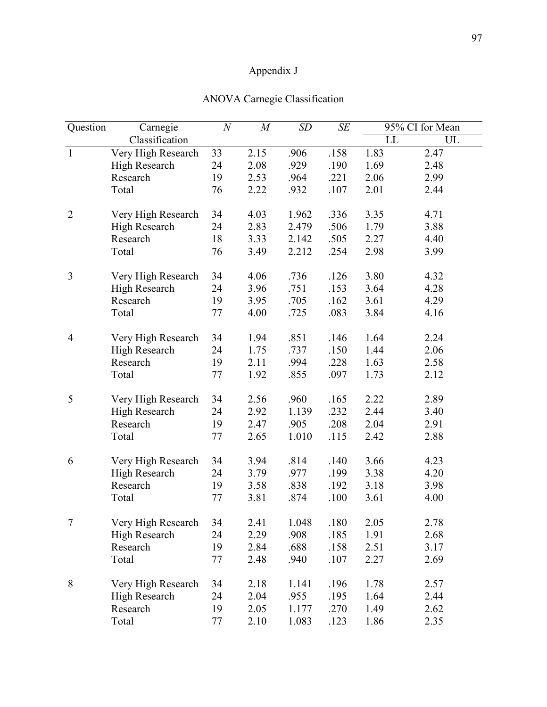# Appendix J

| Question       | Carnegie           | $\boldsymbol{N}$ | M    | SD    | SE   |      | 95% CI for Mean |  |
|----------------|--------------------|------------------|------|-------|------|------|-----------------|--|
|                | Classification     |                  |      |       |      | LL   | UL              |  |
| $\mathbf{1}$   | Very High Research | 33               | 2.15 | .906  | .158 | 1.83 | 2.47            |  |
|                | High Research      | 24               | 2.08 | .929  | .190 | 1.69 | 2.48            |  |
|                | Research           | 19               | 2.53 | .964  | .221 | 2.06 | 2.99            |  |
|                | Total              | 76               | 2.22 | .932  | .107 | 2.01 | 2.44            |  |
| $\overline{2}$ | Very High Research | 34               | 4.03 | 1.962 | .336 | 3.35 | 4.71            |  |
|                | High Research      | 24               | 2.83 | 2.479 | .506 | 1.79 | 3.88            |  |
|                | Research           | 18               | 3.33 | 2.142 | .505 | 2.27 | 4.40            |  |
|                | Total              | 76               | 3.49 | 2.212 | .254 | 2.98 | 3.99            |  |
| 3              | Very High Research | 34               | 4.06 | .736  | .126 | 3.80 | 4.32            |  |
|                | High Research      | 24               | 3.96 | .751  | .153 | 3.64 | 4.28            |  |
|                | Research           | 19               | 3.95 | .705  | .162 | 3.61 | 4.29            |  |
|                | Total              | 77               | 4.00 | .725  | .083 | 3.84 | 4.16            |  |
| $\overline{4}$ | Very High Research | 34               | 1.94 | .851  | .146 | 1.64 | 2.24            |  |
|                | High Research      | 24               | 1.75 | .737  | .150 | 1.44 | 2.06            |  |
|                | Research           | 19               | 2.11 | .994  | .228 | 1.63 | 2.58            |  |
|                | Total              | 77               | 1.92 | .855  | .097 | 1.73 | 2.12            |  |
| 5              | Very High Research | 34               | 2.56 | .960  | .165 | 2.22 | 2.89            |  |
|                | High Research      | 24               | 2.92 | 1.139 | .232 | 2.44 | 3.40            |  |
|                | Research           | 19               | 2.47 | .905  | .208 | 2.04 | 2.91            |  |
|                | Total              | 77               | 2.65 | 1.010 | .115 | 2.42 | 2.88            |  |
| 6              | Very High Research | 34               | 3.94 | .814  | .140 | 3.66 | 4.23            |  |
|                | High Research      | 24               | 3.79 | .977  | .199 | 3.38 | 4.20            |  |
|                | Research           | 19               | 3.58 | .838  | .192 | 3.18 | 3.98            |  |
|                | Total              | 77               | 3.81 | .874  | .100 | 3.61 | 4.00            |  |
| 7              | Very High Research | 34               | 2.41 | 1.048 | .180 | 2.05 | 2.78            |  |
|                | High Research      | 24               | 2.29 | .908  | .185 | 1.91 | 2.68            |  |
|                | Research           | 19               | 2.84 | .688  | .158 | 2.51 | 3.17            |  |
|                | Total              | 77               | 2.48 | .940  | .107 | 2.27 | 2.69            |  |
| 8              | Very High Research | 34               | 2.18 | 1.141 | .196 | 1.78 | 2.57            |  |
|                | High Research      | 24               | 2.04 | .955  | .195 | 1.64 | 2.44            |  |
|                | Research           | 19               | 2.05 | 1.177 | .270 | 1.49 | 2.62            |  |
|                | Total              | 77               | 2.10 | 1.083 | .123 | 1.86 | 2.35            |  |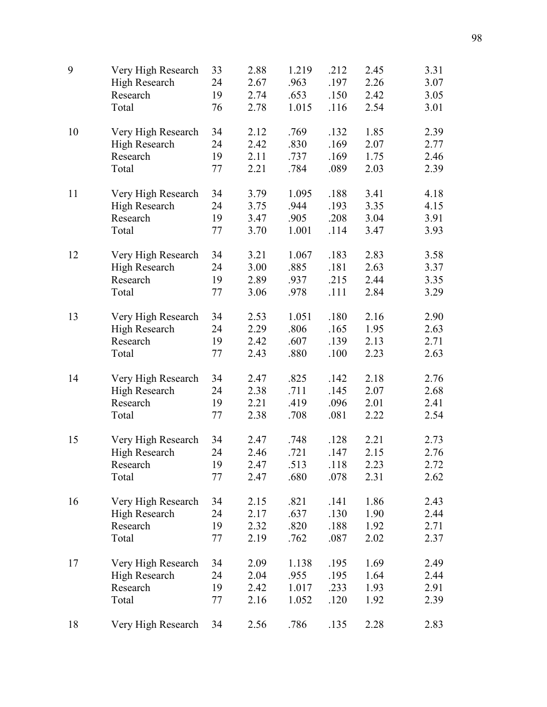| 9  | Very High Research   | 33 | 2.88 | 1.219 | .212 | 2.45 | 3.31 |
|----|----------------------|----|------|-------|------|------|------|
|    | High Research        | 24 | 2.67 | .963  | .197 | 2.26 | 3.07 |
|    | Research             | 19 | 2.74 | .653  | .150 | 2.42 | 3.05 |
|    | Total                | 76 | 2.78 | 1.015 | .116 | 2.54 | 3.01 |
| 10 | Very High Research   | 34 | 2.12 | .769  | .132 | 1.85 | 2.39 |
|    | High Research        | 24 | 2.42 | .830  | .169 | 2.07 | 2.77 |
|    | Research             | 19 | 2.11 | .737  | .169 | 1.75 | 2.46 |
|    | Total                | 77 | 2.21 | .784  | .089 | 2.03 | 2.39 |
| 11 | Very High Research   | 34 | 3.79 | 1.095 | .188 | 3.41 | 4.18 |
|    | High Research        | 24 | 3.75 | .944  | .193 | 3.35 | 4.15 |
|    | Research             | 19 | 3.47 | .905  | .208 | 3.04 | 3.91 |
|    | Total                | 77 | 3.70 | 1.001 | .114 | 3.47 | 3.93 |
| 12 | Very High Research   | 34 | 3.21 | 1.067 | .183 | 2.83 | 3.58 |
|    | High Research        | 24 | 3.00 | .885  | .181 | 2.63 | 3.37 |
|    | Research             | 19 | 2.89 | .937  | .215 | 2.44 | 3.35 |
|    | Total                | 77 | 3.06 | .978  | .111 | 2.84 | 3.29 |
| 13 | Very High Research   | 34 | 2.53 | 1.051 | .180 | 2.16 | 2.90 |
|    | High Research        | 24 | 2.29 | .806  | .165 | 1.95 | 2.63 |
|    | Research             | 19 | 2.42 | .607  | .139 | 2.13 | 2.71 |
|    | Total                | 77 | 2.43 | .880  | .100 | 2.23 | 2.63 |
| 14 | Very High Research   | 34 | 2.47 | .825  | .142 | 2.18 | 2.76 |
|    | High Research        | 24 | 2.38 | .711  | .145 | 2.07 | 2.68 |
|    | Research             | 19 | 2.21 | .419  | .096 | 2.01 | 2.41 |
|    | Total                | 77 | 2.38 | .708  | .081 | 2.22 | 2.54 |
| 15 | Very High Research   | 34 | 2.47 | .748  | .128 | 2.21 | 2.73 |
|    | High Research        | 24 | 2.46 | .721  | .147 | 2.15 | 2.76 |
|    | Research             | 19 | 2.47 | .513  | .118 | 2.23 | 2.72 |
|    | Total                | 77 | 2.47 | .680  | .078 | 2.31 | 2.62 |
| 16 | Very High Research   | 34 | 2.15 | .821  | .141 | 1.86 | 2.43 |
|    | <b>High Research</b> | 24 | 2.17 | .637  | .130 | 1.90 | 2.44 |
|    | Research             | 19 | 2.32 | .820  | .188 | 1.92 | 2.71 |
|    | Total                | 77 | 2.19 | .762  | .087 | 2.02 | 2.37 |
| 17 | Very High Research   | 34 | 2.09 | 1.138 | .195 | 1.69 | 2.49 |
|    | <b>High Research</b> | 24 | 2.04 | .955  | .195 | 1.64 | 2.44 |
|    | Research             | 19 | 2.42 | 1.017 | .233 | 1.93 | 2.91 |
|    | Total                | 77 | 2.16 | 1.052 | .120 | 1.92 | 2.39 |
| 18 | Very High Research   | 34 | 2.56 | .786  | .135 | 2.28 | 2.83 |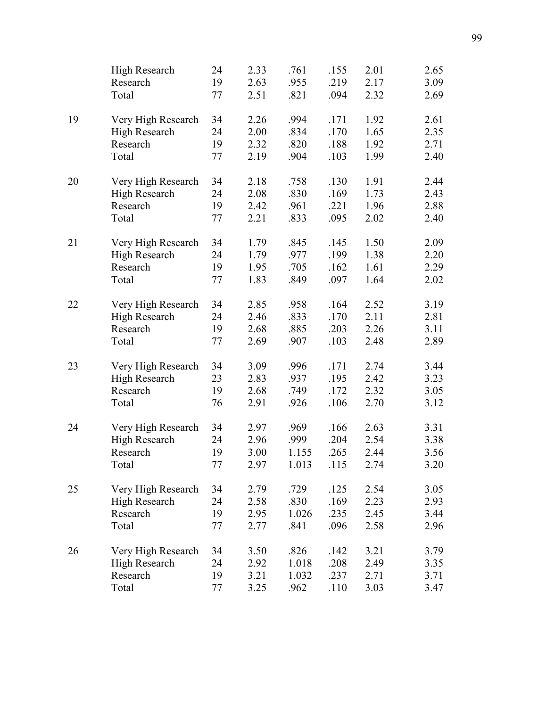|    | High Research        | 24     | 2.33 | .761  | .155 | 2.01 | 2.65 |
|----|----------------------|--------|------|-------|------|------|------|
|    | Research             | 19     | 2.63 | .955  | .219 | 2.17 | 3.09 |
|    | Total                | 77     | 2.51 | .821  | .094 | 2.32 | 2.69 |
| 19 | Very High Research   | 34     | 2.26 | .994  | .171 | 1.92 | 2.61 |
|    | <b>High Research</b> | 24     | 2.00 | .834  | .170 | 1.65 | 2.35 |
|    | Research             | 19     | 2.32 | .820  | .188 | 1.92 | 2.71 |
|    | Total                | 77     | 2.19 | .904  | .103 | 1.99 | 2.40 |
| 20 | Very High Research   | 34     | 2.18 | .758  | .130 | 1.91 | 2.44 |
|    | High Research        | 24     | 2.08 | .830  | .169 | 1.73 | 2.43 |
|    | Research             | 19     | 2.42 | .961  | .221 | 1.96 | 2.88 |
|    | Total                | 77     | 2.21 | .833  | .095 | 2.02 | 2.40 |
| 21 | Very High Research   | 34     | 1.79 | .845  | .145 | 1.50 | 2.09 |
|    | <b>High Research</b> | 24     | 1.79 | .977  | .199 | 1.38 | 2.20 |
|    | Research             | 19     | 1.95 | .705  | .162 | 1.61 | 2.29 |
|    | Total                | 77     | 1.83 | .849  | .097 | 1.64 | 2.02 |
| 22 | Very High Research   | 34     | 2.85 | .958  | .164 | 2.52 | 3.19 |
|    | High Research        | 24     | 2.46 | .833  | .170 | 2.11 | 2.81 |
|    | Research             | 19     | 2.68 | .885  | .203 | 2.26 | 3.11 |
|    | Total                | 77     | 2.69 | .907  | .103 | 2.48 | 2.89 |
| 23 | Very High Research   | 34     | 3.09 | .996  | .171 | 2.74 | 3.44 |
|    | High Research        | 23     | 2.83 | .937  | .195 | 2.42 | 3.23 |
|    | Research             | 19     | 2.68 | .749  | .172 | 2.32 | 3.05 |
|    | Total                | 76     | 2.91 | .926  | .106 | 2.70 | 3.12 |
| 24 | Very High Research   | 34     | 2.97 | .969  | .166 | 2.63 | 3.31 |
|    | High Research        | 24     | 2.96 | .999  | .204 | 2.54 | 3.38 |
|    | Research             | 19     | 3.00 | 1.155 | .265 | 2.44 | 3.56 |
|    | Total                | $77\,$ | 2.97 | 1.013 | .115 | 2.74 | 3.20 |
| 25 | Very High Research   | 34     | 2.79 | .729  | .125 | 2.54 | 3.05 |
|    | <b>High Research</b> | 24     | 2.58 | .830  | .169 | 2.23 | 2.93 |
|    | Research             | 19     | 2.95 | 1.026 | .235 | 2.45 | 3.44 |
|    | Total                | 77     | 2.77 | .841  | .096 | 2.58 | 2.96 |
| 26 | Very High Research   | 34     | 3.50 | .826  | .142 | 3.21 | 3.79 |
|    | High Research        | 24     | 2.92 | 1.018 | .208 | 2.49 | 3.35 |
|    | Research             | 19     | 3.21 | 1.032 | .237 | 2.71 | 3.71 |
|    | Total                | 77     | 3.25 | .962  | .110 | 3.03 | 3.47 |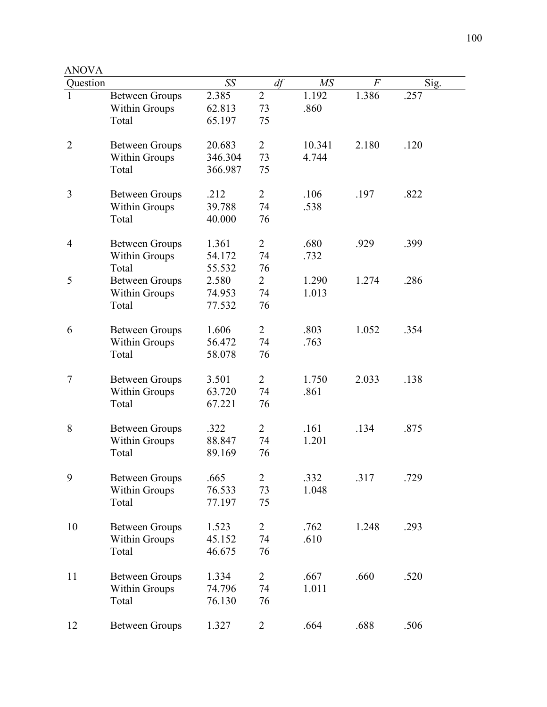| ANOV |  |
|------|--|
|------|--|

| Question       |                       | SS      | df             | M <sub>S</sub> | $\overline{F}$ | Sig. |
|----------------|-----------------------|---------|----------------|----------------|----------------|------|
|                | <b>Between Groups</b> | 2.385   | $\overline{2}$ | 1.192          | 1.386          | .257 |
|                | <b>Within Groups</b>  | 62.813  | 73             | .860           |                |      |
|                | Total                 | 65.197  | 75             |                |                |      |
|                |                       |         |                |                |                |      |
| $\overline{2}$ | <b>Between Groups</b> | 20.683  | $\overline{2}$ | 10.341         | 2.180          | .120 |
|                | <b>Within Groups</b>  | 346.304 | 73             | 4.744          |                |      |
|                | Total                 | 366.987 | 75             |                |                |      |
|                |                       |         |                |                |                |      |
| 3              | <b>Between Groups</b> | .212    | $\overline{2}$ | .106           | .197           | .822 |
|                | <b>Within Groups</b>  | 39.788  | 74             | .538           |                |      |
|                | Total                 | 40.000  | 76             |                |                |      |
|                |                       |         |                |                |                |      |
| 4              | <b>Between Groups</b> | 1.361   | $\overline{2}$ | .680           | .929           | .399 |
|                | <b>Within Groups</b>  | 54.172  | 74             | .732           |                |      |
|                | Total                 | 55.532  | 76             |                |                |      |
| 5              | <b>Between Groups</b> | 2.580   | $\overline{2}$ | 1.290          | 1.274          | .286 |
|                | <b>Within Groups</b>  | 74.953  | 74             | 1.013          |                |      |
|                | Total                 |         |                |                |                |      |
|                |                       | 77.532  | 76             |                |                |      |
| 6              | <b>Between Groups</b> | 1.606   | $\overline{2}$ | .803           | 1.052          | .354 |
|                | <b>Within Groups</b>  | 56.472  | 74             | .763           |                |      |
|                | Total                 | 58.078  | 76             |                |                |      |
|                |                       |         |                |                |                |      |
| 7              | <b>Between Groups</b> | 3.501   | $\overline{2}$ | 1.750          | 2.033          | .138 |
|                | <b>Within Groups</b>  | 63.720  | 74             | .861           |                |      |
|                | Total                 | 67.221  | 76             |                |                |      |
|                |                       |         |                |                |                |      |
| 8              | <b>Between Groups</b> | .322    | $\overline{2}$ | .161           | .134           | .875 |
|                | <b>Within Groups</b>  | 88.847  | 74             | 1.201          |                |      |
|                | Total                 | 89.169  | 76             |                |                |      |
|                |                       |         |                |                |                |      |
| 9              | <b>Between Groups</b> | .665    | 2              | .332           | .317           | .729 |
|                | Within Groups         | 76.533  | 73             | 1.048          |                |      |
|                | Total                 | 77.197  | 75             |                |                |      |
|                |                       |         |                |                |                |      |
| 10             | <b>Between Groups</b> | 1.523   | $\overline{2}$ | .762           | 1.248          | .293 |
|                | Within Groups         | 45.152  | 74             | .610           |                |      |
|                | Total                 | 46.675  | 76             |                |                |      |
|                |                       |         |                |                |                |      |
| 11             | <b>Between Groups</b> | 1.334   | $\overline{2}$ | .667           | .660           | .520 |
|                | <b>Within Groups</b>  | 74.796  | 74             | 1.011          |                |      |
|                | Total                 | 76.130  | 76             |                |                |      |
|                |                       |         |                |                |                |      |
| 12             | <b>Between Groups</b> | 1.327   | $\overline{2}$ | .664           | .688           | .506 |
|                |                       |         |                |                |                |      |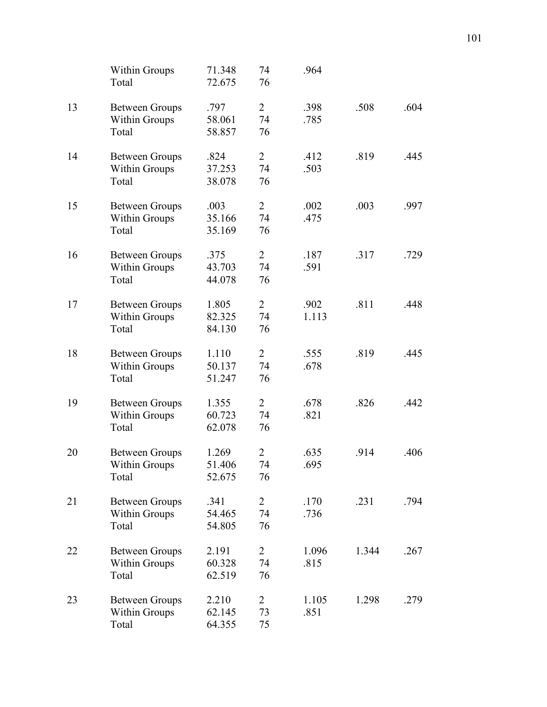|    | Within Groups<br>Total                        | 71.348<br>72.675 | 74<br>76             | .964          |       |      |
|----|-----------------------------------------------|------------------|----------------------|---------------|-------|------|
| 13 | <b>Between Groups</b>                         | .797             | $\overline{2}$       | .398          | .508  | .604 |
|    | <b>Within Groups</b><br>Total                 | 58.061<br>58.857 | 74<br>76             | .785          |       |      |
| 14 | <b>Between Groups</b><br>Within Groups        | .824<br>37.253   | $\overline{2}$<br>74 | .412<br>.503  | .819  | .445 |
|    | Total                                         | 38.078           | 76                   |               |       |      |
| 15 | <b>Between Groups</b><br><b>Within Groups</b> | .003<br>35.166   | $\overline{2}$<br>74 | .002<br>.475  | .003  | .997 |
|    | Total                                         | 35.169           | 76                   |               |       |      |
| 16 | <b>Between Groups</b>                         | .375<br>43.703   | $\overline{2}$<br>74 | .187<br>.591  | .317  | .729 |
|    | <b>Within Groups</b><br>Total                 | 44.078           | 76                   |               |       |      |
| 17 | <b>Between Groups</b><br>Within Groups        | 1.805<br>82.325  | $\overline{2}$<br>74 | .902<br>1.113 | .811  | .448 |
|    | Total                                         | 84.130           | 76                   |               |       |      |
| 18 | <b>Between Groups</b><br><b>Within Groups</b> | 1.110<br>50.137  | $\overline{2}$<br>74 | .555<br>.678  | .819  | .445 |
|    | Total                                         | 51.247           | 76                   |               |       |      |
| 19 | <b>Between Groups</b><br><b>Within Groups</b> | 1.355<br>60.723  | $\overline{2}$<br>74 | .678<br>.821  | .826  | .442 |
|    | Total                                         | 62.078           | 76                   |               |       |      |
| 20 | <b>Between Groups</b><br>Within Groups        | 1.269<br>51.406  | 2<br>74              | .635<br>.695  | .914  | .406 |
|    | Total                                         | 52.675           | 76                   |               |       |      |
| 21 | <b>Between Groups</b><br>Within Groups        | .341<br>54.465   | $\overline{2}$<br>74 | .170<br>.736  | .231  | .794 |
|    | Total                                         | 54.805           | 76                   |               |       |      |
| 22 | <b>Between Groups</b><br><b>Within Groups</b> | 2.191<br>60.328  | $\overline{2}$<br>74 | 1.096<br>.815 | 1.344 | .267 |
|    | Total                                         | 62.519           | 76                   |               |       |      |
| 23 | <b>Between Groups</b>                         | 2.210<br>62.145  | $\overline{2}$<br>73 | 1.105<br>.851 | 1.298 | .279 |
|    | <b>Within Groups</b><br>Total                 | 64.355           | 75                   |               |       |      |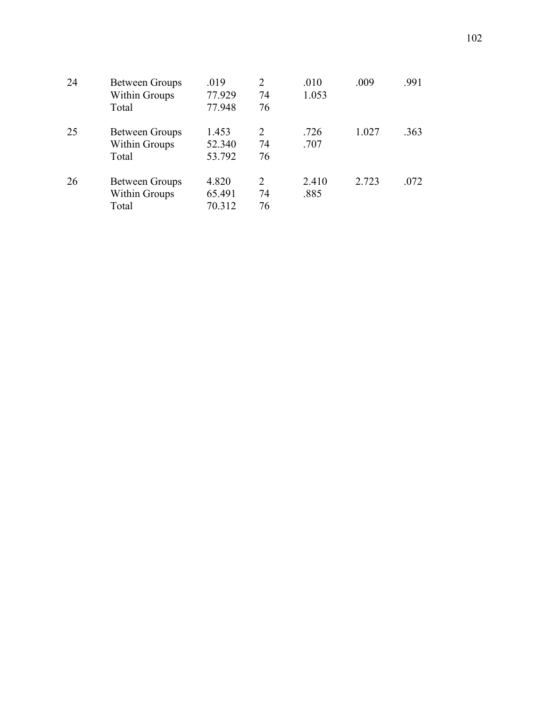| 24 | <b>Between Groups</b><br><b>Within Groups</b> | .019<br>77.929 | 2<br>74 | .010<br>1.053 | .009  | .991 |
|----|-----------------------------------------------|----------------|---------|---------------|-------|------|
|    | Total                                         | 77.948         | 76      |               |       |      |
| 25 | Between Groups                                | 1.453          | 2       | .726          | 1.027 | .363 |
|    | <b>Within Groups</b>                          | 52.340         | 74      | .707          |       |      |
|    | Total                                         | 53.792         | 76      |               |       |      |
| 26 | <b>Between Groups</b>                         | 4.820          | 2       | 2.410         | 2.723 | .072 |
|    | <b>Within Groups</b>                          | 65.491         | 74      | .885          |       |      |
|    | Total                                         | 70.312         | 76      |               |       |      |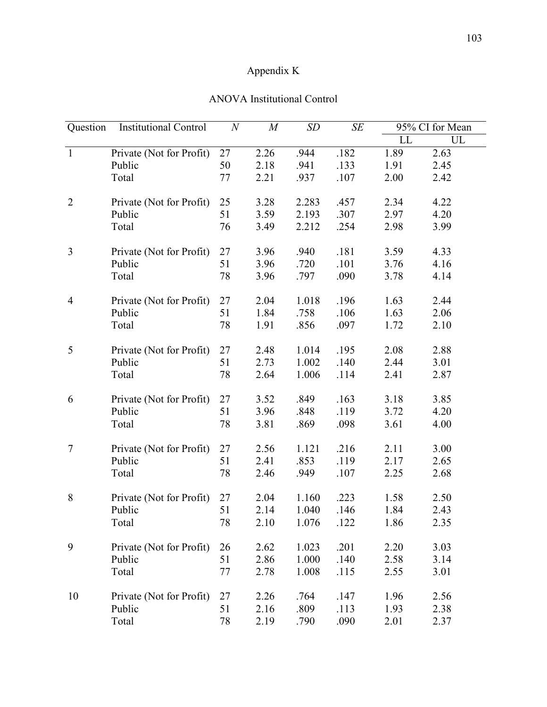## Appendix K

| Question       | <b>Institutional Control</b> | $\boldsymbol{N}$ | $\overline{M}$ | SD    | SE   |      | 95% CI for Mean |
|----------------|------------------------------|------------------|----------------|-------|------|------|-----------------|
|                |                              |                  |                |       |      | LL   | UL              |
| $\mathbf{1}$   | Private (Not for Profit)     | 27               | 2.26           | .944  | .182 | 1.89 | 2.63            |
|                | Public                       | 50               | 2.18           | .941  | .133 | 1.91 | 2.45            |
|                | Total                        | 77               | 2.21           | .937  | .107 | 2.00 | 2.42            |
| $\overline{2}$ | Private (Not for Profit)     | 25               | 3.28           | 2.283 | .457 | 2.34 | 4.22            |
|                | Public                       | 51               | 3.59           | 2.193 | .307 | 2.97 | 4.20            |
|                | Total                        | 76               | 3.49           | 2.212 | .254 | 2.98 | 3.99            |
| 3              | Private (Not for Profit)     | 27               | 3.96           | .940  | .181 | 3.59 | 4.33            |
|                | Public                       | 51               | 3.96           | .720  | .101 | 3.76 | 4.16            |
|                | Total                        | 78               | 3.96           | .797  | .090 | 3.78 | 4.14            |
| $\overline{4}$ | Private (Not for Profit)     | 27               | 2.04           | 1.018 | .196 | 1.63 | 2.44            |
|                | Public                       | 51               | 1.84           | .758  | .106 | 1.63 | 2.06            |
|                | Total                        | 78               | 1.91           | .856  | .097 | 1.72 | 2.10            |
| 5              | Private (Not for Profit)     | 27               | 2.48           | 1.014 | .195 | 2.08 | 2.88            |
|                | Public                       | 51               | 2.73           | 1.002 | .140 | 2.44 | 3.01            |
|                | Total                        | 78               | 2.64           | 1.006 | .114 | 2.41 | 2.87            |
| 6              | Private (Not for Profit)     | 27               | 3.52           | .849  | .163 | 3.18 | 3.85            |
|                | Public                       | 51               | 3.96           | .848  | .119 | 3.72 | 4.20            |
|                | Total                        | 78               | 3.81           | .869  | .098 | 3.61 | 4.00            |
| 7              | Private (Not for Profit)     | 27               | 2.56           | 1.121 | .216 | 2.11 | 3.00            |
|                | Public                       | 51               | 2.41           | .853  | .119 | 2.17 | 2.65            |
|                | Total                        | 78               | 2.46           | .949  | .107 | 2.25 | 2.68            |
| 8              | Private (Not for Profit)     | 27               | 2.04           | 1.160 | .223 | 1.58 | 2.50            |
|                | Public                       | 51               | 2.14           | 1.040 | .146 | 1.84 | 2.43            |
|                | Total                        | $78\,$           | 2.10           | 1.076 | .122 | 1.86 | 2.35            |
| 9              | Private (Not for Profit)     | 26               | 2.62           | 1.023 | .201 | 2.20 | 3.03            |
|                | Public                       | 51               | 2.86           | 1.000 | .140 | 2.58 | 3.14            |
|                | Total                        | 77               | 2.78           | 1.008 | .115 | 2.55 | 3.01            |
| 10             | Private (Not for Profit)     | 27               | 2.26           | .764  | .147 | 1.96 | 2.56            |
|                | Public                       | 51               | 2.16           | .809  | .113 | 1.93 | 2.38            |
|                | Total                        | 78               | 2.19           | .790  | .090 | 2.01 | 2.37            |

## ANOVA Institutional Control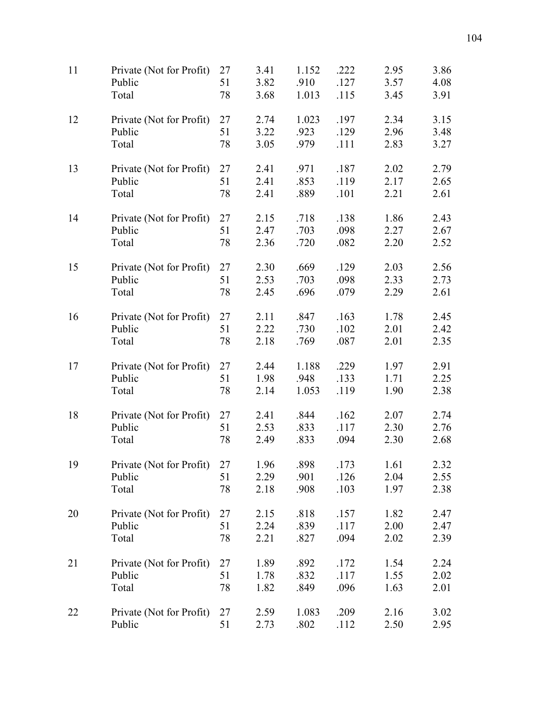| 11 | Private (Not for Profit) | 27 | 3.41 | 1.152 | .222 | 2.95 | 3.86 |
|----|--------------------------|----|------|-------|------|------|------|
|    | Public                   | 51 | 3.82 | .910  | .127 | 3.57 | 4.08 |
|    | Total                    | 78 | 3.68 | 1.013 | .115 | 3.45 | 3.91 |
| 12 | Private (Not for Profit) | 27 | 2.74 | 1.023 | .197 | 2.34 | 3.15 |
|    | Public                   | 51 | 3.22 | .923  | .129 | 2.96 | 3.48 |
|    | Total                    | 78 | 3.05 | .979  | .111 | 2.83 | 3.27 |
| 13 | Private (Not for Profit) | 27 | 2.41 | .971  | .187 | 2.02 | 2.79 |
|    | Public                   | 51 | 2.41 | .853  | .119 | 2.17 | 2.65 |
|    | Total                    | 78 | 2.41 | .889  | .101 | 2.21 | 2.61 |
| 14 | Private (Not for Profit) | 27 | 2.15 | .718  | .138 | 1.86 | 2.43 |
|    | Public                   | 51 | 2.47 | .703  | .098 | 2.27 | 2.67 |
|    | Total                    | 78 | 2.36 | .720  | .082 | 2.20 | 2.52 |
| 15 | Private (Not for Profit) | 27 | 2.30 | .669  | .129 | 2.03 | 2.56 |
|    | Public                   | 51 | 2.53 | .703  | .098 | 2.33 | 2.73 |
|    | Total                    | 78 | 2.45 | .696  | .079 | 2.29 | 2.61 |
| 16 | Private (Not for Profit) | 27 | 2.11 | .847  | .163 | 1.78 | 2.45 |
|    | Public                   | 51 | 2.22 | .730  | .102 | 2.01 | 2.42 |
|    | Total                    | 78 | 2.18 | .769  | .087 | 2.01 | 2.35 |
| 17 | Private (Not for Profit) | 27 | 2.44 | 1.188 | .229 | 1.97 | 2.91 |
|    | Public                   | 51 | 1.98 | .948  | .133 | 1.71 | 2.25 |
|    | Total                    | 78 | 2.14 | 1.053 | .119 | 1.90 | 2.38 |
| 18 | Private (Not for Profit) | 27 | 2.41 | .844  | .162 | 2.07 | 2.74 |
|    | Public                   | 51 | 2.53 | .833  | .117 | 2.30 | 2.76 |
|    | Total                    | 78 | 2.49 | .833  | .094 | 2.30 | 2.68 |
| 19 | Private (Not for Profit) | 27 | 1.96 | .898  | .173 | 1.61 | 2.32 |
|    | Public                   | 51 | 2.29 | .901  | .126 | 2.04 | 2.55 |
|    | Total                    | 78 | 2.18 | .908  | .103 | 1.97 | 2.38 |
| 20 | Private (Not for Profit) | 27 | 2.15 | .818  | .157 | 1.82 | 2.47 |
|    | Public                   | 51 | 2.24 | .839  | .117 | 2.00 | 2.47 |
|    | Total                    | 78 | 2.21 | .827  | .094 | 2.02 | 2.39 |
| 21 | Private (Not for Profit) | 27 | 1.89 | .892  | .172 | 1.54 | 2.24 |
|    | Public                   | 51 | 1.78 | .832  | .117 | 1.55 | 2.02 |
|    | Total                    | 78 | 1.82 | .849  | .096 | 1.63 | 2.01 |
| 22 | Private (Not for Profit) | 27 | 2.59 | 1.083 | .209 | 2.16 | 3.02 |
|    | Public                   | 51 | 2.73 | .802  | .112 | 2.50 | 2.95 |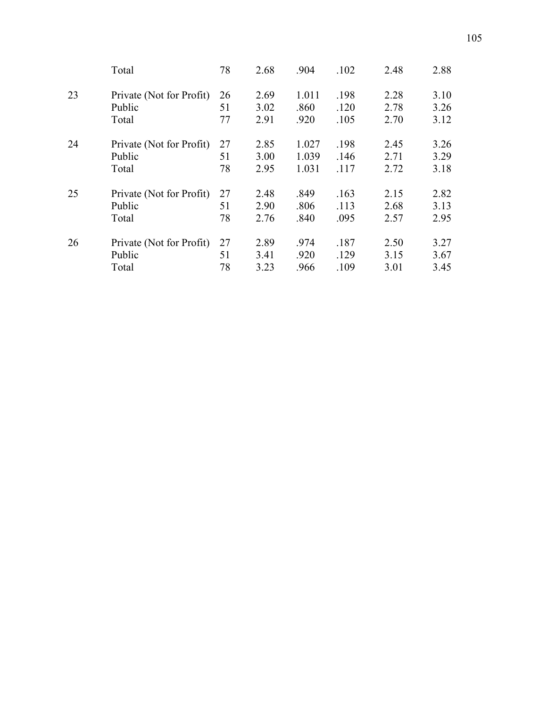|    | Total                    | 78 | 2.68 | .904  | .102 | 2.48 | 2.88 |
|----|--------------------------|----|------|-------|------|------|------|
| 23 | Private (Not for Profit) | 26 | 2.69 | 1.011 | .198 | 2.28 | 3.10 |
|    | Public                   | 51 | 3.02 | .860  | .120 | 2.78 | 3.26 |
|    | Total                    | 77 | 2.91 | .920  | .105 | 2.70 | 3.12 |
| 24 | Private (Not for Profit) | 27 | 2.85 | 1.027 | .198 | 2.45 | 3.26 |
|    | Public                   | 51 | 3.00 | 1.039 | .146 | 2.71 | 3.29 |
|    | Total                    | 78 | 2.95 | 1.031 | .117 | 2.72 | 3.18 |
| 25 | Private (Not for Profit) | 27 | 2.48 | .849  | .163 | 2.15 | 2.82 |
|    | Public                   | 51 | 2.90 | .806  | .113 | 2.68 | 3.13 |
|    | Total                    | 78 | 2.76 | .840  | .095 | 2.57 | 2.95 |
| 26 | Private (Not for Profit) | 27 | 2.89 | .974  | .187 | 2.50 | 3.27 |
|    | Public                   | 51 | 3.41 | .920  | .129 | 3.15 | 3.67 |
|    | Total                    | 78 | 3.23 | .966  | .109 | 3.01 | 3.45 |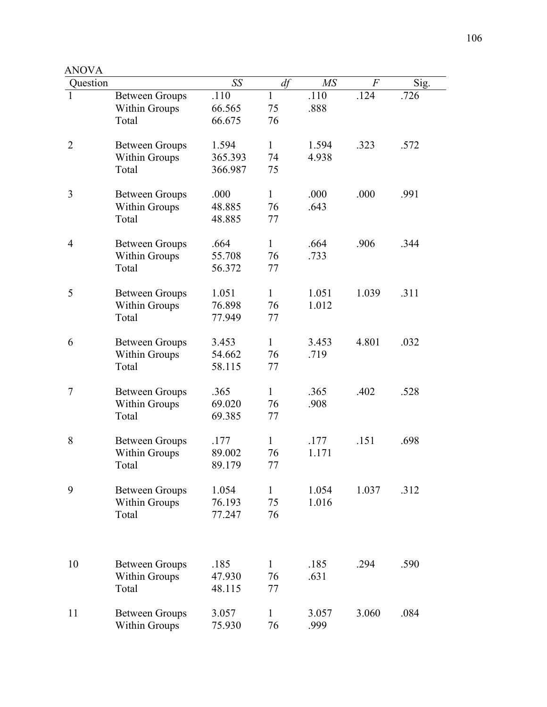| AIVVA<br>Question |                                               | SS               | df                 | MS             | $\overline{F}$ | Sig. |
|-------------------|-----------------------------------------------|------------------|--------------------|----------------|----------------|------|
| 1                 | <b>Between Groups</b><br><b>Within Groups</b> | .110<br>66.565   | 1<br>75            | .110<br>.888   | .124           | .726 |
|                   | Total                                         | 66.675           | 76                 |                |                |      |
| $\overline{2}$    | <b>Between Groups</b>                         | 1.594<br>365.393 | $\mathbf{1}$<br>74 | 1.594<br>4.938 | .323           | .572 |
|                   | Within Groups<br>Total                        | 366.987          | 75                 |                |                |      |
| 3                 | <b>Between Groups</b>                         | .000             | $\mathbf{1}$       | .000           | .000           | .991 |
|                   | Within Groups<br>Total                        | 48.885<br>48.885 | 76<br>77           | .643           |                |      |
| 4                 | <b>Between Groups</b>                         | .664<br>55.708   | $\mathbf{1}$<br>76 | .664<br>.733   | .906           | .344 |
|                   | <b>Within Groups</b><br>Total                 | 56.372           | 77                 |                |                |      |
| 5                 | <b>Between Groups</b>                         | 1.051            | $\mathbf{1}$       | 1.051          | 1.039          | .311 |
|                   | Within Groups<br>Total                        | 76.898<br>77.949 | 76<br>77           | 1.012          |                |      |
| 6                 | <b>Between Groups</b>                         | 3.453            | $\mathbf{1}$       | 3.453          | 4.801          | .032 |
|                   | Within Groups<br>Total                        | 54.662<br>58.115 | 76<br>77           | .719           |                |      |
| 7                 | <b>Between Groups</b>                         | .365             | $\mathbf{1}$       | .365           | .402           | .528 |
|                   | Within Groups<br>Total                        | 69.020<br>69.385 | 76<br>77           | .908           |                |      |
| 8                 | <b>Between Groups</b>                         | .177             | $\mathbf{1}$       | .177           | .151           | .698 |
|                   | Within Groups<br>Total                        | 89.002<br>89.179 | 76<br>77           | 1.171          |                |      |
| 9                 | <b>Between Groups</b>                         | 1.054            | 1                  | 1.054          | 1.037          | .312 |
|                   | <b>Within Groups</b><br>Total                 | 76.193<br>77.247 | 75<br>76           | 1.016          |                |      |
|                   |                                               |                  |                    |                |                |      |
| 10                | <b>Between Groups</b>                         | .185             | $\mathbf{1}$       | .185           | .294           | .590 |
|                   | Within Groups<br>Total                        | 47.930<br>48.115 | 76<br>77           | .631           |                |      |
| 11                | <b>Between Groups</b>                         | 3.057            | 1                  | 3.057          | 3.060          | .084 |
|                   | <b>Within Groups</b>                          | 75.930           | 76                 | .999           |                |      |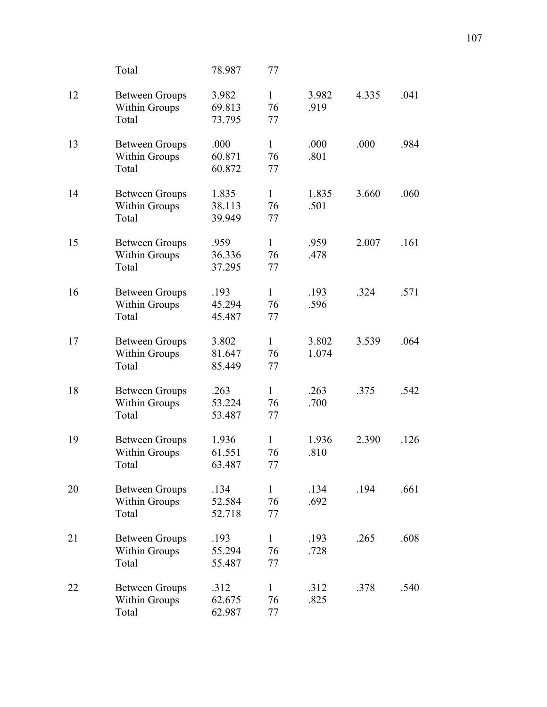|    | Total                                                  | 78.987                    | 77                       |                |       |      |
|----|--------------------------------------------------------|---------------------------|--------------------------|----------------|-------|------|
| 12 | <b>Between Groups</b><br>Within Groups<br>Total        | 3.982<br>69.813<br>73.795 | $\mathbf{1}$<br>76<br>77 | 3.982<br>.919  | 4.335 | .041 |
| 13 | <b>Between Groups</b><br>Within Groups<br>Total        | .000<br>60.871<br>60.872  | $\mathbf{1}$<br>76<br>77 | .000<br>.801   | .000  | .984 |
| 14 | <b>Between Groups</b><br><b>Within Groups</b><br>Total | 1.835<br>38.113<br>39.949 | $\mathbf{1}$<br>76<br>77 | 1.835<br>.501  | 3.660 | .060 |
| 15 | <b>Between Groups</b><br>Within Groups<br>Total        | .959<br>36.336<br>37.295  | $\mathbf{1}$<br>76<br>77 | .959<br>.478   | 2.007 | .161 |
| 16 | <b>Between Groups</b><br>Within Groups<br>Total        | .193<br>45.294<br>45.487  | $\mathbf{1}$<br>76<br>77 | .193<br>.596   | .324  | .571 |
| 17 | <b>Between Groups</b><br>Within Groups<br>Total        | 3.802<br>81.647<br>85.449 | $\mathbf{1}$<br>76<br>77 | 3.802<br>1.074 | 3.539 | .064 |
| 18 | <b>Between Groups</b><br><b>Within Groups</b><br>Total | .263<br>53.224<br>53.487  | $\mathbf{1}$<br>76<br>77 | .263<br>.700   | .375  | .542 |
| 19 | <b>Between Groups</b><br><b>Within Groups</b><br>Total | 1.936<br>61.551<br>63.487 | $\mathbf{1}$<br>76<br>77 | 1.936<br>.810  | 2.390 | .126 |
| 20 | <b>Between Groups</b><br>Within Groups<br>Total        | .134<br>52.584<br>52.718  | $\mathbf{1}$<br>76<br>77 | .134<br>.692   | .194  | .661 |
| 21 | <b>Between Groups</b><br>Within Groups<br>Total        | .193<br>55.294<br>55.487  | $\mathbf{1}$<br>76<br>77 | .193<br>.728   | .265  | .608 |
| 22 | <b>Between Groups</b><br><b>Within Groups</b><br>Total | .312<br>62.675<br>62.987  | $\mathbf{1}$<br>76<br>77 | .312<br>.825   | .378  | .540 |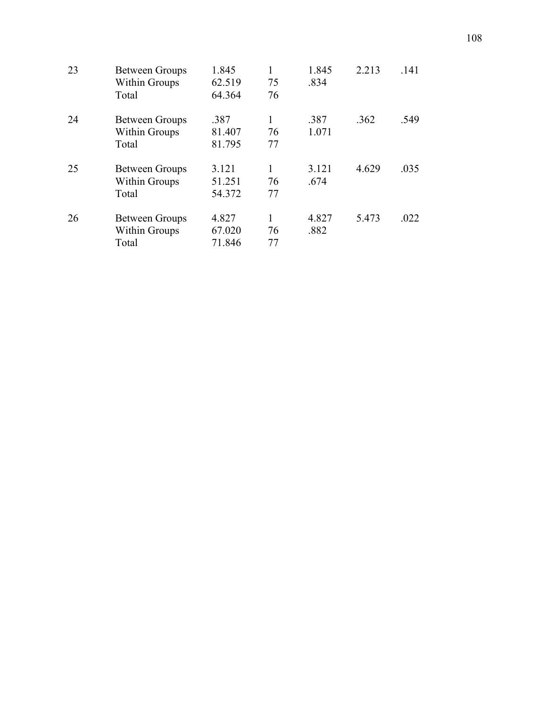| 23 | <b>Between Groups</b> | 1.845  |    | 1.845 | 2.213 | .141 |
|----|-----------------------|--------|----|-------|-------|------|
|    | <b>Within Groups</b>  | 62.519 | 75 | .834  |       |      |
|    | Total                 | 64.364 | 76 |       |       |      |
| 24 | <b>Between Groups</b> | .387   |    | .387  | .362  | .549 |
|    | <b>Within Groups</b>  | 81.407 | 76 | 1.071 |       |      |
|    | Total                 | 81.795 | 77 |       |       |      |
| 25 | <b>Between Groups</b> | 3.121  |    | 3.121 | 4.629 | .035 |
|    | <b>Within Groups</b>  | 51.251 | 76 | .674  |       |      |
|    | Total                 | 54.372 | 77 |       |       |      |
| 26 | <b>Between Groups</b> | 4.827  |    | 4.827 | 5.473 | .022 |
|    | <b>Within Groups</b>  | 67.020 | 76 | .882  |       |      |
|    | Total                 | 71.846 | 77 |       |       |      |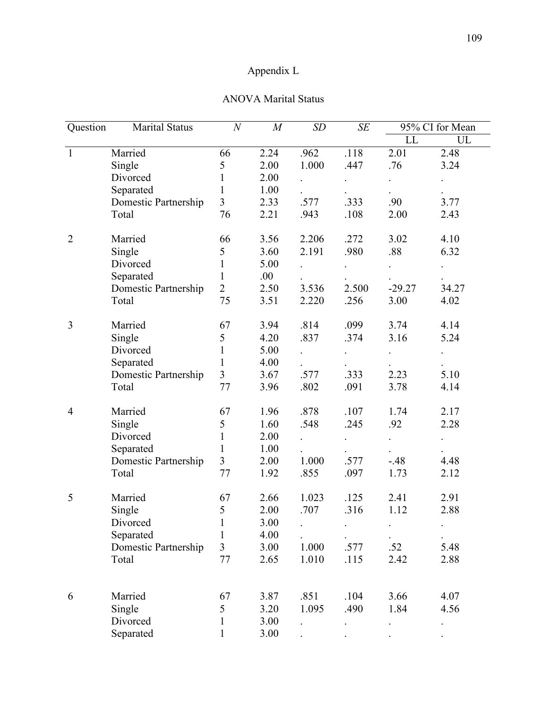## Appendix L

### ANOVA Marital Status

| Question       | <b>Marital Status</b> | $\boldsymbol{N}$ | M    | SD    | SE                   |          | 95% CI for Mean |
|----------------|-----------------------|------------------|------|-------|----------------------|----------|-----------------|
|                |                       |                  |      |       |                      | LL       | UL              |
| $\mathbf{1}$   | Married               | 66               | 2.24 | .962  | .118                 | 2.01     | 2.48            |
|                | Single                | 5                | 2.00 | 1.000 | .447                 | .76      | 3.24            |
|                | Divorced              | $\mathbf{1}$     | 2.00 |       |                      |          |                 |
|                | Separated             | 1                | 1.00 |       |                      |          |                 |
|                | Domestic Partnership  | 3                | 2.33 | .577  | .333                 | .90      | 3.77            |
|                | Total                 | 76               | 2.21 | .943  | .108                 | 2.00     | 2.43            |
| $\overline{2}$ | Married               | 66               | 3.56 | 2.206 | .272                 | 3.02     | 4.10            |
|                | Single                | 5                | 3.60 | 2.191 | .980                 | .88      | 6.32            |
|                | Divorced              | $\mathbf{1}$     | 5.00 |       |                      |          |                 |
|                | Separated             | $\mathbf{1}$     | .00  |       |                      |          |                 |
|                | Domestic Partnership  | $\overline{2}$   | 2.50 | 3.536 | 2.500                | $-29.27$ | 34.27           |
|                | Total                 | 75               | 3.51 | 2.220 | .256                 | 3.00     | 4.02            |
| 3              | Married               | 67               | 3.94 | .814  | .099                 | 3.74     | 4.14            |
|                | Single                | 5                | 4.20 | .837  | .374                 | 3.16     | 5.24            |
|                | Divorced              | $\mathbf{1}$     | 5.00 |       | $\ddot{\phantom{0}}$ |          |                 |
|                | Separated             | 1                | 4.00 |       |                      |          |                 |
|                | Domestic Partnership  | $\overline{3}$   | 3.67 | .577  | .333                 | 2.23     | 5.10            |
|                | Total                 | 77               | 3.96 | .802  | .091                 | 3.78     | 4.14            |
| $\overline{4}$ | Married               | 67               | 1.96 | .878  | .107                 | 1.74     | 2.17            |
|                | Single                | 5                | 1.60 | .548  | .245                 | .92      | 2.28            |
|                | Divorced              | $\mathbf{1}$     | 2.00 |       |                      |          |                 |
|                | Separated             | 1                | 1.00 |       |                      |          |                 |
|                | Domestic Partnership  | $\mathfrak{Z}$   | 2.00 | 1.000 | .577                 | $-48$    | 4.48            |
|                | Total                 | 77               | 1.92 | .855  | .097                 | 1.73     | 2.12            |
| 5              | Married               | 67               | 2.66 | 1.023 | .125                 | 2.41     | 2.91            |
|                | Single                | 5                | 2.00 | .707  | .316                 | 1.12     | 2.88            |
|                | Divorced              | $\mathbf{I}$     | 3.00 |       |                      |          | $\bullet$       |
|                | Separated             | 1                | 4.00 |       |                      |          |                 |
|                | Domestic Partnership  | 3                | 3.00 | 1.000 | .577                 | .52      | 5.48            |
|                | Total                 | 77               | 2.65 | 1.010 | .115                 | 2.42     | 2.88            |
| 6              | Married               | 67               | 3.87 | .851  | .104                 | 3.66     | 4.07            |
|                | Single                | 5                | 3.20 | 1.095 | .490                 | 1.84     | 4.56            |
|                | Divorced              | 1                | 3.00 |       |                      |          |                 |
|                | Separated             |                  | 3.00 |       |                      |          |                 |
|                |                       |                  |      |       |                      |          |                 |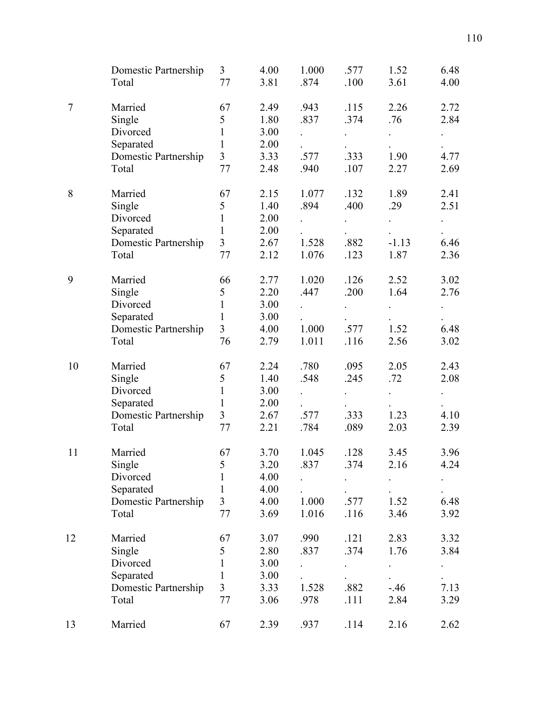|    | Domestic Partnership<br>Total | 3<br>77        | 4.00<br>3.81 | 1.000<br>.874 | .577<br>.100 | 1.52<br>3.61 | 6.48<br>4.00 |
|----|-------------------------------|----------------|--------------|---------------|--------------|--------------|--------------|
| 7  | Married                       | 67             | 2.49         | .943          | .115         | 2.26         | 2.72         |
|    | Single                        | 5              | 1.80         | .837          | .374         | .76          | 2.84         |
|    | Divorced                      | $\mathbf{1}$   | 3.00         |               |              |              |              |
|    | Separated                     | $\mathbf{1}$   | 2.00         |               |              |              |              |
|    | Domestic Partnership          | $\overline{3}$ | 3.33         | .577          | .333         | 1.90         | 4.77         |
|    | Total                         | 77             | 2.48         | .940          | .107         | 2.27         | 2.69         |
| 8  | Married                       | 67             | 2.15         | 1.077         | .132         | 1.89         | 2.41         |
|    | Single                        | 5              | 1.40         | .894          | .400         | .29          | 2.51         |
|    | Divorced                      | 1              | 2.00         |               |              |              |              |
|    | Separated                     | $\mathbf{1}$   | 2.00         |               |              |              |              |
|    | Domestic Partnership          | $\overline{3}$ | 2.67         | 1.528         | .882         | $-1.13$      | 6.46         |
|    | Total                         | 77             | 2.12         | 1.076         | .123         | 1.87         | 2.36         |
| 9  | Married                       | 66             | 2.77         | 1.020         | .126         | 2.52         | 3.02         |
|    | Single                        | 5              | 2.20         | .447          | .200         | 1.64         | 2.76         |
|    | Divorced                      | 1              | 3.00         |               |              |              |              |
|    | Separated                     | $\mathbf{1}$   | 3.00         |               |              |              |              |
|    | Domestic Partnership          | $\overline{3}$ | 4.00         | 1.000         | .577         | 1.52         | 6.48         |
|    | Total                         | 76             | 2.79         | 1.011         | .116         | 2.56         | 3.02         |
| 10 | Married                       | 67             | 2.24         | .780          | .095         | 2.05         | 2.43         |
|    | Single                        | 5              | 1.40         | .548          | .245         | .72          | 2.08         |
|    | Divorced                      | $\mathbf{1}$   | 3.00         |               |              |              |              |
|    | Separated                     | 1              | 2.00         |               |              |              |              |
|    | Domestic Partnership          | $\overline{3}$ | 2.67         | .577          | .333         | 1.23         | 4.10         |
|    | Total                         | 77             | 2.21         | .784          | .089         | 2.03         | 2.39         |
| 11 | Married                       | 67             | 3.70         | 1.045         | .128         | 3.45         | 3.96         |
|    | Single                        | 5 <sup>1</sup> | 3.20         | .837          | .374         | 2.16         | 4.24         |
|    | Divorced                      | 1              | 4.00         |               |              |              |              |
|    | Separated                     | 1              | 4.00         |               |              |              |              |
|    | Domestic Partnership          | $\overline{3}$ | 4.00         | 1.000         | .577         | 1.52         | 6.48         |
|    | Total                         | 77             | 3.69         | 1.016         | .116         | 3.46         | 3.92         |
| 12 | Married                       | 67             | 3.07         | .990          | .121         | 2.83         | 3.32         |
|    | Single                        | 5              | 2.80         | .837          | .374         | 1.76         | 3.84         |
|    | Divorced                      | 1              | 3.00         |               |              |              |              |
|    | Separated                     | 1              | 3.00         |               |              |              |              |
|    | Domestic Partnership          | $\overline{3}$ | 3.33         | 1.528         | .882         | $-46$        | 7.13         |
|    | Total                         | 77             | 3.06         | .978          | .111         | 2.84         | 3.29         |
| 13 | Married                       | 67             | 2.39         | .937          | .114         | 2.16         | 2.62         |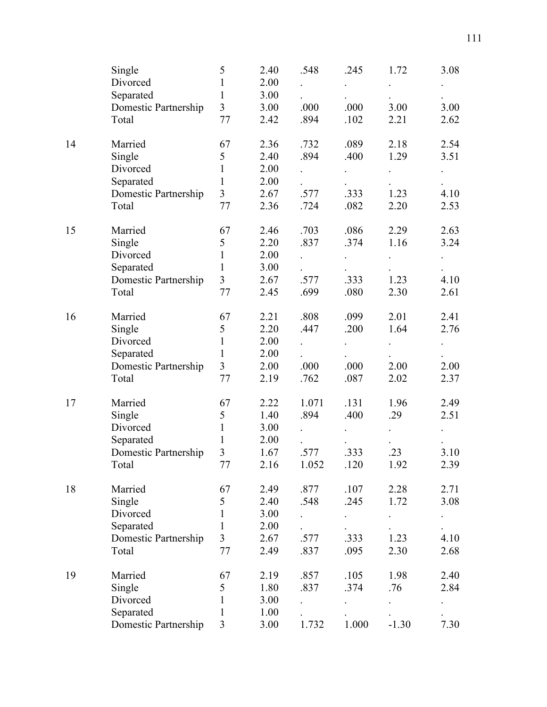|    | Single               | 5              | 2.40 | .548  | .245  | 1.72    | 3.08 |
|----|----------------------|----------------|------|-------|-------|---------|------|
|    | Divorced             | 1              | 2.00 |       |       |         |      |
|    | Separated            | 1              | 3.00 |       |       |         |      |
|    | Domestic Partnership | $\overline{3}$ | 3.00 | .000  | .000  | 3.00    | 3.00 |
|    | Total                | 77             | 2.42 | .894  | .102  | 2.21    | 2.62 |
| 14 | Married              | 67             | 2.36 | .732  | .089  | 2.18    | 2.54 |
|    | Single               | 5              | 2.40 | .894  | .400  | 1.29    | 3.51 |
|    | Divorced             | 1              | 2.00 |       |       |         |      |
|    | Separated            | $\mathbf{1}$   | 2.00 |       |       |         |      |
|    | Domestic Partnership | $\overline{3}$ | 2.67 | .577  | .333  | 1.23    | 4.10 |
|    | Total                | 77             | 2.36 | .724  | .082  | 2.20    | 2.53 |
| 15 | Married              | 67             | 2.46 | .703  | .086  | 2.29    | 2.63 |
|    | Single               | 5              | 2.20 | .837  | .374  | 1.16    | 3.24 |
|    | Divorced             | 1              | 2.00 |       |       |         |      |
|    | Separated            | $\mathbf{1}$   | 3.00 |       |       |         |      |
|    | Domestic Partnership | $\overline{3}$ | 2.67 | .577  | .333  | 1.23    | 4.10 |
|    | Total                | 77             | 2.45 | .699  | .080  | 2.30    | 2.61 |
| 16 | Married              | 67             | 2.21 | .808  | .099  | 2.01    | 2.41 |
|    | Single               | 5              | 2.20 | .447  | .200  | 1.64    | 2.76 |
|    | Divorced             | $\mathbf{1}$   | 2.00 |       |       |         |      |
|    | Separated            | $\mathbf{1}$   | 2.00 |       |       |         |      |
|    | Domestic Partnership | $\overline{3}$ | 2.00 | .000  | .000  | 2.00    | 2.00 |
|    | Total                | 77             | 2.19 | .762  | .087  | 2.02    | 2.37 |
| 17 | Married              | 67             | 2.22 | 1.071 | .131  | 1.96    | 2.49 |
|    | Single               | 5              | 1.40 | .894  | .400  | .29     | 2.51 |
|    | Divorced             | $\mathbf{1}$   | 3.00 |       |       |         |      |
|    | Separated            | $\mathbf{1}$   | 2.00 |       |       |         |      |
|    | Domestic Partnership | 3              | 1.67 | .577  | .333  | .23     | 3.10 |
|    | Total                | $77 \,$        | 2.16 | 1.052 | .120  | 1.92    | 2.39 |
| 18 | Married              | 67             | 2.49 | .877  | .107  | 2.28    | 2.71 |
|    | Single               | 5              | 2.40 | .548  | .245  | 1.72    | 3.08 |
|    | Divorced             | 1              | 3.00 |       |       |         |      |
|    | Separated            | 1              | 2.00 |       |       |         |      |
|    | Domestic Partnership | 3              | 2.67 | .577  | .333  | 1.23    | 4.10 |
|    | Total                | 77             | 2.49 | .837  | .095  | 2.30    | 2.68 |
| 19 | Married              | 67             | 2.19 | .857  | .105  | 1.98    | 2.40 |
|    | Single               | 5              | 1.80 | .837  | .374  | .76     | 2.84 |
|    | Divorced             | 1              | 3.00 |       |       |         |      |
|    | Separated            | 1              | 1.00 |       |       |         |      |
|    | Domestic Partnership | 3              | 3.00 | 1.732 | 1.000 | $-1.30$ | 7.30 |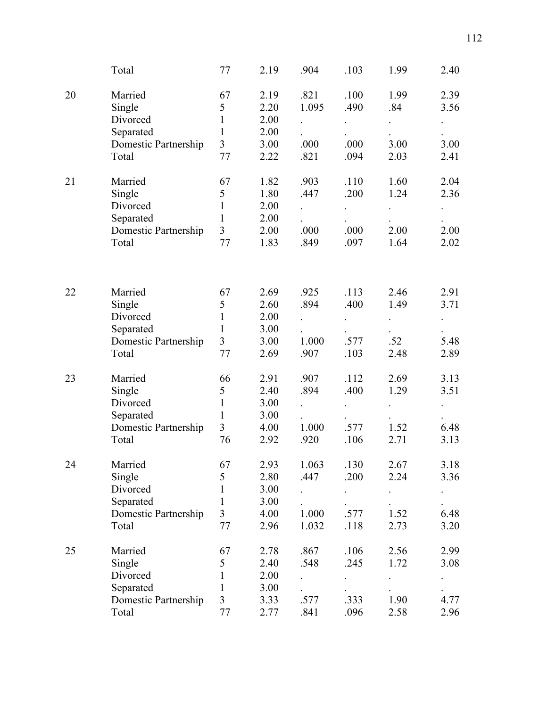|    | Total                | 77             | 2.19 | .904                 | .103 | 1.99                 | 2.40 |
|----|----------------------|----------------|------|----------------------|------|----------------------|------|
| 20 | Married              | 67             | 2.19 | .821                 | .100 | 1.99                 | 2.39 |
|    | Single               | 5              | 2.20 | 1.095                | .490 | .84                  | 3.56 |
|    | Divorced             | $\mathbf{1}$   | 2.00 | $\ddot{\phantom{0}}$ |      | $\ddot{\phantom{0}}$ |      |
|    | Separated            | $\mathbf{1}$   | 2.00 |                      |      |                      |      |
|    | Domestic Partnership | $\overline{3}$ | 3.00 | .000                 | .000 | 3.00                 | 3.00 |
|    | Total                | 77             | 2.22 | .821                 | .094 | 2.03                 | 2.41 |
|    |                      |                |      |                      |      |                      |      |
| 21 | Married              | 67             | 1.82 | .903                 | .110 | 1.60                 | 2.04 |
|    | Single               | 5              | 1.80 | .447                 | .200 | 1.24                 | 2.36 |
|    | Divorced             | $\mathbf{1}$   | 2.00 |                      |      |                      |      |
|    | Separated            | 1              | 2.00 |                      |      |                      |      |
|    | Domestic Partnership | 3              | 2.00 | .000                 | .000 | 2.00                 | 2.00 |
|    | Total                | 77             | 1.83 | .849                 | .097 | 1.64                 | 2.02 |
|    |                      |                |      |                      |      |                      |      |
| 22 | Married              | 67             | 2.69 | .925                 | .113 | 2.46                 | 2.91 |
|    | Single               | 5              | 2.60 | .894                 | .400 | 1.49                 | 3.71 |
|    | Divorced             | $\mathbf{1}$   | 2.00 |                      |      |                      |      |
|    | Separated            | $\mathbf{1}$   | 3.00 |                      |      |                      |      |
|    |                      | 3              | 3.00 | 1.000                | .577 | .52                  | 5.48 |
|    | Domestic Partnership | 77             |      |                      | .103 |                      |      |
|    | Total                |                | 2.69 | .907                 |      | 2.48                 | 2.89 |
| 23 | Married              | 66             | 2.91 | .907                 | .112 | 2.69                 | 3.13 |
|    | Single               | 5              | 2.40 | .894                 | .400 | 1.29                 | 3.51 |
|    | Divorced             | $\mathbf{1}$   | 3.00 |                      |      |                      |      |
|    | Separated            | $\mathbf{1}$   | 3.00 |                      |      |                      |      |
|    | Domestic Partnership | 3              | 4.00 | 1.000                | .577 | 1.52                 | 6.48 |
|    | Total                | 76             | 2.92 | .920                 | .106 | 2.71                 | 3.13 |
| 24 | Married              | 67             | 2.93 | 1.063                | .130 | 2.67                 | 3.18 |
|    | Single               | 5              | 2.80 | .447                 | .200 | 2.24                 | 3.36 |
|    | Divorced             | 1              | 3.00 |                      |      |                      |      |
|    | Separated            | 1              | 3.00 |                      |      |                      |      |
|    |                      | 3              | 4.00 | 1.000                | .577 | 1.52                 | 6.48 |
|    | Domestic Partnership | 77             |      |                      |      |                      |      |
|    | Total                |                | 2.96 | 1.032                | .118 | 2.73                 | 3.20 |
| 25 | Married              | 67             | 2.78 | .867                 | .106 | 2.56                 | 2.99 |
|    | Single               | 5              | 2.40 | .548                 | .245 | 1.72                 | 3.08 |
|    | Divorced             | 1              | 2.00 |                      |      |                      |      |
|    | Separated            | 1              | 3.00 |                      |      |                      |      |
|    | Domestic Partnership | 3              | 3.33 | .577                 | .333 | 1.90                 | 4.77 |
|    | Total                | 77             | 2.77 | .841                 | .096 | 2.58                 | 2.96 |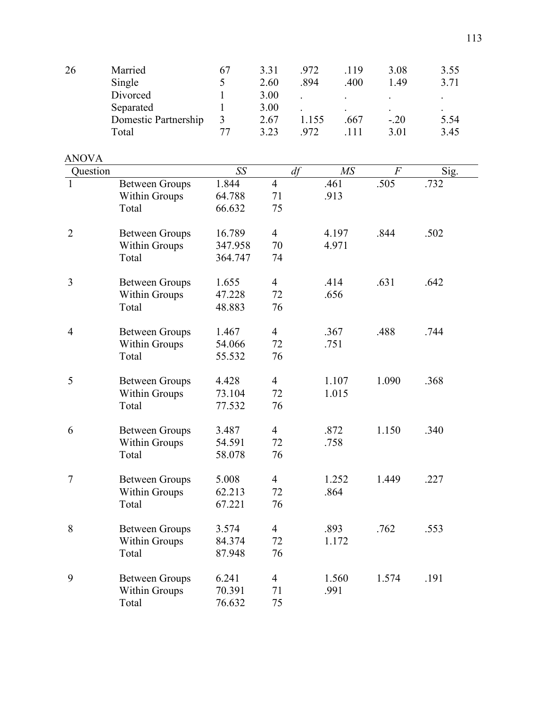| Married              | 67 | 3.31 | .972 | 119                      | 3.08                     | 3.55      |
|----------------------|----|------|------|--------------------------|--------------------------|-----------|
| Single               |    | 2.60 | .894 | .400                     | 1.49                     | 3.71      |
| Divorced             |    | 3.00 |      | $\overline{\phantom{a}}$ | $\overline{\phantom{a}}$ |           |
| Separated            |    | 3.00 |      |                          | $\sim$                   | $\bullet$ |
| Domestic Partnership |    | 2.67 | .155 | .667                     | $-.20$                   | 5.54      |
| Total                | 77 | 3.23 | .972 | 111                      | 3.01                     | 3.45      |
|                      |    |      |      |                          |                          |           |

| <b>ANOVA</b>   |                       |         |                |       |       |      |
|----------------|-----------------------|---------|----------------|-------|-------|------|
| Question       |                       | SS      | df             | MS    | $\,F$ | Sig. |
|                | <b>Between Groups</b> | 1.844   | $\overline{4}$ | .461  | .505  | .732 |
|                | <b>Within Groups</b>  | 64.788  | 71             | .913  |       |      |
|                | Total                 | 66.632  | 75             |       |       |      |
| $\overline{2}$ | <b>Between Groups</b> | 16.789  | $\overline{4}$ | 4.197 | .844  | .502 |
|                | Within Groups         | 347.958 | 70             | 4.971 |       |      |
|                | Total                 | 364.747 | 74             |       |       |      |
| 3              | <b>Between Groups</b> | 1.655   | $\overline{4}$ | .414  | .631  | .642 |
|                | Within Groups         | 47.228  | 72             | .656  |       |      |
|                | Total                 | 48.883  | 76             |       |       |      |
| $\overline{4}$ | <b>Between Groups</b> | 1.467   | $\overline{4}$ | .367  | .488  | .744 |
|                | Within Groups         | 54.066  | 72             | .751  |       |      |
|                | Total                 | 55.532  | 76             |       |       |      |
| 5              | <b>Between Groups</b> | 4.428   | $\overline{4}$ | 1.107 | 1.090 | .368 |
|                | Within Groups         | 73.104  | 72             | 1.015 |       |      |
|                | Total                 | 77.532  | 76             |       |       |      |
| 6              | <b>Between Groups</b> | 3.487   | $\overline{4}$ | .872  | 1.150 | .340 |
|                | Within Groups         | 54.591  | 72             | .758  |       |      |
|                | Total                 | 58.078  | 76             |       |       |      |
| 7              | <b>Between Groups</b> | 5.008   | $\overline{4}$ | 1.252 | 1.449 | .227 |
|                | Within Groups         | 62.213  | 72             | .864  |       |      |
|                | Total                 | 67.221  | 76             |       |       |      |
| 8              | <b>Between Groups</b> | 3.574   | $\overline{4}$ | .893  | .762  | .553 |
|                | Within Groups         | 84.374  | 72             | 1.172 |       |      |
|                | Total                 | 87.948  | 76             |       |       |      |
| 9              | <b>Between Groups</b> | 6.241   | $\overline{4}$ | 1.560 | 1.574 | .191 |
|                | Within Groups         | 70.391  | 71             | .991  |       |      |
|                | Total                 | 76.632  | 75             |       |       |      |
|                |                       |         |                |       |       |      |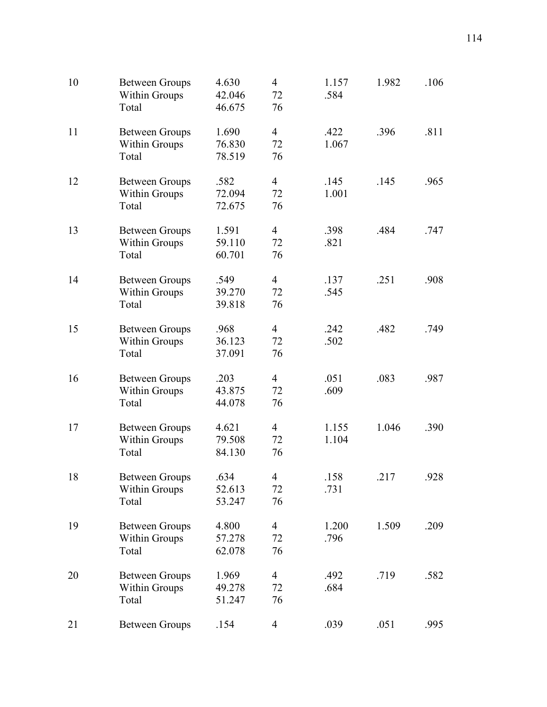| 10 | <b>Between Groups</b><br>Within Groups<br>Total | 4.630<br>42.046<br>46.675 | $\overline{4}$<br>72<br>76 | 1.157<br>.584  | 1.982 | .106 |
|----|-------------------------------------------------|---------------------------|----------------------------|----------------|-------|------|
| 11 | <b>Between Groups</b><br>Within Groups<br>Total | 1.690<br>76.830<br>78.519 | $\overline{4}$<br>72<br>76 | .422<br>1.067  | .396  | .811 |
| 12 | <b>Between Groups</b><br>Within Groups<br>Total | .582<br>72.094<br>72.675  | $\overline{4}$<br>72<br>76 | .145<br>1.001  | .145  | .965 |
| 13 | <b>Between Groups</b><br>Within Groups<br>Total | 1.591<br>59.110<br>60.701 | $\overline{4}$<br>72<br>76 | .398<br>.821   | .484  | .747 |
| 14 | <b>Between Groups</b><br>Within Groups<br>Total | .549<br>39.270<br>39.818  | $\overline{4}$<br>72<br>76 | .137<br>.545   | .251  | .908 |
| 15 | <b>Between Groups</b><br>Within Groups<br>Total | .968<br>36.123<br>37.091  | $\overline{4}$<br>72<br>76 | .242<br>.502   | .482  | .749 |
| 16 | <b>Between Groups</b><br>Within Groups<br>Total | .203<br>43.875<br>44.078  | $\overline{4}$<br>72<br>76 | .051<br>.609   | .083  | .987 |
| 17 | <b>Between Groups</b><br>Within Groups<br>Total | 4.621<br>79.508<br>84.130 | $\overline{4}$<br>72<br>76 | 1.155<br>1.104 | 1.046 | .390 |
| 18 | <b>Between Groups</b><br>Within Groups<br>Total | .634<br>52.613<br>53.247  | 4<br>72<br>76              | .158<br>.731   | .217  | .928 |
| 19 | <b>Between Groups</b><br>Within Groups<br>Total | 4.800<br>57.278<br>62.078 | $\overline{4}$<br>72<br>76 | 1.200<br>.796  | 1.509 | .209 |
| 20 | <b>Between Groups</b><br>Within Groups<br>Total | 1.969<br>49.278<br>51.247 | $\overline{4}$<br>72<br>76 | .492<br>.684   | .719  | .582 |
| 21 | <b>Between Groups</b>                           | .154                      | $\overline{4}$             | .039           | .051  | .995 |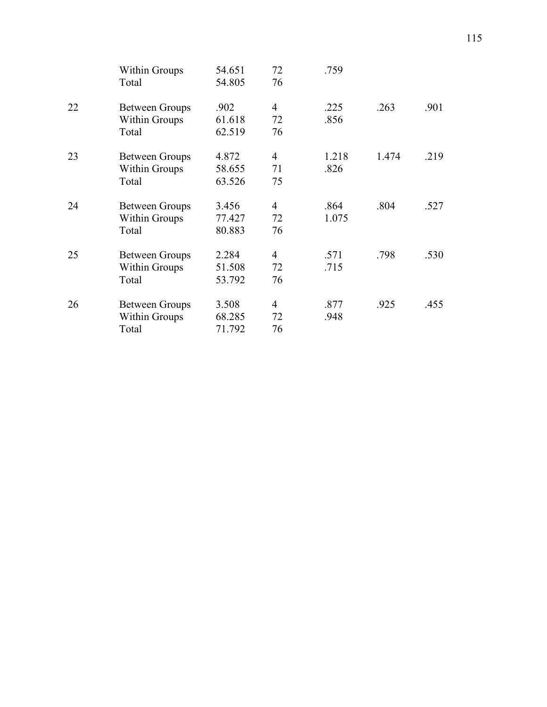|    | <b>Within Groups</b><br>Total | 54.651<br>54.805 | 72<br>76       | .759  |       |      |
|----|-------------------------------|------------------|----------------|-------|-------|------|
| 22 | <b>Between Groups</b>         | .902             | $\overline{4}$ | .225  | .263  | .901 |
|    | <b>Within Groups</b>          | 61.618           | 72             | .856  |       |      |
|    | Total                         | 62.519           | 76             |       |       |      |
| 23 | <b>Between Groups</b>         | 4.872            | $\overline{4}$ | 1.218 | 1.474 | .219 |
|    | <b>Within Groups</b>          | 58.655           | 71             | .826  |       |      |
|    | Total                         | 63.526           | 75             |       |       |      |
| 24 | <b>Between Groups</b>         | 3.456            | 4              | .864  | .804  | .527 |
|    | <b>Within Groups</b>          | 77.427           | 72             | 1.075 |       |      |
|    | Total                         | 80.883           | 76             |       |       |      |
| 25 | <b>Between Groups</b>         | 2.284            | $\overline{4}$ | .571  | .798  | .530 |
|    | <b>Within Groups</b>          | 51.508           | 72             | .715  |       |      |
|    | Total                         | 53.792           | 76             |       |       |      |
| 26 | <b>Between Groups</b>         | 3.508            | 4              | .877  | .925  | .455 |
|    | <b>Within Groups</b>          | 68.285           | 72             | .948  |       |      |
|    | Total                         | 71.792           | 76             |       |       |      |
|    |                               |                  |                |       |       |      |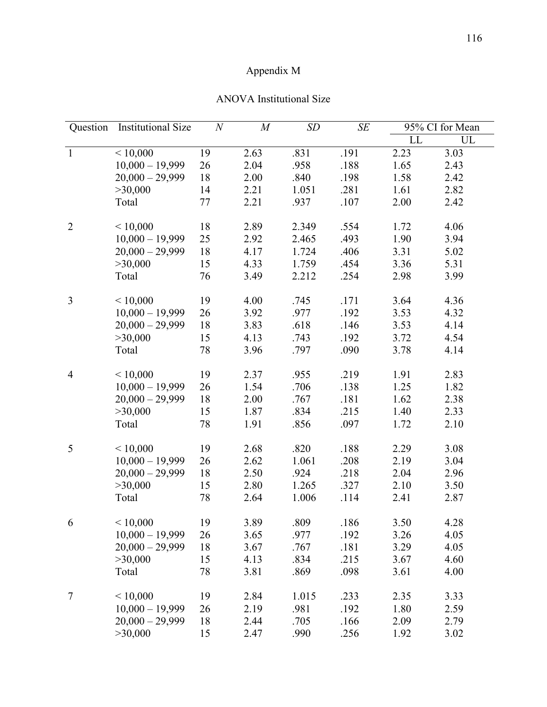## Appendix M

|  | <b>ANOVA</b> Institutional Size |
|--|---------------------------------|
|--|---------------------------------|

| Question       | <b>Institutional Size</b> | $\cal N$ | $\cal M$ | SD    | SE   |      | 95% CI for Mean |
|----------------|---------------------------|----------|----------|-------|------|------|-----------------|
|                |                           |          |          |       |      | LL   | UL              |
| $\mathbf{1}$   | ${}< 10,000$              | 19       | 2.63     | .831  | .191 | 2.23 | 3.03            |
|                | $10,000 - 19,999$         | 26       | 2.04     | .958  | .188 | 1.65 | 2.43            |
|                | $20,000 - 29,999$         | 18       | 2.00     | .840  | .198 | 1.58 | 2.42            |
|                | >30,000                   | 14       | 2.21     | 1.051 | .281 | 1.61 | 2.82            |
|                | Total                     | 77       | 2.21     | .937  | .107 | 2.00 | 2.42            |
| $\overline{2}$ | < 10,000                  | 18       | 2.89     | 2.349 | .554 | 1.72 | 4.06            |
|                | $10,000 - 19,999$         | 25       | 2.92     | 2.465 | .493 | 1.90 | 3.94            |
|                | $20,000 - 29,999$         | 18       | 4.17     | 1.724 | .406 | 3.31 | 5.02            |
|                | >30,000                   | 15       | 4.33     | 1.759 | .454 | 3.36 | 5.31            |
|                | Total                     | 76       | 3.49     | 2.212 | .254 | 2.98 | 3.99            |
| 3              | < 10,000                  | 19       | 4.00     | .745  | .171 | 3.64 | 4.36            |
|                | $10,000 - 19,999$         | 26       | 3.92     | .977  | .192 | 3.53 | 4.32            |
|                | $20,000 - 29,999$         | 18       | 3.83     | .618  | .146 | 3.53 | 4.14            |
|                | >30,000                   | 15       | 4.13     | .743  | .192 | 3.72 | 4.54            |
|                | Total                     | 78       | 3.96     | .797  | .090 | 3.78 | 4.14            |
| $\overline{4}$ | < 10,000                  | 19       | 2.37     | .955  | .219 | 1.91 | 2.83            |
|                | $10,000 - 19,999$         | 26       | 1.54     | .706  | .138 | 1.25 | 1.82            |
|                | $20,000 - 29,999$         | 18       | 2.00     | .767  | .181 | 1.62 | 2.38            |
|                | >30,000                   | 15       | 1.87     | .834  | .215 | 1.40 | 2.33            |
|                | Total                     | 78       | 1.91     | .856  | .097 | 1.72 | 2.10            |
| 5              | < 10,000                  | 19       | 2.68     | .820  | .188 | 2.29 | 3.08            |
|                | $10,000 - 19,999$         | 26       | 2.62     | 1.061 | .208 | 2.19 | 3.04            |
|                | $20,000 - 29,999$         | 18       | 2.50     | .924  | .218 | 2.04 | 2.96            |
|                | >30,000                   | 15       | 2.80     | 1.265 | .327 | 2.10 | 3.50            |
|                | Total                     | 78       | 2.64     | 1.006 | .114 | 2.41 | 2.87            |
| 6              | < 10,000                  | 19       | 3.89     | .809  | .186 | 3.50 | 4.28            |
|                | $10,000 - 19,999$         | 26       | 3.65     | .977  | .192 | 3.26 | 4.05            |
|                | $20,000 - 29,999$         | 18       | 3.67     | .767  | .181 | 3.29 | 4.05            |
|                | >30,000                   | 15       | 4.13     | .834  | .215 | 3.67 | 4.60            |
|                | Total                     | 78       | 3.81     | .869  | .098 | 3.61 | 4.00            |
| $\tau$         | < 10,000                  | 19       | 2.84     | 1.015 | .233 | 2.35 | 3.33            |
|                | $10,000 - 19,999$         | 26       | 2.19     | .981  | .192 | 1.80 | 2.59            |
|                | $20,000 - 29,999$         | 18       | 2.44     | .705  | .166 | 2.09 | 2.79            |
|                | >30,000                   | 15       | 2.47     | .990  | .256 | 1.92 | 3.02            |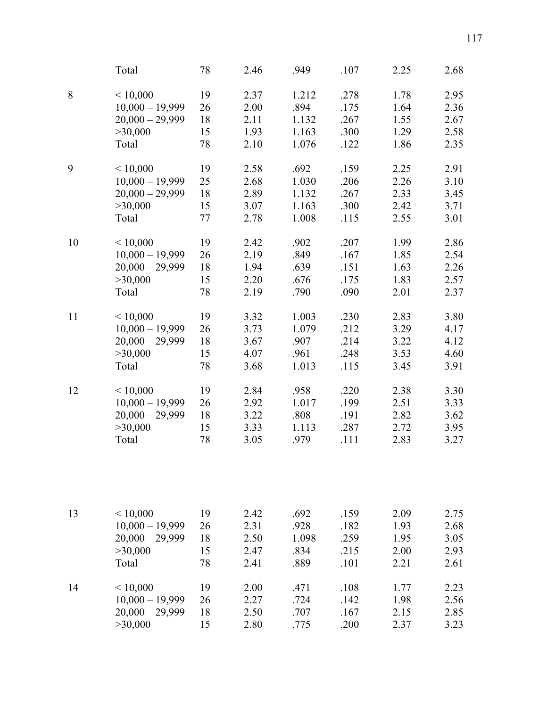|    | Total              | 78 | 2.46 | .949  | .107 | 2.25 | 2.68 |
|----|--------------------|----|------|-------|------|------|------|
| 8  | ${}< 10,000$       | 19 | 2.37 | 1.212 | .278 | 1.78 | 2.95 |
|    | $10,000 - 19,999$  | 26 | 2.00 | .894  | .175 | 1.64 | 2.36 |
|    | $20,000 - 29,999$  | 18 | 2.11 | 1.132 | .267 | 1.55 | 2.67 |
|    | >30,000            | 15 | 1.93 | 1.163 | .300 | 1.29 | 2.58 |
|    | Total              | 78 | 2.10 | 1.076 | .122 | 1.86 | 2.35 |
| 9  | < 10,000           | 19 | 2.58 | .692  | .159 | 2.25 | 2.91 |
|    | $10,000 - 19,999$  | 25 | 2.68 | 1.030 | .206 | 2.26 | 3.10 |
|    | $20,000 - 29,999$  | 18 | 2.89 | 1.132 | .267 | 2.33 | 3.45 |
|    | >30,000            | 15 | 3.07 | 1.163 | .300 | 2.42 | 3.71 |
|    | Total              | 77 | 2.78 | 1.008 | .115 | 2.55 | 3.01 |
| 10 | < 10,000           | 19 | 2.42 | .902  | .207 | 1.99 | 2.86 |
|    | $10,000 - 19,999$  | 26 | 2.19 | .849  | .167 | 1.85 | 2.54 |
|    | $20,000 - 29,999$  | 18 | 1.94 | .639  | .151 | 1.63 | 2.26 |
|    | >30,000            | 15 | 2.20 | .676  | .175 | 1.83 | 2.57 |
|    | Total              | 78 | 2.19 | .790  | .090 | 2.01 | 2.37 |
| 11 | < 10,000           | 19 | 3.32 | 1.003 | .230 | 2.83 | 3.80 |
|    | $10,000 - 19,999$  | 26 | 3.73 | 1.079 | .212 | 3.29 | 4.17 |
|    | $20,000 - 29,999$  | 18 | 3.67 | .907  | .214 | 3.22 | 4.12 |
|    | >30,000            | 15 | 4.07 | .961  | .248 | 3.53 | 4.60 |
|    | Total              | 78 | 3.68 | 1.013 | .115 | 3.45 | 3.91 |
| 12 | ${}_{\leq 10,000}$ | 19 | 2.84 | .958  | .220 | 2.38 | 3.30 |
|    | $10,000 - 19,999$  | 26 | 2.92 | 1.017 | .199 | 2.51 | 3.33 |
|    | $20,000 - 29,999$  | 18 | 3.22 | .808  | .191 | 2.82 | 3.62 |
|    | >30,000            | 15 | 3.33 | 1.113 | .287 | 2.72 | 3.95 |
|    | Total              | 78 | 3.05 | .979  | .111 | 2.83 | 3.27 |
|    |                    |    |      |       |      |      |      |
| 13 | ${}< 10,000$       | 19 | 2.42 | .692  | .159 | 2.09 | 2.75 |
|    | $10,000 - 19,999$  | 26 | 2.31 | .928  | .182 | 1.93 | 2.68 |
|    | $20,000 - 29,999$  | 18 | 2.50 | 1.098 | .259 | 1.95 | 3.05 |
|    | >30,000            | 15 | 2.47 | .834  | .215 | 2.00 | 2.93 |
|    | Total              | 78 | 2.41 | .889  | .101 | 2.21 | 2.61 |
| 14 | ${}_{\leq 10,000}$ | 19 | 2.00 | .471  | .108 | 1.77 | 2.23 |
|    | $10,000 - 19,999$  | 26 | 2.27 | .724  | .142 | 1.98 | 2.56 |
|    | $20,000 - 29,999$  | 18 | 2.50 | .707  | .167 | 2.15 | 2.85 |
|    | >30,000            | 15 | 2.80 | .775  | .200 | 2.37 | 3.23 |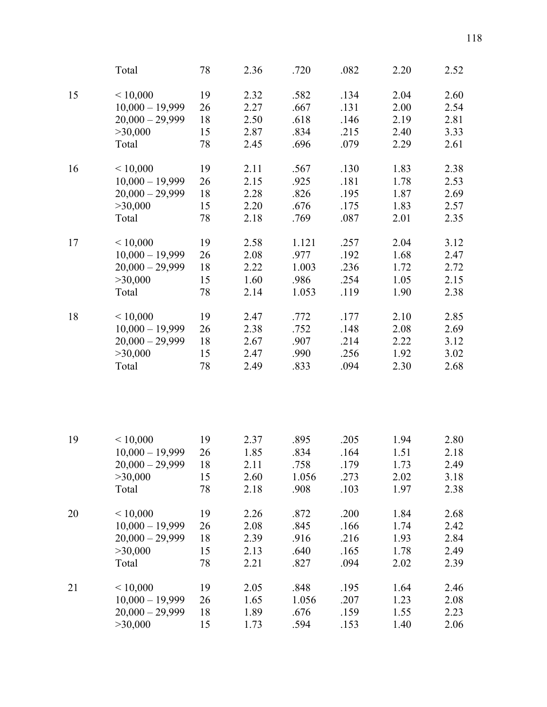|    | Total             | 78 | 2.36 | .720  | .082 | 2.20 | 2.52 |
|----|-------------------|----|------|-------|------|------|------|
| 15 | < 10,000          | 19 | 2.32 | .582  | .134 | 2.04 | 2.60 |
|    | $10,000 - 19,999$ | 26 | 2.27 | .667  | .131 | 2.00 | 2.54 |
|    | $20,000 - 29,999$ | 18 | 2.50 | .618  | .146 | 2.19 | 2.81 |
|    | >30,000           | 15 | 2.87 | .834  | .215 | 2.40 | 3.33 |
|    | Total             | 78 | 2.45 | .696  | .079 | 2.29 | 2.61 |
| 16 | < 10,000          | 19 | 2.11 | .567  | .130 | 1.83 | 2.38 |
|    | $10,000 - 19,999$ | 26 | 2.15 | .925  | .181 | 1.78 | 2.53 |
|    | $20,000 - 29,999$ | 18 | 2.28 | .826  | .195 | 1.87 | 2.69 |
|    | >30,000           | 15 | 2.20 | .676  | .175 | 1.83 | 2.57 |
|    | Total             | 78 | 2.18 | .769  | .087 | 2.01 | 2.35 |
| 17 | < 10,000          | 19 | 2.58 | 1.121 | .257 | 2.04 | 3.12 |
|    | $10,000 - 19,999$ | 26 | 2.08 | .977  | .192 | 1.68 | 2.47 |
|    | $20,000 - 29,999$ | 18 | 2.22 | 1.003 | .236 | 1.72 | 2.72 |
|    | >30,000           | 15 | 1.60 | .986  | .254 | 1.05 | 2.15 |
|    | Total             | 78 | 2.14 | 1.053 | .119 | 1.90 | 2.38 |
| 18 | < 10,000          | 19 | 2.47 | .772  | .177 | 2.10 | 2.85 |
|    | $10,000 - 19,999$ | 26 | 2.38 | .752  | .148 | 2.08 | 2.69 |
|    | $20,000 - 29,999$ | 18 | 2.67 | .907  | .214 | 2.22 | 3.12 |
|    | >30,000           | 15 | 2.47 | .990  | .256 | 1.92 | 3.02 |
|    | Total             | 78 | 2.49 | .833  | .094 | 2.30 | 2.68 |
|    |                   |    |      |       |      |      |      |
| 19 | < 10,000          | 19 | 2.37 | .895  | .205 | 1.94 | 2.80 |
|    | $10,000 - 19,999$ | 26 | 1.85 | .834  | .164 | 1.51 | 2.18 |
|    | $20,000 - 29,999$ | 18 | 2.11 | .758  | .179 | 1.73 | 2.49 |
|    | >30,000           | 15 | 2.60 | 1.056 | .273 | 2.02 | 3.18 |
|    | Total             | 78 | 2.18 | .908  | .103 | 1.97 | 2.38 |
| 20 | < 10,000          | 19 | 2.26 | .872  | .200 | 1.84 | 2.68 |
|    | $10,000 - 19,999$ | 26 | 2.08 | .845  | .166 | 1.74 | 2.42 |
|    | $20,000 - 29,999$ | 18 | 2.39 | .916  | .216 | 1.93 | 2.84 |
|    | >30,000           | 15 | 2.13 | .640  | .165 | 1.78 | 2.49 |
|    | Total             | 78 | 2.21 | .827  | .094 | 2.02 | 2.39 |
| 21 | ${}<$ 10,000      | 19 | 2.05 | .848  | .195 | 1.64 | 2.46 |
|    | $10,000 - 19,999$ | 26 | 1.65 | 1.056 | .207 | 1.23 | 2.08 |
|    | $20,000 - 29,999$ | 18 | 1.89 | .676  | .159 | 1.55 | 2.23 |
|    | >30,000           | 15 | 1.73 | .594  | .153 | 1.40 | 2.06 |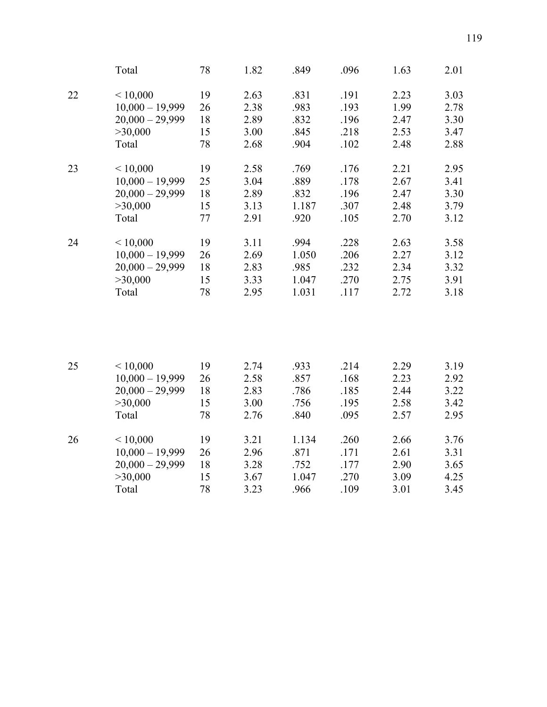|    | Total             | 78 | 1.82 | .849  | .096 | 1.63 | 2.01 |
|----|-------------------|----|------|-------|------|------|------|
| 22 | < 10,000          | 19 | 2.63 | .831  | .191 | 2.23 | 3.03 |
|    | $10,000 - 19,999$ | 26 | 2.38 | .983  | .193 | 1.99 | 2.78 |
|    | $20,000 - 29,999$ | 18 | 2.89 | .832  | .196 | 2.47 | 3.30 |
|    | >30,000           | 15 | 3.00 | .845  | .218 | 2.53 | 3.47 |
|    | Total             | 78 | 2.68 | .904  | .102 | 2.48 | 2.88 |
| 23 | < 10,000          | 19 | 2.58 | .769  | .176 | 2.21 | 2.95 |
|    | $10,000 - 19,999$ | 25 | 3.04 | .889  | .178 | 2.67 | 3.41 |
|    | $20,000 - 29,999$ | 18 | 2.89 | .832  | .196 | 2.47 | 3.30 |
|    | >30,000           | 15 | 3.13 | 1.187 | .307 | 2.48 | 3.79 |
|    | Total             | 77 | 2.91 | .920  | .105 | 2.70 | 3.12 |
| 24 | < 10,000          | 19 | 3.11 | .994  | .228 | 2.63 | 3.58 |
|    | $10,000 - 19,999$ | 26 | 2.69 | 1.050 | .206 | 2.27 | 3.12 |
|    | $20,000 - 29,999$ | 18 | 2.83 | .985  | .232 | 2.34 | 3.32 |
|    | >30,000           | 15 | 3.33 | 1.047 | .270 | 2.75 | 3.91 |
|    | Total             | 78 | 2.95 | 1.031 | .117 | 2.72 | 3.18 |
|    |                   |    |      |       |      |      |      |
|    |                   |    |      |       |      |      |      |

| 25 | ${}_{\leq 10,000}$ | 19 | 2.74 | .933  | .214 | 2.29 | 3.19 |
|----|--------------------|----|------|-------|------|------|------|
|    | $10,000 - 19,999$  | 26 | 2.58 | .857  | .168 | 2.23 | 2.92 |
|    | $20,000 - 29,999$  | 18 | 2.83 | .786  | .185 | 2.44 | 3.22 |
|    | >30,000            | 15 | 3.00 | .756  | .195 | 2.58 | 3.42 |
|    | Total              | 78 | 2.76 | .840  | .095 | 2.57 | 2.95 |
| 26 | ${}_{\leq 10,000}$ | 19 | 3.21 | 1.134 | .260 | 2.66 | 3.76 |
|    | $10,000 - 19,999$  | 26 | 2.96 | .871  | .171 | 2.61 | 3.31 |
|    | $20,000 - 29,999$  | 18 | 3.28 | .752  | .177 | 2.90 | 3.65 |
|    | >30,000            | 15 | 3.67 | 1.047 | .270 | 3.09 | 4.25 |
|    | Total              | 78 | 3.23 | .966  | .109 | 3.01 | 3.45 |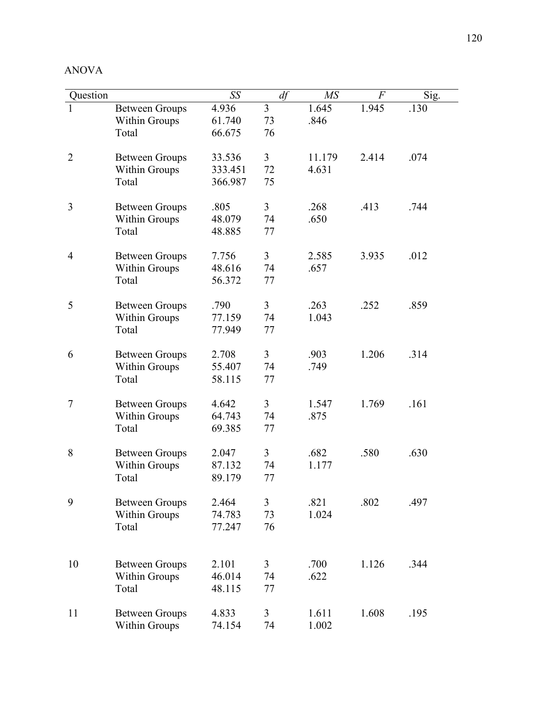| ANOV |  |
|------|--|
|------|--|

| Question       |                       | SS      | df             | MS     | $\cal F$ | Sig. |
|----------------|-----------------------|---------|----------------|--------|----------|------|
|                | <b>Between Groups</b> | 4.936   | 3              | 1.645  | 1.945    | .130 |
|                | <b>Within Groups</b>  | 61.740  | 73             | .846   |          |      |
|                | Total                 | 66.675  | 76             |        |          |      |
|                |                       |         |                |        |          |      |
| $\overline{2}$ | <b>Between Groups</b> | 33.536  | 3              | 11.179 | 2.414    | .074 |
|                | <b>Within Groups</b>  | 333.451 | 72             | 4.631  |          |      |
|                | Total                 | 366.987 | 75             |        |          |      |
|                |                       |         |                |        |          |      |
| 3              | <b>Between Groups</b> | .805    | 3              | .268   | .413     | .744 |
|                | Within Groups         | 48.079  | 74             | .650   |          |      |
|                | Total                 | 48.885  | 77             |        |          |      |
| $\overline{4}$ | <b>Between Groups</b> | 7.756   | 3              | 2.585  | 3.935    | .012 |
|                | Within Groups         | 48.616  | 74             | .657   |          |      |
|                | Total                 | 56.372  | 77             |        |          |      |
|                |                       |         |                |        |          |      |
| 5              | <b>Between Groups</b> | .790    | 3              | .263   | .252     | .859 |
|                | <b>Within Groups</b>  | 77.159  | 74             | 1.043  |          |      |
|                | Total                 | 77.949  | 77             |        |          |      |
|                |                       |         |                |        |          |      |
| 6              | <b>Between Groups</b> | 2.708   | $\overline{3}$ | .903   | 1.206    | .314 |
|                | <b>Within Groups</b>  | 55.407  | 74             | .749   |          |      |
|                | Total                 | 58.115  | 77             |        |          |      |
|                |                       |         |                |        |          |      |
| 7              | <b>Between Groups</b> | 4.642   | $\overline{3}$ | 1.547  | 1.769    | .161 |
|                | <b>Within Groups</b>  | 64.743  | 74             | .875   |          |      |
|                | Total                 | 69.385  | 77             |        |          |      |
|                |                       |         |                |        |          |      |
| 8              | <b>Between Groups</b> | 2.047   | 3              | .682   | .580     | .630 |
|                | <b>Within Groups</b>  | 87.132  | 74             | 1.177  |          |      |
|                | Total                 | 89.179  | 77             |        |          |      |
| 9              | <b>Between Groups</b> | 2.464   | 3              | .821   | .802     | .497 |
|                | <b>Within Groups</b>  | 74.783  | 73             | 1.024  |          |      |
|                | Total                 | 77.247  | 76             |        |          |      |
|                |                       |         |                |        |          |      |
|                |                       |         |                |        |          |      |
| 10             | <b>Between Groups</b> | 2.101   | 3              | .700   | 1.126    | .344 |
|                | <b>Within Groups</b>  | 46.014  | 74             | .622   |          |      |
|                | Total                 | 48.115  | 77             |        |          |      |
|                |                       |         |                |        |          |      |
| 11             | <b>Between Groups</b> | 4.833   | 3              | 1.611  | 1.608    | .195 |
|                | <b>Within Groups</b>  | 74.154  | 74             | 1.002  |          |      |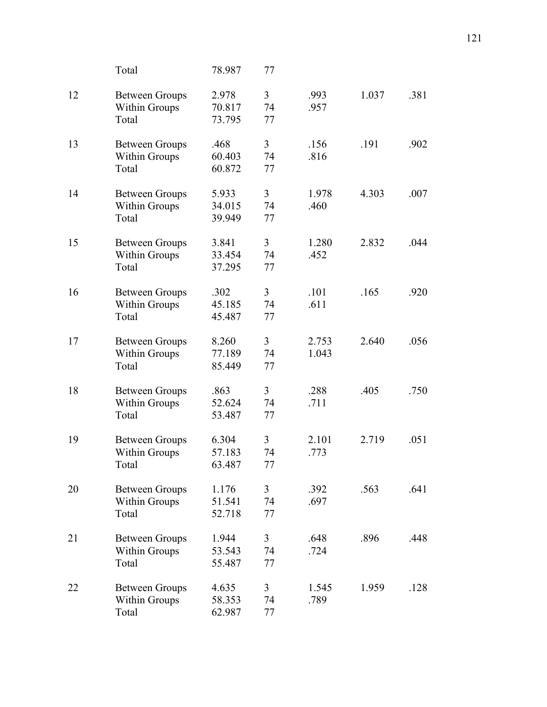|    | Total                                                  | 78.987                    | 77                         |                |       |      |
|----|--------------------------------------------------------|---------------------------|----------------------------|----------------|-------|------|
| 12 | <b>Between Groups</b><br><b>Within Groups</b><br>Total | 2.978<br>70.817<br>73.795 | $\overline{3}$<br>74<br>77 | .993<br>.957   | 1.037 | .381 |
| 13 | <b>Between Groups</b><br>Within Groups<br>Total        | .468<br>60.403<br>60.872  | 3<br>74<br>77              | .156<br>.816   | .191  | .902 |
| 14 | <b>Between Groups</b><br><b>Within Groups</b><br>Total | 5.933<br>34.015<br>39.949 | 3<br>74<br>77              | 1.978<br>.460  | 4.303 | .007 |
| 15 | <b>Between Groups</b><br>Within Groups<br>Total        | 3.841<br>33.454<br>37.295 | 3<br>74<br>77              | 1.280<br>.452  | 2.832 | .044 |
| 16 | <b>Between Groups</b><br>Within Groups<br>Total        | .302<br>45.185<br>45.487  | 3<br>74<br>77              | .101<br>.611   | .165  | .920 |
| 17 | <b>Between Groups</b><br><b>Within Groups</b><br>Total | 8.260<br>77.189<br>85.449 | 3<br>74<br>77              | 2.753<br>1.043 | 2.640 | .056 |
| 18 | <b>Between Groups</b><br><b>Within Groups</b><br>Total | .863<br>52.624<br>53.487  | 3<br>74<br>77              | .288<br>.711   | .405  | .750 |
| 19 | <b>Between Groups</b><br><b>Within Groups</b><br>Total | 6.304<br>57.183<br>63.487 | 3<br>74<br>77              | 2.101<br>.773  | 2.719 | .051 |
| 20 | <b>Between Groups</b><br><b>Within Groups</b><br>Total | 1.176<br>51.541<br>52.718 | 3<br>74<br>77              | .392<br>.697   | .563  | .641 |
| 21 | <b>Between Groups</b><br>Within Groups<br>Total        | 1.944<br>53.543<br>55.487 | 3<br>74<br>77              | .648<br>.724   | .896  | .448 |
| 22 | <b>Between Groups</b><br><b>Within Groups</b><br>Total | 4.635<br>58.353<br>62.987 | 3<br>74<br>77              | 1.545<br>.789  | 1.959 | .128 |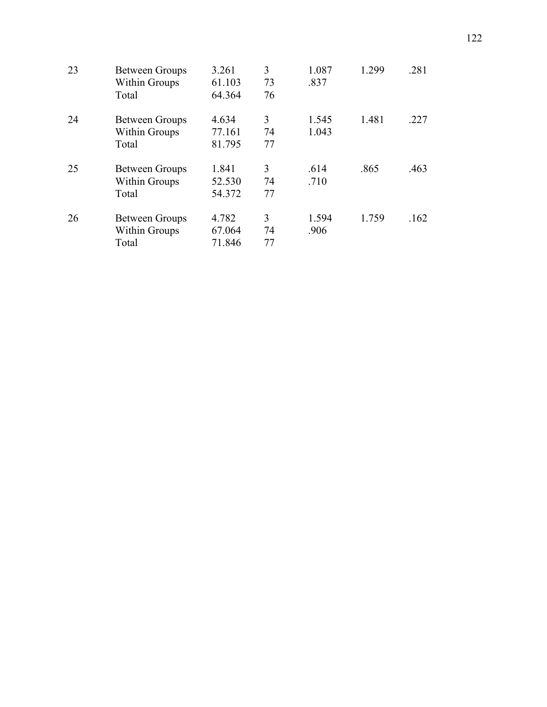| 23 | <b>Between Groups</b> | 3.261  | 3  | 1.087 | 1.299 | .281 |
|----|-----------------------|--------|----|-------|-------|------|
|    | <b>Within Groups</b>  | 61.103 | 73 | .837  |       |      |
|    | Total                 | 64.364 | 76 |       |       |      |
| 24 | <b>Between Groups</b> | 4.634  | 3  | 1.545 | 1.481 | .227 |
|    | <b>Within Groups</b>  | 77.161 | 74 | 1.043 |       |      |
|    | Total                 | 81.795 | 77 |       |       |      |
| 25 | <b>Between Groups</b> | 1.841  | 3  | .614  | .865  | .463 |
|    | <b>Within Groups</b>  | 52.530 | 74 | .710  |       |      |
|    | Total                 | 54.372 | 77 |       |       |      |
| 26 | <b>Between Groups</b> | 4.782  | 3  | 1.594 | 1.759 | .162 |
|    | <b>Within Groups</b>  | 67.064 | 74 | .906  |       |      |
|    | Total                 | 71.846 | 77 |       |       |      |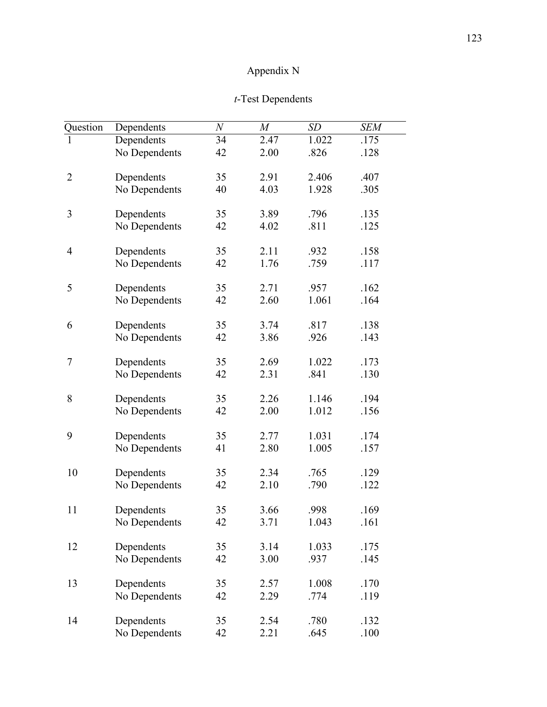# Appendix N

## *t*-Test Dependents

| Question       | Dependents    | N  | $\boldsymbol{M}$ | SD    | <b>SEM</b> |
|----------------|---------------|----|------------------|-------|------------|
|                | Dependents    | 34 | 2.47             | 1.022 | .175       |
|                | No Dependents | 42 | 2.00             | .826  | .128       |
| $\overline{2}$ | Dependents    | 35 | 2.91             | 2.406 | .407       |
|                | No Dependents | 40 | 4.03             | 1.928 | .305       |
| 3              | Dependents    | 35 | 3.89             | .796  | .135       |
|                | No Dependents | 42 | 4.02             | .811  | .125       |
| 4              | Dependents    | 35 | 2.11             | .932  | .158       |
|                | No Dependents | 42 | 1.76             | .759  | .117       |
| 5              | Dependents    | 35 | 2.71             | .957  | .162       |
|                | No Dependents | 42 | 2.60             | 1.061 | .164       |
| 6              | Dependents    | 35 | 3.74             | .817  | .138       |
|                | No Dependents | 42 | 3.86             | .926  | .143       |
| 7              | Dependents    | 35 | 2.69             | 1.022 | .173       |
|                | No Dependents | 42 | 2.31             | .841  | .130       |
| 8              | Dependents    | 35 | 2.26             | 1.146 | .194       |
|                | No Dependents | 42 | 2.00             | 1.012 | .156       |
| 9              | Dependents    | 35 | 2.77             | 1.031 | .174       |
|                | No Dependents | 41 | 2.80             | 1.005 | .157       |
| 10             | Dependents    | 35 | 2.34             | .765  | .129       |
|                | No Dependents | 42 | 2.10             | .790  | .122       |
| 11             | Dependents    | 35 | 3.66             | .998  | .169       |
|                | No Dependents | 42 | 3.71             | 1.043 | .161       |
| 12             | Dependents    | 35 | 3.14             | 1.033 | .175       |
|                | No Dependents | 42 | 3.00             | .937  | .145       |
| 13             | Dependents    | 35 | 2.57             | 1.008 | .170       |
|                | No Dependents | 42 | 2.29             | .774  | .119       |
| 14             | Dependents    | 35 | 2.54             | .780  | .132       |
|                | No Dependents | 42 | 2.21             | .645  | .100       |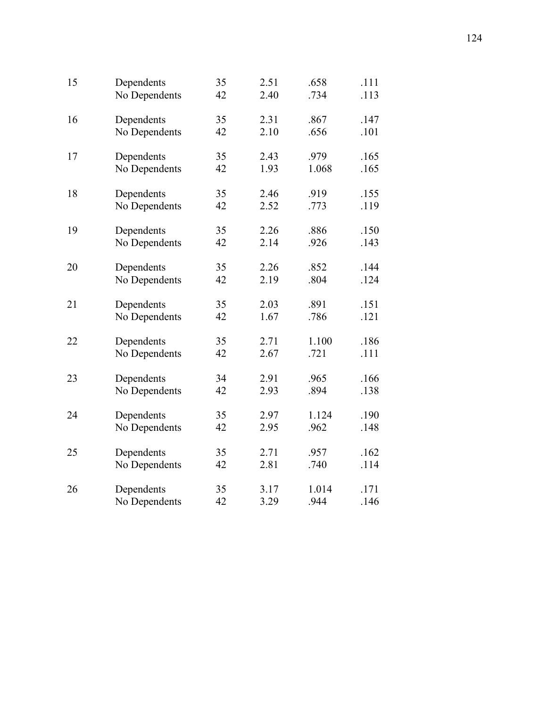| 15 | Dependents    | 35 | 2.51 | .658  | .111 |
|----|---------------|----|------|-------|------|
|    | No Dependents | 42 | 2.40 | .734  | .113 |
| 16 | Dependents    | 35 | 2.31 | .867  | .147 |
|    | No Dependents | 42 | 2.10 | .656  | .101 |
| 17 | Dependents    | 35 | 2.43 | .979  | .165 |
|    | No Dependents | 42 | 1.93 | 1.068 | .165 |
| 18 | Dependents    | 35 | 2.46 | .919  | .155 |
|    | No Dependents | 42 | 2.52 | .773  | .119 |
| 19 | Dependents    | 35 | 2.26 | .886  | .150 |
|    | No Dependents | 42 | 2.14 | .926  | .143 |
| 20 | Dependents    | 35 | 2.26 | .852  | .144 |
|    | No Dependents | 42 | 2.19 | .804  | .124 |
| 21 | Dependents    | 35 | 2.03 | .891  | .151 |
|    | No Dependents | 42 | 1.67 | .786  | .121 |
| 22 | Dependents    | 35 | 2.71 | 1.100 | .186 |
|    | No Dependents | 42 | 2.67 | .721  | .111 |
| 23 | Dependents    | 34 | 2.91 | .965  | .166 |
|    | No Dependents | 42 | 2.93 | .894  | .138 |
| 24 | Dependents    | 35 | 2.97 | 1.124 | .190 |
|    | No Dependents | 42 | 2.95 | .962  | .148 |
| 25 | Dependents    | 35 | 2.71 | .957  | .162 |
|    | No Dependents | 42 | 2.81 | .740  | .114 |
| 26 | Dependents    | 35 | 3.17 | 1.014 | .171 |
|    | No Dependents | 42 | 3.29 | .944  | .146 |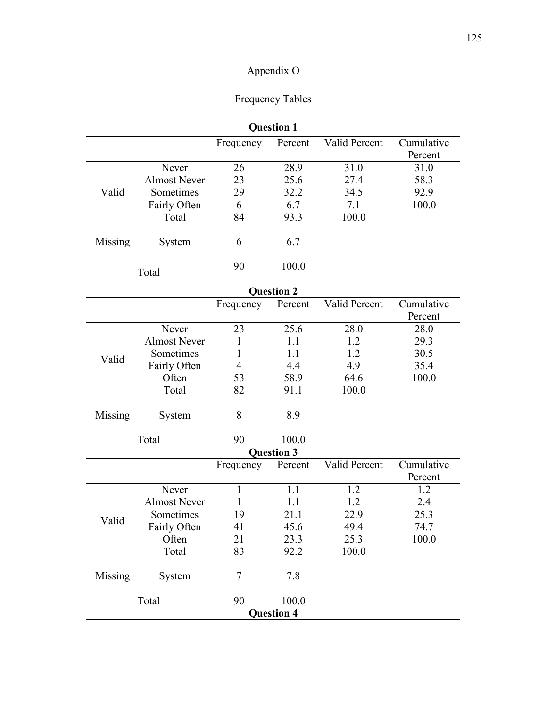# Appendix O

## Frequency Tables

|         | <b>Question 1</b> |           |         |               |            |  |  |  |
|---------|-------------------|-----------|---------|---------------|------------|--|--|--|
|         |                   | Frequency | Percent | Valid Percent | Cumulative |  |  |  |
|         |                   |           |         |               | Percent    |  |  |  |
|         | Never             | 26        | 28.9    | 31.0          | 31.0       |  |  |  |
|         | Almost Never      | 23        | 25.6    | 27.4          | 58.3       |  |  |  |
| Valid   | Sometimes         | 29        | 32.2    | 34.5          | 92.9       |  |  |  |
|         | Fairly Often      | 6         | 6.7     | 7.1           | 100.0      |  |  |  |
|         | Total             | 84        | 93.3    | 100.0         |            |  |  |  |
| Missing | System            | 6         | 6.7     |               |            |  |  |  |
|         | Total             | 90        | 100.0   |               |            |  |  |  |

|         |                     |                | <b>Question 2</b> |               |            |  |  |  |
|---------|---------------------|----------------|-------------------|---------------|------------|--|--|--|
|         |                     | Frequency      | Percent           | Valid Percent | Cumulative |  |  |  |
|         |                     |                |                   |               | Percent    |  |  |  |
|         | Never               | 23             | 25.6              | 28.0          | 28.0       |  |  |  |
|         | <b>Almost Never</b> | $\mathbf{1}$   | 1.1               | 1.2           | 29.3       |  |  |  |
| Valid   | Sometimes           | 1              | 1.1               | 1.2           | 30.5       |  |  |  |
|         | Fairly Often        | $\overline{4}$ | 4.4               | 4.9           | 35.4       |  |  |  |
|         | Often               | 53             | 58.9              | 64.6          | 100.0      |  |  |  |
|         | Total               | 82             | 91.1              | 100.0         |            |  |  |  |
| Missing | System              | 8              | 8.9               |               |            |  |  |  |
|         | Total               | 90             | 100.0             |               |            |  |  |  |
|         |                     |                | <b>Question 3</b> |               |            |  |  |  |
|         |                     | Frequency      | Percent           | Valid Percent | Cumulative |  |  |  |
|         |                     |                |                   |               | Percent    |  |  |  |
|         | Never               | $\mathbf{1}$   | 1.1               | 1.2           | 1.2        |  |  |  |
|         | <b>Almost Never</b> | 1              | 1.1               | 1.2           | 2.4        |  |  |  |
| Valid   | Sometimes           | 19             | 21.1              | 22.9          | 25.3       |  |  |  |
|         | Fairly Often        | 41             | 45.6              | 49.4          | 74.7       |  |  |  |
|         | Often               | 21             | 23.3              | 25.3          | 100.0      |  |  |  |
|         | Total               | 83             | 92.2              | 100.0         |            |  |  |  |
| Missing | System              | $\overline{7}$ | 7.8               |               |            |  |  |  |
|         | Total               | 90             | 100.0             |               |            |  |  |  |
|         | <b>Question 4</b>   |                |                   |               |            |  |  |  |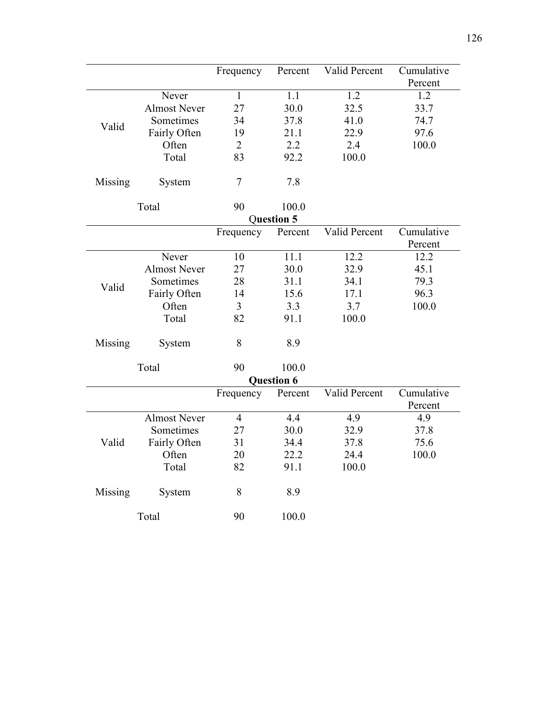|         |                     | Frequency      | Percent           | Valid Percent | Cumulative |
|---------|---------------------|----------------|-------------------|---------------|------------|
|         |                     |                |                   |               | Percent    |
|         | Never               | 1              | 1.1               | 1.2           | 1.2        |
|         | <b>Almost Never</b> | 27             | 30.0              | 32.5          | 33.7       |
| Valid   | Sometimes           | 34             | 37.8              | 41.0          | 74.7       |
|         | Fairly Often        | 19             | 21.1              | 22.9          | 97.6       |
|         | Often               | $\overline{2}$ | 2.2               | 2.4           | 100.0      |
|         | Total               | 83             | 92.2              | 100.0         |            |
|         |                     |                |                   |               |            |
| Missing | System              | $\overline{7}$ | 7.8               |               |            |
|         |                     |                |                   |               |            |
|         | Total               | 90             | 100.0             |               |            |
|         |                     |                | Question 5        |               |            |
|         |                     | Frequency      | Percent           | Valid Percent | Cumulative |
|         |                     |                |                   |               | Percent    |
|         | Never               | 10             | 11.1              | 12.2          | 12.2       |
|         | <b>Almost Never</b> | 27             | 30.0              | 32.9          | 45.1       |
| Valid   | Sometimes           | 28             | 31.1              | 34.1          | 79.3       |
|         | Fairly Often        | 14             | 15.6              | 17.1          | 96.3       |
|         | Often               | $\overline{3}$ | 3.3               | 3.7           | 100.0      |
|         | Total               | 82             | 91.1              | 100.0         |            |
|         |                     |                |                   |               |            |
| Missing | System              | 8              | 8.9               |               |            |
|         |                     |                |                   |               |            |
|         | Total               | 90             | 100.0             |               |            |
|         |                     |                | <b>Question 6</b> |               |            |
|         |                     | Frequency      | Percent           | Valid Percent | Cumulative |
|         |                     |                |                   |               | Percent    |
|         | <b>Almost Never</b> | $\overline{4}$ | 4.4               | 4.9           | 4.9        |
|         | Sometimes           | 27             | 30.0              | 32.9          | 37.8       |
| Valid   | Fairly Often        | 31             | 34.4              | 37.8          | 75.6       |
|         | Often               | 20             | 22.2              | 24.4          | 100.0      |
|         | Total               | 82             | 91.1              | 100.0         |            |
|         |                     |                |                   |               |            |
| Missing | System              | 8              | 8.9               |               |            |
|         |                     |                |                   |               |            |
|         | Total               | 90             | 100.0             |               |            |
|         |                     |                |                   |               |            |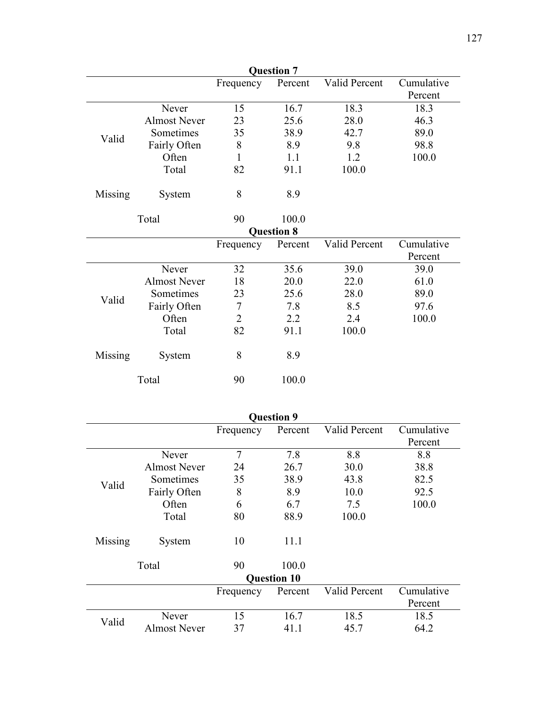| <b>Question 7</b> |                     |                |                   |               |            |  |
|-------------------|---------------------|----------------|-------------------|---------------|------------|--|
|                   |                     | Frequency      | Percent           | Valid Percent | Cumulative |  |
|                   |                     |                |                   |               | Percent    |  |
|                   | Never               | 15             | 16.7              | 18.3          | 18.3       |  |
|                   | <b>Almost Never</b> | 23             | 25.6              | 28.0          | 46.3       |  |
| Valid             | Sometimes           | 35             | 38.9              | 42.7          | 89.0       |  |
|                   | Fairly Often        | 8              | 8.9               | 9.8           | 98.8       |  |
|                   | Often               | 1              | 1.1               | 1.2           | 100.0      |  |
|                   | Total               | 82             | 91.1              | 100.0         |            |  |
| Missing           | System              | 8              | 8.9               |               |            |  |
|                   | Total               | 90             | 100.0             |               |            |  |
|                   |                     |                | <b>Question 8</b> |               |            |  |
|                   |                     | Frequency      | Percent           | Valid Percent | Cumulative |  |
|                   |                     |                |                   |               | Percent    |  |
|                   | Never               | 32             | 35.6              | 39.0          | 39.0       |  |
|                   | <b>Almost Never</b> | 18             | 20.0              | 22.0          | 61.0       |  |
| Valid             | Sometimes           | 23             | 25.6              | 28.0          | 89.0       |  |
|                   | Fairly Often        | $\overline{7}$ | 7.8               | 8.5           | 97.6       |  |
|                   | Often               | $\overline{2}$ | 2.2               | 2.4           | 100.0      |  |
|                   | Total               | 82             | 91.1              | 100.0         |            |  |
| Missing           | System              | 8              | 8.9               |               |            |  |
|                   | Total               | 90             | 100.0             |               |            |  |

| <b>Question 9</b> |                     |                |                    |               |            |  |  |
|-------------------|---------------------|----------------|--------------------|---------------|------------|--|--|
|                   |                     | Frequency      | Percent            | Valid Percent | Cumulative |  |  |
|                   |                     |                |                    |               | Percent    |  |  |
|                   | Never               | $\overline{7}$ | 7.8                | 8.8           | 8.8        |  |  |
|                   | <b>Almost Never</b> | 24             | 26.7               | 30.0          | 38.8       |  |  |
| Valid             | Sometimes           | 35             | 38.9               | 43.8          | 82.5       |  |  |
|                   | Fairly Often        | 8              | 8.9                | 10.0          | 92.5       |  |  |
|                   | Often               | 6              | 6.7                | 7.5           | 100.0      |  |  |
|                   | Total               | 80             | 88.9               | 100.0         |            |  |  |
| Missing           | System              | 10             | 11.1               |               |            |  |  |
|                   | Total               | 90             | 100.0              |               |            |  |  |
|                   |                     |                | <b>Question 10</b> |               |            |  |  |
|                   |                     | Frequency      | Percent            | Valid Percent | Cumulative |  |  |
|                   |                     |                |                    |               | Percent    |  |  |
| Valid             | Never               | 15             | 16.7               | 18.5          | 18.5       |  |  |
|                   | <b>Almost Never</b> | 37             | 41.1               | 45.7          | 64.2       |  |  |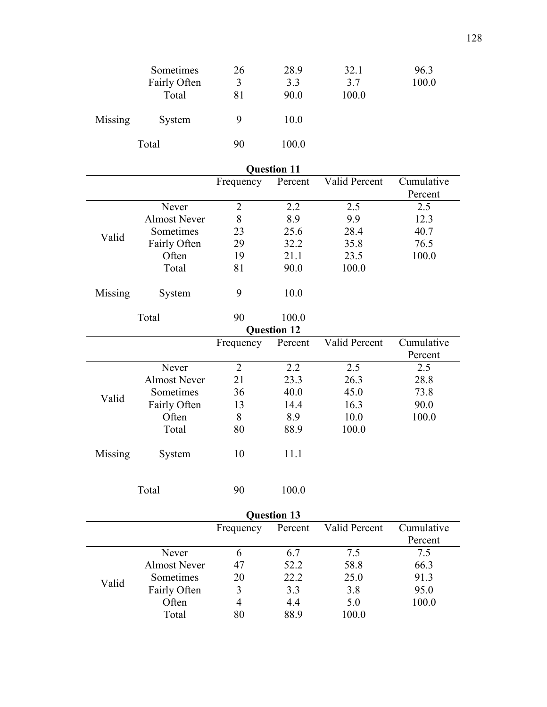|         | Sometimes<br>Fairly Often<br>Total | 26<br>3<br>81 | 28.9<br>3.3<br>90.0 | 32.1<br>3.7<br>100.0 | 96.3<br>100.0 |
|---------|------------------------------------|---------------|---------------------|----------------------|---------------|
| Missing | System                             | 9             | 10.0                |                      |               |
|         | Total                              | 90            | 100.0               |                      |               |

| <b>Question 11</b> |                     |                |                    |               |            |  |  |
|--------------------|---------------------|----------------|--------------------|---------------|------------|--|--|
|                    |                     | Frequency      | Percent            | Valid Percent | Cumulative |  |  |
|                    |                     |                |                    |               | Percent    |  |  |
|                    | Never               | $\overline{2}$ | 2.2                | 2.5           | 2.5        |  |  |
|                    | <b>Almost Never</b> | 8              | 8.9                | 9.9           | 12.3       |  |  |
| Valid              | Sometimes           | 23             | 25.6               | 28.4          | 40.7       |  |  |
|                    | Fairly Often        | 29             | 32.2               | 35.8          | 76.5       |  |  |
|                    | Often               | 19             | 21.1               | 23.5          | 100.0      |  |  |
|                    | Total               | 81             | 90.0               | 100.0         |            |  |  |
| Missing            | System              | 9              | 10.0               |               |            |  |  |
|                    | Total               | 90             | 100.0              |               |            |  |  |
|                    |                     |                | <b>Question 12</b> |               |            |  |  |
|                    |                     | Frequency      | Percent            | Valid Percent | Cumulative |  |  |
|                    |                     |                |                    |               | Percent    |  |  |
|                    | Never               | $\overline{2}$ | 2.2                | 2.5           | 2.5        |  |  |
|                    | <b>Almost Never</b> | 21             | 23.3               | 26.3          | 28.8       |  |  |
|                    | Sometimes           | 36             | 40.0               | 45.0          | 73.8       |  |  |
| Valid              | Fairly Often        | 13             | 14.4               | 16.3          | 90.0       |  |  |
|                    | Often               | 8              | 8.9                | 10.0          | 100.0      |  |  |
|                    | Total               | 80             | 88.9               | 100.0         |            |  |  |
| Missing            | System              | 10             | 11.1               |               |            |  |  |
|                    |                     |                |                    |               |            |  |  |

| Total | 90 | 100.0 |
|-------|----|-------|
|       |    |       |

| <b>Question 13</b> |                     |           |         |               |            |  |  |
|--------------------|---------------------|-----------|---------|---------------|------------|--|--|
|                    |                     | Frequency | Percent | Valid Percent | Cumulative |  |  |
|                    |                     |           |         |               | Percent    |  |  |
|                    | Never               | b         | 6.7     | 7.5           | 7.5        |  |  |
|                    | <b>Almost Never</b> | 47        | 52.2    | 58.8          | 66.3       |  |  |
|                    | Sometimes           | 20        | 22.2    | 25.0          | 91.3       |  |  |
| Valid              | Fairly Often        | 3         | 3.3     | 3.8           | 95.0       |  |  |
|                    | Often               | 4         | 4.4     | 5.0           | 100.0      |  |  |
|                    | Total               | 80        | 88.9    | 100.0         |            |  |  |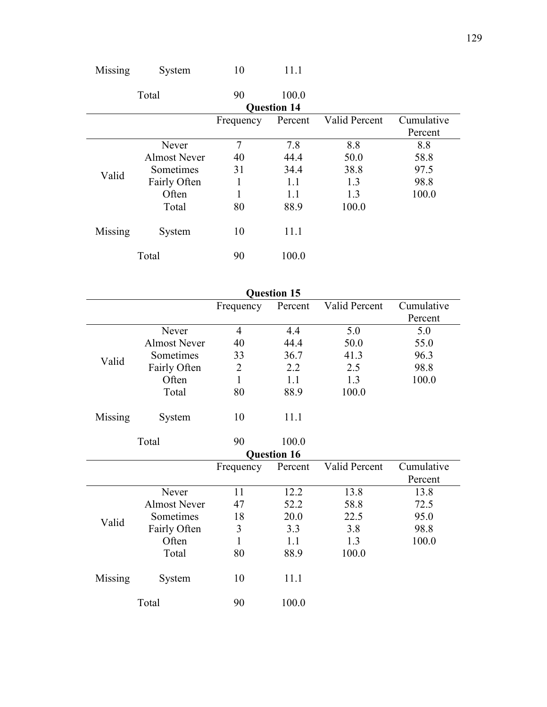|         | Total               | 90        | 100.0              |               |            |
|---------|---------------------|-----------|--------------------|---------------|------------|
|         |                     |           | <b>Question 14</b> |               |            |
|         |                     | Frequency | Percent            | Valid Percent | Cumulative |
|         |                     |           |                    |               | Percent    |
|         | Never               | 7         | 7.8                | 8.8           | 8.8        |
|         | <b>Almost Never</b> | 40        | 44.4               | 50.0          | 58.8       |
| Valid   | Sometimes           | 31        | 34.4               | 38.8          | 97.5       |
|         | Fairly Often        |           | 1.1                | 1.3           | 98.8       |
|         | Often               |           | 1.1                | 1.3           | 100.0      |
|         | Total               | 80        | 88.9               | 100.0         |            |
| Missing | System              | 10        | 11.1               |               |            |
| Total   |                     | 90        | 100.0              |               |            |

Missing System 10 11.1

|         | <b>Question 15</b>  |                |                    |               |                       |  |  |  |
|---------|---------------------|----------------|--------------------|---------------|-----------------------|--|--|--|
|         |                     | Frequency      | Percent            | Valid Percent | Cumulative<br>Percent |  |  |  |
|         | Never               | $\overline{4}$ | 4.4                | 5.0           | 5.0                   |  |  |  |
|         | <b>Almost Never</b> | 40             | 44.4               | 50.0          | 55.0                  |  |  |  |
| Valid   | Sometimes           | 33             | 36.7               | 41.3          | 96.3                  |  |  |  |
|         | Fairly Often        | $\overline{2}$ | 2.2                | 2.5           | 98.8                  |  |  |  |
|         | Often               | 1              | 1.1                | 1.3           | 100.0                 |  |  |  |
|         | Total               | 80             | 88.9               | 100.0         |                       |  |  |  |
| Missing | System              | 10             | 11.1               |               |                       |  |  |  |
|         | Total               | 90             | 100.0              |               |                       |  |  |  |
|         |                     |                | <b>Question 16</b> |               |                       |  |  |  |
|         |                     | Frequency      | Percent            | Valid Percent | Cumulative            |  |  |  |
|         |                     |                |                    |               | Percent               |  |  |  |
|         | Never               | 11             | 12.2               | 13.8          | 13.8                  |  |  |  |
|         | <b>Almost Never</b> | 47             | 52.2               | 58.8          | 72.5                  |  |  |  |
| Valid   | Sometimes           | 18             | 20.0               | 22.5          | 95.0                  |  |  |  |
|         | Fairly Often        | 3              | 3.3                | 3.8           | 98.8                  |  |  |  |
|         | Often               | 1              | 1.1                | 1.3           | 100.0                 |  |  |  |
|         | Total               | 80             | 88.9               | 100.0         |                       |  |  |  |
| Missing | System              | 10             | 11.1               |               |                       |  |  |  |
|         | Total               | 90             | 100.0              |               |                       |  |  |  |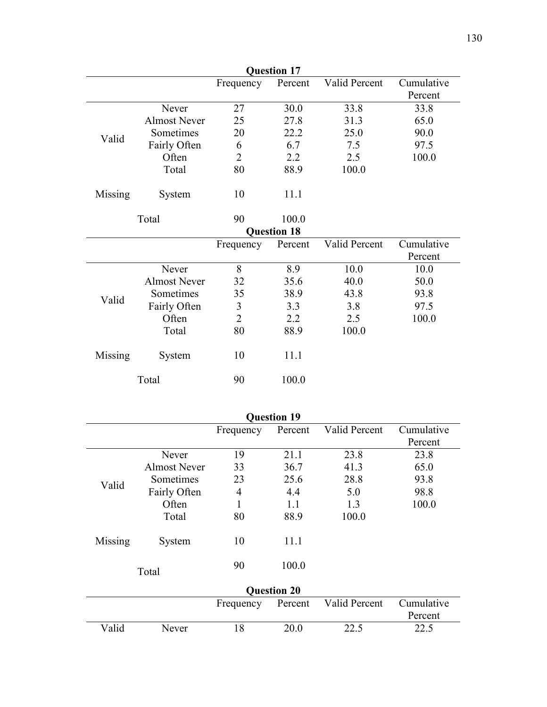| <b>Question 17</b> |                     |                |                    |               |            |  |  |
|--------------------|---------------------|----------------|--------------------|---------------|------------|--|--|
|                    |                     | Frequency      | Percent            | Valid Percent | Cumulative |  |  |
|                    |                     |                |                    |               | Percent    |  |  |
|                    | Never               | 27             | 30.0               | 33.8          | 33.8       |  |  |
|                    | <b>Almost Never</b> | 25             | 27.8               | 31.3          | 65.0       |  |  |
| Valid              | Sometimes           | 20             | 22.2               | 25.0          | 90.0       |  |  |
|                    | Fairly Often        | 6              | 6.7                | 7.5           | 97.5       |  |  |
|                    | Often               | 2              | 2.2                | 2.5           | 100.0      |  |  |
|                    | Total               | 80             | 88.9               | 100.0         |            |  |  |
| Missing            | System              | 10             | 11.1               |               |            |  |  |
|                    | Total               | 90             | 100.0              |               |            |  |  |
|                    |                     |                | <b>Question 18</b> |               |            |  |  |
|                    |                     | Frequency      | Percent            | Valid Percent | Cumulative |  |  |
|                    |                     |                |                    |               | Percent    |  |  |
|                    | Never               | 8              | 8.9                | 10.0          | 10.0       |  |  |
|                    | <b>Almost Never</b> | 32             | 35.6               | 40.0          | 50.0       |  |  |
| Valid              | Sometimes           | 35             | 38.9               | 43.8          | 93.8       |  |  |
|                    | Fairly Often        | $\mathfrak{Z}$ | 3.3                | 3.8           | 97.5       |  |  |
|                    | Often               | $\overline{2}$ | 2.2                | 2.5           | 100.0      |  |  |
|                    | Total               | 80             | 88.9               | 100.0         |            |  |  |
| Missing            | System              | 10             | 11.1               |               |            |  |  |
|                    | Total               | 90             | 100.0              |               |            |  |  |

|         | <b>Question 19</b>  |           |                    |               |            |  |  |
|---------|---------------------|-----------|--------------------|---------------|------------|--|--|
|         |                     | Frequency | Percent            | Valid Percent | Cumulative |  |  |
|         |                     |           |                    |               | Percent    |  |  |
|         | Never               | 19        | 21.1               | 23.8          | 23.8       |  |  |
|         | <b>Almost Never</b> | 33        | 36.7               | 41.3          | 65.0       |  |  |
| Valid   | Sometimes           | 23        | 25.6               | 28.8          | 93.8       |  |  |
|         | Fairly Often        | 4         | 4.4                | 5.0           | 98.8       |  |  |
|         | Often               | 1         | 1.1                | 1.3           | 100.0      |  |  |
|         | Total               | 80        | 88.9               | 100.0         |            |  |  |
| Missing | System              | 10        | 11.1               |               |            |  |  |
|         | Total               | 90        | 100.0              |               |            |  |  |
|         |                     |           | <b>Question 20</b> |               |            |  |  |
|         |                     | Frequency | Percent            | Valid Percent | Cumulative |  |  |
|         |                     |           |                    |               | Percent    |  |  |
| Valid   | Never               | 18        | 20.0               | 22.5          | 22.5       |  |  |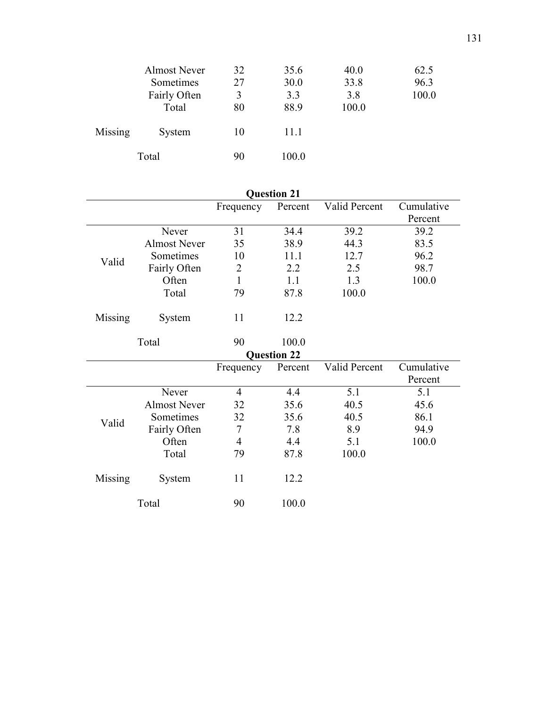|         | <b>Almost Never</b><br>Sometimes<br>Fairly Often<br>Total | 32<br>27<br>3<br>80 | 35.6<br>30.0<br>3.3<br>88.9 | 40.0<br>33.8<br>3.8<br>100.0 | 62.5<br>96.3<br>100.0 |
|---------|-----------------------------------------------------------|---------------------|-----------------------------|------------------------------|-----------------------|
| Missing | System                                                    | 10                  | 11.1                        |                              |                       |
|         | Total                                                     | 90                  | 100.0                       |                              |                       |

| <b>Question 21</b> |                     |                |                    |               |            |  |  |
|--------------------|---------------------|----------------|--------------------|---------------|------------|--|--|
|                    |                     | Frequency      | Percent            | Valid Percent | Cumulative |  |  |
|                    |                     |                |                    |               | Percent    |  |  |
|                    | Never               | 31             | 34.4               | 39.2          | 39.2       |  |  |
|                    | <b>Almost Never</b> | 35             | 38.9               | 44.3          | 83.5       |  |  |
|                    | Sometimes           | 10             | 11.1               | 12.7          | 96.2       |  |  |
| Valid              | Fairly Often        | $\overline{2}$ | 2.2                | 2.5           | 98.7       |  |  |
|                    | Often               | $\mathbf{1}$   | 1.1                | 1.3           | 100.0      |  |  |
|                    | Total               | 79             | 87.8               | 100.0         |            |  |  |
|                    |                     |                |                    |               |            |  |  |
| Missing            | System              | 11             | 12.2               |               |            |  |  |
|                    |                     |                |                    |               |            |  |  |
|                    | Total               | 90             | 100.0              |               |            |  |  |
|                    |                     |                | <b>Question 22</b> |               |            |  |  |
|                    |                     | Frequency      | Percent            | Valid Percent | Cumulative |  |  |
|                    |                     |                |                    |               | Percent    |  |  |
|                    | Never               | $\overline{4}$ | 4.4                | 5.1           | 5.1        |  |  |
|                    | <b>Almost Never</b> | 32             | 35.6               | 40.5          | 45.6       |  |  |
| Valid              | Sometimes           | 32             | 35.6               | 40.5          | 86.1       |  |  |
|                    | Fairly Often        | 7              | 7.8                | 8.9           | 94.9       |  |  |
|                    | Often               | $\overline{4}$ | 4.4                | 5.1           | 100.0      |  |  |
|                    | Total               | 79             | 87.8               | 100.0         |            |  |  |
|                    |                     |                |                    |               |            |  |  |
| Missing            | System              | 11             | 12.2               |               |            |  |  |
|                    |                     |                |                    |               |            |  |  |
| Total              |                     | 90             | 100.0              |               |            |  |  |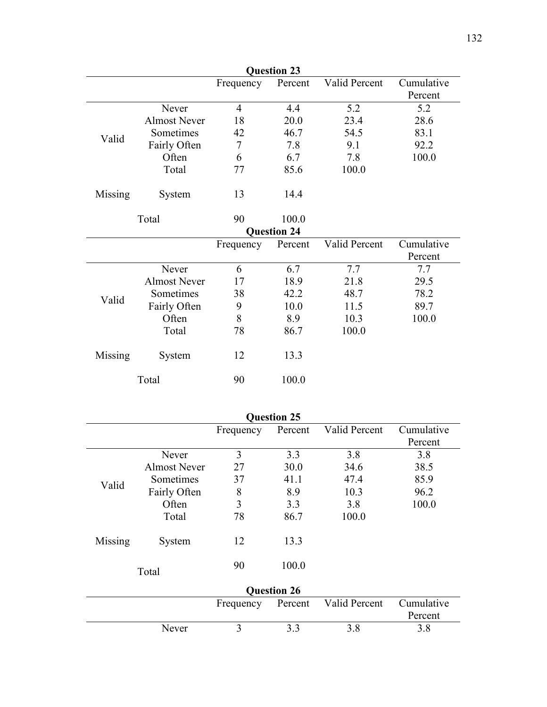| <b>Question 23</b> |                                                     |                |                    |               |            |  |  |  |
|--------------------|-----------------------------------------------------|----------------|--------------------|---------------|------------|--|--|--|
|                    | Valid Percent<br>Cumulative<br>Percent<br>Frequency |                |                    |               |            |  |  |  |
|                    |                                                     |                |                    |               | Percent    |  |  |  |
|                    | Never                                               | $\overline{4}$ | 4.4                | 5.2           | 5.2        |  |  |  |
|                    | <b>Almost Never</b>                                 | 18             | 20.0               | 23.4          | 28.6       |  |  |  |
| Valid              | Sometimes                                           | 42             | 46.7               | 54.5          | 83.1       |  |  |  |
|                    | Fairly Often                                        | 7              | 7.8                | 9.1           | 92.2       |  |  |  |
|                    | Often                                               | 6              | 6.7                | 7.8           | 100.0      |  |  |  |
|                    | Total                                               | 77             | 85.6               | 100.0         |            |  |  |  |
| Missing            | System                                              | 13             | 14.4               |               |            |  |  |  |
|                    | Total                                               | 90             | 100.0              |               |            |  |  |  |
|                    |                                                     |                | <b>Question 24</b> |               |            |  |  |  |
|                    |                                                     | Frequency      | Percent            | Valid Percent | Cumulative |  |  |  |
|                    |                                                     |                |                    |               | Percent    |  |  |  |
|                    | Never                                               | 6              | 6.7                | 7.7           | 7.7        |  |  |  |
|                    | <b>Almost Never</b>                                 | 17             | 18.9               | 21.8          | 29.5       |  |  |  |
| Valid              | Sometimes                                           | 38             | 42.2               | 48.7          | 78.2       |  |  |  |
|                    | Fairly Often                                        | 9              | 10.0               | 11.5          | 89.7       |  |  |  |
|                    | Often                                               | 8              | 8.9                | 10.3          | 100.0      |  |  |  |
|                    | Total                                               | 78             | 86.7               | 100.0         |            |  |  |  |
| Missing            | System                                              | 12             | 13.3               |               |            |  |  |  |
|                    | Total                                               | 90             | 100.0              |               |            |  |  |  |

| <b>Question 25</b> |                     |           |         |               |                       |  |  |  |  |
|--------------------|---------------------|-----------|---------|---------------|-----------------------|--|--|--|--|
|                    |                     | Frequency | Percent | Valid Percent | Cumulative            |  |  |  |  |
|                    |                     |           |         |               | Percent               |  |  |  |  |
| Valid              | Never               | 3         | 3.3     | 3.8           | 3.8                   |  |  |  |  |
|                    | <b>Almost Never</b> | 27        | 30.0    | 34.6          | 38.5                  |  |  |  |  |
|                    | Sometimes           | 37        | 41.1    | 47.4          | 85.9                  |  |  |  |  |
|                    | Fairly Often        | 8         | 8.9     | 10.3          | 96.2                  |  |  |  |  |
|                    | Often               | 3         | 3.3     | 3.8           | 100.0                 |  |  |  |  |
|                    | Total               | 78        | 86.7    | 100.0         |                       |  |  |  |  |
| Missing            | System              | 12        | 13.3    |               |                       |  |  |  |  |
| Total              |                     | 90        | 100.0   |               |                       |  |  |  |  |
| <b>Question 26</b> |                     |           |         |               |                       |  |  |  |  |
|                    |                     | Frequency | Percent | Valid Percent | Cumulative<br>Percent |  |  |  |  |
|                    | Never               | 3         | 3.3     | 3.8           | 3.8                   |  |  |  |  |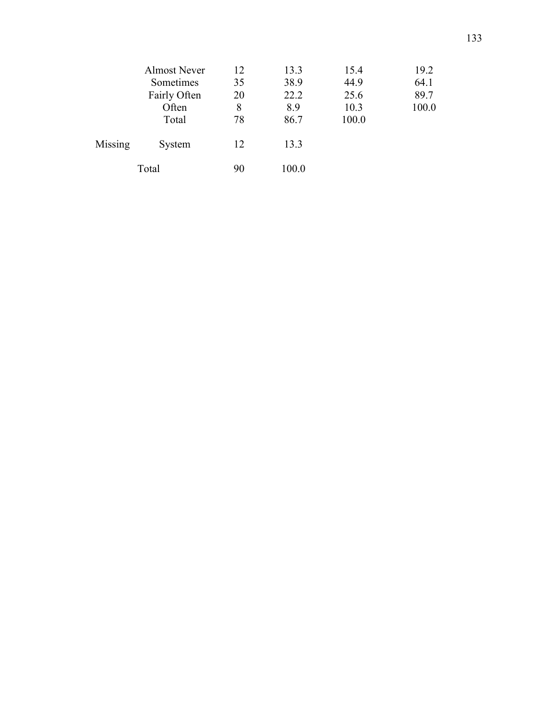|         | <b>Almost Never</b> | 12 | 13.3  | 15.4  | 19.2  |
|---------|---------------------|----|-------|-------|-------|
|         | Sometimes           | 35 | 38.9  | 44.9  | 64.1  |
|         | Fairly Often        | 20 | 22.2  | 25.6  | 89.7  |
|         | Often               | 8  | 8.9   | 10.3  | 100.0 |
|         | Total               | 78 | 86.7  | 100.0 |       |
| Missing | System              | 12 | 13.3  |       |       |
| Total   |                     | 90 | 100.0 |       |       |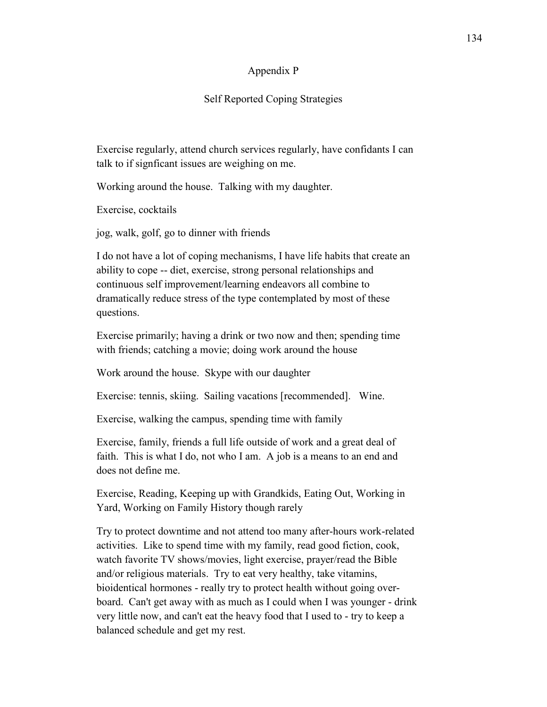### Appendix P

### Self Reported Coping Strategies

Exercise regularly, attend church services regularly, have confidants I can talk to if signficant issues are weighing on me.

Working around the house. Talking with my daughter.

Exercise, cocktails

jog, walk, golf, go to dinner with friends

I do not have a lot of coping mechanisms, I have life habits that create an ability to cope -- diet, exercise, strong personal relationships and continuous self improvement/learning endeavors all combine to dramatically reduce stress of the type contemplated by most of these questions.

Exercise primarily; having a drink or two now and then; spending time with friends; catching a movie; doing work around the house

Work around the house. Skype with our daughter

Exercise: tennis, skiing. Sailing vacations [recommended]. Wine.

Exercise, walking the campus, spending time with family

Exercise, family, friends a full life outside of work and a great deal of faith. This is what I do, not who I am. A job is a means to an end and does not define me.

Exercise, Reading, Keeping up with Grandkids, Eating Out, Working in Yard, Working on Family History though rarely

Try to protect downtime and not attend too many after-hours work-related activities. Like to spend time with my family, read good fiction, cook, watch favorite TV shows/movies, light exercise, prayer/read the Bible and/or religious materials. Try to eat very healthy, take vitamins, bioidentical hormones - really try to protect health without going overboard. Can't get away with as much as I could when I was younger - drink very little now, and can't eat the heavy food that I used to - try to keep a balanced schedule and get my rest.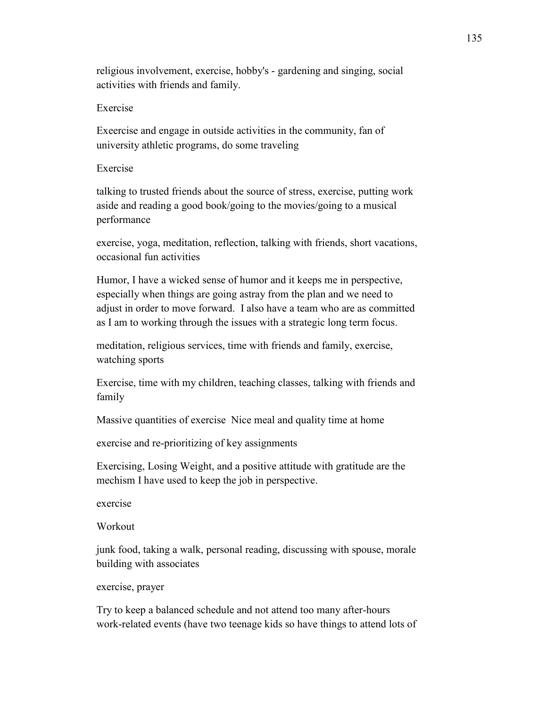religious involvement, exercise, hobby's - gardening and singing, social activities with friends and family.

## Exercise

Exeercise and engage in outside activities in the community, fan of university athletic programs, do some traveling

## Exercise

talking to trusted friends about the source of stress, exercise, putting work aside and reading a good book/going to the movies/going to a musical performance

exercise, yoga, meditation, reflection, talking with friends, short vacations, occasional fun activities

Humor, I have a wicked sense of humor and it keeps me in perspective, especially when things are going astray from the plan and we need to adjust in order to move forward. I also have a team who are as committed as I am to working through the issues with a strategic long term focus.

meditation, religious services, time with friends and family, exercise, watching sports

Exercise, time with my children, teaching classes, talking with friends and family

Massive quantities of exercise Nice meal and quality time at home

exercise and re-prioritizing of key assignments

Exercising, Losing Weight, and a positive attitude with gratitude are the mechism I have used to keep the job in perspective.

exercise

Workout

junk food, taking a walk, personal reading, discussing with spouse, morale building with associates

## exercise, prayer

Try to keep a balanced schedule and not attend too many after-hours work-related events (have two teenage kids so have things to attend lots of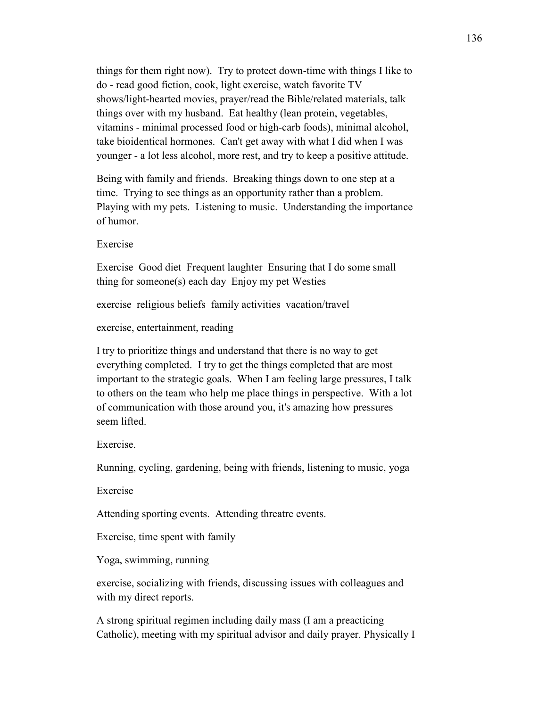things for them right now). Try to protect down-time with things I like to do - read good fiction, cook, light exercise, watch favorite TV shows/light-hearted movies, prayer/read the Bible/related materials, talk things over with my husband. Eat healthy (lean protein, vegetables, vitamins - minimal processed food or high-carb foods), minimal alcohol, take bioidentical hormones. Can't get away with what I did when I was younger - a lot less alcohol, more rest, and try to keep a positive attitude.

Being with family and friends. Breaking things down to one step at a time. Trying to see things as an opportunity rather than a problem. Playing with my pets. Listening to music. Understanding the importance of humor.

Exercise

Exercise Good diet Frequent laughter Ensuring that I do some small thing for someone(s) each day Enjoy my pet Westies

exercise religious beliefs family activities vacation/travel

exercise, entertainment, reading

I try to prioritize things and understand that there is no way to get everything completed. I try to get the things completed that are most important to the strategic goals. When I am feeling large pressures, I talk to others on the team who help me place things in perspective. With a lot of communication with those around you, it's amazing how pressures seem lifted.

Exercise.

Running, cycling, gardening, being with friends, listening to music, yoga

Exercise

Attending sporting events. Attending threatre events.

Exercise, time spent with family

Yoga, swimming, running

exercise, socializing with friends, discussing issues with colleagues and with my direct reports.

A strong spiritual regimen including daily mass (I am a preacticing Catholic), meeting with my spiritual advisor and daily prayer. Physically I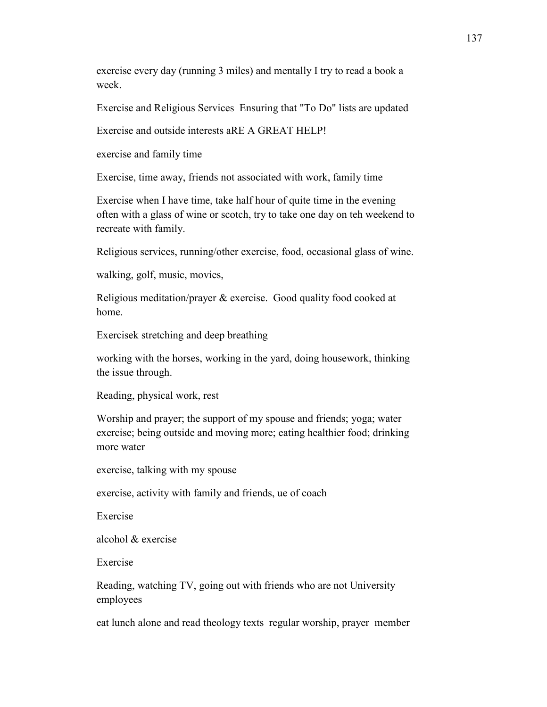exercise every day (running 3 miles) and mentally I try to read a book a week.

Exercise and Religious Services Ensuring that "To Do" lists are updated

Exercise and outside interests aRE A GREAT HELP!

exercise and family time

Exercise, time away, friends not associated with work, family time

Exercise when I have time, take half hour of quite time in the evening often with a glass of wine or scotch, try to take one day on teh weekend to recreate with family.

Religious services, running/other exercise, food, occasional glass of wine.

walking, golf, music, movies,

Religious meditation/prayer & exercise. Good quality food cooked at home.

Exercisek stretching and deep breathing

working with the horses, working in the yard, doing housework, thinking the issue through.

Reading, physical work, rest

Worship and prayer; the support of my spouse and friends; yoga; water exercise; being outside and moving more; eating healthier food; drinking more water

exercise, talking with my spouse

exercise, activity with family and friends, ue of coach

Exercise

alcohol & exercise

Exercise

Reading, watching TV, going out with friends who are not University employees

eat lunch alone and read theology texts regular worship, prayer member